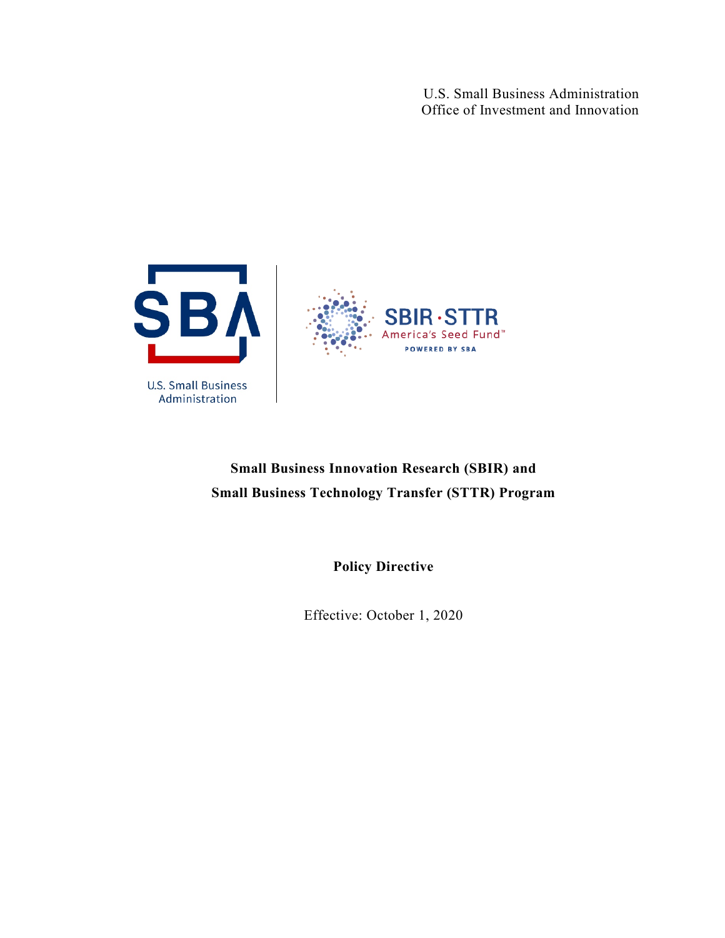U.S. Small Business Administration Office of Investment and Innovation



# **Small Business Innovation Research (SBIR) and Small Business Technology Transfer (STTR) Program**

**Policy Directive**

Effective: October 1, 2020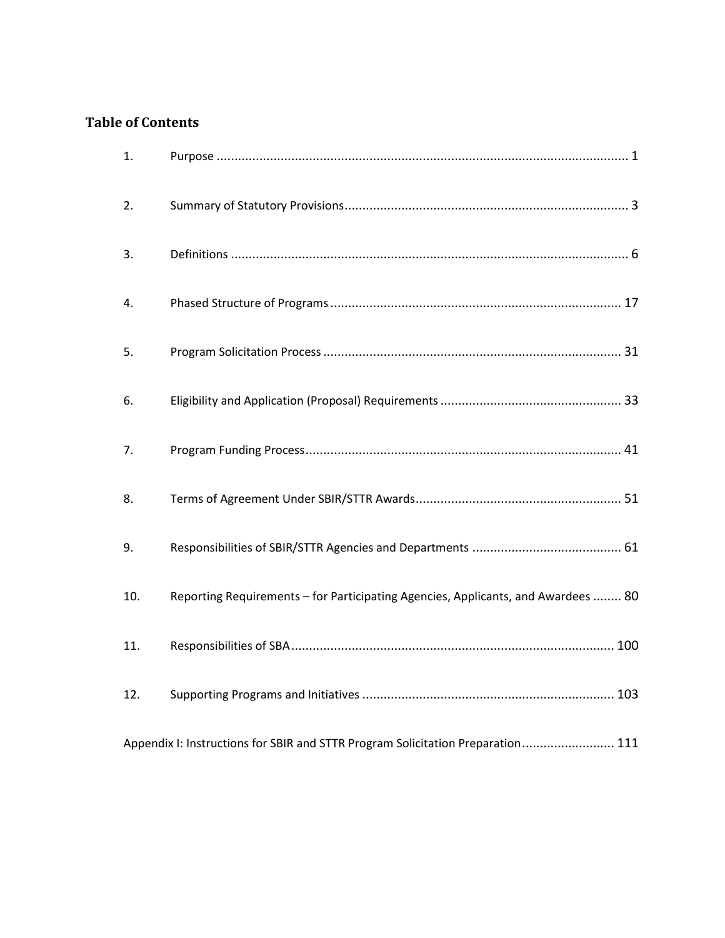# **Table of Contents**

| 1.                                                                              |                                                                                   |
|---------------------------------------------------------------------------------|-----------------------------------------------------------------------------------|
| 2.                                                                              |                                                                                   |
| 3.                                                                              |                                                                                   |
| 4.                                                                              |                                                                                   |
| 5.                                                                              |                                                                                   |
| 6.                                                                              |                                                                                   |
| 7.                                                                              |                                                                                   |
| 8.                                                                              |                                                                                   |
| 9.                                                                              |                                                                                   |
| 10.                                                                             | Reporting Requirements - for Participating Agencies, Applicants, and Awardees  80 |
| 11.                                                                             |                                                                                   |
| 12.                                                                             |                                                                                   |
| Appendix I: Instructions for SBIR and STTR Program Solicitation Preparation 111 |                                                                                   |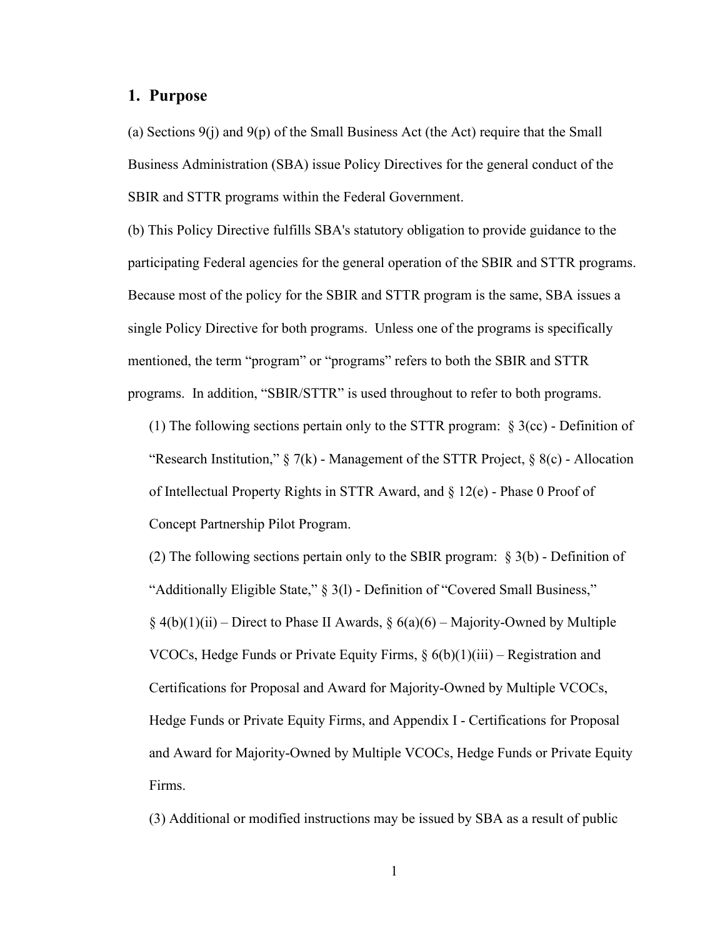# <span id="page-2-0"></span>**1. Purpose**

(a) Sections  $9(i)$  and  $9(p)$  of the Small Business Act (the Act) require that the Small Business Administration (SBA) issue Policy Directives for the general conduct of the SBIR and STTR programs within the Federal Government.

(b) This Policy Directive fulfills SBA's statutory obligation to provide guidance to the participating Federal agencies for the general operation of the SBIR and STTR programs. Because most of the policy for the SBIR and STTR program is the same, SBA issues a single Policy Directive for both programs. Unless one of the programs is specifically mentioned, the term "program" or "programs" refers to both the SBIR and STTR programs. In addition, "SBIR/STTR" is used throughout to refer to both programs.

(1) The following sections pertain only to the STTR program: § 3(cc) - Definition of "Research Institution,"  $\S 7(k)$  - Management of the STTR Project,  $\S 8(c)$  - Allocation of Intellectual Property Rights in STTR Award, and § 12(e) - Phase 0 Proof of Concept Partnership Pilot Program.

(2) The following sections pertain only to the SBIR program: § 3(b) - Definition of "Additionally Eligible State," § 3(l) - Definition of "Covered Small Business,"  $\S 4(b)(1)(ii)$  – Direct to Phase II Awards,  $\S 6(a)(6)$  – Majority-Owned by Multiple VCOCs, Hedge Funds or Private Equity Firms,  $\S$  6(b)(1)(iii) – Registration and Certifications for Proposal and Award for Majority-Owned by Multiple VCOCs, Hedge Funds or Private Equity Firms, and Appendix I - Certifications for Proposal and Award for Majority-Owned by Multiple VCOCs, Hedge Funds or Private Equity Firms.

(3) Additional or modified instructions may be issued by SBA as a result of public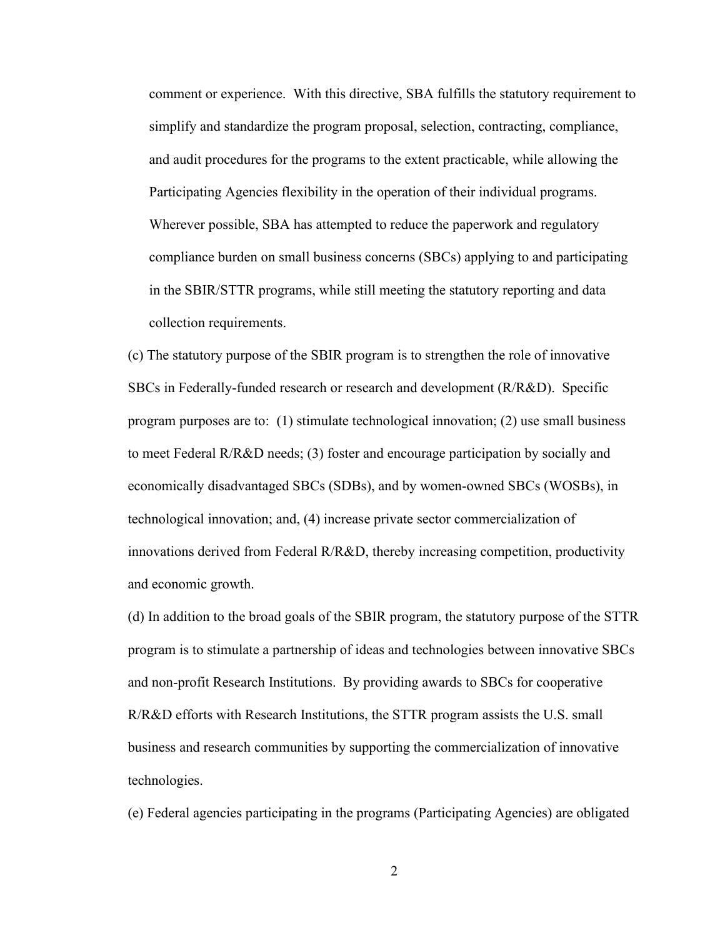comment or experience. With this directive, SBA fulfills the statutory requirement to simplify and standardize the program proposal, selection, contracting, compliance, and audit procedures for the programs to the extent practicable, while allowing the Participating Agencies flexibility in the operation of their individual programs. Wherever possible, SBA has attempted to reduce the paperwork and regulatory compliance burden on small business concerns (SBCs) applying to and participating in the SBIR/STTR programs, while still meeting the statutory reporting and data collection requirements.

(c) The statutory purpose of the SBIR program is to strengthen the role of innovative SBCs in Federally-funded research or research and development (R/R&D). Specific program purposes are to: (1) stimulate technological innovation; (2) use small business to meet Federal R/R&D needs; (3) foster and encourage participation by socially and economically disadvantaged SBCs (SDBs), and by women-owned SBCs (WOSBs), in technological innovation; and, (4) increase private sector commercialization of innovations derived from Federal R/R&D, thereby increasing competition, productivity and economic growth.

(d) In addition to the broad goals of the SBIR program, the statutory purpose of the STTR program is to stimulate a partnership of ideas and technologies between innovative SBCs and non-profit Research Institutions. By providing awards to SBCs for cooperative R/R&D efforts with Research Institutions, the STTR program assists the U.S. small business and research communities by supporting the commercialization of innovative technologies.

(e) Federal agencies participating in the programs (Participating Agencies) are obligated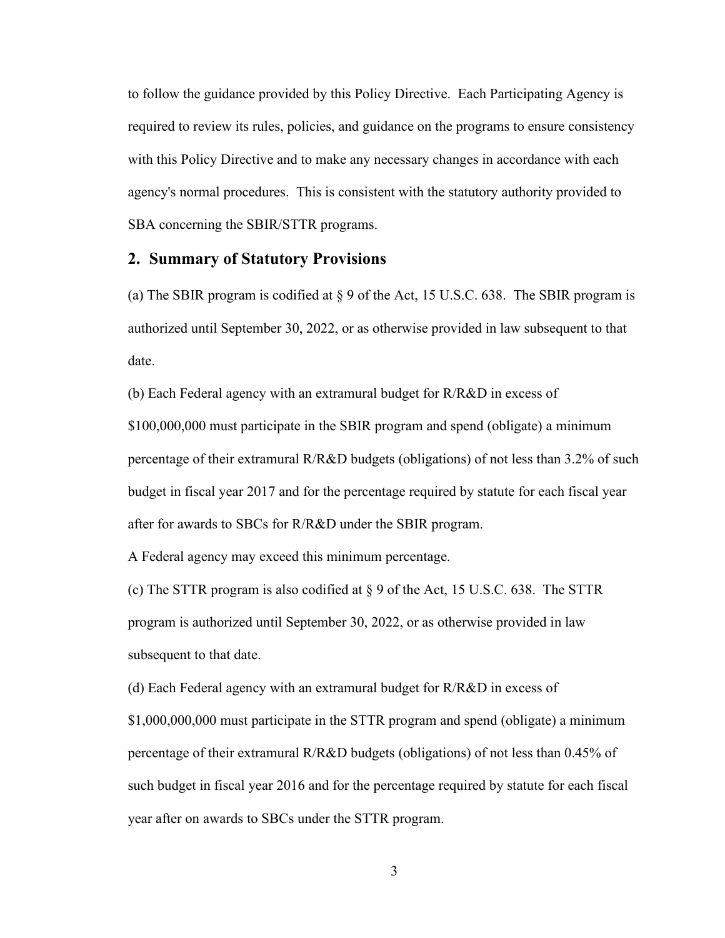to follow the guidance provided by this Policy Directive. Each Participating Agency is required to review its rules, policies, and guidance on the programs to ensure consistency with this Policy Directive and to make any necessary changes in accordance with each agency's normal procedures. This is consistent with the statutory authority provided to SBA concerning the SBIR/STTR programs.

# <span id="page-4-0"></span>**2. Summary of Statutory Provisions**

(a) The SBIR program is codified at  $\S 9$  of the Act, 15 U.S.C. 638. The SBIR program is authorized until September 30, 2022, or as otherwise provided in law subsequent to that date.

(b) Each Federal agency with an extramural budget for R/R&D in excess of

\$100,000,000 must participate in the SBIR program and spend (obligate) a minimum percentage of their extramural R/R&D budgets (obligations) of not less than 3.2% of such budget in fiscal year 2017 and for the percentage required by statute for each fiscal year after for awards to SBCs for R/R&D under the SBIR program.

A Federal agency may exceed this minimum percentage.

(c) The STTR program is also codified at § 9 of the Act, 15 U.S.C. 638. The STTR program is authorized until September 30, 2022, or as otherwise provided in law subsequent to that date.

(d) Each Federal agency with an extramural budget for R/R&D in excess of

\$1,000,000,000 must participate in the STTR program and spend (obligate) a minimum percentage of their extramural R/R&D budgets (obligations) of not less than 0.45% of such budget in fiscal year 2016 and for the percentage required by statute for each fiscal year after on awards to SBCs under the STTR program.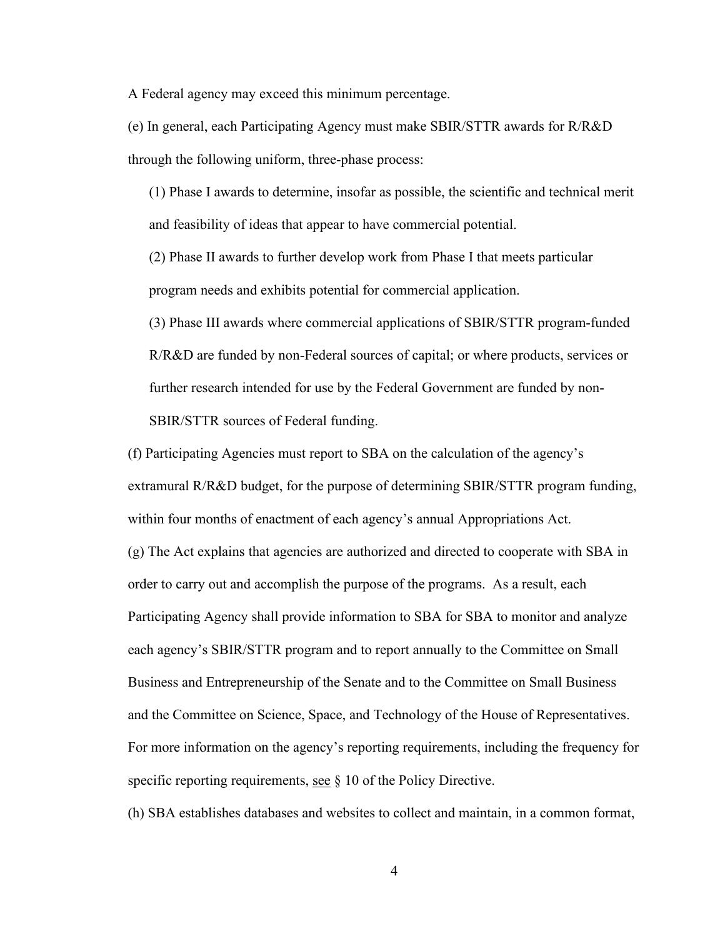A Federal agency may exceed this minimum percentage.

(e) In general, each Participating Agency must make SBIR/STTR awards for R/R&D through the following uniform, three-phase process:

(1) Phase I awards to determine, insofar as possible, the scientific and technical merit and feasibility of ideas that appear to have commercial potential.

(2) Phase II awards to further develop work from Phase I that meets particular program needs and exhibits potential for commercial application.

(3) Phase III awards where commercial applications of SBIR/STTR program-funded R/R&D are funded by non-Federal sources of capital; or where products, services or further research intended for use by the Federal Government are funded by non-SBIR/STTR sources of Federal funding.

(f) Participating Agencies must report to SBA on the calculation of the agency's extramural R/R&D budget, for the purpose of determining SBIR/STTR program funding, within four months of enactment of each agency's annual Appropriations Act. (g) The Act explains that agencies are authorized and directed to cooperate with SBA in order to carry out and accomplish the purpose of the programs. As a result, each Participating Agency shall provide information to SBA for SBA to monitor and analyze each agency's SBIR/STTR program and to report annually to the Committee on Small Business and Entrepreneurship of the Senate and to the Committee on Small Business and the Committee on Science, Space, and Technology of the House of Representatives. For more information on the agency's reporting requirements, including the frequency for specific reporting requirements, see  $\S$  10 of the Policy Directive.

(h) SBA establishes databases and websites to collect and maintain, in a common format,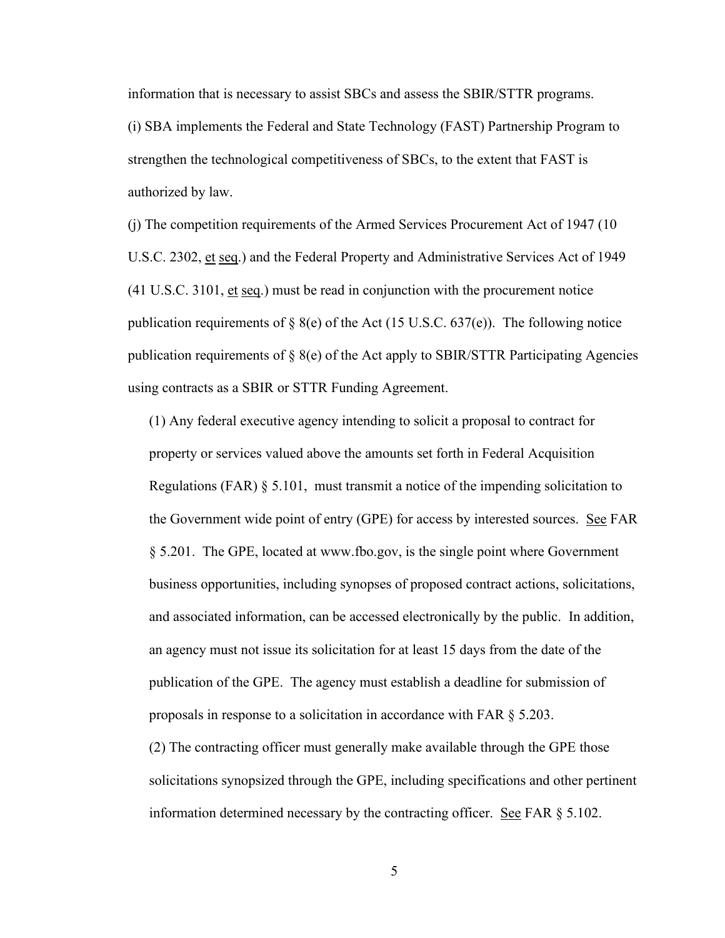information that is necessary to assist SBCs and assess the SBIR/STTR programs.

(i) SBA implements the Federal and State Technology (FAST) Partnership Program to strengthen the technological competitiveness of SBCs, to the extent that FAST is authorized by law.

(j) The competition requirements of the Armed Services Procurement Act of 1947 (10 U.S.C. 2302, et seq.) and the Federal Property and Administrative Services Act of 1949 (41 U.S.C. 3101, et seq.) must be read in conjunction with the procurement notice publication requirements of  $\S$  8(e) of the Act (15 U.S.C. 637(e)). The following notice publication requirements of § 8(e) of the Act apply to SBIR/STTR Participating Agencies using contracts as a SBIR or STTR Funding Agreement.

(1) Any federal executive agency intending to solicit a proposal to contract for property or services valued above the amounts set forth in Federal Acquisition Regulations (FAR)  $\S$  5.101, must transmit a notice of the impending solicitation to the Government wide point of entry (GPE) for access by interested sources. See FAR § 5.201. The GPE, located at www.fbo.gov, is the single point where Government business opportunities, including synopses of proposed contract actions, solicitations, and associated information, can be accessed electronically by the public. In addition, an agency must not issue its solicitation for at least 15 days from the date of the publication of the GPE. The agency must establish a deadline for submission of proposals in response to a solicitation in accordance with FAR § 5.203.

(2) The contracting officer must generally make available through the GPE those solicitations synopsized through the GPE, including specifications and other pertinent information determined necessary by the contracting officer. See FAR  $\S 5.102$ .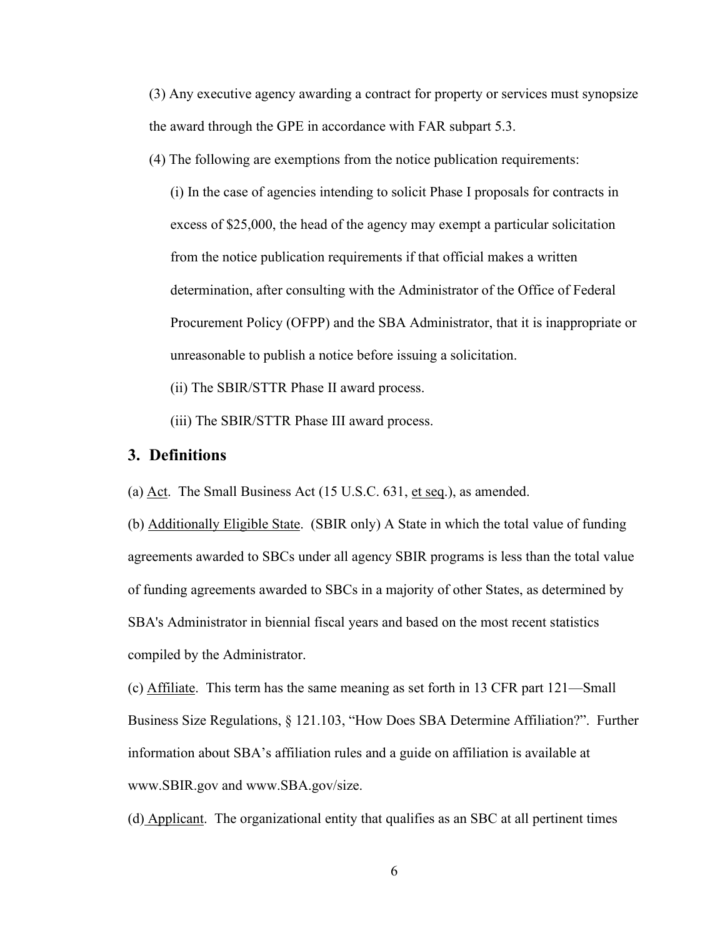(3) Any executive agency awarding a contract for property or services must synopsize the award through the GPE in accordance with FAR subpart 5.3.

(4) The following are exemptions from the notice publication requirements:

(i) In the case of agencies intending to solicit Phase I proposals for contracts in excess of \$25,000, the head of the agency may exempt a particular solicitation from the notice publication requirements if that official makes a written determination, after consulting with the Administrator of the Office of Federal Procurement Policy (OFPP) and the SBA Administrator, that it is inappropriate or unreasonable to publish a notice before issuing a solicitation.

(ii) The SBIR/STTR Phase II award process.

(iii) The SBIR/STTR Phase III award process.

# <span id="page-7-0"></span>**3. Definitions**

(a) Act. The Small Business Act (15 U.S.C. 631, et seq.), as amended.

(b) Additionally Eligible State. (SBIR only) A State in which the total value of funding agreements awarded to SBCs under all agency SBIR programs is less than the total value of funding agreements awarded to SBCs in a majority of other States, as determined by SBA's Administrator in biennial fiscal years and based on the most recent statistics compiled by the Administrator.

(c) Affiliate. This term has the same meaning as set forth in 13 CFR part 121—Small Business Size Regulations, § 121.103, "How Does SBA Determine Affiliation?". Further information about SBA's affiliation rules and a guide on affiliation is available at www.SBIR.gov and www.SBA.gov/size.

(d) Applicant. The organizational entity that qualifies as an SBC at all pertinent times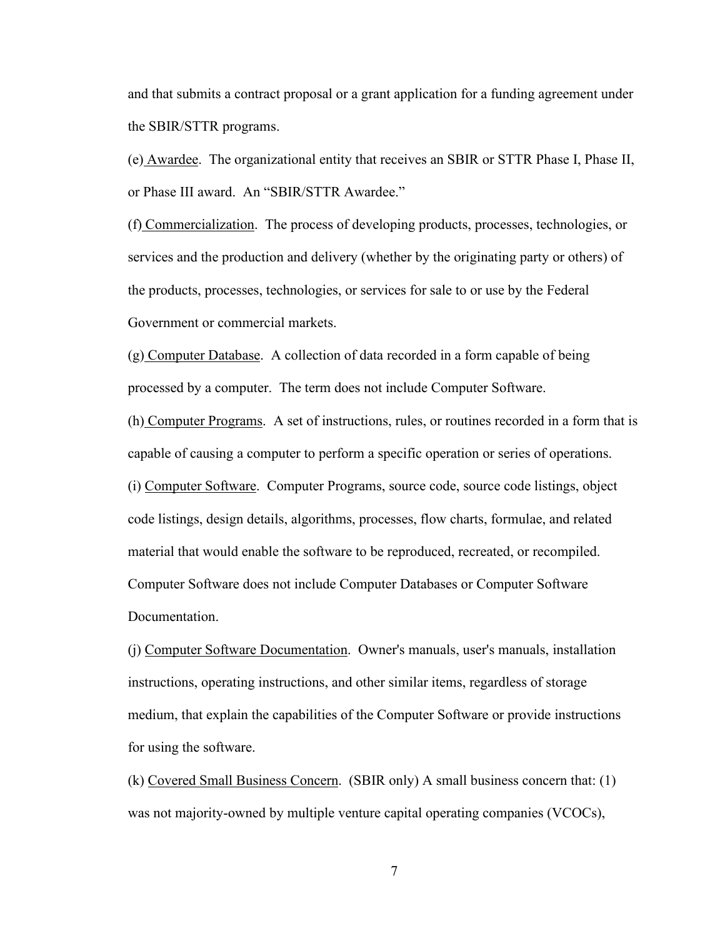and that submits a contract proposal or a grant application for a funding agreement under the SBIR/STTR programs.

(e) Awardee. The organizational entity that receives an SBIR or STTR Phase I, Phase II, or Phase III award. An "SBIR/STTR Awardee."

(f) Commercialization. The process of developing products, processes, technologies, or services and the production and delivery (whether by the originating party or others) of the products, processes, technologies, or services for sale to or use by the Federal Government or commercial markets.

(g) Computer Database. A collection of data recorded in a form capable of being processed by a computer. The term does not include Computer Software.

(h) Computer Programs. A set of instructions, rules, or routines recorded in a form that is capable of causing a computer to perform a specific operation or series of operations.

(i) Computer Software. Computer Programs, source code, source code listings, object code listings, design details, algorithms, processes, flow charts, formulae, and related material that would enable the software to be reproduced, recreated, or recompiled. Computer Software does not include Computer Databases or Computer Software Documentation.

(j) Computer Software Documentation. Owner's manuals, user's manuals, installation instructions, operating instructions, and other similar items, regardless of storage medium, that explain the capabilities of the Computer Software or provide instructions for using the software.

(k) Covered Small Business Concern. (SBIR only) A small business concern that: (1) was not majority-owned by multiple venture capital operating companies (VCOCs),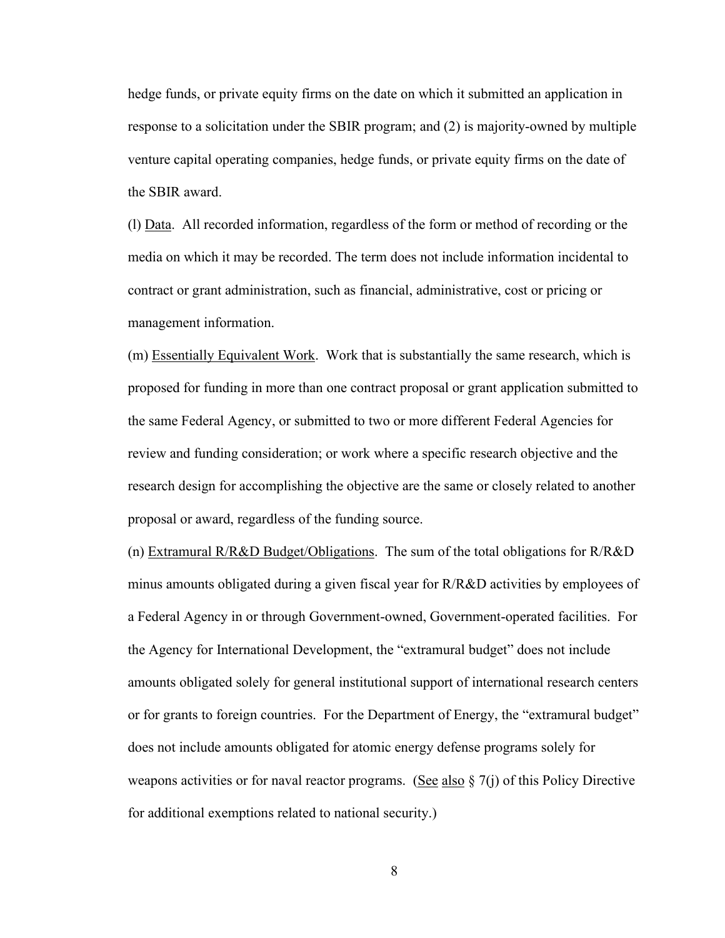hedge funds, or private equity firms on the date on which it submitted an application in response to a solicitation under the SBIR program; and (2) is majority-owned by multiple venture capital operating companies, hedge funds, or private equity firms on the date of the SBIR award.

(l) Data. All recorded information, regardless of the form or method of recording or the media on which it may be recorded. The term does not include information incidental to contract or grant administration, such as financial, administrative, cost or pricing or management information.

(m) Essentially Equivalent Work. Work that is substantially the same research, which is proposed for funding in more than one contract proposal or grant application submitted to the same Federal Agency, or submitted to two or more different Federal Agencies for review and funding consideration; or work where a specific research objective and the research design for accomplishing the objective are the same or closely related to another proposal or award, regardless of the funding source.

(n) Extramural R/R&D Budget/Obligations. The sum of the total obligations for R/R&D minus amounts obligated during a given fiscal year for  $R/R\&D$  activities by employees of a Federal Agency in or through Government-owned, Government-operated facilities. For the Agency for International Development, the "extramural budget" does not include amounts obligated solely for general institutional support of international research centers or for grants to foreign countries. For the Department of Energy, the "extramural budget" does not include amounts obligated for atomic energy defense programs solely for weapons activities or for naval reactor programs. (See also  $\S$  7(j) of this Policy Directive for additional exemptions related to national security.)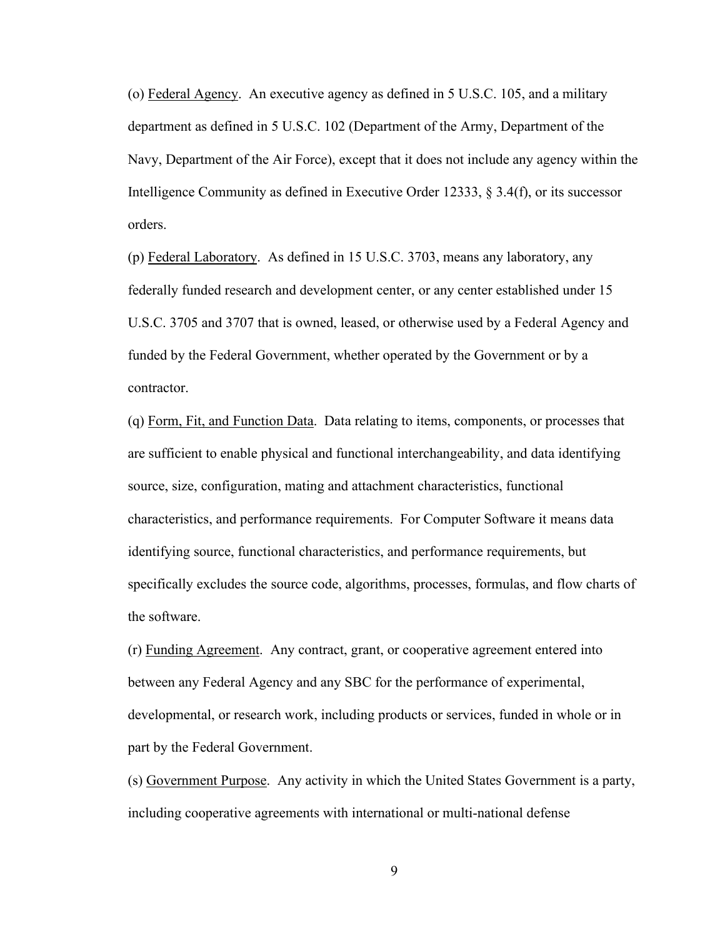(o) Federal Agency. An executive agency as defined in 5 U.S.C. 105, and a military department as defined in 5 U.S.C. 102 (Department of the Army, Department of the Navy, Department of the Air Force), except that it does not include any agency within the Intelligence Community as defined in Executive Order 12333, § 3.4(f), or its successor orders.

(p) Federal Laboratory. As defined in 15 U.S.C. 3703, means any laboratory, any federally funded research and development center, or any center established under 15 U.S.C. 3705 and 3707 that is owned, leased, or otherwise used by a Federal Agency and funded by the Federal Government, whether operated by the Government or by a contractor.

(q) Form, Fit, and Function Data. Data relating to items, components, or processes that are sufficient to enable physical and functional interchangeability, and data identifying source, size, configuration, mating and attachment characteristics, functional characteristics, and performance requirements. For Computer Software it means data identifying source, functional characteristics, and performance requirements, but specifically excludes the source code, algorithms, processes, formulas, and flow charts of the software.

(r) Funding Agreement. Any contract, grant, or cooperative agreement entered into between any Federal Agency and any SBC for the performance of experimental, developmental, or research work, including products or services, funded in whole or in part by the Federal Government.

(s) Government Purpose. Any activity in which the United States Government is a party, including cooperative agreements with international or multi-national defense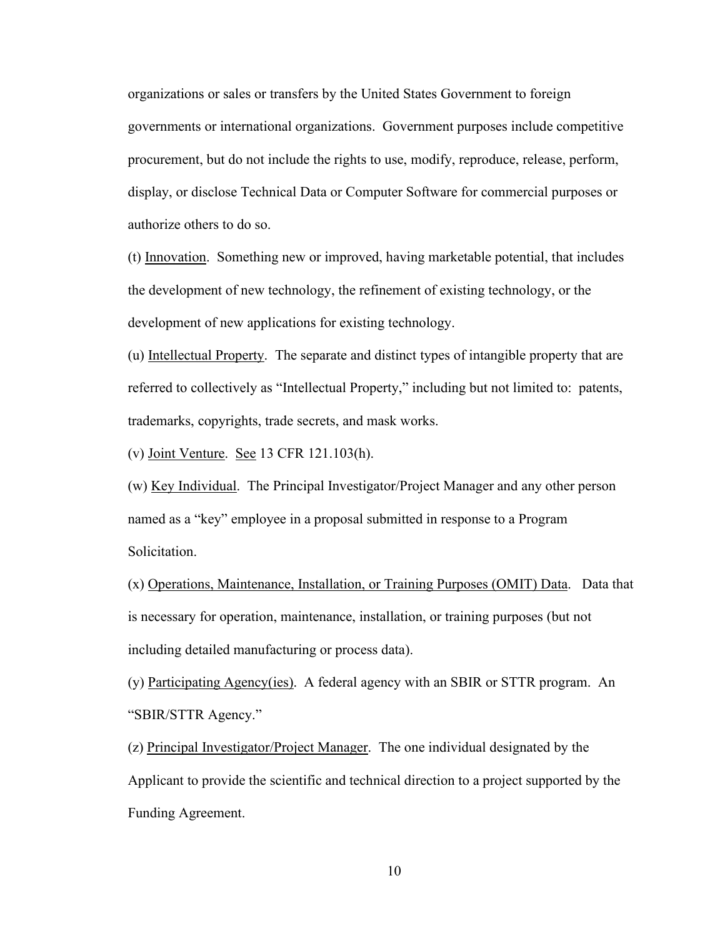organizations or sales or transfers by the United States Government to foreign governments or international organizations. Government purposes include competitive procurement, but do not include the rights to use, modify, reproduce, release, perform, display, or disclose Technical Data or Computer Software for commercial purposes or authorize others to do so.

(t) Innovation. Something new or improved, having marketable potential, that includes the development of new technology, the refinement of existing technology, or the development of new applications for existing technology.

(u) Intellectual Property. The separate and distinct types of intangible property that are referred to collectively as "Intellectual Property," including but not limited to: patents, trademarks, copyrights, trade secrets, and mask works.

(v) Joint Venture. See 13 CFR 121.103(h).

(w) Key Individual. The Principal Investigator/Project Manager and any other person named as a "key" employee in a proposal submitted in response to a Program Solicitation.

(x) Operations, Maintenance, Installation, or Training Purposes (OMIT) Data. Data that is necessary for operation, maintenance, installation, or training purposes (but not including detailed manufacturing or process data).

(y) Participating Agency(ies). A federal agency with an SBIR or STTR program. An "SBIR/STTR Agency."

(z) Principal Investigator/Project Manager. The one individual designated by the Applicant to provide the scientific and technical direction to a project supported by the Funding Agreement.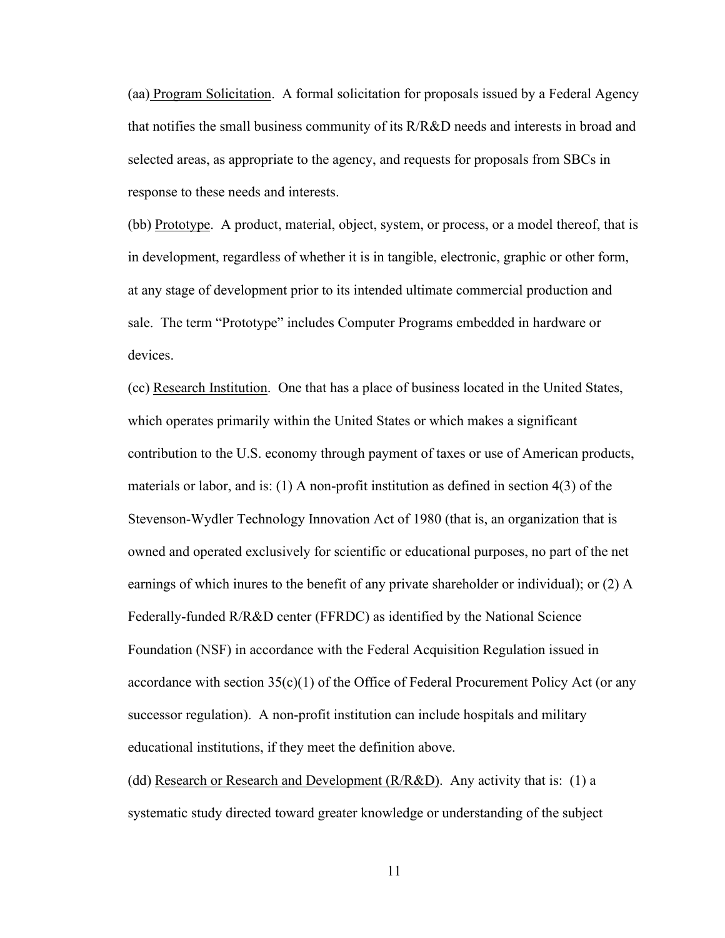(aa) Program Solicitation. A formal solicitation for proposals issued by a Federal Agency that notifies the small business community of its R/R&D needs and interests in broad and selected areas, as appropriate to the agency, and requests for proposals from SBCs in response to these needs and interests.

(bb) Prototype. A product, material, object, system, or process, or a model thereof, that is in development, regardless of whether it is in tangible, electronic, graphic or other form, at any stage of development prior to its intended ultimate commercial production and sale. The term "Prototype" includes Computer Programs embedded in hardware or devices.

(cc) Research Institution. One that has a place of business located in the United States, which operates primarily within the United States or which makes a significant contribution to the U.S. economy through payment of taxes or use of American products, materials or labor, and is: (1) A non-profit institution as defined in section 4(3) of the Stevenson-Wydler Technology Innovation Act of 1980 (that is, an organization that is owned and operated exclusively for scientific or educational purposes, no part of the net earnings of which inures to the benefit of any private shareholder or individual); or (2) A Federally-funded R/R&D center (FFRDC) as identified by the National Science Foundation (NSF) in accordance with the Federal Acquisition Regulation issued in accordance with section  $35(c)(1)$  of the Office of Federal Procurement Policy Act (or any successor regulation). A non-profit institution can include hospitals and military educational institutions, if they meet the definition above.

(dd) Research or Research and Development  $(R/R&D)$ . Any activity that is: (1) a systematic study directed toward greater knowledge or understanding of the subject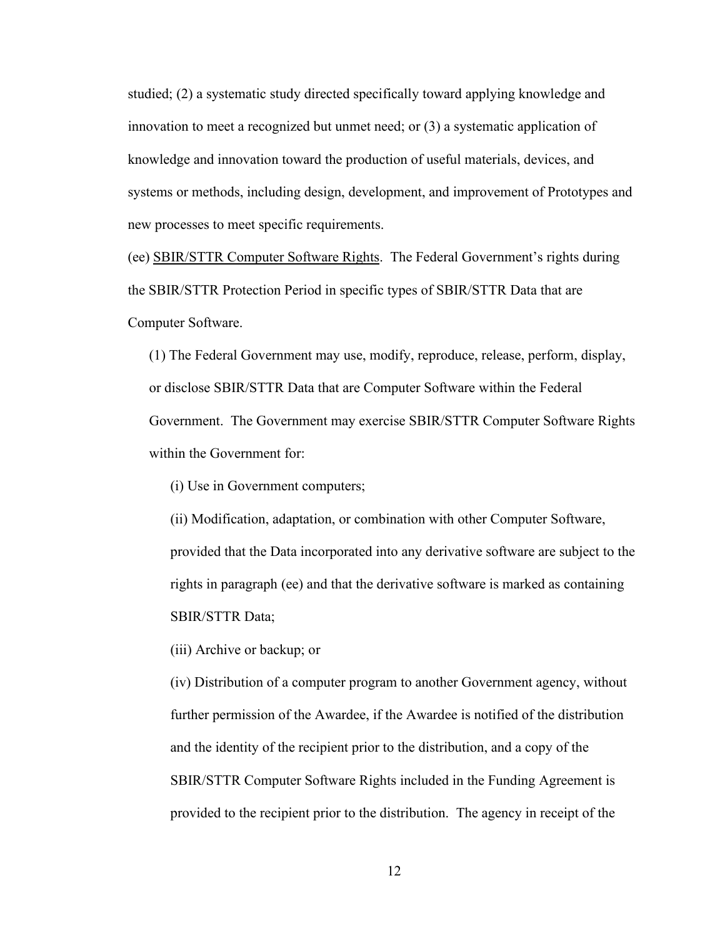studied; (2) a systematic study directed specifically toward applying knowledge and innovation to meet a recognized but unmet need; or (3) a systematic application of knowledge and innovation toward the production of useful materials, devices, and systems or methods, including design, development, and improvement of Prototypes and new processes to meet specific requirements.

(ee) SBIR/STTR Computer Software Rights. The Federal Government's rights during the SBIR/STTR Protection Period in specific types of SBIR/STTR Data that are Computer Software.

(1) The Federal Government may use, modify, reproduce, release, perform, display, or disclose SBIR/STTR Data that are Computer Software within the Federal Government. The Government may exercise SBIR/STTR Computer Software Rights within the Government for:

(i) Use in Government computers;

(ii) Modification, adaptation, or combination with other Computer Software, provided that the Data incorporated into any derivative software are subject to the rights in paragraph (ee) and that the derivative software is marked as containing SBIR/STTR Data;

(iii) Archive or backup; or

(iv) Distribution of a computer program to another Government agency, without further permission of the Awardee, if the Awardee is notified of the distribution and the identity of the recipient prior to the distribution, and a copy of the SBIR/STTR Computer Software Rights included in the Funding Agreement is provided to the recipient prior to the distribution. The agency in receipt of the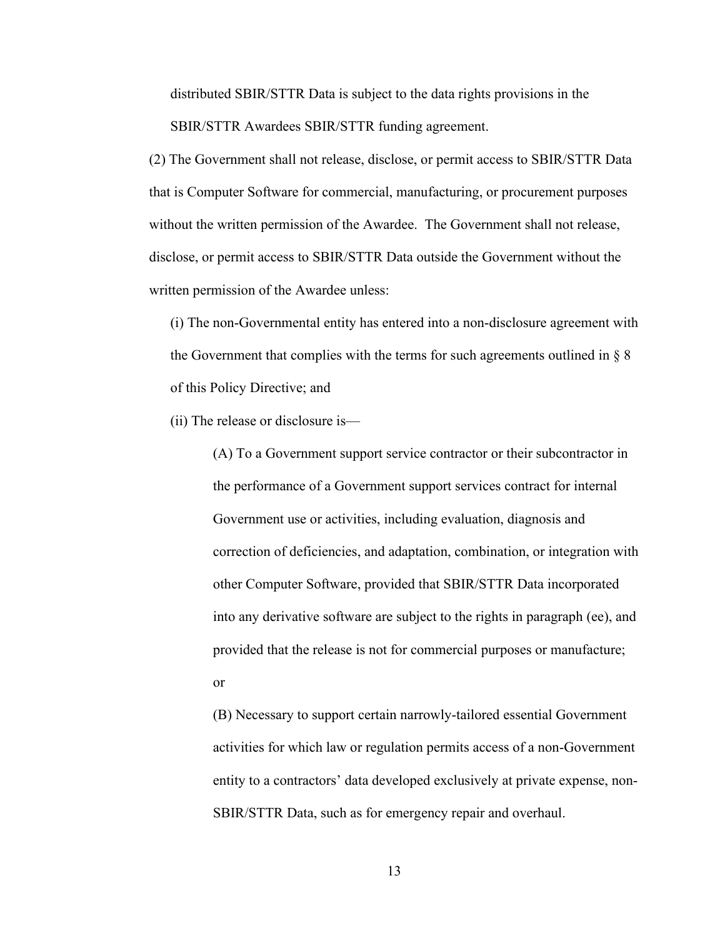distributed SBIR/STTR Data is subject to the data rights provisions in the SBIR/STTR Awardees SBIR/STTR funding agreement.

(2) The Government shall not release, disclose, or permit access to SBIR/STTR Data that is Computer Software for commercial, manufacturing, or procurement purposes without the written permission of the Awardee. The Government shall not release, disclose, or permit access to SBIR/STTR Data outside the Government without the written permission of the Awardee unless:

(i) The non-Governmental entity has entered into a non-disclosure agreement with the Government that complies with the terms for such agreements outlined in  $\S 8$ of this Policy Directive; and

(ii) The release or disclosure is—

(A) To a Government support service contractor or their subcontractor in the performance of a Government support services contract for internal Government use or activities, including evaluation, diagnosis and correction of deficiencies, and adaptation, combination, or integration with other Computer Software, provided that SBIR/STTR Data incorporated into any derivative software are subject to the rights in paragraph (ee), and provided that the release is not for commercial purposes or manufacture; or

(B) Necessary to support certain narrowly-tailored essential Government activities for which law or regulation permits access of a non-Government entity to a contractors' data developed exclusively at private expense, non-SBIR/STTR Data, such as for emergency repair and overhaul.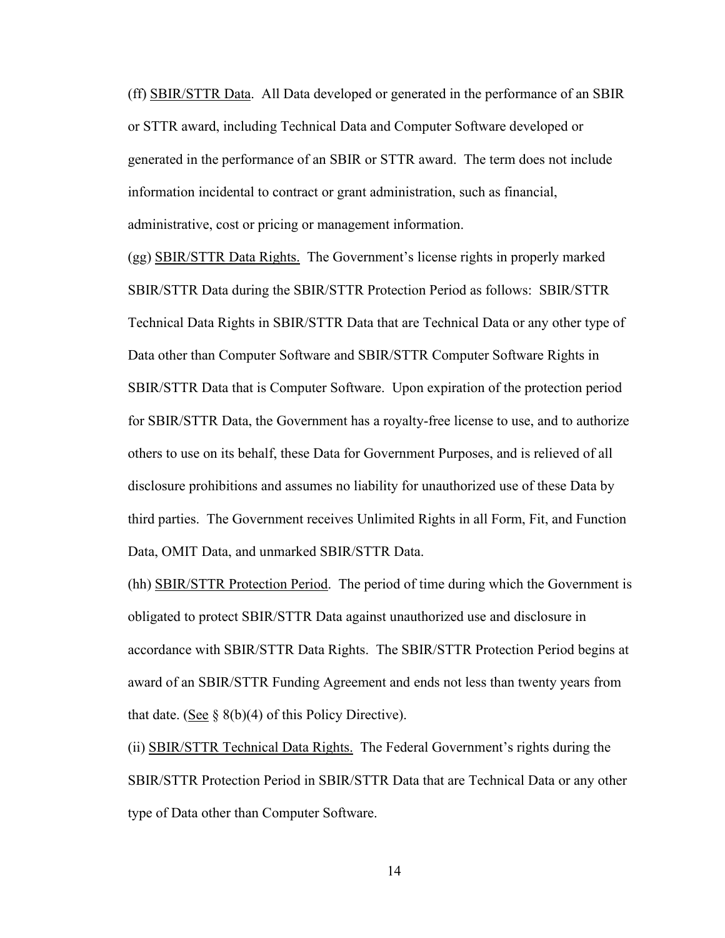(ff) SBIR/STTR Data. All Data developed or generated in the performance of an SBIR or STTR award, including Technical Data and Computer Software developed or generated in the performance of an SBIR or STTR award. The term does not include information incidental to contract or grant administration, such as financial, administrative, cost or pricing or management information.

(gg) SBIR/STTR Data Rights. The Government's license rights in properly marked SBIR/STTR Data during the SBIR/STTR Protection Period as follows: SBIR/STTR Technical Data Rights in SBIR/STTR Data that are Technical Data or any other type of Data other than Computer Software and SBIR/STTR Computer Software Rights in SBIR/STTR Data that is Computer Software. Upon expiration of the protection period for SBIR/STTR Data, the Government has a royalty-free license to use, and to authorize others to use on its behalf, these Data for Government Purposes, and is relieved of all disclosure prohibitions and assumes no liability for unauthorized use of these Data by third parties. The Government receives Unlimited Rights in all Form, Fit, and Function Data, OMIT Data, and unmarked SBIR/STTR Data.

(hh) SBIR/STTR Protection Period. The period of time during which the Government is obligated to protect SBIR/STTR Data against unauthorized use and disclosure in accordance with SBIR/STTR Data Rights. The SBIR/STTR Protection Period begins at award of an SBIR/STTR Funding Agreement and ends not less than twenty years from that date. (See  $\S$  8(b)(4) of this Policy Directive).

(ii) SBIR/STTR Technical Data Rights. The Federal Government's rights during the SBIR/STTR Protection Period in SBIR/STTR Data that are Technical Data or any other type of Data other than Computer Software.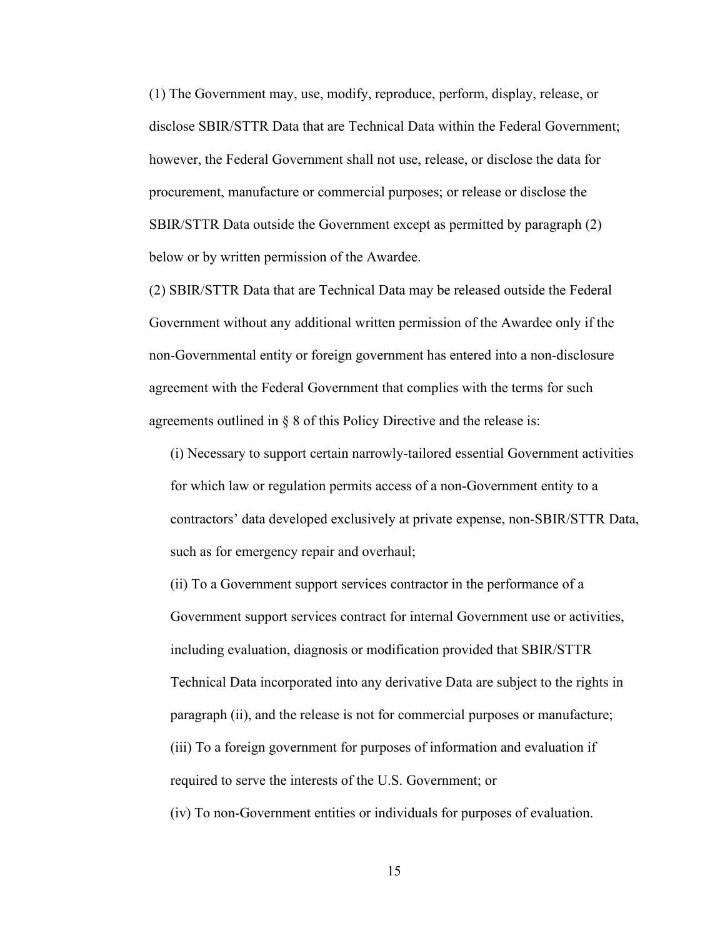(1) The Government may, use, modify, reproduce, perform, display, release, or disclose SBIR/STTR Data that are Technical Data within the Federal Government; however, the Federal Government shall not use, release, or disclose the data for procurement, manufacture or commercial purposes; or release or disclose the SBIR/STTR Data outside the Government except as permitted by paragraph (2) below or by written permission of the Awardee.

(2) SBIR/STTR Data that are Technical Data may be released outside the Federal Government without any additional written permission of the Awardee only if the non-Governmental entity or foreign government has entered into a non-disclosure agreement with the Federal Government that complies with the terms for such agreements outlined in § 8 of this Policy Directive and the release is:

(i) Necessary to support certain narrowly-tailored essential Government activities for which law or regulation permits access of a non-Government entity to a contractors' data developed exclusively at private expense, non-SBIR/STTR Data, such as for emergency repair and overhaul;

(ii) To a Government support services contractor in the performance of a Government support services contract for internal Government use or activities, including evaluation, diagnosis or modification provided that SBIR/STTR Technical Data incorporated into any derivative Data are subject to the rights in paragraph (ii), and the release is not for commercial purposes or manufacture; (iii) To a foreign government for purposes of information and evaluation if required to serve the interests of the U.S. Government; or

(iv) To non-Government entities or individuals for purposes of evaluation.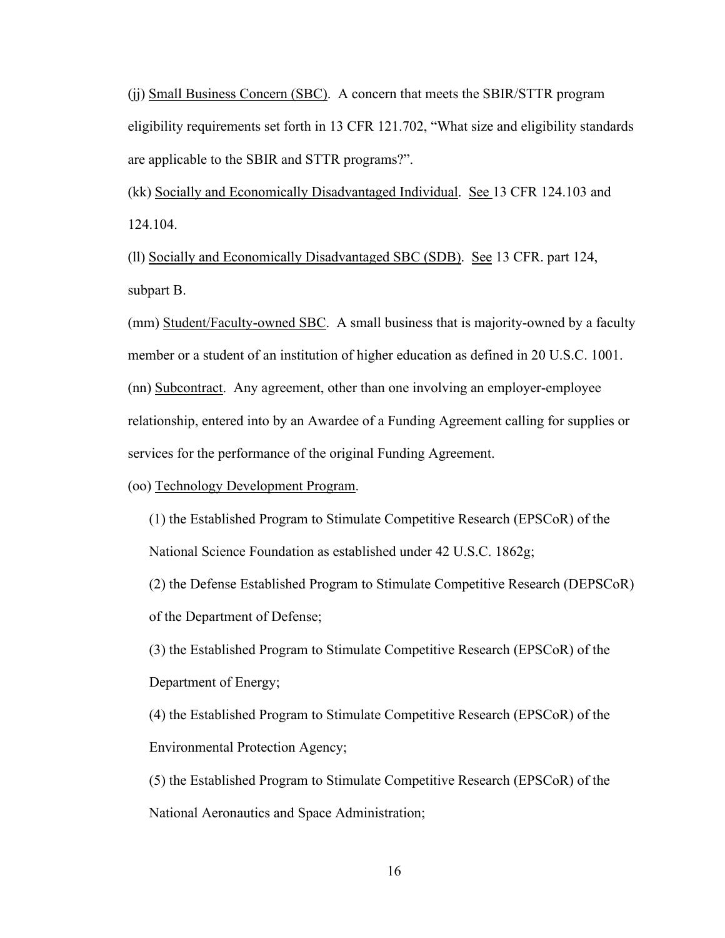(jj) Small Business Concern (SBC). A concern that meets the SBIR/STTR program eligibility requirements set forth in 13 CFR 121.702, "What size and eligibility standards are applicable to the SBIR and STTR programs?".

(kk) Socially and Economically Disadvantaged Individual. See 13 CFR 124.103 and 124.104.

(ll) Socially and Economically Disadvantaged SBC (SDB). See 13 CFR. part 124, subpart B.

(mm) Student/Faculty-owned SBC. A small business that is majority-owned by a faculty member or a student of an institution of higher education as defined in 20 U.S.C. 1001. (nn) Subcontract. Any agreement, other than one involving an employer-employee relationship, entered into by an Awardee of a Funding Agreement calling for supplies or services for the performance of the original Funding Agreement.

(oo) Technology Development Program.

(1) the Established Program to Stimulate Competitive Research (EPSCoR) of the National Science Foundation as established under 42 U.S.C. 1862g;

(2) the Defense Established Program to Stimulate Competitive Research (DEPSCoR) of the Department of Defense;

(3) the Established Program to Stimulate Competitive Research (EPSCoR) of the Department of Energy;

(4) the Established Program to Stimulate Competitive Research (EPSCoR) of the Environmental Protection Agency;

(5) the Established Program to Stimulate Competitive Research (EPSCoR) of the National Aeronautics and Space Administration;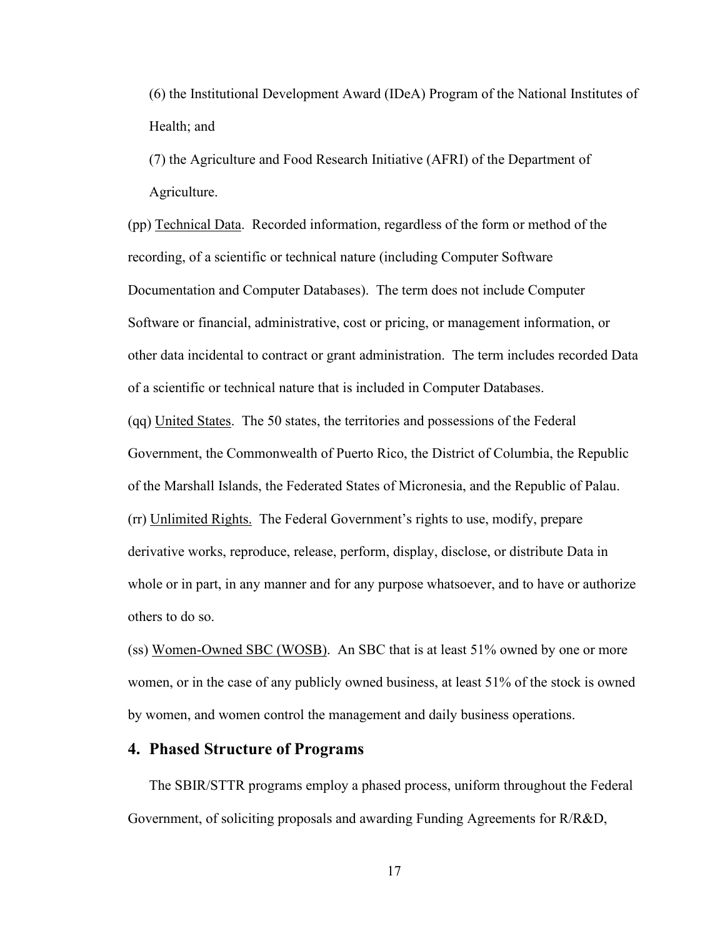(6) the Institutional Development Award (IDeA) Program of the National Institutes of Health; and

(7) the Agriculture and Food Research Initiative (AFRI) of the Department of Agriculture.

(pp) Technical Data. Recorded information, regardless of the form or method of the recording, of a scientific or technical nature (including Computer Software Documentation and Computer Databases). The term does not include Computer Software or financial, administrative, cost or pricing, or management information, or other data incidental to contract or grant administration. The term includes recorded Data of a scientific or technical nature that is included in Computer Databases.

(qq) United States. The 50 states, the territories and possessions of the Federal Government, the Commonwealth of Puerto Rico, the District of Columbia, the Republic of the Marshall Islands, the Federated States of Micronesia, and the Republic of Palau. (rr) Unlimited Rights. The Federal Government's rights to use, modify, prepare derivative works, reproduce, release, perform, display, disclose, or distribute Data in whole or in part, in any manner and for any purpose whatsoever, and to have or authorize others to do so.

(ss) Women-Owned SBC (WOSB). An SBC that is at least 51% owned by one or more women, or in the case of any publicly owned business, at least 51% of the stock is owned by women, and women control the management and daily business operations.

# <span id="page-18-0"></span>**4. Phased Structure of Programs**

The SBIR/STTR programs employ a phased process, uniform throughout the Federal Government, of soliciting proposals and awarding Funding Agreements for R/R&D,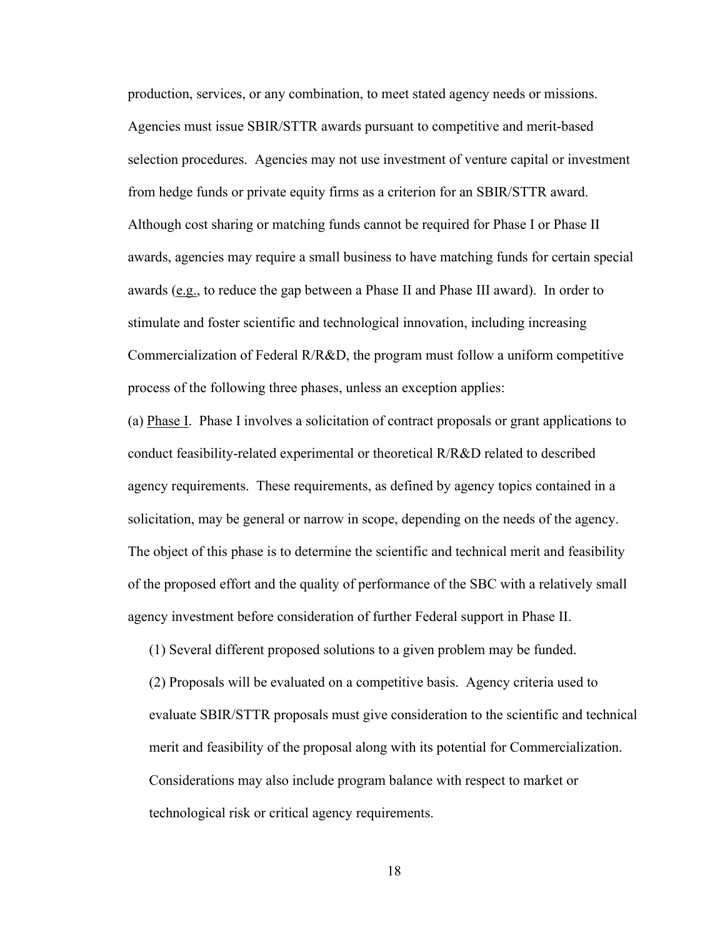production, services, or any combination, to meet stated agency needs or missions. Agencies must issue SBIR/STTR awards pursuant to competitive and merit-based selection procedures. Agencies may not use investment of venture capital or investment from hedge funds or private equity firms as a criterion for an SBIR/STTR award. Although cost sharing or matching funds cannot be required for Phase I or Phase II awards, agencies may require a small business to have matching funds for certain special awards (e.g., to reduce the gap between a Phase II and Phase III award). In order to stimulate and foster scientific and technological innovation, including increasing Commercialization of Federal R/R&D, the program must follow a uniform competitive process of the following three phases, unless an exception applies:

(a) Phase I. Phase I involves a solicitation of contract proposals or grant applications to conduct feasibility-related experimental or theoretical R/R&D related to described agency requirements. These requirements, as defined by agency topics contained in a solicitation, may be general or narrow in scope, depending on the needs of the agency. The object of this phase is to determine the scientific and technical merit and feasibility of the proposed effort and the quality of performance of the SBC with a relatively small agency investment before consideration of further Federal support in Phase II.

(1) Several different proposed solutions to a given problem may be funded.

(2) Proposals will be evaluated on a competitive basis. Agency criteria used to evaluate SBIR/STTR proposals must give consideration to the scientific and technical merit and feasibility of the proposal along with its potential for Commercialization. Considerations may also include program balance with respect to market or technological risk or critical agency requirements.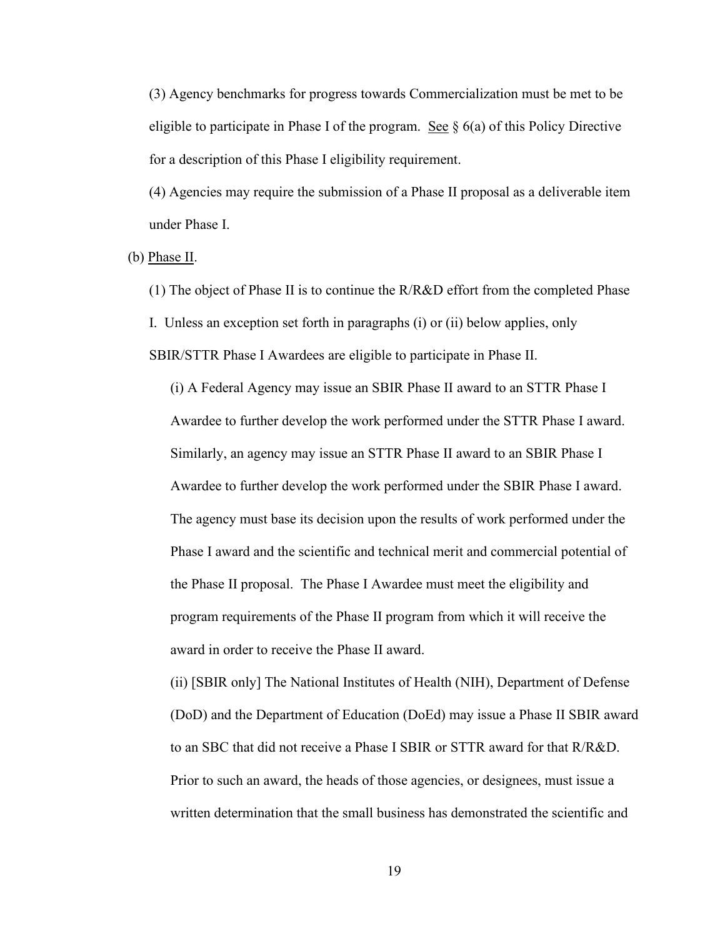(3) Agency benchmarks for progress towards Commercialization must be met to be eligible to participate in Phase I of the program. See  $\S$  6(a) of this Policy Directive for a description of this Phase I eligibility requirement.

(4) Agencies may require the submission of a Phase II proposal as a deliverable item under Phase I.

(b) Phase II.

(1) The object of Phase II is to continue the R/R&D effort from the completed Phase I. Unless an exception set forth in paragraphs (i) or (ii) below applies, only SBIR/STTR Phase I Awardees are eligible to participate in Phase II.

(i) A Federal Agency may issue an SBIR Phase II award to an STTR Phase I Awardee to further develop the work performed under the STTR Phase I award. Similarly, an agency may issue an STTR Phase II award to an SBIR Phase I Awardee to further develop the work performed under the SBIR Phase I award. The agency must base its decision upon the results of work performed under the Phase I award and the scientific and technical merit and commercial potential of the Phase II proposal. The Phase I Awardee must meet the eligibility and program requirements of the Phase II program from which it will receive the award in order to receive the Phase II award.

(ii) [SBIR only] The National Institutes of Health (NIH), Department of Defense (DoD) and the Department of Education (DoEd) may issue a Phase II SBIR award to an SBC that did not receive a Phase I SBIR or STTR award for that R/R&D. Prior to such an award, the heads of those agencies, or designees, must issue a written determination that the small business has demonstrated the scientific and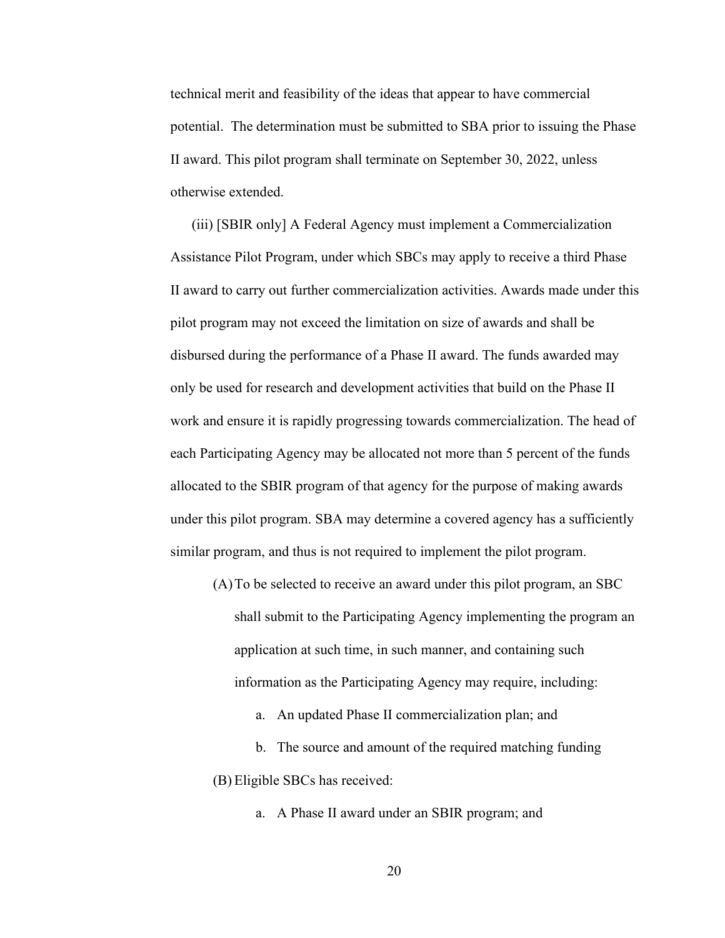technical merit and feasibility of the ideas that appear to have commercial potential. The determination must be submitted to SBA prior to issuing the Phase II award. This pilot program shall terminate on September 30, 2022, unless otherwise extended.

(iii) [SBIR only] A Federal Agency must implement a Commercialization Assistance Pilot Program, under which SBCs may apply to receive a third Phase II award to carry out further commercialization activities. Awards made under this pilot program may not exceed the limitation on size of awards and shall be disbursed during the performance of a Phase II award. The funds awarded may only be used for research and development activities that build on the Phase II work and ensure it is rapidly progressing towards commercialization. The head of each Participating Agency may be allocated not more than 5 percent of the funds allocated to the SBIR program of that agency for the purpose of making awards under this pilot program. SBA may determine a covered agency has a sufficiently similar program, and thus is not required to implement the pilot program.

(A)To be selected to receive an award under this pilot program, an SBC

shall submit to the Participating Agency implementing the program an application at such time, in such manner, and containing such information as the Participating Agency may require, including:

a. An updated Phase II commercialization plan; and

b. The source and amount of the required matching funding (B) Eligible SBCs has received:

a. A Phase II award under an SBIR program; and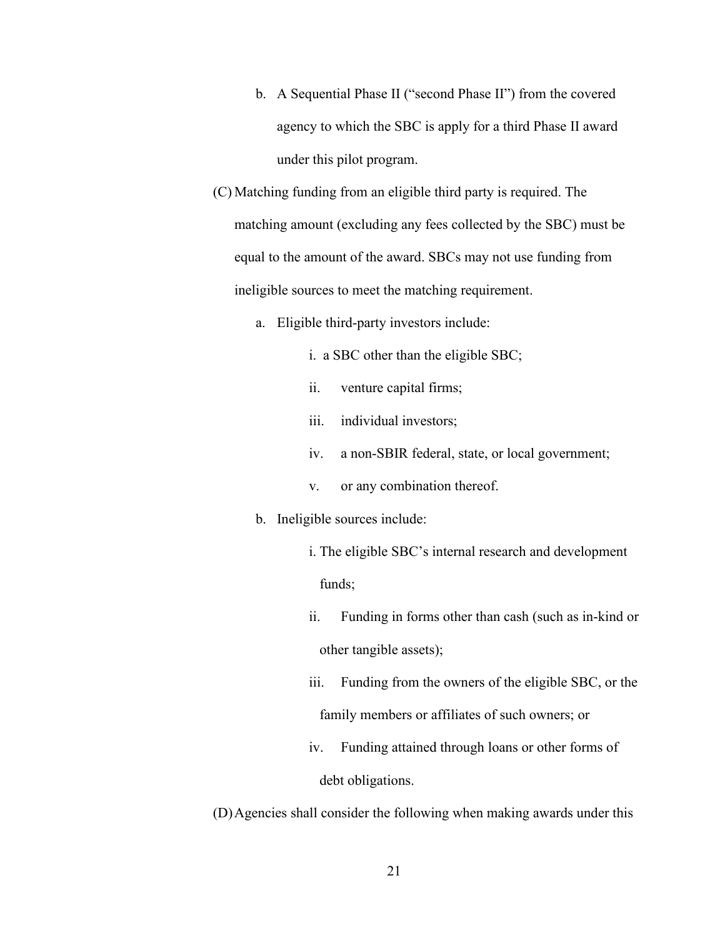- b. A Sequential Phase II ("second Phase II") from the covered agency to which the SBC is apply for a third Phase II award under this pilot program.
- (C) Matching funding from an eligible third party is required. The matching amount (excluding any fees collected by the SBC) must be equal to the amount of the award. SBCs may not use funding from ineligible sources to meet the matching requirement.
	- a. Eligible third-party investors include:
		- i. a SBC other than the eligible SBC;
		- ii. venture capital firms;
		- iii. individual investors;
		- iv. a non-SBIR federal, state, or local government;
		- v. or any combination thereof.

#### b. Ineligible sources include:

- i. The eligible SBC's internal research and development funds;
- ii. Funding in forms other than cash (such as in-kind or other tangible assets);
- iii. Funding from the owners of the eligible SBC, or the family members or affiliates of such owners; or
- iv. Funding attained through loans or other forms of debt obligations.

(D)Agencies shall consider the following when making awards under this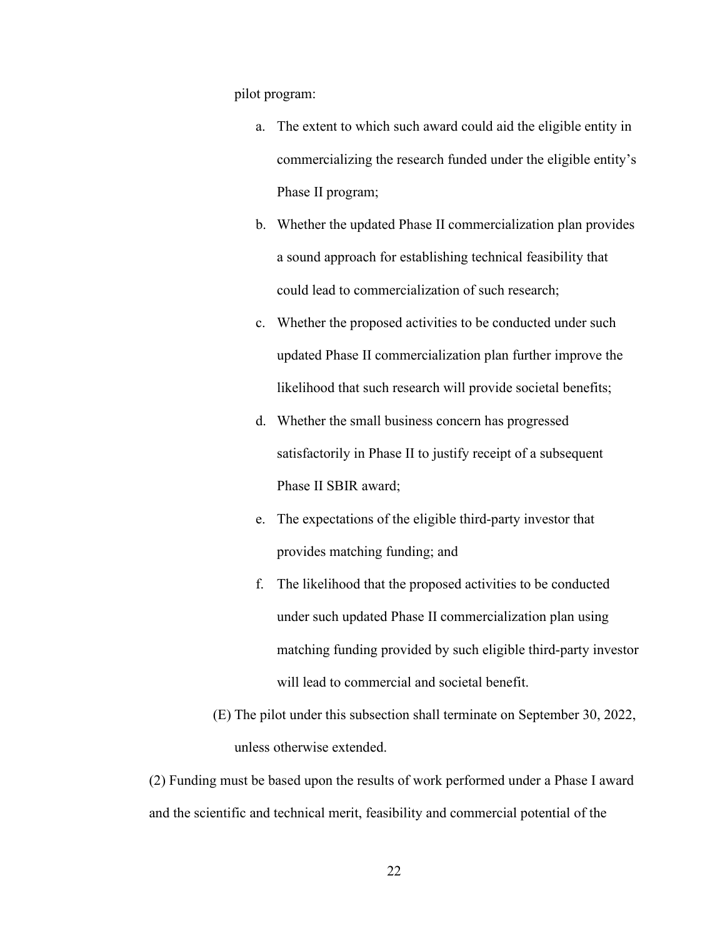pilot program:

- a. The extent to which such award could aid the eligible entity in commercializing the research funded under the eligible entity's Phase II program;
- b. Whether the updated Phase II commercialization plan provides a sound approach for establishing technical feasibility that could lead to commercialization of such research;
- c. Whether the proposed activities to be conducted under such updated Phase II commercialization plan further improve the likelihood that such research will provide societal benefits;
- d. Whether the small business concern has progressed satisfactorily in Phase II to justify receipt of a subsequent Phase II SBIR award;
- e. The expectations of the eligible third-party investor that provides matching funding; and
- f. The likelihood that the proposed activities to be conducted under such updated Phase II commercialization plan using matching funding provided by such eligible third-party investor will lead to commercial and societal benefit.
- (E) The pilot under this subsection shall terminate on September 30, 2022, unless otherwise extended.

(2) Funding must be based upon the results of work performed under a Phase I award and the scientific and technical merit, feasibility and commercial potential of the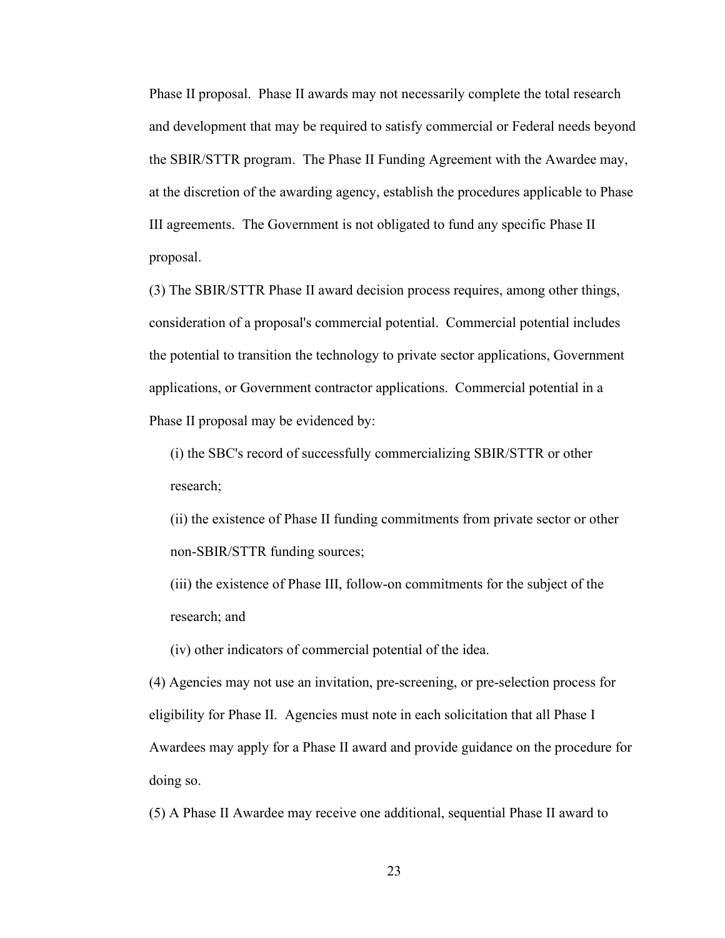Phase II proposal. Phase II awards may not necessarily complete the total research and development that may be required to satisfy commercial or Federal needs beyond the SBIR/STTR program. The Phase II Funding Agreement with the Awardee may, at the discretion of the awarding agency, establish the procedures applicable to Phase III agreements. The Government is not obligated to fund any specific Phase II proposal.

(3) The SBIR/STTR Phase II award decision process requires, among other things, consideration of a proposal's commercial potential. Commercial potential includes the potential to transition the technology to private sector applications, Government applications, or Government contractor applications. Commercial potential in a Phase II proposal may be evidenced by:

(i) the SBC's record of successfully commercializing SBIR/STTR or other research;

(ii) the existence of Phase II funding commitments from private sector or other non-SBIR/STTR funding sources;

(iii) the existence of Phase III, follow-on commitments for the subject of the research; and

(iv) other indicators of commercial potential of the idea.

(4) Agencies may not use an invitation, pre-screening, or pre-selection process for eligibility for Phase II. Agencies must note in each solicitation that all Phase I Awardees may apply for a Phase II award and provide guidance on the procedure for doing so.

(5) A Phase II Awardee may receive one additional, sequential Phase II award to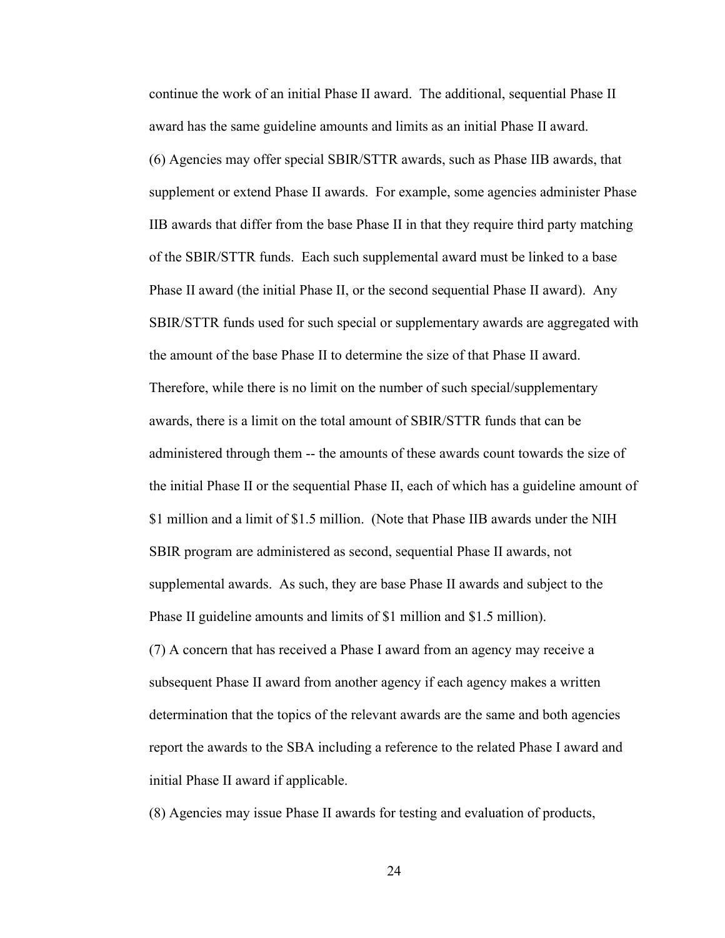continue the work of an initial Phase II award. The additional, sequential Phase II award has the same guideline amounts and limits as an initial Phase II award. (6) Agencies may offer special SBIR/STTR awards, such as Phase IIB awards, that supplement or extend Phase II awards. For example, some agencies administer Phase IIB awards that differ from the base Phase II in that they require third party matching of the SBIR/STTR funds. Each such supplemental award must be linked to a base Phase II award (the initial Phase II, or the second sequential Phase II award). Any SBIR/STTR funds used for such special or supplementary awards are aggregated with the amount of the base Phase II to determine the size of that Phase II award. Therefore, while there is no limit on the number of such special/supplementary awards, there is a limit on the total amount of SBIR/STTR funds that can be administered through them -- the amounts of these awards count towards the size of the initial Phase II or the sequential Phase II, each of which has a guideline amount of \$1 million and a limit of \$1.5 million. (Note that Phase IIB awards under the NIH SBIR program are administered as second, sequential Phase II awards, not supplemental awards. As such, they are base Phase II awards and subject to the Phase II guideline amounts and limits of \$1 million and \$1.5 million). (7) A concern that has received a Phase I award from an agency may receive a subsequent Phase II award from another agency if each agency makes a written determination that the topics of the relevant awards are the same and both agencies report the awards to the SBA including a reference to the related Phase I award and initial Phase II award if applicable.

(8) Agencies may issue Phase II awards for testing and evaluation of products,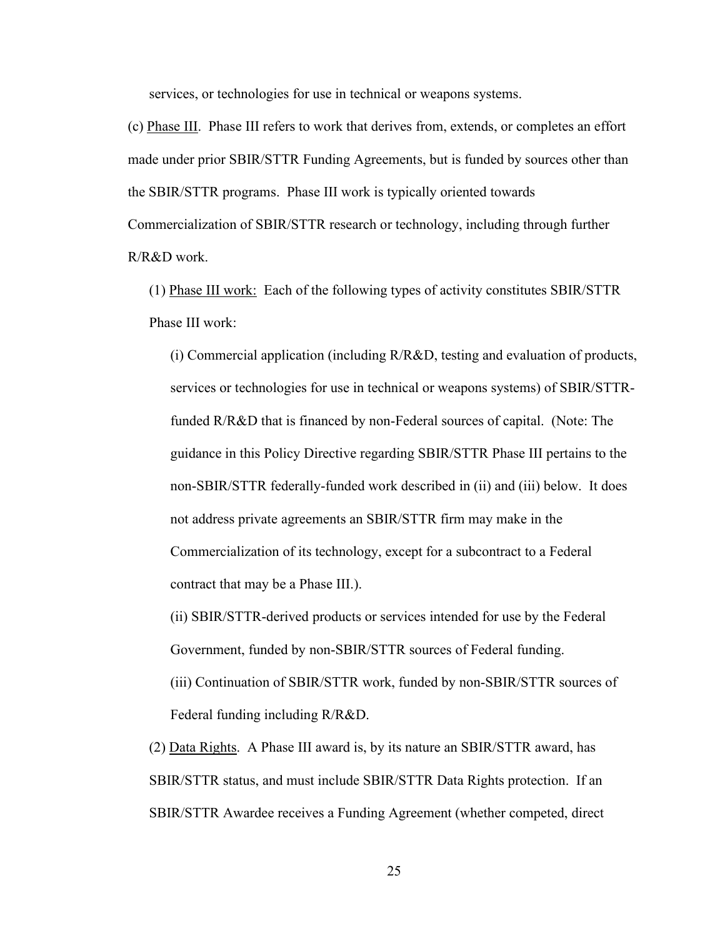services, or technologies for use in technical or weapons systems.

(c) Phase III. Phase III refers to work that derives from, extends, or completes an effort made under prior SBIR/STTR Funding Agreements, but is funded by sources other than the SBIR/STTR programs. Phase III work is typically oriented towards Commercialization of SBIR/STTR research or technology, including through further R/R&D work.

(1) Phase III work: Each of the following types of activity constitutes SBIR/STTR Phase III work:

(i) Commercial application (including R/R&D, testing and evaluation of products, services or technologies for use in technical or weapons systems) of SBIR/STTRfunded R/R&D that is financed by non-Federal sources of capital. (Note: The guidance in this Policy Directive regarding SBIR/STTR Phase III pertains to the non-SBIR/STTR federally-funded work described in (ii) and (iii) below. It does not address private agreements an SBIR/STTR firm may make in the Commercialization of its technology, except for a subcontract to a Federal contract that may be a Phase III.).

(ii) SBIR/STTR-derived products or services intended for use by the Federal Government, funded by non-SBIR/STTR sources of Federal funding.

(iii) Continuation of SBIR/STTR work, funded by non-SBIR/STTR sources of Federal funding including R/R&D.

(2) Data Rights. A Phase III award is, by its nature an SBIR/STTR award, has SBIR/STTR status, and must include SBIR/STTR Data Rights protection. If an SBIR/STTR Awardee receives a Funding Agreement (whether competed, direct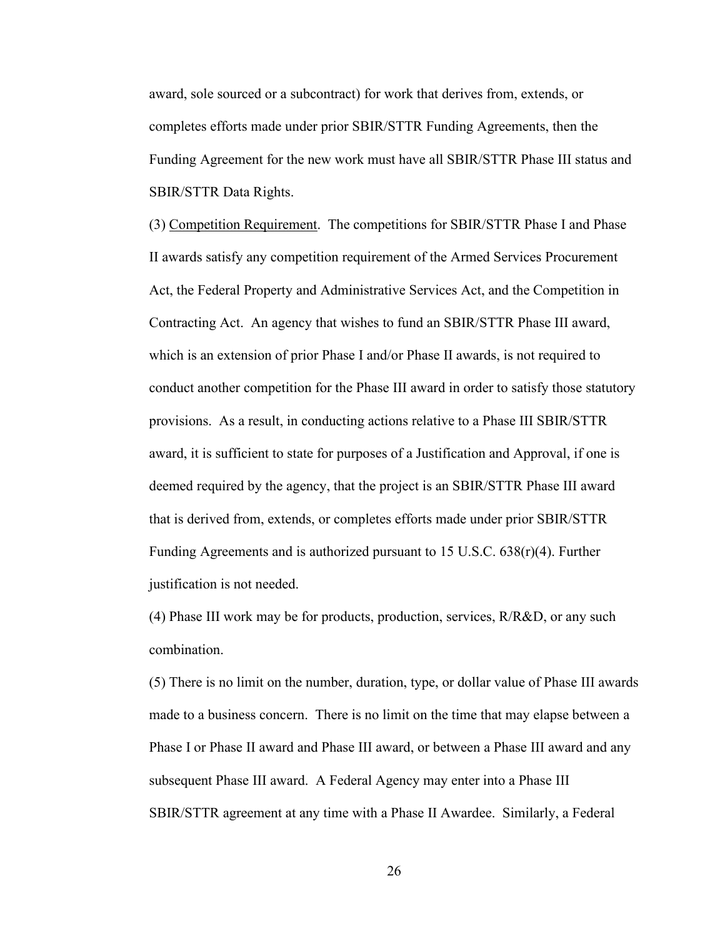award, sole sourced or a subcontract) for work that derives from, extends, or completes efforts made under prior SBIR/STTR Funding Agreements, then the Funding Agreement for the new work must have all SBIR/STTR Phase III status and SBIR/STTR Data Rights.

(3) Competition Requirement. The competitions for SBIR/STTR Phase I and Phase II awards satisfy any competition requirement of the Armed Services Procurement Act, the Federal Property and Administrative Services Act, and the Competition in Contracting Act. An agency that wishes to fund an SBIR/STTR Phase III award, which is an extension of prior Phase I and/or Phase II awards, is not required to conduct another competition for the Phase III award in order to satisfy those statutory provisions. As a result, in conducting actions relative to a Phase III SBIR/STTR award, it is sufficient to state for purposes of a Justification and Approval, if one is deemed required by the agency, that the project is an SBIR/STTR Phase III award that is derived from, extends, or completes efforts made under prior SBIR/STTR Funding Agreements and is authorized pursuant to 15 U.S.C. 638(r)(4). Further justification is not needed.

(4) Phase III work may be for products, production, services, R/R&D, or any such combination.

(5) There is no limit on the number, duration, type, or dollar value of Phase III awards made to a business concern. There is no limit on the time that may elapse between a Phase I or Phase II award and Phase III award, or between a Phase III award and any subsequent Phase III award. A Federal Agency may enter into a Phase III SBIR/STTR agreement at any time with a Phase II Awardee. Similarly, a Federal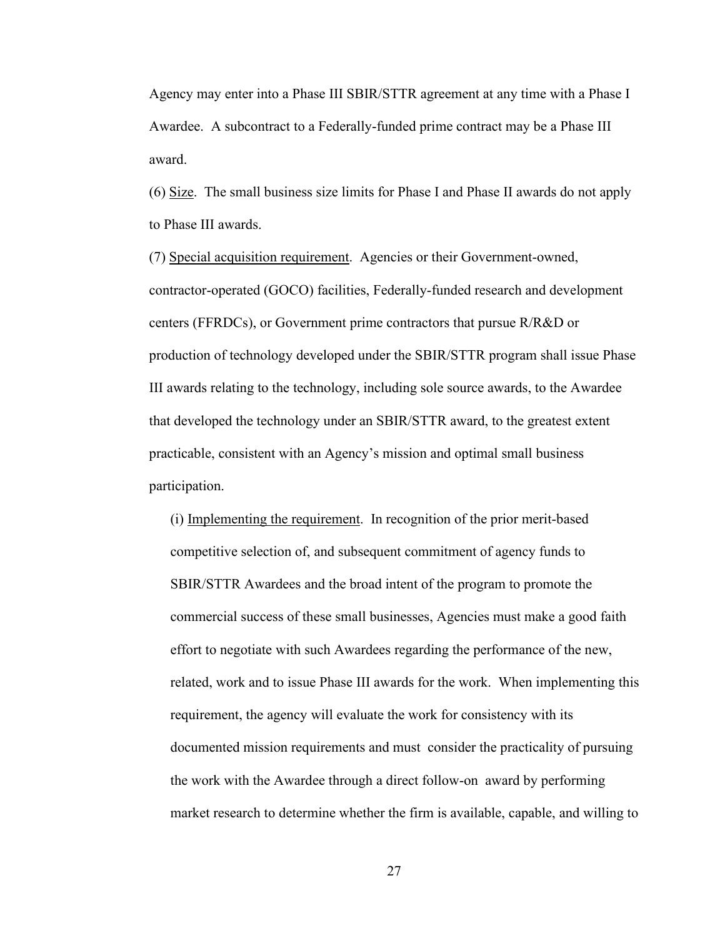Agency may enter into a Phase III SBIR/STTR agreement at any time with a Phase I Awardee. A subcontract to a Federally-funded prime contract may be a Phase III award.

(6) Size. The small business size limits for Phase I and Phase II awards do not apply to Phase III awards.

(7) Special acquisition requirement. Agencies or their Government-owned, contractor-operated (GOCO) facilities, Federally-funded research and development centers (FFRDCs), or Government prime contractors that pursue R/R&D or production of technology developed under the SBIR/STTR program shall issue Phase III awards relating to the technology, including sole source awards, to the Awardee that developed the technology under an SBIR/STTR award, to the greatest extent practicable, consistent with an Agency's mission and optimal small business participation.

(i) Implementing the requirement. In recognition of the prior merit-based competitive selection of, and subsequent commitment of agency funds to SBIR/STTR Awardees and the broad intent of the program to promote the commercial success of these small businesses, Agencies must make a good faith effort to negotiate with such Awardees regarding the performance of the new, related, work and to issue Phase III awards for the work. When implementing this requirement, the agency will evaluate the work for consistency with its documented mission requirements and must consider the practicality of pursuing the work with the Awardee through a direct follow-on award by performing market research to determine whether the firm is available, capable, and willing to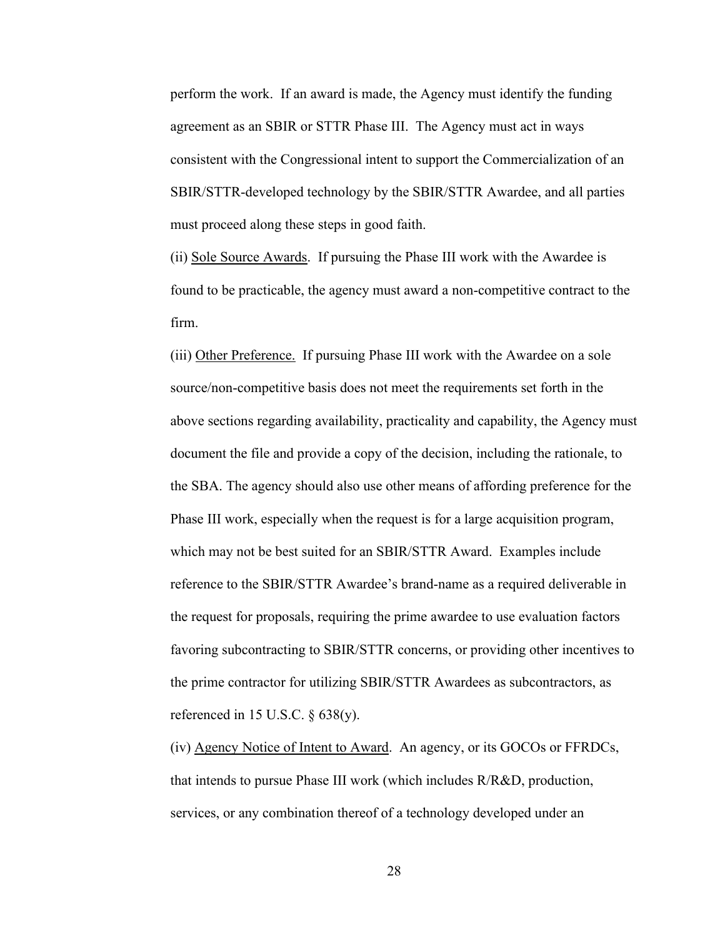perform the work. If an award is made, the Agency must identify the funding agreement as an SBIR or STTR Phase III. The Agency must act in ways consistent with the Congressional intent to support the Commercialization of an SBIR/STTR-developed technology by the SBIR/STTR Awardee, and all parties must proceed along these steps in good faith.

(ii) Sole Source Awards. If pursuing the Phase III work with the Awardee is found to be practicable, the agency must award a non-competitive contract to the firm.

(iii) Other Preference. If pursuing Phase III work with the Awardee on a sole source/non-competitive basis does not meet the requirements set forth in the above sections regarding availability, practicality and capability, the Agency must document the file and provide a copy of the decision, including the rationale, to the SBA. The agency should also use other means of affording preference for the Phase III work, especially when the request is for a large acquisition program, which may not be best suited for an SBIR/STTR Award. Examples include reference to the SBIR/STTR Awardee's brand-name as a required deliverable in the request for proposals, requiring the prime awardee to use evaluation factors favoring subcontracting to SBIR/STTR concerns, or providing other incentives to the prime contractor for utilizing SBIR/STTR Awardees as subcontractors, as referenced in 15 U.S.C.  $\S$  638(y).

(iv) Agency Notice of Intent to Award. An agency, or its GOCOs or FFRDCs, that intends to pursue Phase III work (which includes R/R&D, production, services, or any combination thereof of a technology developed under an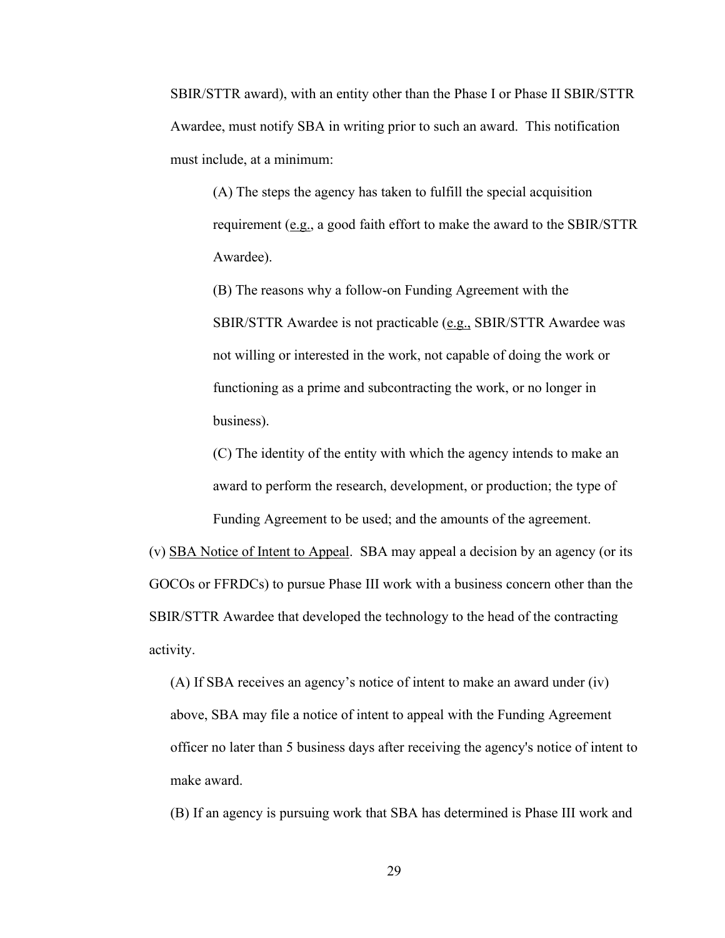SBIR/STTR award), with an entity other than the Phase I or Phase II SBIR/STTR Awardee, must notify SBA in writing prior to such an award. This notification must include, at a minimum:

(A) The steps the agency has taken to fulfill the special acquisition requirement (e.g., a good faith effort to make the award to the SBIR/STTR Awardee).

(B) The reasons why a follow-on Funding Agreement with the SBIR/STTR Awardee is not practicable (e.g., SBIR/STTR Awardee was not willing or interested in the work, not capable of doing the work or functioning as a prime and subcontracting the work, or no longer in business).

(C) The identity of the entity with which the agency intends to make an award to perform the research, development, or production; the type of Funding Agreement to be used; and the amounts of the agreement.

(v) SBA Notice of Intent to Appeal. SBA may appeal a decision by an agency (or its GOCOs or FFRDCs) to pursue Phase III work with a business concern other than the SBIR/STTR Awardee that developed the technology to the head of the contracting activity.

(A) If SBA receives an agency's notice of intent to make an award under (iv) above, SBA may file a notice of intent to appeal with the Funding Agreement officer no later than 5 business days after receiving the agency's notice of intent to make award.

(B) If an agency is pursuing work that SBA has determined is Phase III work and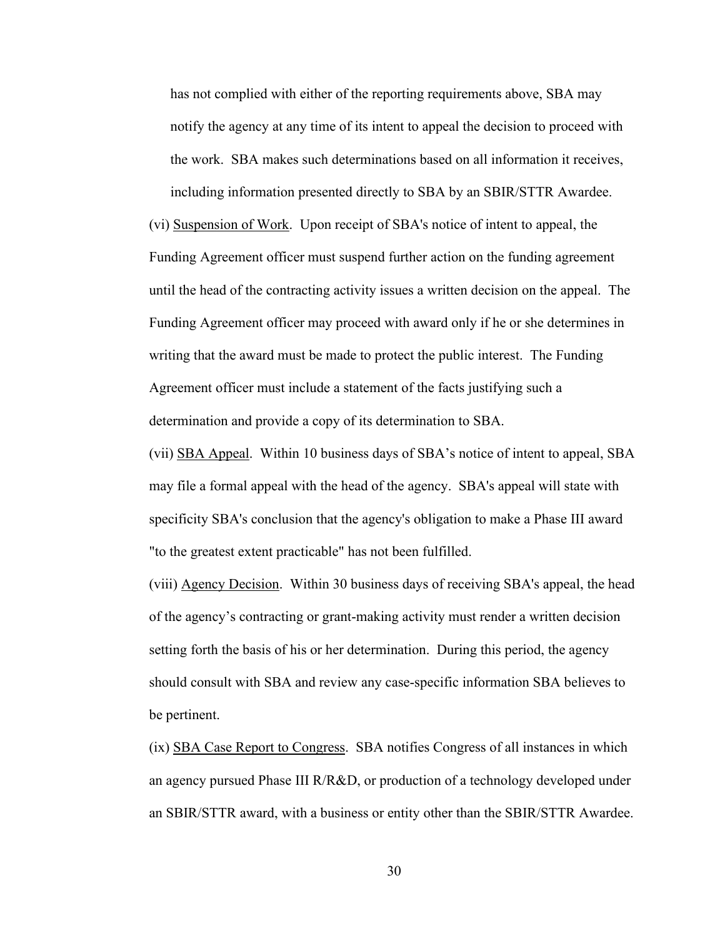has not complied with either of the reporting requirements above, SBA may notify the agency at any time of its intent to appeal the decision to proceed with the work. SBA makes such determinations based on all information it receives, including information presented directly to SBA by an SBIR/STTR Awardee.

(vi) Suspension of Work. Upon receipt of SBA's notice of intent to appeal, the Funding Agreement officer must suspend further action on the funding agreement until the head of the contracting activity issues a written decision on the appeal. The Funding Agreement officer may proceed with award only if he or she determines in writing that the award must be made to protect the public interest. The Funding Agreement officer must include a statement of the facts justifying such a determination and provide a copy of its determination to SBA.

(vii) SBA Appeal. Within 10 business days of SBA's notice of intent to appeal, SBA may file a formal appeal with the head of the agency. SBA's appeal will state with specificity SBA's conclusion that the agency's obligation to make a Phase III award "to the greatest extent practicable" has not been fulfilled.

(viii) Agency Decision. Within 30 business days of receiving SBA's appeal, the head of the agency's contracting or grant-making activity must render a written decision setting forth the basis of his or her determination. During this period, the agency should consult with SBA and review any case-specific information SBA believes to be pertinent.

(ix) SBA Case Report to Congress. SBA notifies Congress of all instances in which an agency pursued Phase III R/R&D, or production of a technology developed under an SBIR/STTR award, with a business or entity other than the SBIR/STTR Awardee.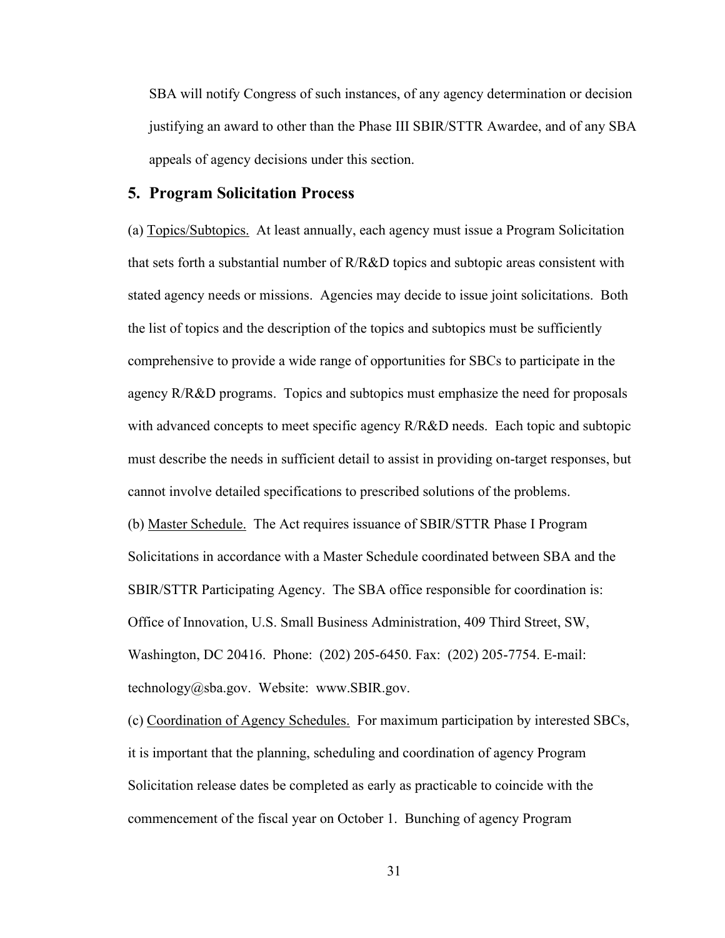SBA will notify Congress of such instances, of any agency determination or decision justifying an award to other than the Phase III SBIR/STTR Awardee, and of any SBA appeals of agency decisions under this section.

#### <span id="page-32-0"></span>**5. Program Solicitation Process**

(a) Topics/Subtopics. At least annually, each agency must issue a Program Solicitation that sets forth a substantial number of R/R&D topics and subtopic areas consistent with stated agency needs or missions. Agencies may decide to issue joint solicitations. Both the list of topics and the description of the topics and subtopics must be sufficiently comprehensive to provide a wide range of opportunities for SBCs to participate in the agency R/R&D programs. Topics and subtopics must emphasize the need for proposals with advanced concepts to meet specific agency R/R&D needs. Each topic and subtopic must describe the needs in sufficient detail to assist in providing on-target responses, but cannot involve detailed specifications to prescribed solutions of the problems. (b) Master Schedule. The Act requires issuance of SBIR/STTR Phase I Program Solicitations in accordance with a Master Schedule coordinated between SBA and the SBIR/STTR Participating Agency. The SBA office responsible for coordination is: Office of Innovation, U.S. Small Business Administration, 409 Third Street, SW, Washington, DC 20416. Phone: (202) 205-6450. Fax: (202) 205-7754. E-mail:

technology@sba.gov. Website: www.SBIR.gov.

(c) Coordination of Agency Schedules. For maximum participation by interested SBCs, it is important that the planning, scheduling and coordination of agency Program Solicitation release dates be completed as early as practicable to coincide with the commencement of the fiscal year on October 1. Bunching of agency Program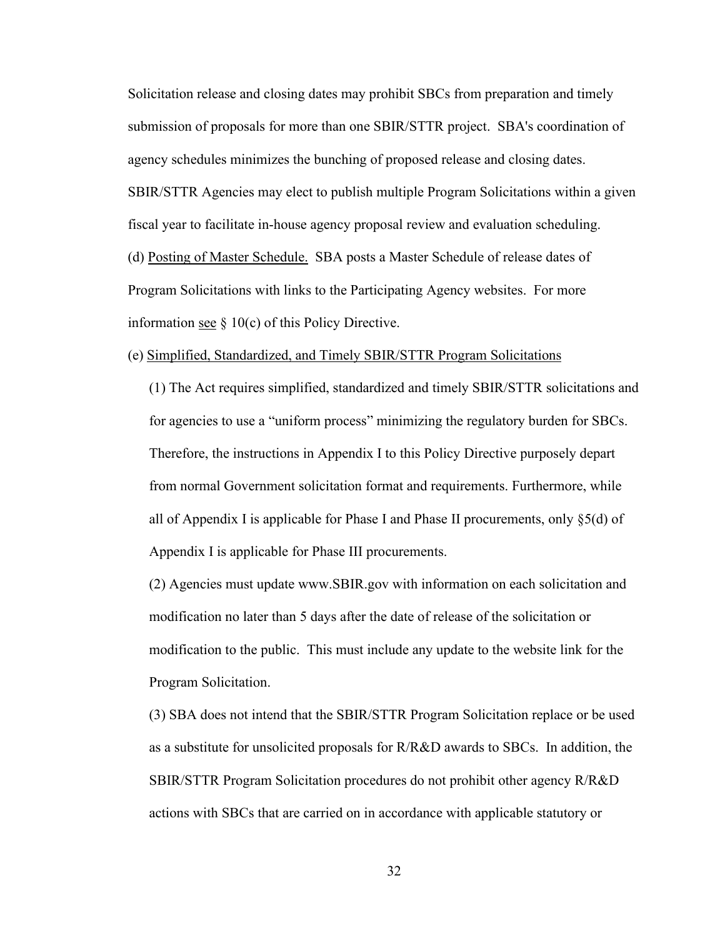Solicitation release and closing dates may prohibit SBCs from preparation and timely submission of proposals for more than one SBIR/STTR project. SBA's coordination of agency schedules minimizes the bunching of proposed release and closing dates. SBIR/STTR Agencies may elect to publish multiple Program Solicitations within a given fiscal year to facilitate in-house agency proposal review and evaluation scheduling. (d) Posting of Master Schedule. SBA posts a Master Schedule of release dates of Program Solicitations with links to the Participating Agency websites. For more information see  $\S$  10(c) of this Policy Directive.

#### (e) Simplified, Standardized, and Timely SBIR/STTR Program Solicitations

(1) The Act requires simplified, standardized and timely SBIR/STTR solicitations and for agencies to use a "uniform process" minimizing the regulatory burden for SBCs. Therefore, the instructions in Appendix I to this Policy Directive purposely depart from normal Government solicitation format and requirements. Furthermore, while all of Appendix I is applicable for Phase I and Phase II procurements, only §5(d) of Appendix I is applicable for Phase III procurements.

(2) Agencies must update www.SBIR.gov with information on each solicitation and modification no later than 5 days after the date of release of the solicitation or modification to the public. This must include any update to the website link for the Program Solicitation.

(3) SBA does not intend that the SBIR/STTR Program Solicitation replace or be used as a substitute for unsolicited proposals for R/R&D awards to SBCs. In addition, the SBIR/STTR Program Solicitation procedures do not prohibit other agency R/R&D actions with SBCs that are carried on in accordance with applicable statutory or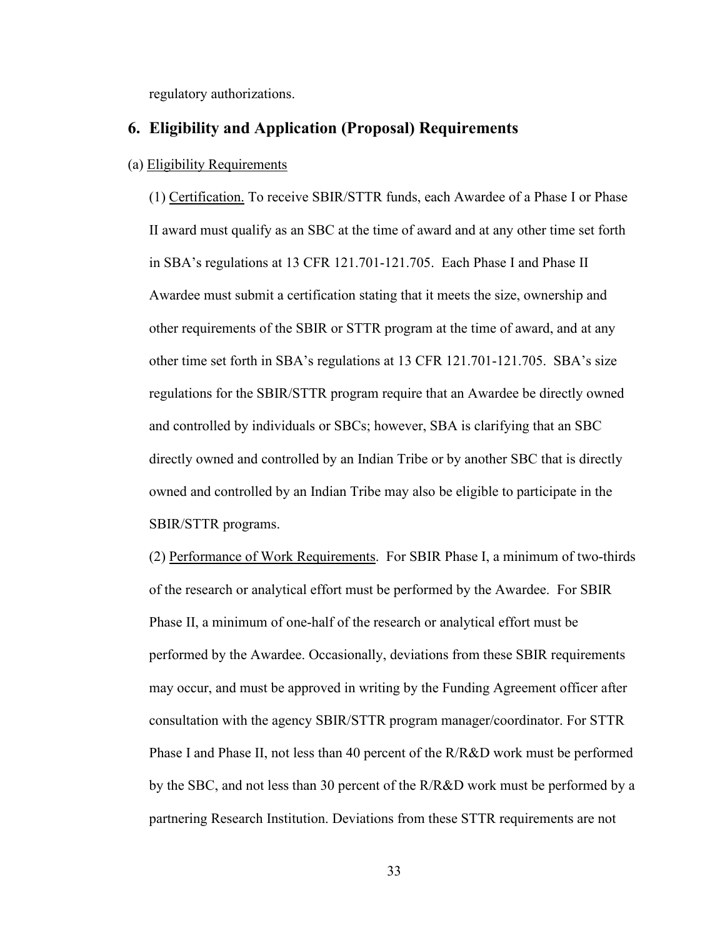regulatory authorizations.

### <span id="page-34-0"></span>**6. Eligibility and Application (Proposal) Requirements**

#### (a) Eligibility Requirements

(1) Certification. To receive SBIR/STTR funds, each Awardee of a Phase I or Phase II award must qualify as an SBC at the time of award and at any other time set forth in SBA's regulations at 13 CFR 121.701-121.705. Each Phase I and Phase II Awardee must submit a certification stating that it meets the size, ownership and other requirements of the SBIR or STTR program at the time of award, and at any other time set forth in SBA's regulations at 13 CFR 121.701-121.705. SBA's size regulations for the SBIR/STTR program require that an Awardee be directly owned and controlled by individuals or SBCs; however, SBA is clarifying that an SBC directly owned and controlled by an Indian Tribe or by another SBC that is directly owned and controlled by an Indian Tribe may also be eligible to participate in the SBIR/STTR programs.

(2) Performance of Work Requirements. For SBIR Phase I, a minimum of two-thirds of the research or analytical effort must be performed by the Awardee. For SBIR Phase II, a minimum of one-half of the research or analytical effort must be performed by the Awardee. Occasionally, deviations from these SBIR requirements may occur, and must be approved in writing by the Funding Agreement officer after consultation with the agency SBIR/STTR program manager/coordinator. For STTR Phase I and Phase II, not less than 40 percent of the R/R&D work must be performed by the SBC, and not less than 30 percent of the R/R&D work must be performed by a partnering Research Institution. Deviations from these STTR requirements are not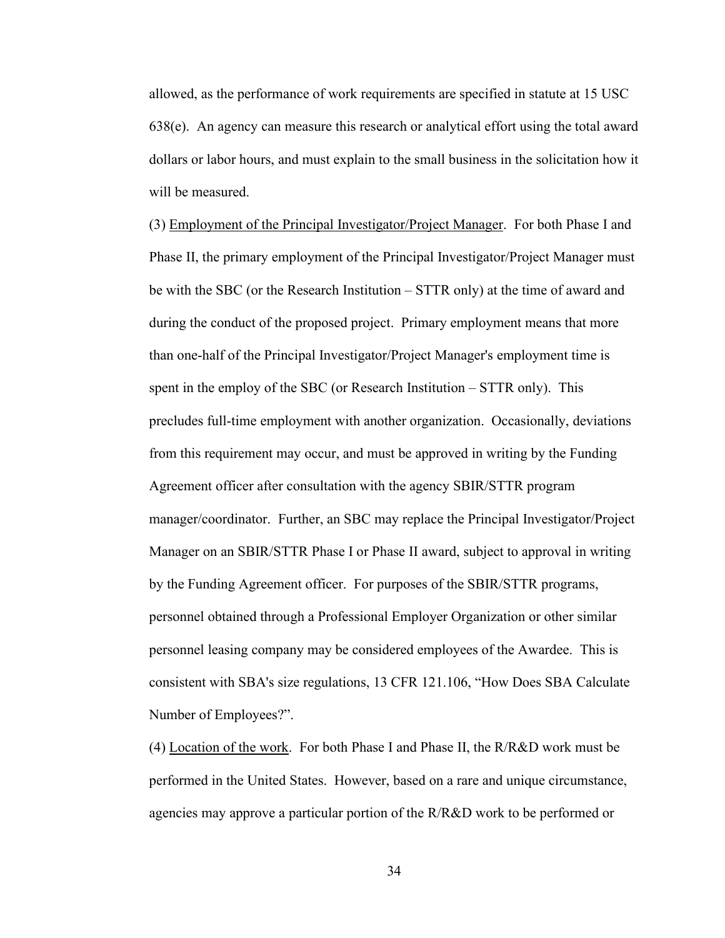allowed, as the performance of work requirements are specified in statute at 15 USC 638(e). An agency can measure this research or analytical effort using the total award dollars or labor hours, and must explain to the small business in the solicitation how it will be measured.

(3) Employment of the Principal Investigator/Project Manager. For both Phase I and Phase II, the primary employment of the Principal Investigator/Project Manager must be with the SBC (or the Research Institution – STTR only) at the time of award and during the conduct of the proposed project. Primary employment means that more than one-half of the Principal Investigator/Project Manager's employment time is spent in the employ of the SBC (or Research Institution – STTR only). This precludes full-time employment with another organization. Occasionally, deviations from this requirement may occur, and must be approved in writing by the Funding Agreement officer after consultation with the agency SBIR/STTR program manager/coordinator. Further, an SBC may replace the Principal Investigator/Project Manager on an SBIR/STTR Phase I or Phase II award, subject to approval in writing by the Funding Agreement officer. For purposes of the SBIR/STTR programs, personnel obtained through a Professional Employer Organization or other similar personnel leasing company may be considered employees of the Awardee. This is consistent with SBA's size regulations, 13 CFR 121.106, "How Does SBA Calculate Number of Employees?".

(4) Location of the work. For both Phase I and Phase II, the R/R&D work must be performed in the United States. However, based on a rare and unique circumstance, agencies may approve a particular portion of the R/R&D work to be performed or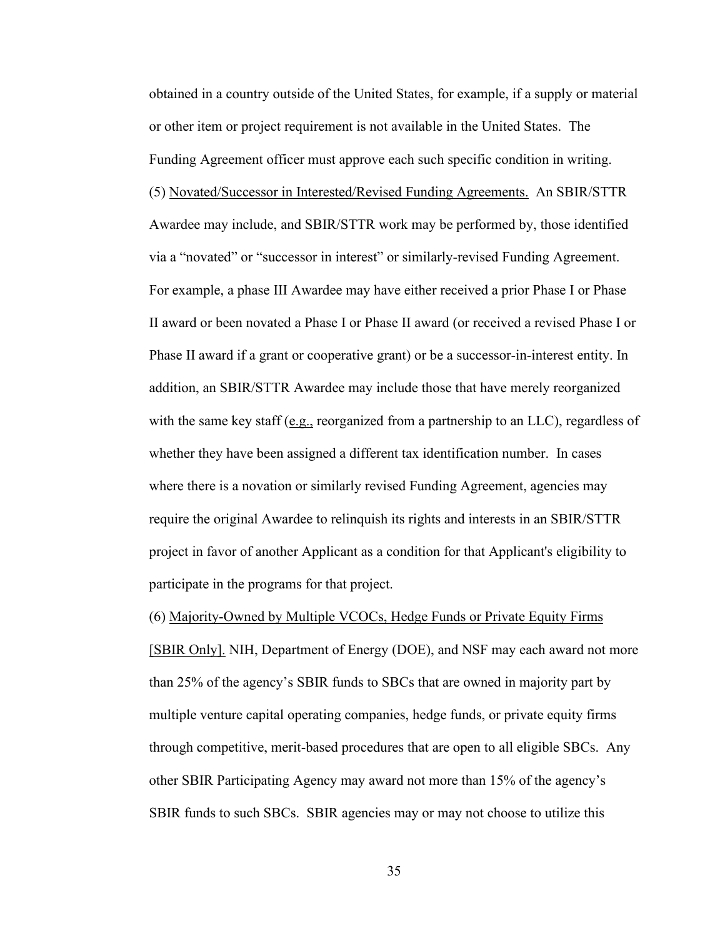obtained in a country outside of the United States, for example, if a supply or material or other item or project requirement is not available in the United States. The Funding Agreement officer must approve each such specific condition in writing. (5) Novated/Successor in Interested/Revised Funding Agreements. An SBIR/STTR Awardee may include, and SBIR/STTR work may be performed by, those identified via a "novated" or "successor in interest" or similarly-revised Funding Agreement. For example, a phase III Awardee may have either received a prior Phase I or Phase II award or been novated a Phase I or Phase II award (or received a revised Phase I or Phase II award if a grant or cooperative grant) or be a successor-in-interest entity. In addition, an SBIR/STTR Awardee may include those that have merely reorganized with the same key staff (e.g., reorganized from a partnership to an LLC), regardless of whether they have been assigned a different tax identification number. In cases where there is a novation or similarly revised Funding Agreement, agencies may require the original Awardee to relinquish its rights and interests in an SBIR/STTR project in favor of another Applicant as a condition for that Applicant's eligibility to participate in the programs for that project.

(6) Majority-Owned by Multiple VCOCs, Hedge Funds or Private Equity Firms [SBIR Only]. NIH, Department of Energy (DOE), and NSF may each award not more than 25% of the agency's SBIR funds to SBCs that are owned in majority part by multiple venture capital operating companies, hedge funds, or private equity firms through competitive, merit-based procedures that are open to all eligible SBCs. Any other SBIR Participating Agency may award not more than 15% of the agency's SBIR funds to such SBCs. SBIR agencies may or may not choose to utilize this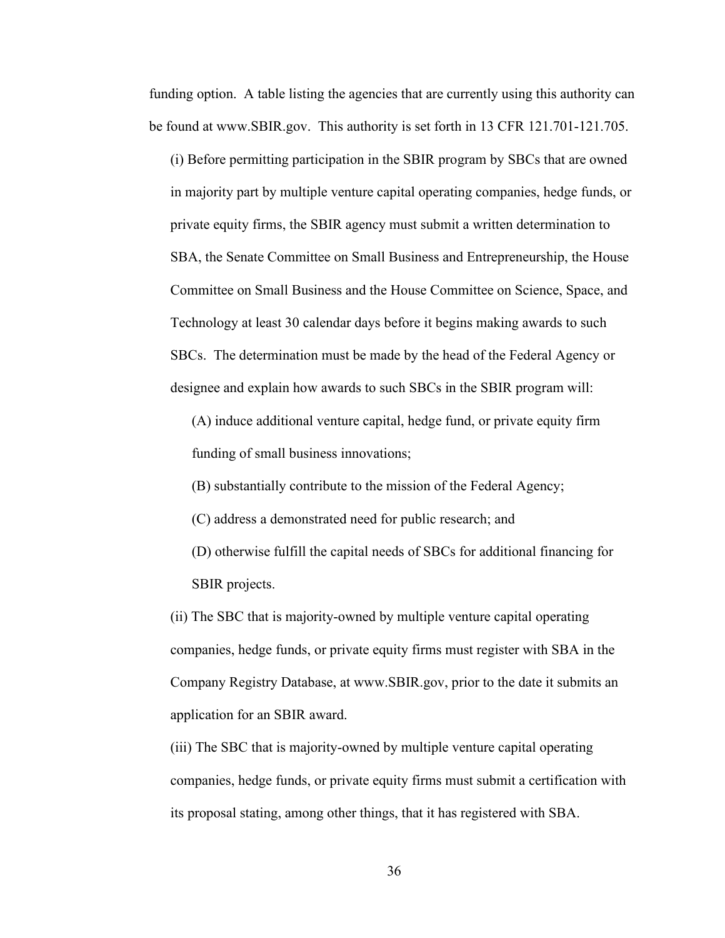funding option. A table listing the agencies that are currently using this authority can be found at www.SBIR.gov. This authority is set forth in 13 CFR 121.701-121.705.

(i) Before permitting participation in the SBIR program by SBCs that are owned in majority part by multiple venture capital operating companies, hedge funds, or private equity firms, the SBIR agency must submit a written determination to SBA, the Senate Committee on Small Business and Entrepreneurship, the House Committee on Small Business and the House Committee on Science, Space, and Technology at least 30 calendar days before it begins making awards to such SBCs. The determination must be made by the head of the Federal Agency or designee and explain how awards to such SBCs in the SBIR program will:

(A) induce additional venture capital, hedge fund, or private equity firm funding of small business innovations;

- (B) substantially contribute to the mission of the Federal Agency;
- (C) address a demonstrated need for public research; and
- (D) otherwise fulfill the capital needs of SBCs for additional financing for SBIR projects.

(ii) The SBC that is majority-owned by multiple venture capital operating companies, hedge funds, or private equity firms must register with SBA in the Company Registry Database, at www.SBIR.gov, prior to the date it submits an application for an SBIR award.

(iii) The SBC that is majority-owned by multiple venture capital operating companies, hedge funds, or private equity firms must submit a certification with its proposal stating, among other things, that it has registered with SBA.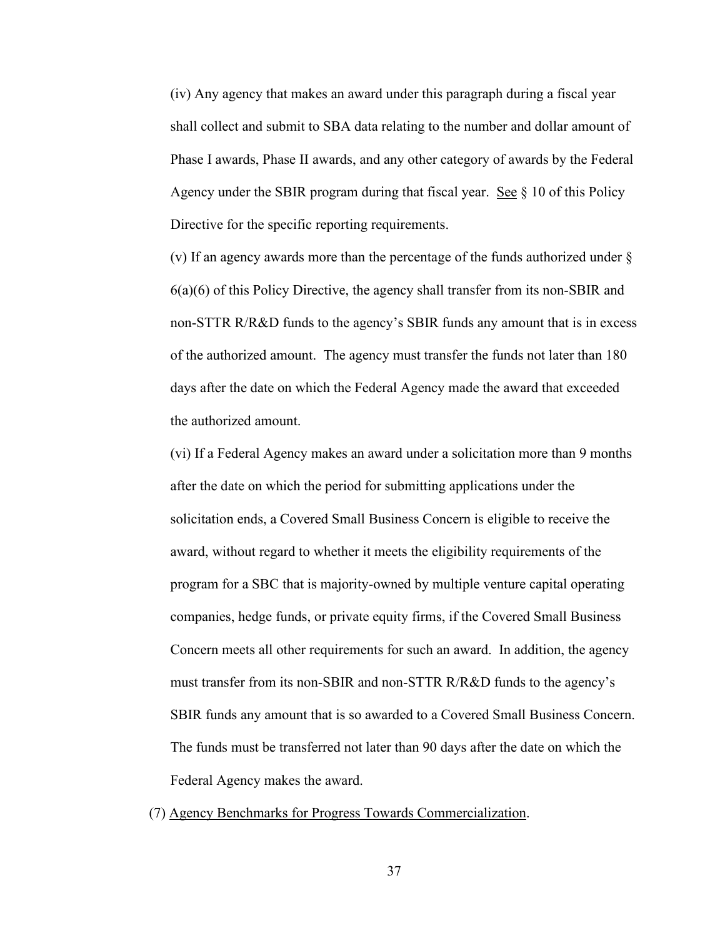(iv) Any agency that makes an award under this paragraph during a fiscal year shall collect and submit to SBA data relating to the number and dollar amount of Phase I awards, Phase II awards, and any other category of awards by the Federal Agency under the SBIR program during that fiscal year. See § 10 of this Policy Directive for the specific reporting requirements.

(v) If an agency awards more than the percentage of the funds authorized under § 6(a)(6) of this Policy Directive, the agency shall transfer from its non-SBIR and non-STTR R/R&D funds to the agency's SBIR funds any amount that is in excess of the authorized amount. The agency must transfer the funds not later than 180 days after the date on which the Federal Agency made the award that exceeded the authorized amount.

(vi) If a Federal Agency makes an award under a solicitation more than 9 months after the date on which the period for submitting applications under the solicitation ends, a Covered Small Business Concern is eligible to receive the award, without regard to whether it meets the eligibility requirements of the program for a SBC that is majority-owned by multiple venture capital operating companies, hedge funds, or private equity firms, if the Covered Small Business Concern meets all other requirements for such an award. In addition, the agency must transfer from its non-SBIR and non-STTR R/R&D funds to the agency's SBIR funds any amount that is so awarded to a Covered Small Business Concern. The funds must be transferred not later than 90 days after the date on which the Federal Agency makes the award.

(7) Agency Benchmarks for Progress Towards Commercialization.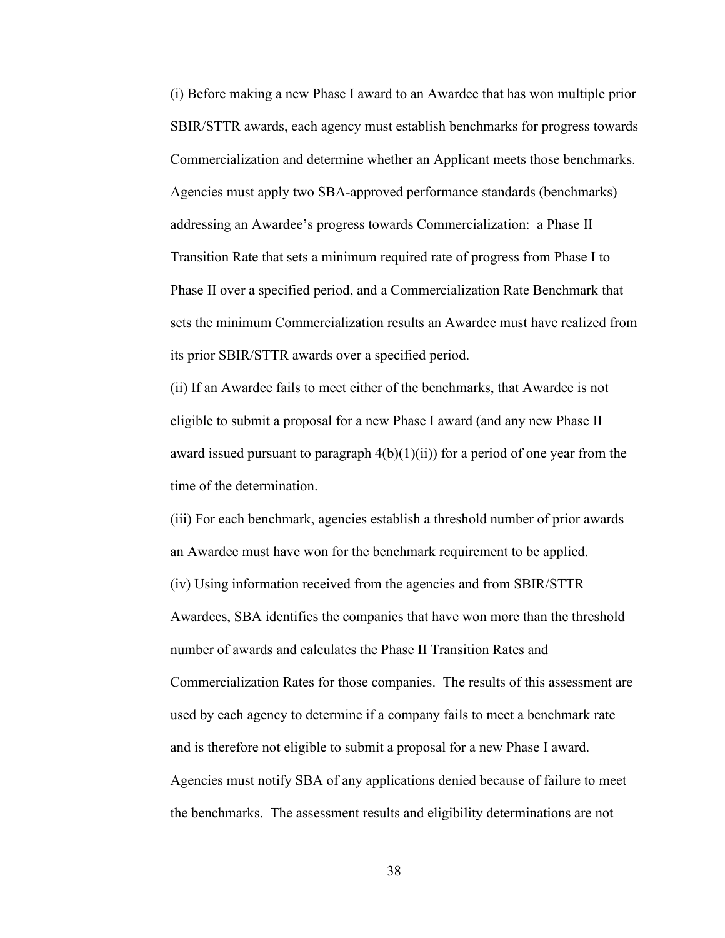(i) Before making a new Phase I award to an Awardee that has won multiple prior SBIR/STTR awards, each agency must establish benchmarks for progress towards Commercialization and determine whether an Applicant meets those benchmarks. Agencies must apply two SBA-approved performance standards (benchmarks) addressing an Awardee's progress towards Commercialization: a Phase II Transition Rate that sets a minimum required rate of progress from Phase I to Phase II over a specified period, and a Commercialization Rate Benchmark that sets the minimum Commercialization results an Awardee must have realized from its prior SBIR/STTR awards over a specified period.

(ii) If an Awardee fails to meet either of the benchmarks, that Awardee is not eligible to submit a proposal for a new Phase I award (and any new Phase II award issued pursuant to paragraph  $4(b)(1)(ii)$  for a period of one year from the time of the determination.

(iii) For each benchmark, agencies establish a threshold number of prior awards an Awardee must have won for the benchmark requirement to be applied. (iv) Using information received from the agencies and from SBIR/STTR Awardees, SBA identifies the companies that have won more than the threshold number of awards and calculates the Phase II Transition Rates and Commercialization Rates for those companies. The results of this assessment are used by each agency to determine if a company fails to meet a benchmark rate and is therefore not eligible to submit a proposal for a new Phase I award. Agencies must notify SBA of any applications denied because of failure to meet the benchmarks. The assessment results and eligibility determinations are not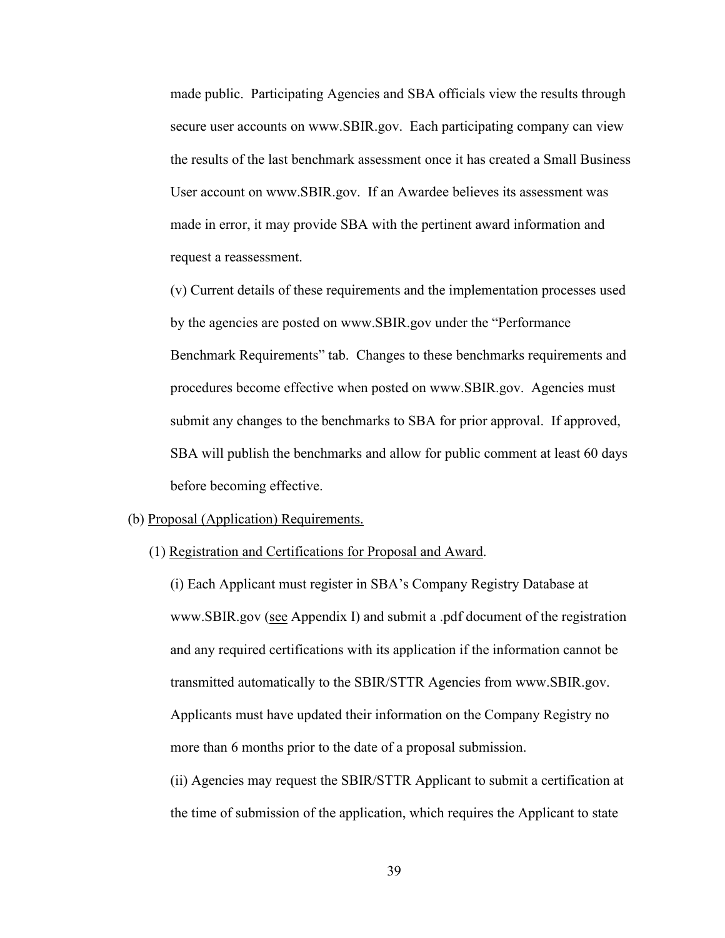made public. Participating Agencies and SBA officials view the results through secure user accounts on www.SBIR.gov. Each participating company can view the results of the last benchmark assessment once it has created a Small Business User account on www.SBIR.gov. If an Awardee believes its assessment was made in error, it may provide SBA with the pertinent award information and request a reassessment.

(v) Current details of these requirements and the implementation processes used by the agencies are posted on www.SBIR.gov under the "Performance Benchmark Requirements" tab. Changes to these benchmarks requirements and procedures become effective when posted on www.SBIR.gov. Agencies must submit any changes to the benchmarks to SBA for prior approval. If approved, SBA will publish the benchmarks and allow for public comment at least 60 days before becoming effective.

#### (b) Proposal (Application) Requirements.

(1) Registration and Certifications for Proposal and Award.

(i) Each Applicant must register in SBA's Company Registry Database at www.SBIR.gov (see Appendix I) and submit a .pdf document of the registration and any required certifications with its application if the information cannot be transmitted automatically to the SBIR/STTR Agencies from www.SBIR.gov. Applicants must have updated their information on the Company Registry no more than 6 months prior to the date of a proposal submission.

(ii) Agencies may request the SBIR/STTR Applicant to submit a certification at the time of submission of the application, which requires the Applicant to state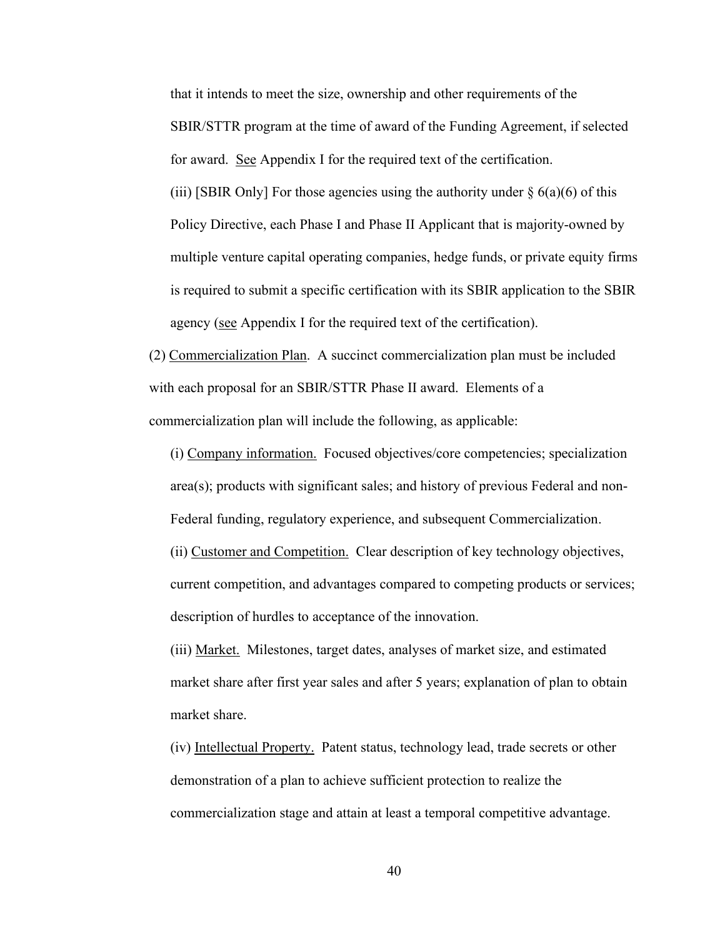that it intends to meet the size, ownership and other requirements of the SBIR/STTR program at the time of award of the Funding Agreement, if selected for award. See Appendix I for the required text of the certification.

(iii) [SBIR Only] For those agencies using the authority under  $\S$  6(a)(6) of this Policy Directive, each Phase I and Phase II Applicant that is majority-owned by multiple venture capital operating companies, hedge funds, or private equity firms is required to submit a specific certification with its SBIR application to the SBIR agency (see Appendix I for the required text of the certification).

(2) Commercialization Plan. A succinct commercialization plan must be included with each proposal for an SBIR/STTR Phase II award. Elements of a commercialization plan will include the following, as applicable:

(i) Company information. Focused objectives/core competencies; specialization area(s); products with significant sales; and history of previous Federal and non-Federal funding, regulatory experience, and subsequent Commercialization.

(ii) Customer and Competition. Clear description of key technology objectives, current competition, and advantages compared to competing products or services; description of hurdles to acceptance of the innovation.

(iii) Market. Milestones, target dates, analyses of market size, and estimated market share after first year sales and after 5 years; explanation of plan to obtain market share.

(iv) Intellectual Property. Patent status, technology lead, trade secrets or other demonstration of a plan to achieve sufficient protection to realize the commercialization stage and attain at least a temporal competitive advantage.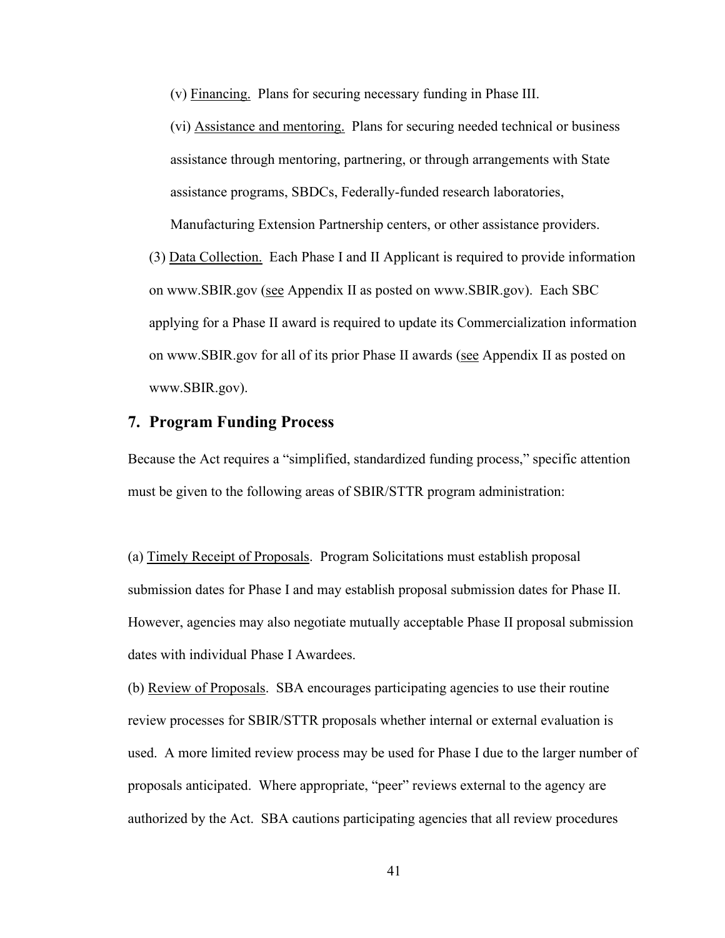(v) Financing. Plans for securing necessary funding in Phase III.

(vi) Assistance and mentoring. Plans for securing needed technical or business assistance through mentoring, partnering, or through arrangements with State assistance programs, SBDCs, Federally-funded research laboratories,

Manufacturing Extension Partnership centers, or other assistance providers.

(3) Data Collection. Each Phase I and II Applicant is required to provide information on www.SBIR.gov (see Appendix II as posted on www.SBIR.gov). Each SBC applying for a Phase II award is required to update its Commercialization information on www.SBIR.gov for all of its prior Phase II awards (see Appendix II as posted on www.SBIR.gov).

## **7. Program Funding Process**

Because the Act requires a "simplified, standardized funding process," specific attention must be given to the following areas of SBIR/STTR program administration:

(a) Timely Receipt of Proposals. Program Solicitations must establish proposal submission dates for Phase I and may establish proposal submission dates for Phase II. However, agencies may also negotiate mutually acceptable Phase II proposal submission dates with individual Phase I Awardees.

(b) Review of Proposals. SBA encourages participating agencies to use their routine review processes for SBIR/STTR proposals whether internal or external evaluation is used. A more limited review process may be used for Phase I due to the larger number of proposals anticipated. Where appropriate, "peer" reviews external to the agency are authorized by the Act. SBA cautions participating agencies that all review procedures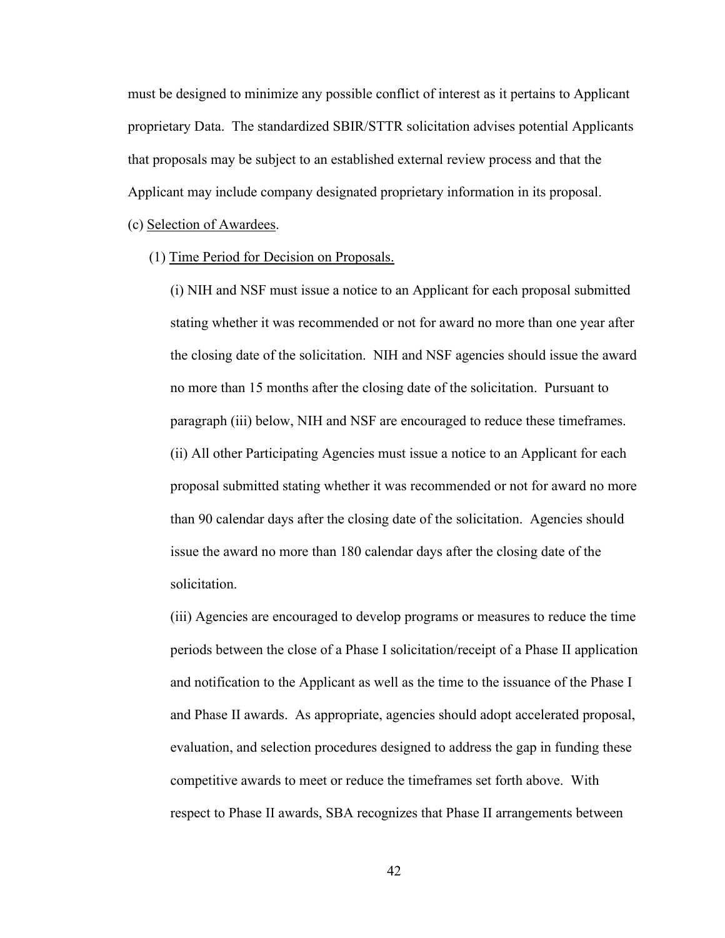must be designed to minimize any possible conflict of interest as it pertains to Applicant proprietary Data. The standardized SBIR/STTR solicitation advises potential Applicants that proposals may be subject to an established external review process and that the Applicant may include company designated proprietary information in its proposal.

(c) Selection of Awardees.

(1) Time Period for Decision on Proposals.

(i) NIH and NSF must issue a notice to an Applicant for each proposal submitted stating whether it was recommended or not for award no more than one year after the closing date of the solicitation. NIH and NSF agencies should issue the award no more than 15 months after the closing date of the solicitation. Pursuant to paragraph (iii) below, NIH and NSF are encouraged to reduce these timeframes. (ii) All other Participating Agencies must issue a notice to an Applicant for each proposal submitted stating whether it was recommended or not for award no more than 90 calendar days after the closing date of the solicitation. Agencies should issue the award no more than 180 calendar days after the closing date of the solicitation.

(iii) Agencies are encouraged to develop programs or measures to reduce the time periods between the close of a Phase I solicitation/receipt of a Phase II application and notification to the Applicant as well as the time to the issuance of the Phase I and Phase II awards. As appropriate, agencies should adopt accelerated proposal, evaluation, and selection procedures designed to address the gap in funding these competitive awards to meet or reduce the timeframes set forth above. With respect to Phase II awards, SBA recognizes that Phase II arrangements between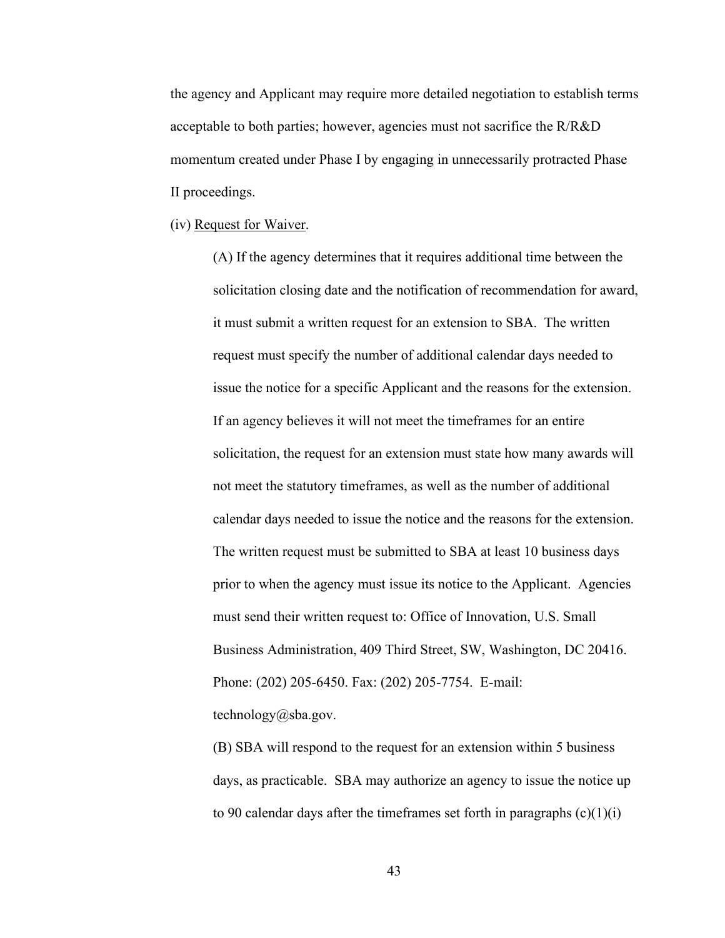the agency and Applicant may require more detailed negotiation to establish terms acceptable to both parties; however, agencies must not sacrifice the R/R&D momentum created under Phase I by engaging in unnecessarily protracted Phase II proceedings.

(iv) Request for Waiver.

(A) If the agency determines that it requires additional time between the solicitation closing date and the notification of recommendation for award, it must submit a written request for an extension to SBA. The written request must specify the number of additional calendar days needed to issue the notice for a specific Applicant and the reasons for the extension. If an agency believes it will not meet the timeframes for an entire solicitation, the request for an extension must state how many awards will not meet the statutory timeframes, as well as the number of additional calendar days needed to issue the notice and the reasons for the extension. The written request must be submitted to SBA at least 10 business days prior to when the agency must issue its notice to the Applicant. Agencies must send their written request to: Office of Innovation, U.S. Small Business Administration, 409 Third Street, SW, Washington, DC 20416. Phone: (202) 205-6450. Fax: (202) 205-7754. E-mail: technology@sba.gov.

(B) SBA will respond to the request for an extension within 5 business days, as practicable. SBA may authorize an agency to issue the notice up to 90 calendar days after the timeframes set forth in paragraphs  $(c)(1)(i)$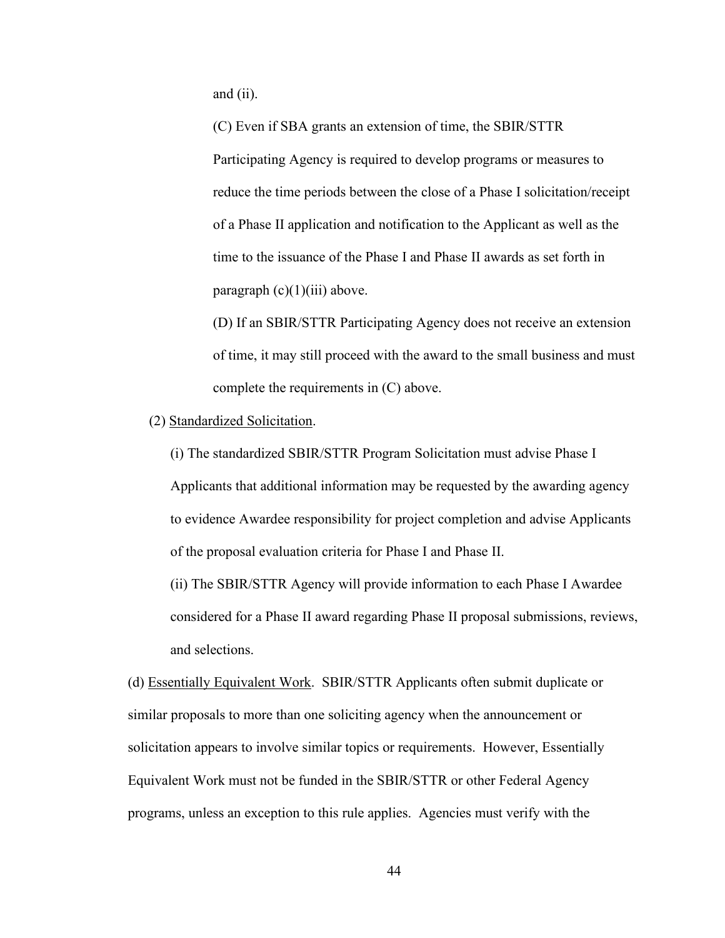and (ii).

(C) Even if SBA grants an extension of time, the SBIR/STTR Participating Agency is required to develop programs or measures to reduce the time periods between the close of a Phase I solicitation/receipt of a Phase II application and notification to the Applicant as well as the time to the issuance of the Phase I and Phase II awards as set forth in paragraph  $(c)(1)(iii)$  above.

(D) If an SBIR/STTR Participating Agency does not receive an extension of time, it may still proceed with the award to the small business and must complete the requirements in (C) above.

### (2) Standardized Solicitation.

(i) The standardized SBIR/STTR Program Solicitation must advise Phase I Applicants that additional information may be requested by the awarding agency to evidence Awardee responsibility for project completion and advise Applicants of the proposal evaluation criteria for Phase I and Phase II.

(ii) The SBIR/STTR Agency will provide information to each Phase I Awardee considered for a Phase II award regarding Phase II proposal submissions, reviews, and selections.

(d) Essentially Equivalent Work. SBIR/STTR Applicants often submit duplicate or similar proposals to more than one soliciting agency when the announcement or solicitation appears to involve similar topics or requirements. However, Essentially Equivalent Work must not be funded in the SBIR/STTR or other Federal Agency programs, unless an exception to this rule applies. Agencies must verify with the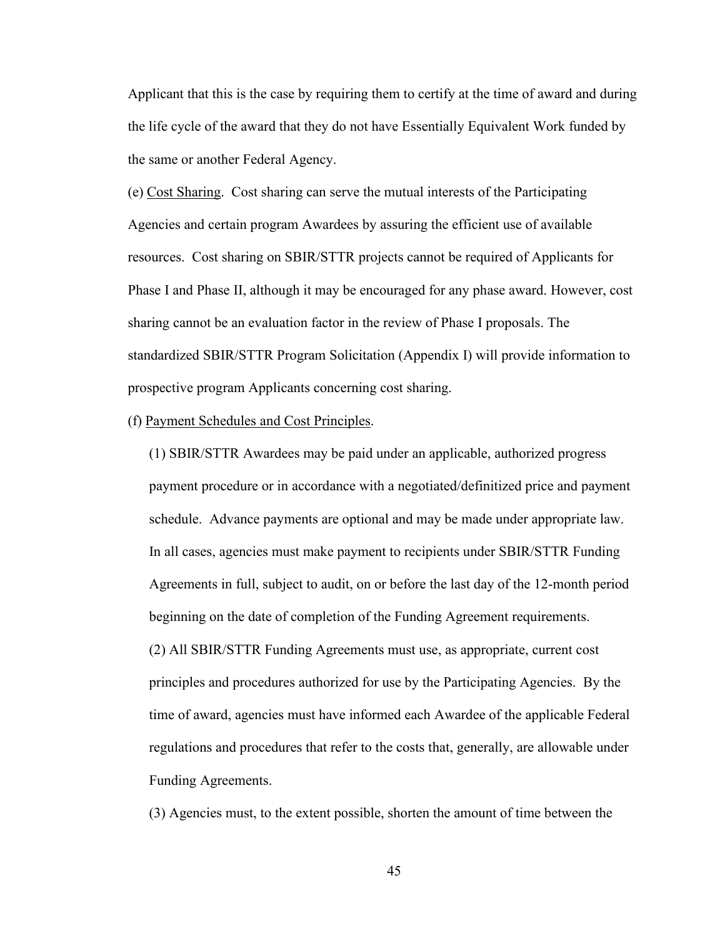Applicant that this is the case by requiring them to certify at the time of award and during the life cycle of the award that they do not have Essentially Equivalent Work funded by the same or another Federal Agency.

(e) Cost Sharing. Cost sharing can serve the mutual interests of the Participating Agencies and certain program Awardees by assuring the efficient use of available resources. Cost sharing on SBIR/STTR projects cannot be required of Applicants for Phase I and Phase II, although it may be encouraged for any phase award. However, cost sharing cannot be an evaluation factor in the review of Phase I proposals. The standardized SBIR/STTR Program Solicitation (Appendix I) will provide information to prospective program Applicants concerning cost sharing.

### (f) Payment Schedules and Cost Principles.

(1) SBIR/STTR Awardees may be paid under an applicable, authorized progress payment procedure or in accordance with a negotiated/definitized price and payment schedule. Advance payments are optional and may be made under appropriate law. In all cases, agencies must make payment to recipients under SBIR/STTR Funding Agreements in full, subject to audit, on or before the last day of the 12-month period beginning on the date of completion of the Funding Agreement requirements. (2) All SBIR/STTR Funding Agreements must use, as appropriate, current cost principles and procedures authorized for use by the Participating Agencies. By the time of award, agencies must have informed each Awardee of the applicable Federal regulations and procedures that refer to the costs that, generally, are allowable under Funding Agreements.

(3) Agencies must, to the extent possible, shorten the amount of time between the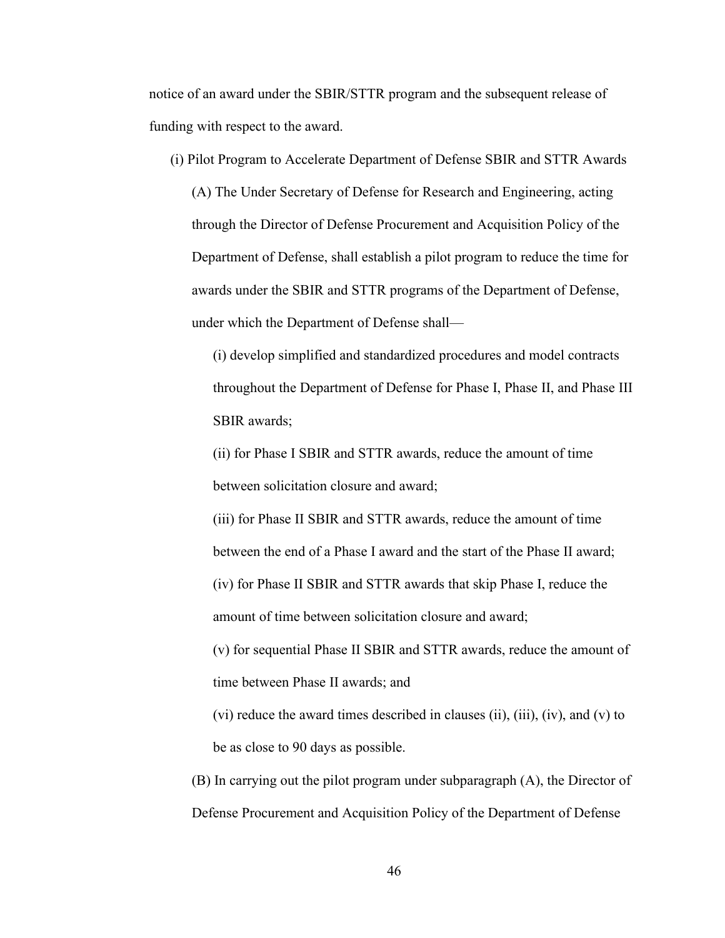notice of an award under the SBIR/STTR program and the subsequent release of funding with respect to the award.

(i) Pilot Program to Accelerate Department of Defense SBIR and STTR Awards

(A) The Under Secretary of Defense for Research and Engineering, acting through the Director of Defense Procurement and Acquisition Policy of the Department of Defense, shall establish a pilot program to reduce the time for awards under the SBIR and STTR programs of the Department of Defense, under which the Department of Defense shall—

(i) develop simplified and standardized procedures and model contracts throughout the Department of Defense for Phase I, Phase II, and Phase III SBIR awards;

(ii) for Phase I SBIR and STTR awards, reduce the amount of time between solicitation closure and award;

(iii) for Phase II SBIR and STTR awards, reduce the amount of time between the end of a Phase I award and the start of the Phase II award; (iv) for Phase II SBIR and STTR awards that skip Phase I, reduce the amount of time between solicitation closure and award;

(v) for sequential Phase II SBIR and STTR awards, reduce the amount of time between Phase II awards; and

- (vi) reduce the award times described in clauses (ii), (iii), (iv), and (v) to be as close to 90 days as possible.
- (B) In carrying out the pilot program under subparagraph (A), the Director of Defense Procurement and Acquisition Policy of the Department of Defense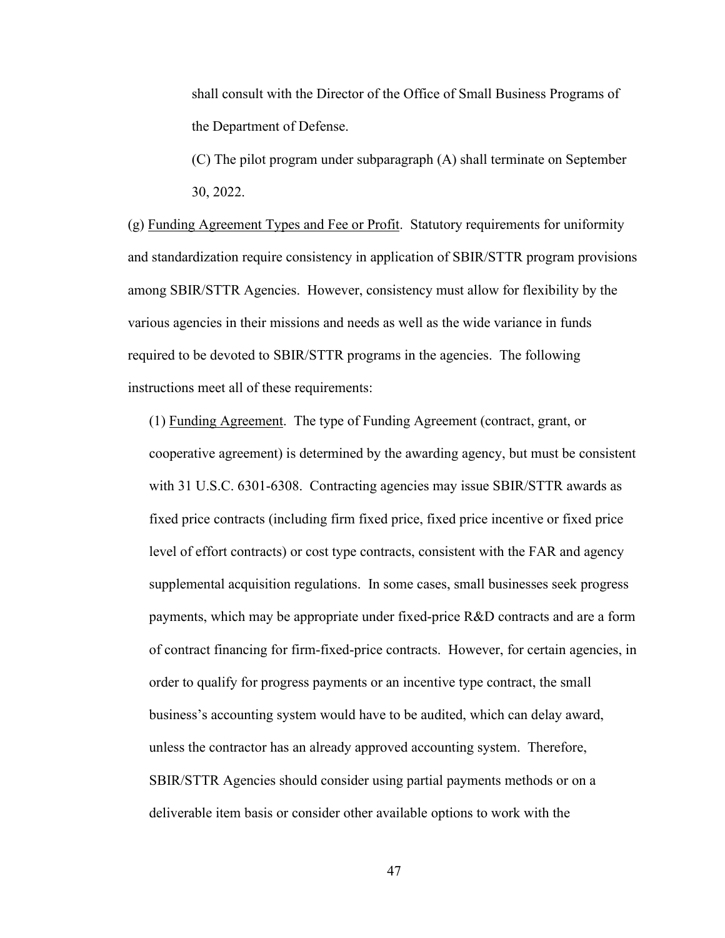shall consult with the Director of the Office of Small Business Programs of the Department of Defense.

(C) The pilot program under subparagraph (A) shall terminate on September 30, 2022.

(g) Funding Agreement Types and Fee or Profit. Statutory requirements for uniformity and standardization require consistency in application of SBIR/STTR program provisions among SBIR/STTR Agencies. However, consistency must allow for flexibility by the various agencies in their missions and needs as well as the wide variance in funds required to be devoted to SBIR/STTR programs in the agencies. The following instructions meet all of these requirements:

(1) Funding Agreement. The type of Funding Agreement (contract, grant, or cooperative agreement) is determined by the awarding agency, but must be consistent with 31 U.S.C. 6301-6308. Contracting agencies may issue SBIR/STTR awards as fixed price contracts (including firm fixed price, fixed price incentive or fixed price level of effort contracts) or cost type contracts, consistent with the FAR and agency supplemental acquisition regulations. In some cases, small businesses seek progress payments, which may be appropriate under fixed-price R&D contracts and are a form of contract financing for firm-fixed-price contracts. However, for certain agencies, in order to qualify for progress payments or an incentive type contract, the small business's accounting system would have to be audited, which can delay award, unless the contractor has an already approved accounting system. Therefore, SBIR/STTR Agencies should consider using partial payments methods or on a deliverable item basis or consider other available options to work with the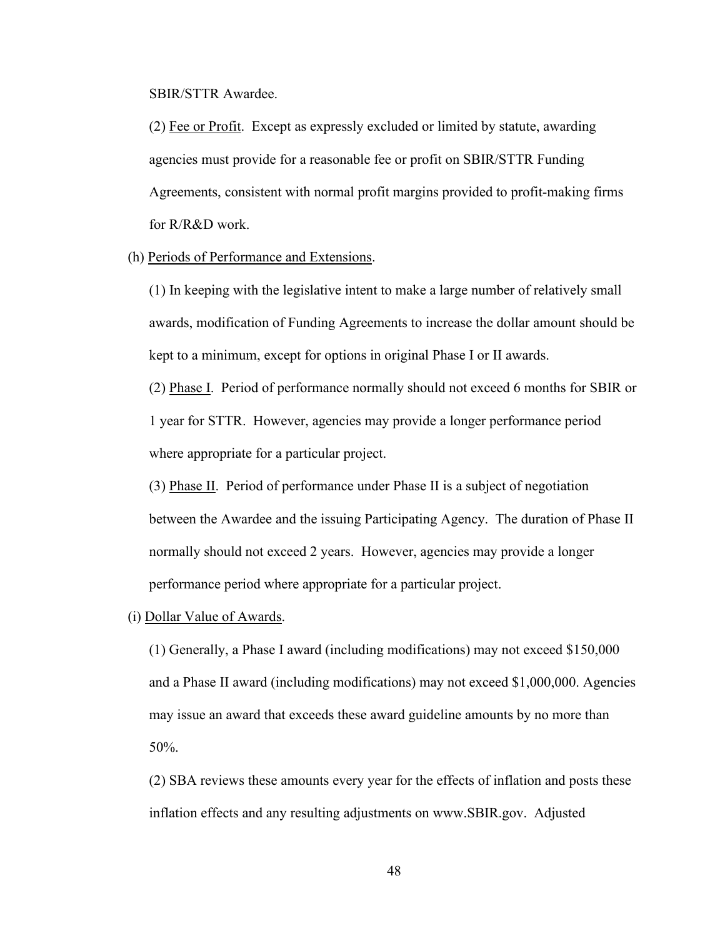SBIR/STTR Awardee.

(2) Fee or Profit. Except as expressly excluded or limited by statute, awarding agencies must provide for a reasonable fee or profit on SBIR/STTR Funding Agreements, consistent with normal profit margins provided to profit-making firms for R/R&D work.

#### (h) Periods of Performance and Extensions.

(1) In keeping with the legislative intent to make a large number of relatively small awards, modification of Funding Agreements to increase the dollar amount should be kept to a minimum, except for options in original Phase I or II awards.

(2) Phase I. Period of performance normally should not exceed 6 months for SBIR or 1 year for STTR. However, agencies may provide a longer performance period where appropriate for a particular project.

(3) Phase II. Period of performance under Phase II is a subject of negotiation between the Awardee and the issuing Participating Agency. The duration of Phase II normally should not exceed 2 years. However, agencies may provide a longer performance period where appropriate for a particular project.

#### (i) Dollar Value of Awards.

(1) Generally, a Phase I award (including modifications) may not exceed \$150,000 and a Phase II award (including modifications) may not exceed \$1,000,000. Agencies may issue an award that exceeds these award guideline amounts by no more than 50%.

(2) SBA reviews these amounts every year for the effects of inflation and posts these inflation effects and any resulting adjustments on www.SBIR.gov. Adjusted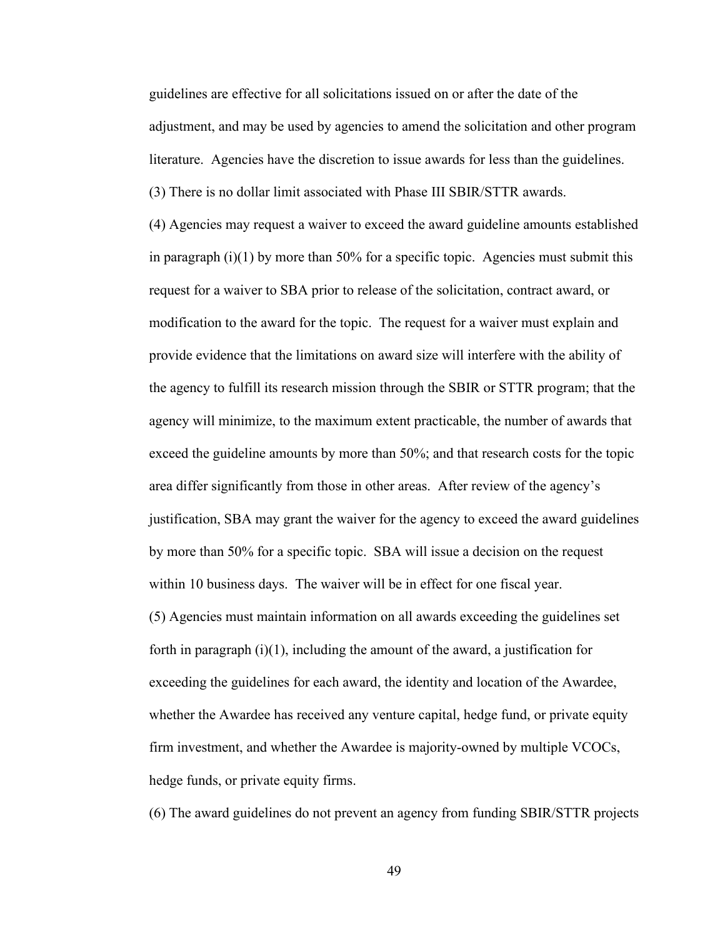guidelines are effective for all solicitations issued on or after the date of the adjustment, and may be used by agencies to amend the solicitation and other program literature. Agencies have the discretion to issue awards for less than the guidelines. (3) There is no dollar limit associated with Phase III SBIR/STTR awards.

(4) Agencies may request a waiver to exceed the award guideline amounts established in paragraph  $(i)(1)$  by more than 50% for a specific topic. Agencies must submit this request for a waiver to SBA prior to release of the solicitation, contract award, or modification to the award for the topic. The request for a waiver must explain and provide evidence that the limitations on award size will interfere with the ability of the agency to fulfill its research mission through the SBIR or STTR program; that the agency will minimize, to the maximum extent practicable, the number of awards that exceed the guideline amounts by more than 50%; and that research costs for the topic area differ significantly from those in other areas. After review of the agency's justification, SBA may grant the waiver for the agency to exceed the award guidelines by more than 50% for a specific topic. SBA will issue a decision on the request within 10 business days. The waiver will be in effect for one fiscal year. (5) Agencies must maintain information on all awards exceeding the guidelines set forth in paragraph  $(i)(1)$ , including the amount of the award, a justification for exceeding the guidelines for each award, the identity and location of the Awardee, whether the Awardee has received any venture capital, hedge fund, or private equity firm investment, and whether the Awardee is majority-owned by multiple VCOCs, hedge funds, or private equity firms.

(6) The award guidelines do not prevent an agency from funding SBIR/STTR projects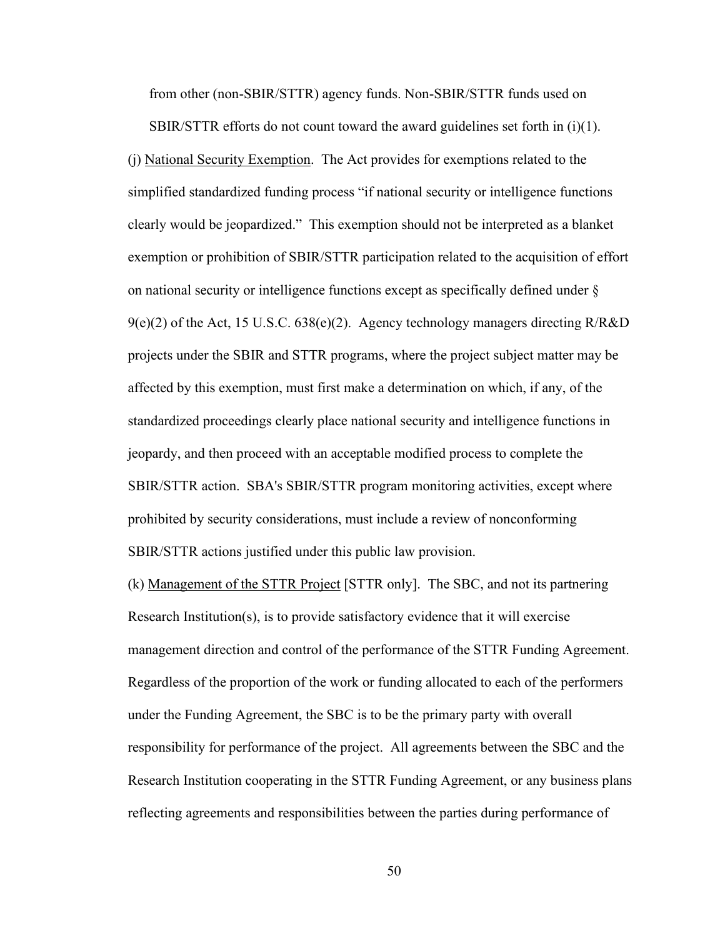from other (non-SBIR/STTR) agency funds. Non-SBIR/STTR funds used on

SBIR/STTR efforts do not count toward the award guidelines set forth in  $(i)(1)$ . (j) National Security Exemption. The Act provides for exemptions related to the simplified standardized funding process "if national security or intelligence functions clearly would be jeopardized." This exemption should not be interpreted as a blanket exemption or prohibition of SBIR/STTR participation related to the acquisition of effort on national security or intelligence functions except as specifically defined under §  $9(e)(2)$  of the Act, 15 U.S.C. 638(e)(2). Agency technology managers directing R/R&D projects under the SBIR and STTR programs, where the project subject matter may be affected by this exemption, must first make a determination on which, if any, of the standardized proceedings clearly place national security and intelligence functions in jeopardy, and then proceed with an acceptable modified process to complete the SBIR/STTR action. SBA's SBIR/STTR program monitoring activities, except where prohibited by security considerations, must include a review of nonconforming SBIR/STTR actions justified under this public law provision.

(k) Management of the STTR Project [STTR only]. The SBC, and not its partnering Research Institution(s), is to provide satisfactory evidence that it will exercise management direction and control of the performance of the STTR Funding Agreement. Regardless of the proportion of the work or funding allocated to each of the performers under the Funding Agreement, the SBC is to be the primary party with overall responsibility for performance of the project. All agreements between the SBC and the Research Institution cooperating in the STTR Funding Agreement, or any business plans reflecting agreements and responsibilities between the parties during performance of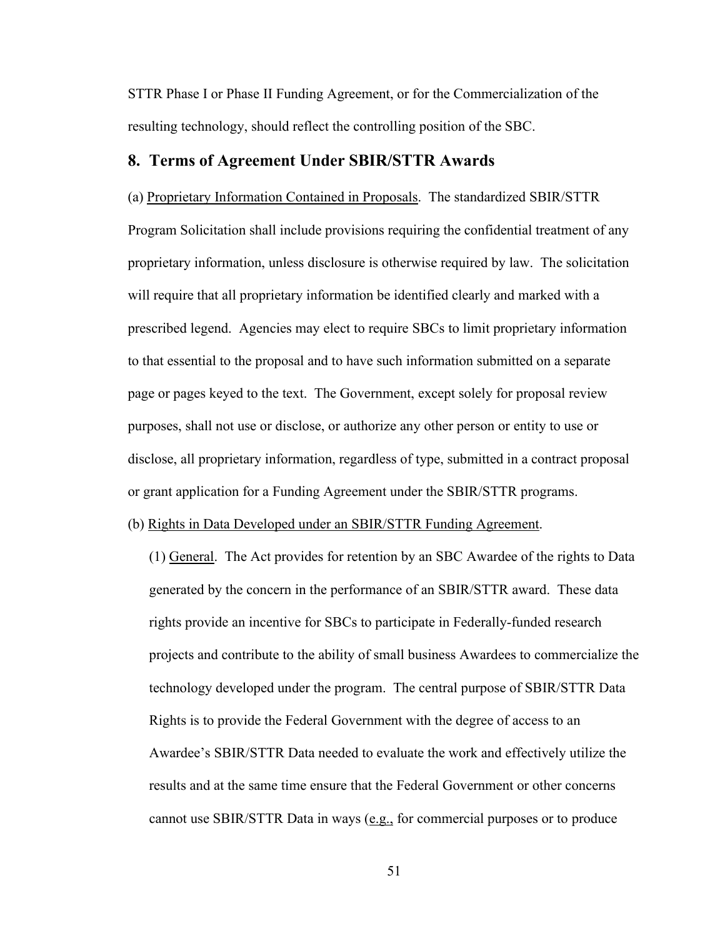STTR Phase I or Phase II Funding Agreement, or for the Commercialization of the resulting technology, should reflect the controlling position of the SBC.

## **8. Terms of Agreement Under SBIR/STTR Awards**

(a) Proprietary Information Contained in Proposals. The standardized SBIR/STTR Program Solicitation shall include provisions requiring the confidential treatment of any proprietary information, unless disclosure is otherwise required by law. The solicitation will require that all proprietary information be identified clearly and marked with a prescribed legend. Agencies may elect to require SBCs to limit proprietary information to that essential to the proposal and to have such information submitted on a separate page or pages keyed to the text. The Government, except solely for proposal review purposes, shall not use or disclose, or authorize any other person or entity to use or disclose, all proprietary information, regardless of type, submitted in a contract proposal or grant application for a Funding Agreement under the SBIR/STTR programs.

## (b) Rights in Data Developed under an SBIR/STTR Funding Agreement.

(1) General. The Act provides for retention by an SBC Awardee of the rights to Data generated by the concern in the performance of an SBIR/STTR award. These data rights provide an incentive for SBCs to participate in Federally-funded research projects and contribute to the ability of small business Awardees to commercialize the technology developed under the program. The central purpose of SBIR/STTR Data Rights is to provide the Federal Government with the degree of access to an Awardee's SBIR/STTR Data needed to evaluate the work and effectively utilize the results and at the same time ensure that the Federal Government or other concerns cannot use SBIR/STTR Data in ways (e.g., for commercial purposes or to produce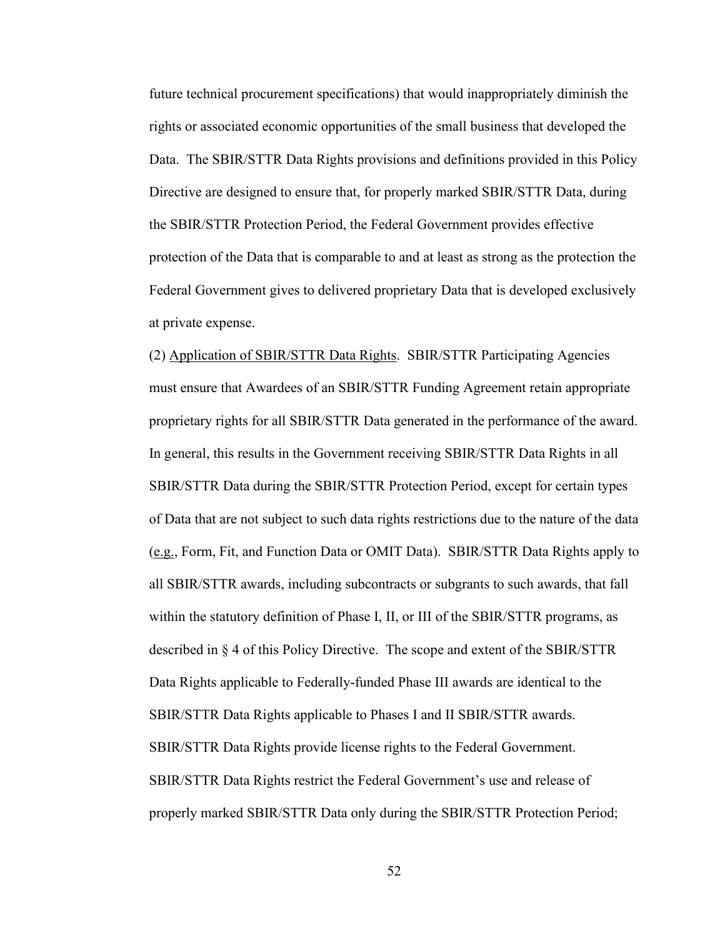future technical procurement specifications) that would inappropriately diminish the rights or associated economic opportunities of the small business that developed the Data. The SBIR/STTR Data Rights provisions and definitions provided in this Policy Directive are designed to ensure that, for properly marked SBIR/STTR Data, during the SBIR/STTR Protection Period, the Federal Government provides effective protection of the Data that is comparable to and at least as strong as the protection the Federal Government gives to delivered proprietary Data that is developed exclusively at private expense.

(2) Application of SBIR/STTR Data Rights. SBIR/STTR Participating Agencies must ensure that Awardees of an SBIR/STTR Funding Agreement retain appropriate proprietary rights for all SBIR/STTR Data generated in the performance of the award. In general, this results in the Government receiving SBIR/STTR Data Rights in all SBIR/STTR Data during the SBIR/STTR Protection Period, except for certain types of Data that are not subject to such data rights restrictions due to the nature of the data (e.g., Form, Fit, and Function Data or OMIT Data). SBIR/STTR Data Rights apply to all SBIR/STTR awards, including subcontracts or subgrants to such awards, that fall within the statutory definition of Phase I, II, or III of the SBIR/STTR programs, as described in § 4 of this Policy Directive. The scope and extent of the SBIR/STTR Data Rights applicable to Federally-funded Phase III awards are identical to the SBIR/STTR Data Rights applicable to Phases I and II SBIR/STTR awards. SBIR/STTR Data Rights provide license rights to the Federal Government. SBIR/STTR Data Rights restrict the Federal Government's use and release of properly marked SBIR/STTR Data only during the SBIR/STTR Protection Period;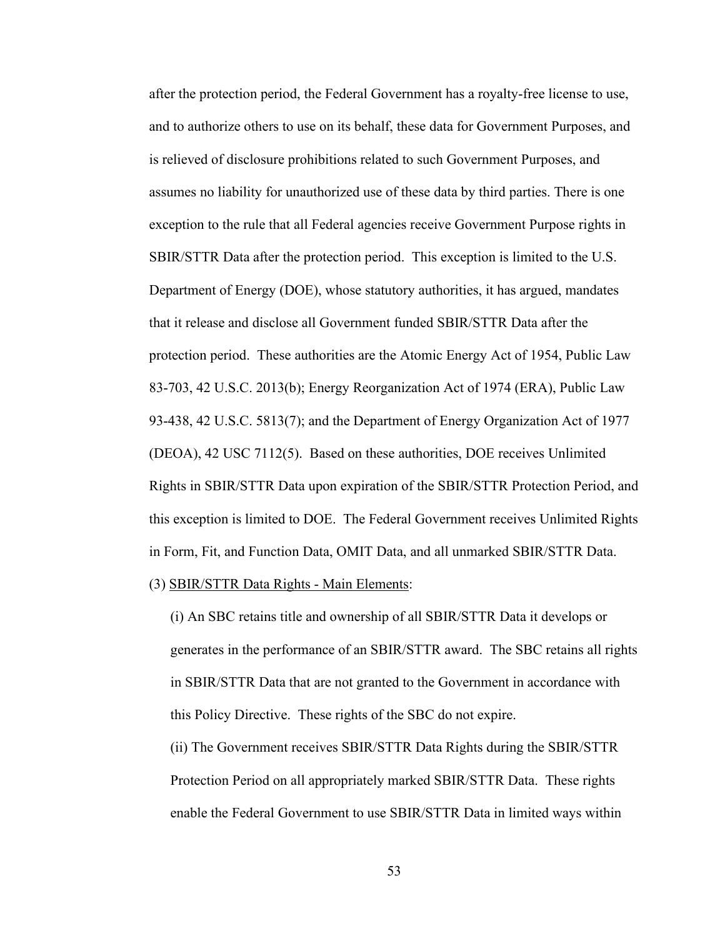after the protection period, the Federal Government has a royalty-free license to use, and to authorize others to use on its behalf, these data for Government Purposes, and is relieved of disclosure prohibitions related to such Government Purposes, and assumes no liability for unauthorized use of these data by third parties. There is one exception to the rule that all Federal agencies receive Government Purpose rights in SBIR/STTR Data after the protection period. This exception is limited to the U.S. Department of Energy (DOE), whose statutory authorities, it has argued, mandates that it release and disclose all Government funded SBIR/STTR Data after the protection period. These authorities are the Atomic Energy Act of 1954, Public Law 83-703, 42 U.S.C. 2013(b); Energy Reorganization Act of 1974 (ERA), Public Law 93-438, 42 U.S.C. 5813(7); and the Department of Energy Organization Act of 1977 (DEOA), 42 USC 7112(5). Based on these authorities, DOE receives Unlimited Rights in SBIR/STTR Data upon expiration of the SBIR/STTR Protection Period, and this exception is limited to DOE. The Federal Government receives Unlimited Rights in Form, Fit, and Function Data, OMIT Data, and all unmarked SBIR/STTR Data.

(3) SBIR/STTR Data Rights - Main Elements:

(i) An SBC retains title and ownership of all SBIR/STTR Data it develops or generates in the performance of an SBIR/STTR award. The SBC retains all rights in SBIR/STTR Data that are not granted to the Government in accordance with this Policy Directive. These rights of the SBC do not expire.

(ii) The Government receives SBIR/STTR Data Rights during the SBIR/STTR Protection Period on all appropriately marked SBIR/STTR Data. These rights enable the Federal Government to use SBIR/STTR Data in limited ways within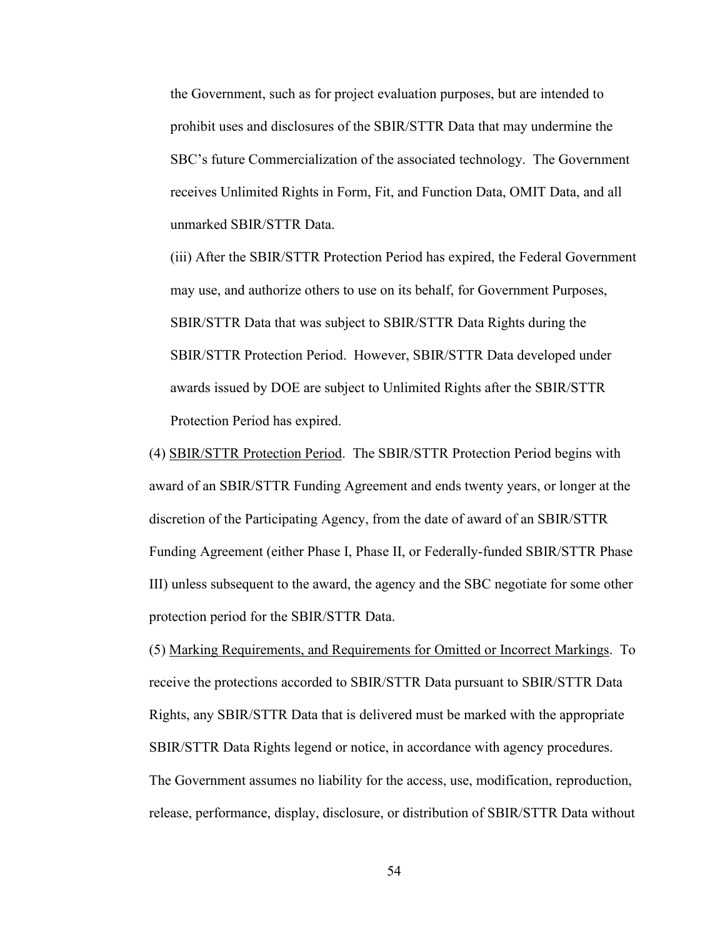the Government, such as for project evaluation purposes, but are intended to prohibit uses and disclosures of the SBIR/STTR Data that may undermine the SBC's future Commercialization of the associated technology. The Government receives Unlimited Rights in Form, Fit, and Function Data, OMIT Data, and all unmarked SBIR/STTR Data.

(iii) After the SBIR/STTR Protection Period has expired, the Federal Government may use, and authorize others to use on its behalf, for Government Purposes, SBIR/STTR Data that was subject to SBIR/STTR Data Rights during the SBIR/STTR Protection Period. However, SBIR/STTR Data developed under awards issued by DOE are subject to Unlimited Rights after the SBIR/STTR Protection Period has expired.

(4) SBIR/STTR Protection Period. The SBIR/STTR Protection Period begins with award of an SBIR/STTR Funding Agreement and ends twenty years, or longer at the discretion of the Participating Agency, from the date of award of an SBIR/STTR Funding Agreement (either Phase I, Phase II, or Federally-funded SBIR/STTR Phase III) unless subsequent to the award, the agency and the SBC negotiate for some other protection period for the SBIR/STTR Data.

(5) Marking Requirements, and Requirements for Omitted or Incorrect Markings. To receive the protections accorded to SBIR/STTR Data pursuant to SBIR/STTR Data Rights, any SBIR/STTR Data that is delivered must be marked with the appropriate SBIR/STTR Data Rights legend or notice, in accordance with agency procedures. The Government assumes no liability for the access, use, modification, reproduction, release, performance, display, disclosure, or distribution of SBIR/STTR Data without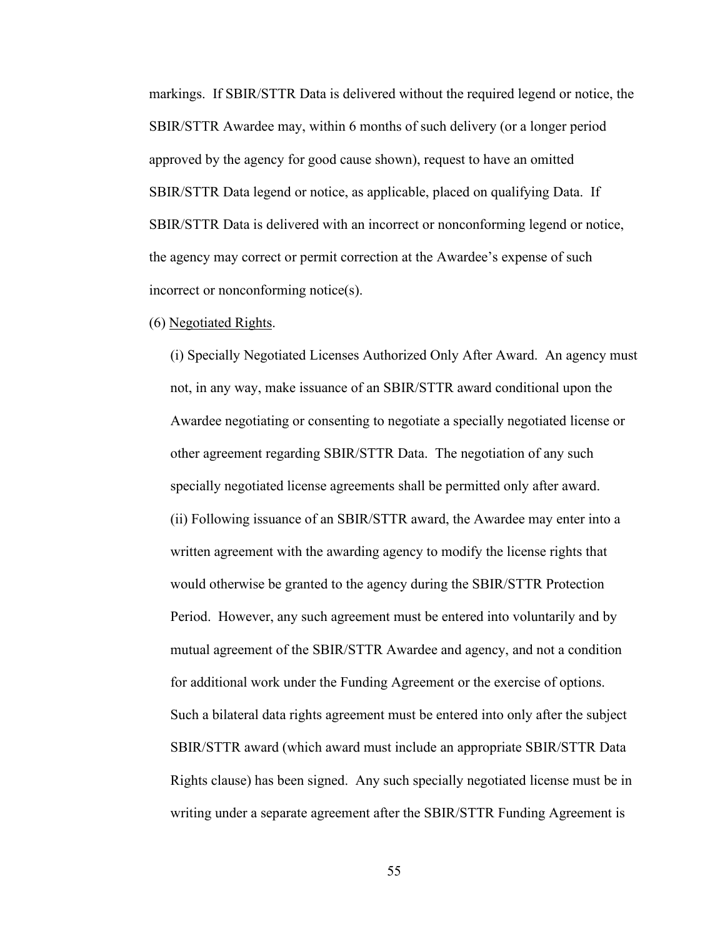markings. If SBIR/STTR Data is delivered without the required legend or notice, the SBIR/STTR Awardee may, within 6 months of such delivery (or a longer period approved by the agency for good cause shown), request to have an omitted SBIR/STTR Data legend or notice, as applicable, placed on qualifying Data. If SBIR/STTR Data is delivered with an incorrect or nonconforming legend or notice, the agency may correct or permit correction at the Awardee's expense of such incorrect or nonconforming notice(s).

### (6) Negotiated Rights.

(i) Specially Negotiated Licenses Authorized Only After Award. An agency must not, in any way, make issuance of an SBIR/STTR award conditional upon the Awardee negotiating or consenting to negotiate a specially negotiated license or other agreement regarding SBIR/STTR Data. The negotiation of any such specially negotiated license agreements shall be permitted only after award. (ii) Following issuance of an SBIR/STTR award, the Awardee may enter into a written agreement with the awarding agency to modify the license rights that would otherwise be granted to the agency during the SBIR/STTR Protection Period. However, any such agreement must be entered into voluntarily and by mutual agreement of the SBIR/STTR Awardee and agency, and not a condition for additional work under the Funding Agreement or the exercise of options. Such a bilateral data rights agreement must be entered into only after the subject SBIR/STTR award (which award must include an appropriate SBIR/STTR Data Rights clause) has been signed. Any such specially negotiated license must be in writing under a separate agreement after the SBIR/STTR Funding Agreement is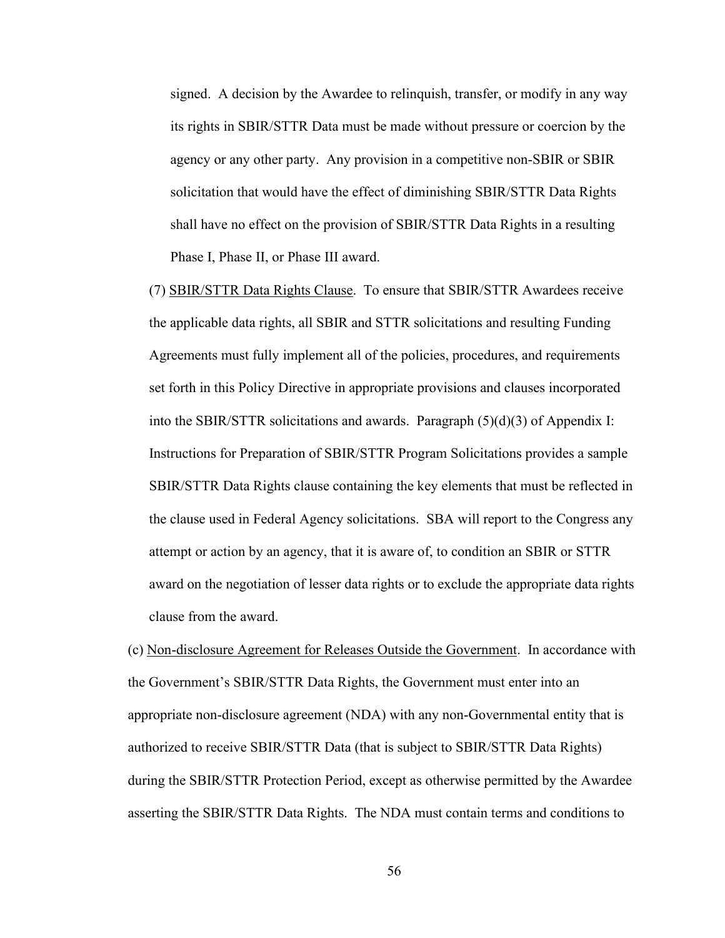signed. A decision by the Awardee to relinquish, transfer, or modify in any way its rights in SBIR/STTR Data must be made without pressure or coercion by the agency or any other party. Any provision in a competitive non-SBIR or SBIR solicitation that would have the effect of diminishing SBIR/STTR Data Rights shall have no effect on the provision of SBIR/STTR Data Rights in a resulting Phase I, Phase II, or Phase III award.

(7) SBIR/STTR Data Rights Clause. To ensure that SBIR/STTR Awardees receive the applicable data rights, all SBIR and STTR solicitations and resulting Funding Agreements must fully implement all of the policies, procedures, and requirements set forth in this Policy Directive in appropriate provisions and clauses incorporated into the SBIR/STTR solicitations and awards. Paragraph (5)(d)(3) of Appendix I: Instructions for Preparation of SBIR/STTR Program Solicitations provides a sample SBIR/STTR Data Rights clause containing the key elements that must be reflected in the clause used in Federal Agency solicitations. SBA will report to the Congress any attempt or action by an agency, that it is aware of, to condition an SBIR or STTR award on the negotiation of lesser data rights or to exclude the appropriate data rights clause from the award.

(c) Non-disclosure Agreement for Releases Outside the Government. In accordance with the Government's SBIR/STTR Data Rights, the Government must enter into an appropriate non-disclosure agreement (NDA) with any non-Governmental entity that is authorized to receive SBIR/STTR Data (that is subject to SBIR/STTR Data Rights) during the SBIR/STTR Protection Period, except as otherwise permitted by the Awardee asserting the SBIR/STTR Data Rights. The NDA must contain terms and conditions to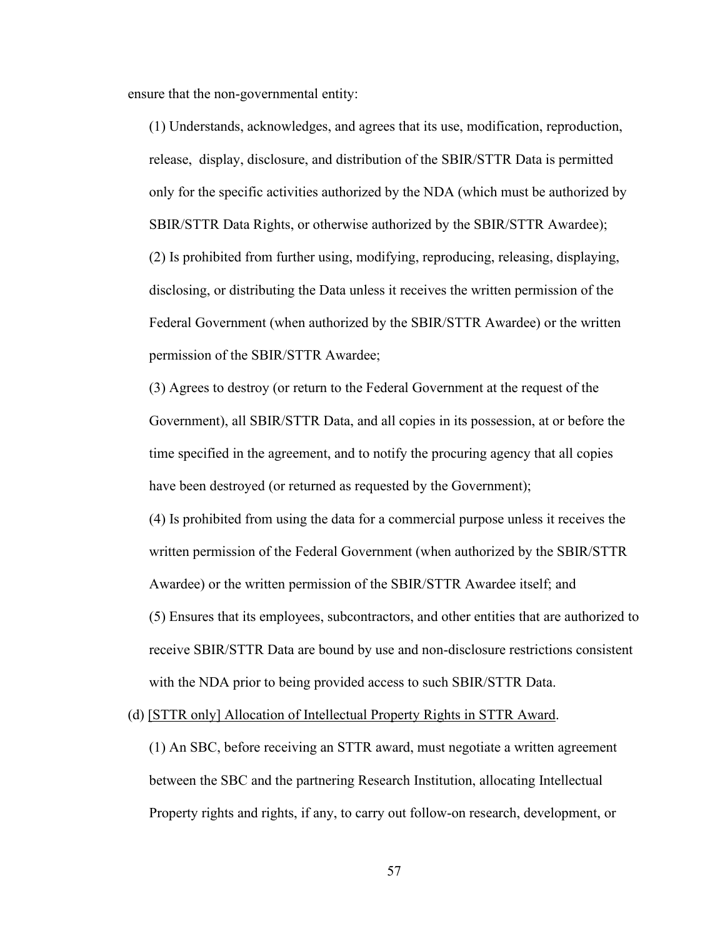ensure that the non-governmental entity:

(1) Understands, acknowledges, and agrees that its use, modification, reproduction, release, display, disclosure, and distribution of the SBIR/STTR Data is permitted only for the specific activities authorized by the NDA (which must be authorized by SBIR/STTR Data Rights, or otherwise authorized by the SBIR/STTR Awardee); (2) Is prohibited from further using, modifying, reproducing, releasing, displaying, disclosing, or distributing the Data unless it receives the written permission of the Federal Government (when authorized by the SBIR/STTR Awardee) or the written permission of the SBIR/STTR Awardee;

(3) Agrees to destroy (or return to the Federal Government at the request of the Government), all SBIR/STTR Data, and all copies in its possession, at or before the time specified in the agreement, and to notify the procuring agency that all copies have been destroyed (or returned as requested by the Government);

(4) Is prohibited from using the data for a commercial purpose unless it receives the written permission of the Federal Government (when authorized by the SBIR/STTR Awardee) or the written permission of the SBIR/STTR Awardee itself; and (5) Ensures that its employees, subcontractors, and other entities that are authorized to receive SBIR/STTR Data are bound by use and non-disclosure restrictions consistent with the NDA prior to being provided access to such SBIR/STTR Data.

(d) [STTR only] Allocation of Intellectual Property Rights in STTR Award.

(1) An SBC, before receiving an STTR award, must negotiate a written agreement between the SBC and the partnering Research Institution, allocating Intellectual Property rights and rights, if any, to carry out follow-on research, development, or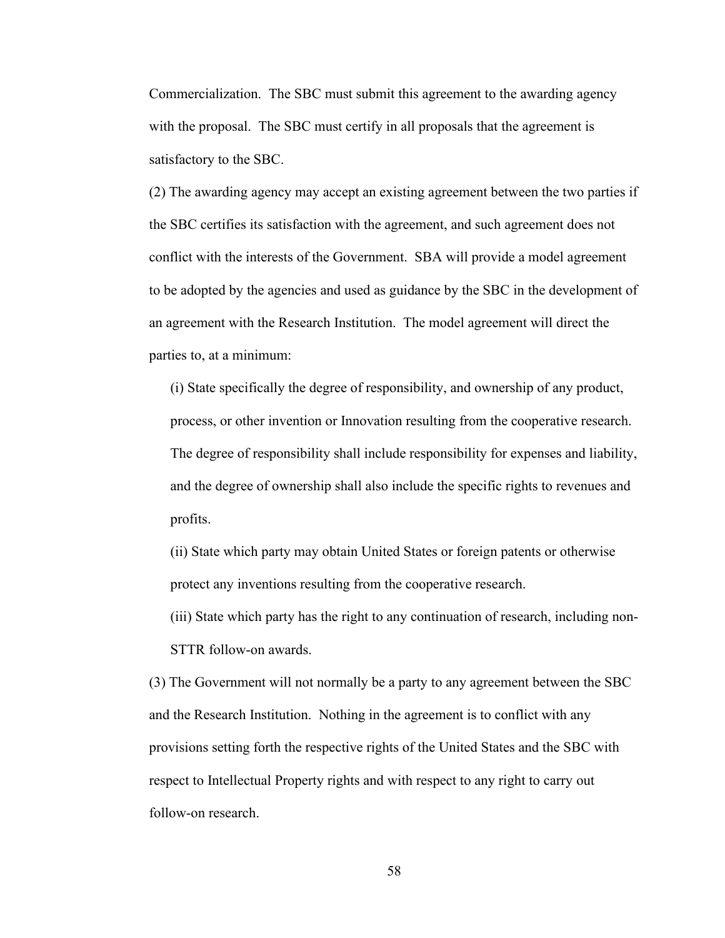Commercialization. The SBC must submit this agreement to the awarding agency with the proposal. The SBC must certify in all proposals that the agreement is satisfactory to the SBC.

(2) The awarding agency may accept an existing agreement between the two parties if the SBC certifies its satisfaction with the agreement, and such agreement does not conflict with the interests of the Government. SBA will provide a model agreement to be adopted by the agencies and used as guidance by the SBC in the development of an agreement with the Research Institution. The model agreement will direct the parties to, at a minimum:

(i) State specifically the degree of responsibility, and ownership of any product, process, or other invention or Innovation resulting from the cooperative research. The degree of responsibility shall include responsibility for expenses and liability, and the degree of ownership shall also include the specific rights to revenues and profits.

(ii) State which party may obtain United States or foreign patents or otherwise protect any inventions resulting from the cooperative research.

(iii) State which party has the right to any continuation of research, including non-STTR follow-on awards.

(3) The Government will not normally be a party to any agreement between the SBC and the Research Institution. Nothing in the agreement is to conflict with any provisions setting forth the respective rights of the United States and the SBC with respect to Intellectual Property rights and with respect to any right to carry out follow-on research.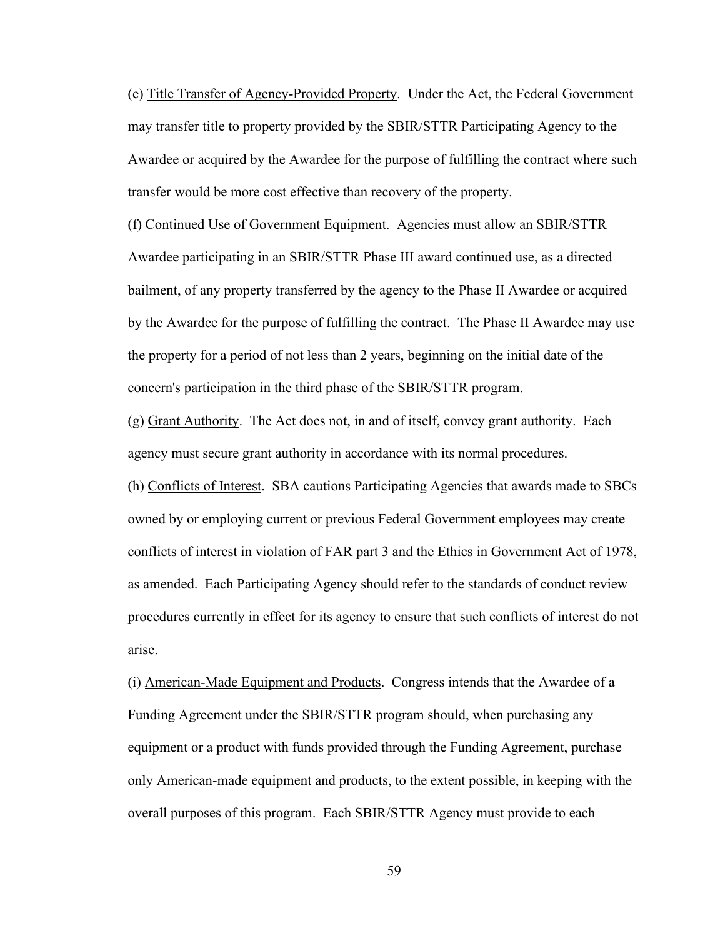(e) Title Transfer of Agency-Provided Property. Under the Act, the Federal Government may transfer title to property provided by the SBIR/STTR Participating Agency to the Awardee or acquired by the Awardee for the purpose of fulfilling the contract where such transfer would be more cost effective than recovery of the property.

(f) Continued Use of Government Equipment. Agencies must allow an SBIR/STTR Awardee participating in an SBIR/STTR Phase III award continued use, as a directed bailment, of any property transferred by the agency to the Phase II Awardee or acquired by the Awardee for the purpose of fulfilling the contract. The Phase II Awardee may use the property for a period of not less than 2 years, beginning on the initial date of the concern's participation in the third phase of the SBIR/STTR program.

(g) Grant Authority. The Act does not, in and of itself, convey grant authority. Each agency must secure grant authority in accordance with its normal procedures.

(h) Conflicts of Interest. SBA cautions Participating Agencies that awards made to SBCs owned by or employing current or previous Federal Government employees may create conflicts of interest in violation of FAR part 3 and the Ethics in Government Act of 1978, as amended. Each Participating Agency should refer to the standards of conduct review procedures currently in effect for its agency to ensure that such conflicts of interest do not arise.

(i) American-Made Equipment and Products. Congress intends that the Awardee of a Funding Agreement under the SBIR/STTR program should, when purchasing any equipment or a product with funds provided through the Funding Agreement, purchase only American-made equipment and products, to the extent possible, in keeping with the overall purposes of this program. Each SBIR/STTR Agency must provide to each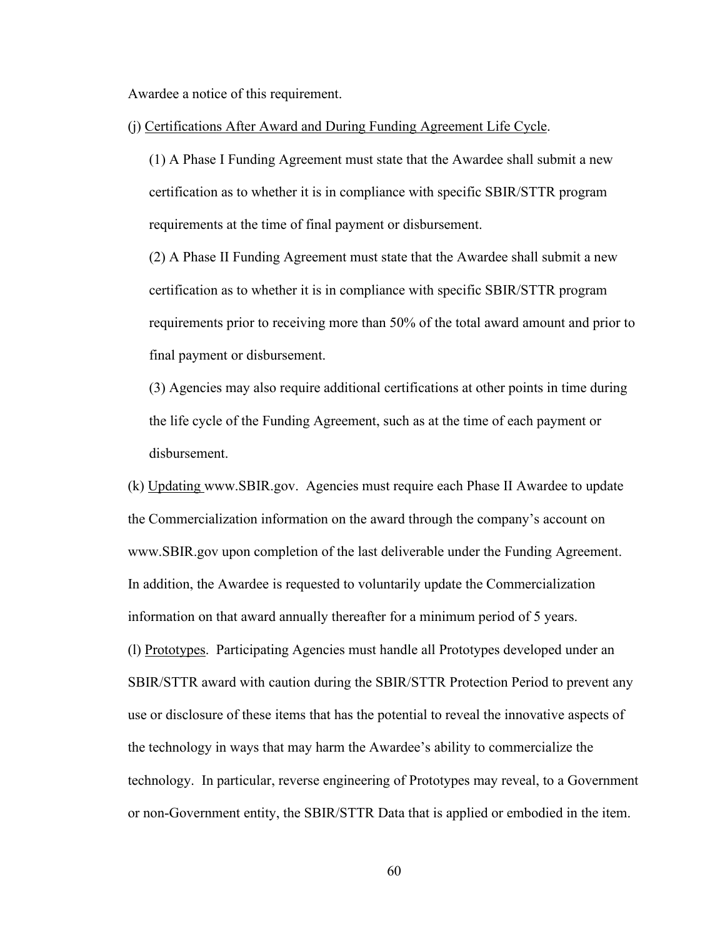Awardee a notice of this requirement.

(j) Certifications After Award and During Funding Agreement Life Cycle.

(1) A Phase I Funding Agreement must state that the Awardee shall submit a new certification as to whether it is in compliance with specific SBIR/STTR program requirements at the time of final payment or disbursement.

(2) A Phase II Funding Agreement must state that the Awardee shall submit a new certification as to whether it is in compliance with specific SBIR/STTR program requirements prior to receiving more than 50% of the total award amount and prior to final payment or disbursement.

(3) Agencies may also require additional certifications at other points in time during the life cycle of the Funding Agreement, such as at the time of each payment or disbursement.

(k) Updating www.SBIR.gov. Agencies must require each Phase II Awardee to update the Commercialization information on the award through the company's account on www.SBIR.gov upon completion of the last deliverable under the Funding Agreement. In addition, the Awardee is requested to voluntarily update the Commercialization information on that award annually thereafter for a minimum period of 5 years. (l) Prototypes. Participating Agencies must handle all Prototypes developed under an SBIR/STTR award with caution during the SBIR/STTR Protection Period to prevent any use or disclosure of these items that has the potential to reveal the innovative aspects of the technology in ways that may harm the Awardee's ability to commercialize the technology. In particular, reverse engineering of Prototypes may reveal, to a Government or non-Government entity, the SBIR/STTR Data that is applied or embodied in the item.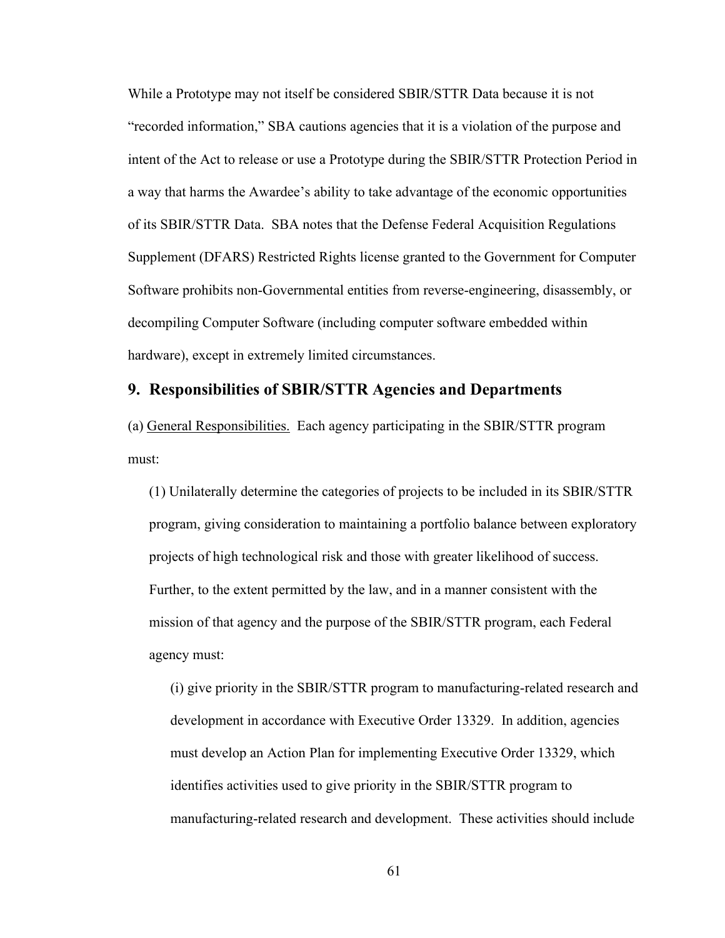While a Prototype may not itself be considered SBIR/STTR Data because it is not "recorded information," SBA cautions agencies that it is a violation of the purpose and intent of the Act to release or use a Prototype during the SBIR/STTR Protection Period in a way that harms the Awardee's ability to take advantage of the economic opportunities of its SBIR/STTR Data. SBA notes that the Defense Federal Acquisition Regulations Supplement (DFARS) Restricted Rights license granted to the Government for Computer Software prohibits non-Governmental entities from reverse-engineering, disassembly, or decompiling Computer Software (including computer software embedded within hardware), except in extremely limited circumstances.

# **9. Responsibilities of SBIR/STTR Agencies and Departments**

(a) General Responsibilities. Each agency participating in the SBIR/STTR program must:

(1) Unilaterally determine the categories of projects to be included in its SBIR/STTR program, giving consideration to maintaining a portfolio balance between exploratory projects of high technological risk and those with greater likelihood of success. Further, to the extent permitted by the law, and in a manner consistent with the mission of that agency and the purpose of the SBIR/STTR program, each Federal agency must:

(i) give priority in the SBIR/STTR program to manufacturing-related research and development in accordance with Executive Order 13329. In addition, agencies must develop an Action Plan for implementing Executive Order 13329, which identifies activities used to give priority in the SBIR/STTR program to manufacturing-related research and development. These activities should include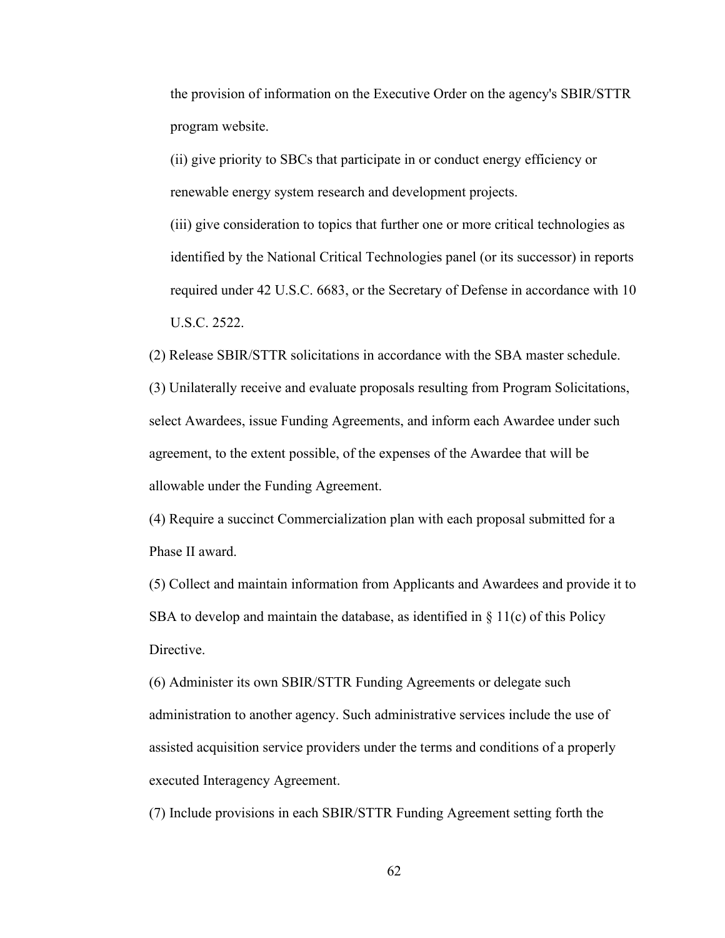the provision of information on the Executive Order on the agency's SBIR/STTR program website.

(ii) give priority to SBCs that participate in or conduct energy efficiency or renewable energy system research and development projects.

(iii) give consideration to topics that further one or more critical technologies as identified by the National Critical Technologies panel (or its successor) in reports required under 42 U.S.C. 6683, or the Secretary of Defense in accordance with 10 U.S.C. 2522.

(2) Release SBIR/STTR solicitations in accordance with the SBA master schedule.

(3) Unilaterally receive and evaluate proposals resulting from Program Solicitations, select Awardees, issue Funding Agreements, and inform each Awardee under such agreement, to the extent possible, of the expenses of the Awardee that will be allowable under the Funding Agreement.

(4) Require a succinct Commercialization plan with each proposal submitted for a Phase II award.

(5) Collect and maintain information from Applicants and Awardees and provide it to SBA to develop and maintain the database, as identified in  $\S 11(c)$  of this Policy Directive.

(6) Administer its own SBIR/STTR Funding Agreements or delegate such administration to another agency. Such administrative services include the use of assisted acquisition service providers under the terms and conditions of a properly executed Interagency Agreement.

(7) Include provisions in each SBIR/STTR Funding Agreement setting forth the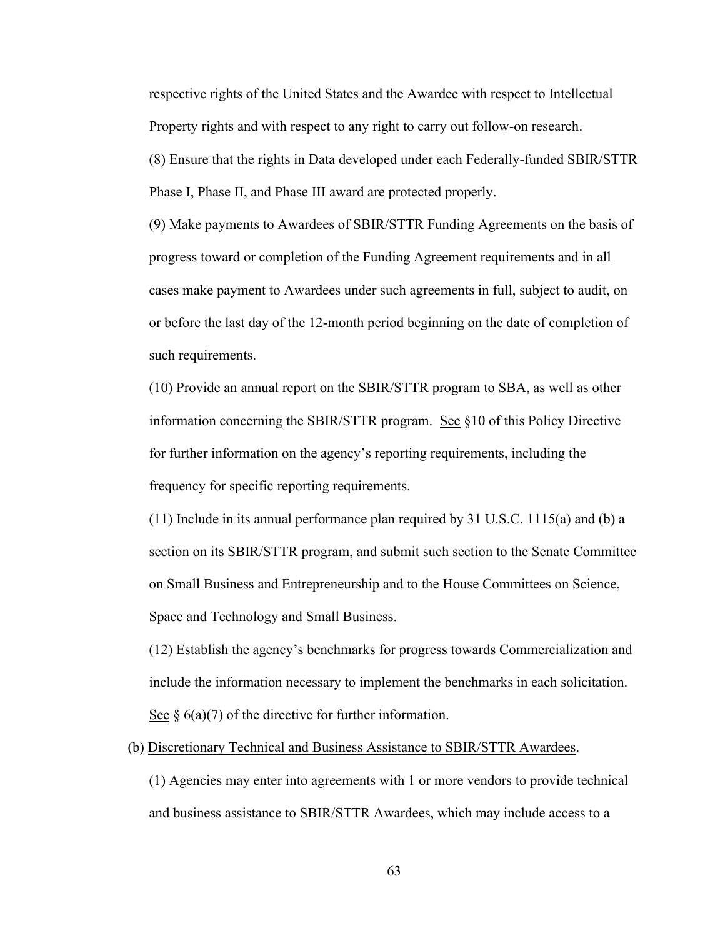respective rights of the United States and the Awardee with respect to Intellectual Property rights and with respect to any right to carry out follow-on research.

(8) Ensure that the rights in Data developed under each Federally-funded SBIR/STTR Phase I, Phase II, and Phase III award are protected properly.

(9) Make payments to Awardees of SBIR/STTR Funding Agreements on the basis of progress toward or completion of the Funding Agreement requirements and in all cases make payment to Awardees under such agreements in full, subject to audit, on or before the last day of the 12-month period beginning on the date of completion of such requirements.

(10) Provide an annual report on the SBIR/STTR program to SBA, as well as other information concerning the SBIR/STTR program. See §10 of this Policy Directive for further information on the agency's reporting requirements, including the frequency for specific reporting requirements.

 $(11)$  Include in its annual performance plan required by 31 U.S.C. 1115(a) and (b) a section on its SBIR/STTR program, and submit such section to the Senate Committee on Small Business and Entrepreneurship and to the House Committees on Science, Space and Technology and Small Business.

(12) Establish the agency's benchmarks for progress towards Commercialization and include the information necessary to implement the benchmarks in each solicitation. See  $\S$  6(a)(7) of the directive for further information.

(b) Discretionary Technical and Business Assistance to SBIR/STTR Awardees.

(1) Agencies may enter into agreements with 1 or more vendors to provide technical and business assistance to SBIR/STTR Awardees, which may include access to a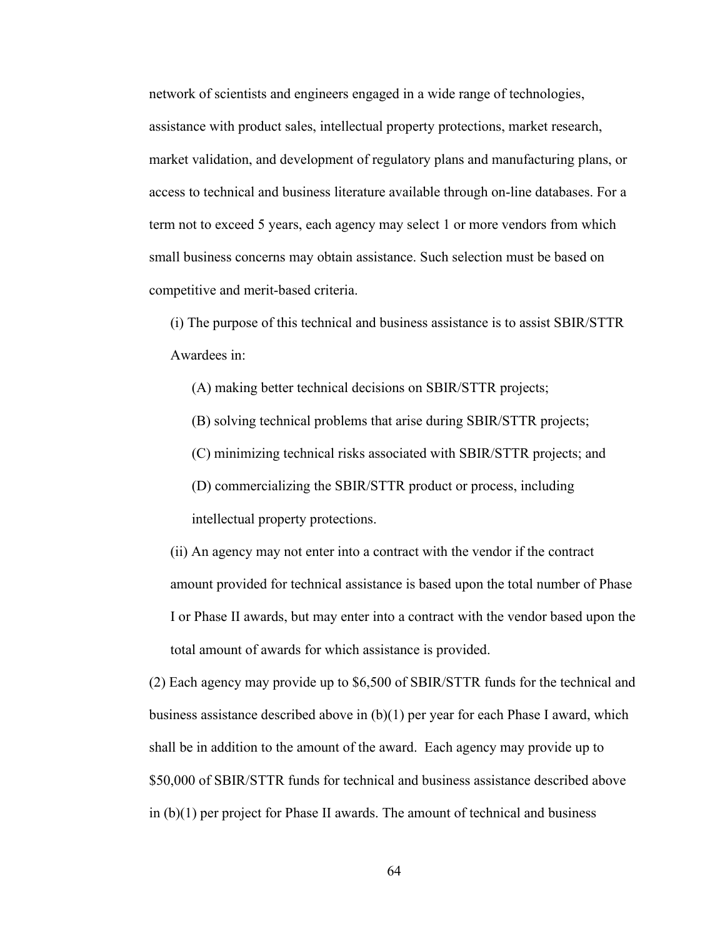network of scientists and engineers engaged in a wide range of technologies, assistance with product sales, intellectual property protections, market research, market validation, and development of regulatory plans and manufacturing plans, or access to technical and business literature available through on-line databases. For a term not to exceed 5 years, each agency may select 1 or more vendors from which small business concerns may obtain assistance. Such selection must be based on competitive and merit-based criteria.

(i) The purpose of this technical and business assistance is to assist SBIR/STTR Awardees in:

(A) making better technical decisions on SBIR/STTR projects;

(B) solving technical problems that arise during SBIR/STTR projects;

(C) minimizing technical risks associated with SBIR/STTR projects; and

(D) commercializing the SBIR/STTR product or process, including intellectual property protections.

(ii) An agency may not enter into a contract with the vendor if the contract amount provided for technical assistance is based upon the total number of Phase I or Phase II awards, but may enter into a contract with the vendor based upon the total amount of awards for which assistance is provided.

(2) Each agency may provide up to \$6,500 of SBIR/STTR funds for the technical and business assistance described above in (b)(1) per year for each Phase I award, which shall be in addition to the amount of the award. Each agency may provide up to \$50,000 of SBIR/STTR funds for technical and business assistance described above in (b)(1) per project for Phase II awards. The amount of technical and business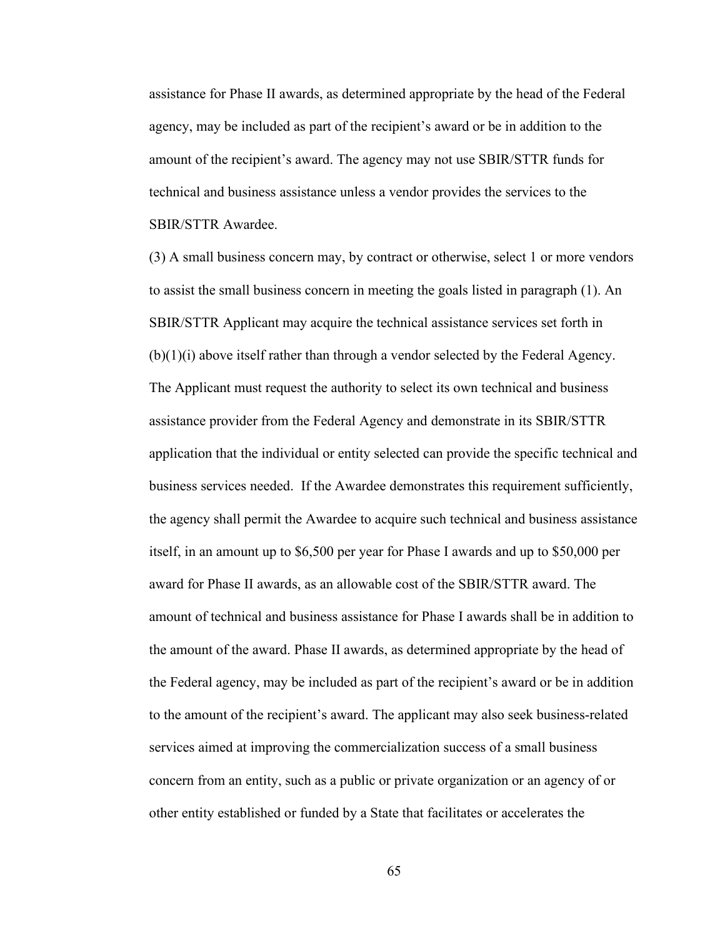assistance for Phase II awards, as determined appropriate by the head of the Federal agency, may be included as part of the recipient's award or be in addition to the amount of the recipient's award. The agency may not use SBIR/STTR funds for technical and business assistance unless a vendor provides the services to the SBIR/STTR Awardee.

(3) A small business concern may, by contract or otherwise, select 1 or more vendors to assist the small business concern in meeting the goals listed in paragraph (1). An SBIR/STTR Applicant may acquire the technical assistance services set forth in (b)(1)(i) above itself rather than through a vendor selected by the Federal Agency. The Applicant must request the authority to select its own technical and business assistance provider from the Federal Agency and demonstrate in its SBIR/STTR application that the individual or entity selected can provide the specific technical and business services needed. If the Awardee demonstrates this requirement sufficiently, the agency shall permit the Awardee to acquire such technical and business assistance itself, in an amount up to \$6,500 per year for Phase I awards and up to \$50,000 per award for Phase II awards, as an allowable cost of the SBIR/STTR award. The amount of technical and business assistance for Phase I awards shall be in addition to the amount of the award. Phase II awards, as determined appropriate by the head of the Federal agency, may be included as part of the recipient's award or be in addition to the amount of the recipient's award. The applicant may also seek business-related services aimed at improving the commercialization success of a small business concern from an entity, such as a public or private organization or an agency of or other entity established or funded by a State that facilitates or accelerates the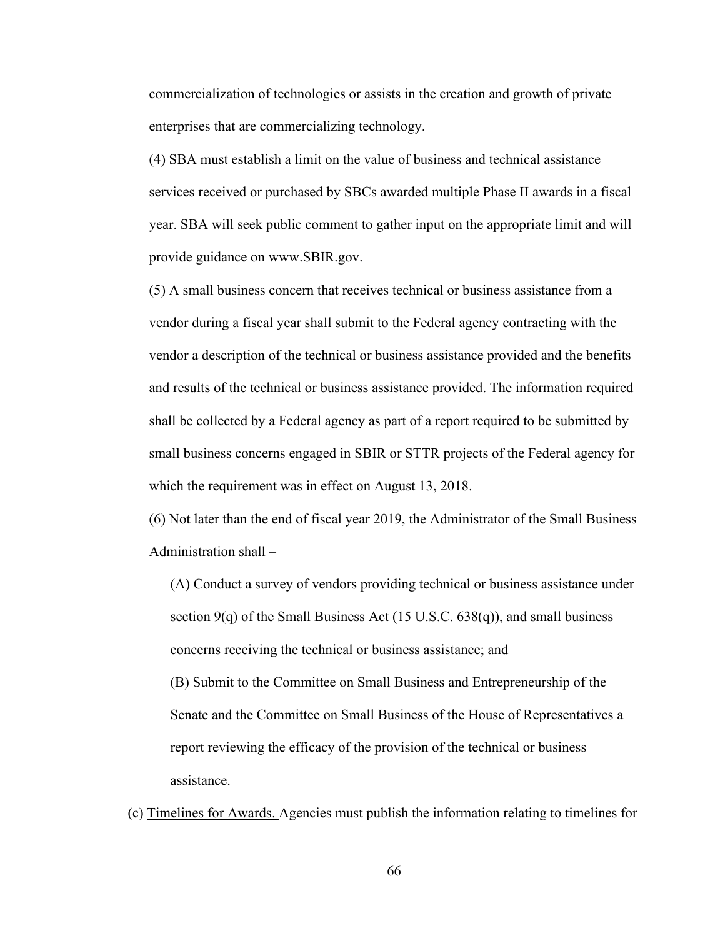commercialization of technologies or assists in the creation and growth of private enterprises that are commercializing technology.

(4) SBA must establish a limit on the value of business and technical assistance services received or purchased by SBCs awarded multiple Phase II awards in a fiscal year. SBA will seek public comment to gather input on the appropriate limit and will provide guidance on www.SBIR.gov.

(5) A small business concern that receives technical or business assistance from a vendor during a fiscal year shall submit to the Federal agency contracting with the vendor a description of the technical or business assistance provided and the benefits and results of the technical or business assistance provided. The information required shall be collected by a Federal agency as part of a report required to be submitted by small business concerns engaged in SBIR or STTR projects of the Federal agency for which the requirement was in effect on August 13, 2018.

(6) Not later than the end of fiscal year 2019, the Administrator of the Small Business Administration shall –

(A) Conduct a survey of vendors providing technical or business assistance under section  $9(q)$  of the Small Business Act (15 U.S.C. 638 $(q)$ ), and small business concerns receiving the technical or business assistance; and

(B) Submit to the Committee on Small Business and Entrepreneurship of the Senate and the Committee on Small Business of the House of Representatives a report reviewing the efficacy of the provision of the technical or business assistance.

(c) Timelines for Awards. Agencies must publish the information relating to timelines for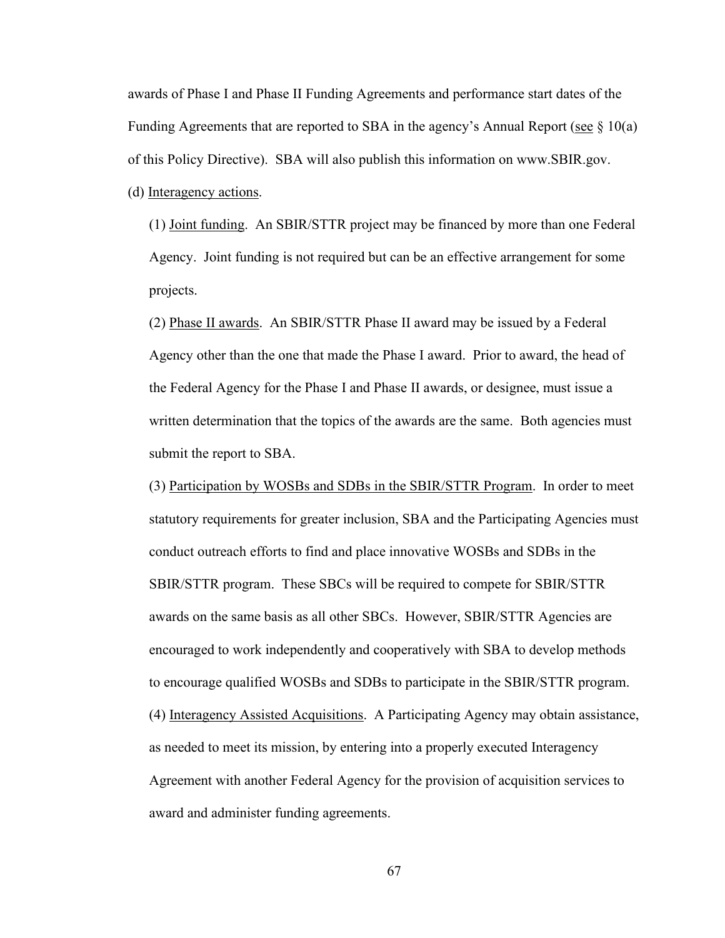awards of Phase I and Phase II Funding Agreements and performance start dates of the Funding Agreements that are reported to SBA in the agency's Annual Report (see  $\S$  10(a) of this Policy Directive). SBA will also publish this information on www.SBIR.gov. (d) Interagency actions.

(1) Joint funding. An SBIR/STTR project may be financed by more than one Federal Agency. Joint funding is not required but can be an effective arrangement for some projects.

(2) Phase II awards. An SBIR/STTR Phase II award may be issued by a Federal Agency other than the one that made the Phase I award. Prior to award, the head of the Federal Agency for the Phase I and Phase II awards, or designee, must issue a written determination that the topics of the awards are the same. Both agencies must submit the report to SBA.

(3) Participation by WOSBs and SDBs in the SBIR/STTR Program. In order to meet statutory requirements for greater inclusion, SBA and the Participating Agencies must conduct outreach efforts to find and place innovative WOSBs and SDBs in the SBIR/STTR program. These SBCs will be required to compete for SBIR/STTR awards on the same basis as all other SBCs. However, SBIR/STTR Agencies are encouraged to work independently and cooperatively with SBA to develop methods to encourage qualified WOSBs and SDBs to participate in the SBIR/STTR program. (4) Interagency Assisted Acquisitions. A Participating Agency may obtain assistance, as needed to meet its mission, by entering into a properly executed Interagency Agreement with another Federal Agency for the provision of acquisition services to award and administer funding agreements.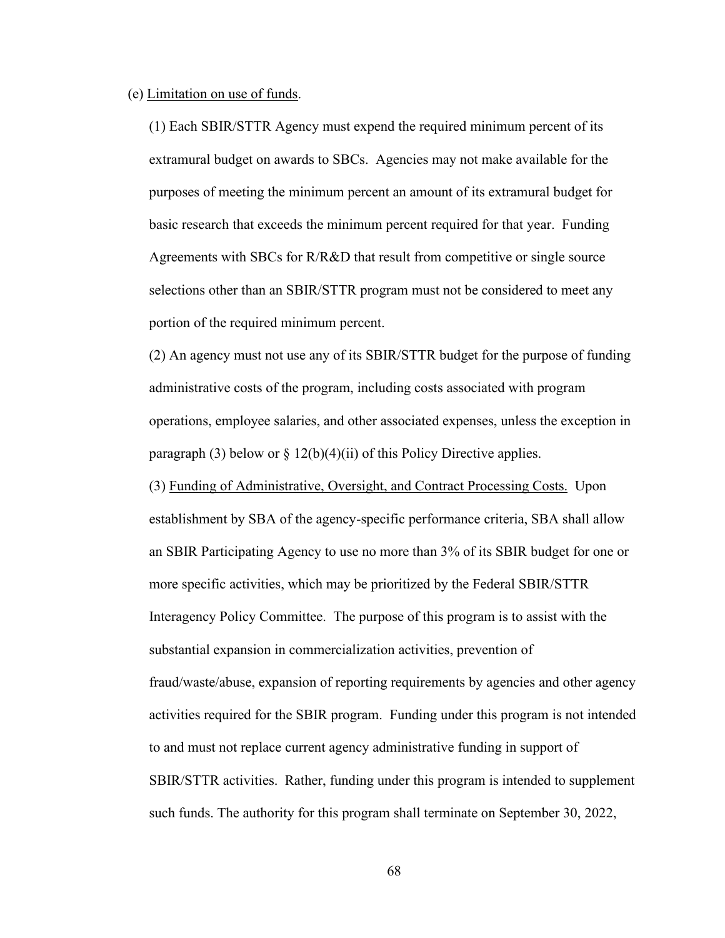#### (e) Limitation on use of funds.

(1) Each SBIR/STTR Agency must expend the required minimum percent of its extramural budget on awards to SBCs. Agencies may not make available for the purposes of meeting the minimum percent an amount of its extramural budget for basic research that exceeds the minimum percent required for that year. Funding Agreements with SBCs for R/R&D that result from competitive or single source selections other than an SBIR/STTR program must not be considered to meet any portion of the required minimum percent.

(2) An agency must not use any of its SBIR/STTR budget for the purpose of funding administrative costs of the program, including costs associated with program operations, employee salaries, and other associated expenses, unless the exception in paragraph (3) below or  $\S 12(b)(4)(ii)$  of this Policy Directive applies.

(3) Funding of Administrative, Oversight, and Contract Processing Costs. Upon establishment by SBA of the agency-specific performance criteria, SBA shall allow an SBIR Participating Agency to use no more than 3% of its SBIR budget for one or more specific activities, which may be prioritized by the Federal SBIR/STTR Interagency Policy Committee. The purpose of this program is to assist with the substantial expansion in commercialization activities, prevention of fraud/waste/abuse, expansion of reporting requirements by agencies and other agency activities required for the SBIR program. Funding under this program is not intended to and must not replace current agency administrative funding in support of SBIR/STTR activities. Rather, funding under this program is intended to supplement such funds. The authority for this program shall terminate on September 30, 2022,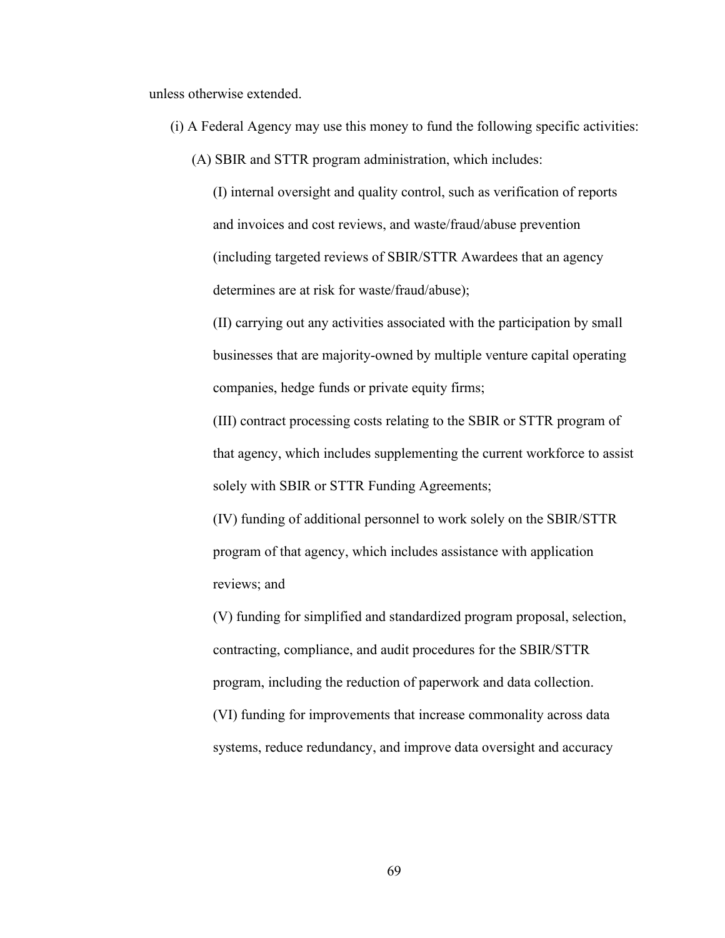unless otherwise extended.

- (i) A Federal Agency may use this money to fund the following specific activities:
	- (A) SBIR and STTR program administration, which includes:

(I) internal oversight and quality control, such as verification of reports and invoices and cost reviews, and waste/fraud/abuse prevention (including targeted reviews of SBIR/STTR Awardees that an agency determines are at risk for waste/fraud/abuse);

(II) carrying out any activities associated with the participation by small businesses that are majority-owned by multiple venture capital operating companies, hedge funds or private equity firms;

(III) contract processing costs relating to the SBIR or STTR program of that agency, which includes supplementing the current workforce to assist solely with SBIR or STTR Funding Agreements;

(IV) funding of additional personnel to work solely on the SBIR/STTR program of that agency, which includes assistance with application reviews; and

(V) funding for simplified and standardized program proposal, selection, contracting, compliance, and audit procedures for the SBIR/STTR program, including the reduction of paperwork and data collection. (VI) funding for improvements that increase commonality across data systems, reduce redundancy, and improve data oversight and accuracy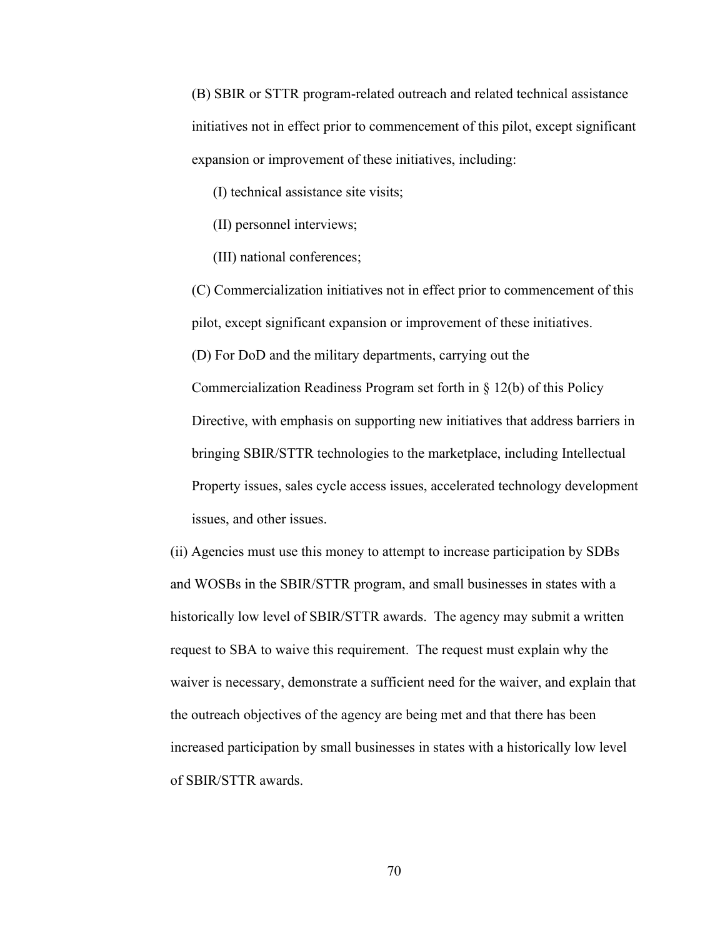(B) SBIR or STTR program-related outreach and related technical assistance initiatives not in effect prior to commencement of this pilot, except significant expansion or improvement of these initiatives, including:

(I) technical assistance site visits;

(II) personnel interviews;

(III) national conferences;

(C) Commercialization initiatives not in effect prior to commencement of this pilot, except significant expansion or improvement of these initiatives. (D) For DoD and the military departments, carrying out the Commercialization Readiness Program set forth in § 12(b) of this Policy Directive, with emphasis on supporting new initiatives that address barriers in bringing SBIR/STTR technologies to the marketplace, including Intellectual Property issues, sales cycle access issues, accelerated technology development issues, and other issues.

(ii) Agencies must use this money to attempt to increase participation by SDBs and WOSBs in the SBIR/STTR program, and small businesses in states with a historically low level of SBIR/STTR awards. The agency may submit a written request to SBA to waive this requirement. The request must explain why the waiver is necessary, demonstrate a sufficient need for the waiver, and explain that the outreach objectives of the agency are being met and that there has been increased participation by small businesses in states with a historically low level of SBIR/STTR awards.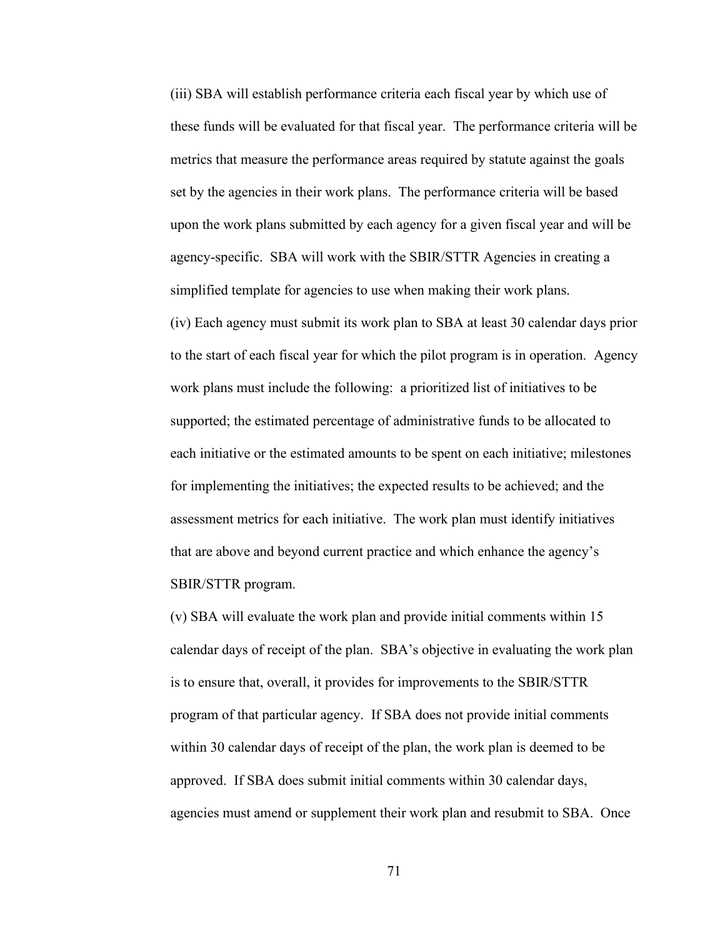(iii) SBA will establish performance criteria each fiscal year by which use of these funds will be evaluated for that fiscal year. The performance criteria will be metrics that measure the performance areas required by statute against the goals set by the agencies in their work plans. The performance criteria will be based upon the work plans submitted by each agency for a given fiscal year and will be agency-specific. SBA will work with the SBIR/STTR Agencies in creating a simplified template for agencies to use when making their work plans. (iv) Each agency must submit its work plan to SBA at least 30 calendar days prior to the start of each fiscal year for which the pilot program is in operation. Agency work plans must include the following: a prioritized list of initiatives to be supported; the estimated percentage of administrative funds to be allocated to each initiative or the estimated amounts to be spent on each initiative; milestones for implementing the initiatives; the expected results to be achieved; and the assessment metrics for each initiative. The work plan must identify initiatives that are above and beyond current practice and which enhance the agency's SBIR/STTR program.

(v) SBA will evaluate the work plan and provide initial comments within 15 calendar days of receipt of the plan. SBA's objective in evaluating the work plan is to ensure that, overall, it provides for improvements to the SBIR/STTR program of that particular agency. If SBA does not provide initial comments within 30 calendar days of receipt of the plan, the work plan is deemed to be approved. If SBA does submit initial comments within 30 calendar days, agencies must amend or supplement their work plan and resubmit to SBA. Once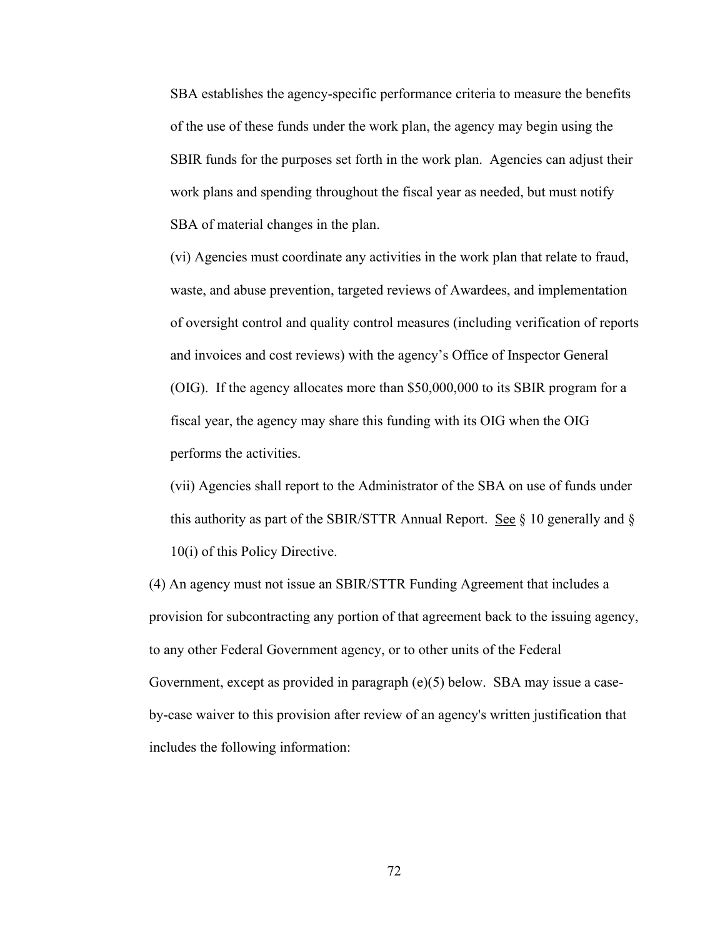SBA establishes the agency-specific performance criteria to measure the benefits of the use of these funds under the work plan, the agency may begin using the SBIR funds for the purposes set forth in the work plan. Agencies can adjust their work plans and spending throughout the fiscal year as needed, but must notify SBA of material changes in the plan.

(vi) Agencies must coordinate any activities in the work plan that relate to fraud, waste, and abuse prevention, targeted reviews of Awardees, and implementation of oversight control and quality control measures (including verification of reports and invoices and cost reviews) with the agency's Office of Inspector General (OIG). If the agency allocates more than \$50,000,000 to its SBIR program for a fiscal year, the agency may share this funding with its OIG when the OIG performs the activities.

(vii) Agencies shall report to the Administrator of the SBA on use of funds under this authority as part of the SBIR/STTR Annual Report. See  $\S$  10 generally and  $\S$ 10(i) of this Policy Directive.

(4) An agency must not issue an SBIR/STTR Funding Agreement that includes a provision for subcontracting any portion of that agreement back to the issuing agency, to any other Federal Government agency, or to other units of the Federal Government, except as provided in paragraph (e)(5) below. SBA may issue a caseby-case waiver to this provision after review of an agency's written justification that includes the following information: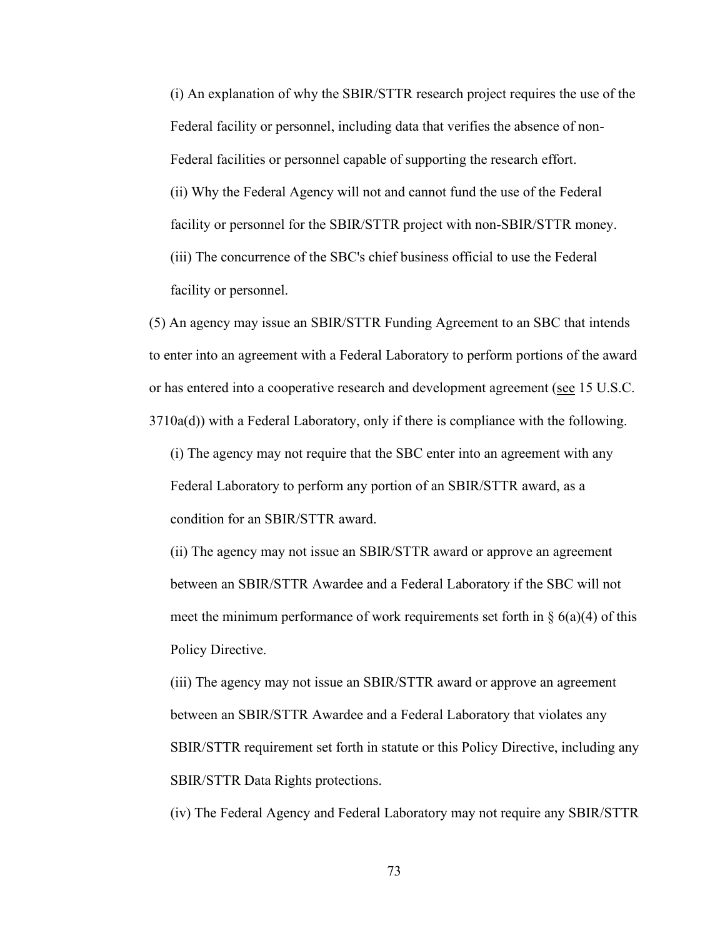(i) An explanation of why the SBIR/STTR research project requires the use of the Federal facility or personnel, including data that verifies the absence of non-Federal facilities or personnel capable of supporting the research effort. (ii) Why the Federal Agency will not and cannot fund the use of the Federal facility or personnel for the SBIR/STTR project with non-SBIR/STTR money. (iii) The concurrence of the SBC's chief business official to use the Federal facility or personnel.

(5) An agency may issue an SBIR/STTR Funding Agreement to an SBC that intends to enter into an agreement with a Federal Laboratory to perform portions of the award or has entered into a cooperative research and development agreement (see 15 U.S.C. 3710a(d)) with a Federal Laboratory, only if there is compliance with the following.

(i) The agency may not require that the SBC enter into an agreement with any Federal Laboratory to perform any portion of an SBIR/STTR award, as a condition for an SBIR/STTR award.

(ii) The agency may not issue an SBIR/STTR award or approve an agreement between an SBIR/STTR Awardee and a Federal Laboratory if the SBC will not meet the minimum performance of work requirements set forth in  $\S$  6(a)(4) of this Policy Directive.

(iii) The agency may not issue an SBIR/STTR award or approve an agreement between an SBIR/STTR Awardee and a Federal Laboratory that violates any SBIR/STTR requirement set forth in statute or this Policy Directive, including any SBIR/STTR Data Rights protections.

(iv) The Federal Agency and Federal Laboratory may not require any SBIR/STTR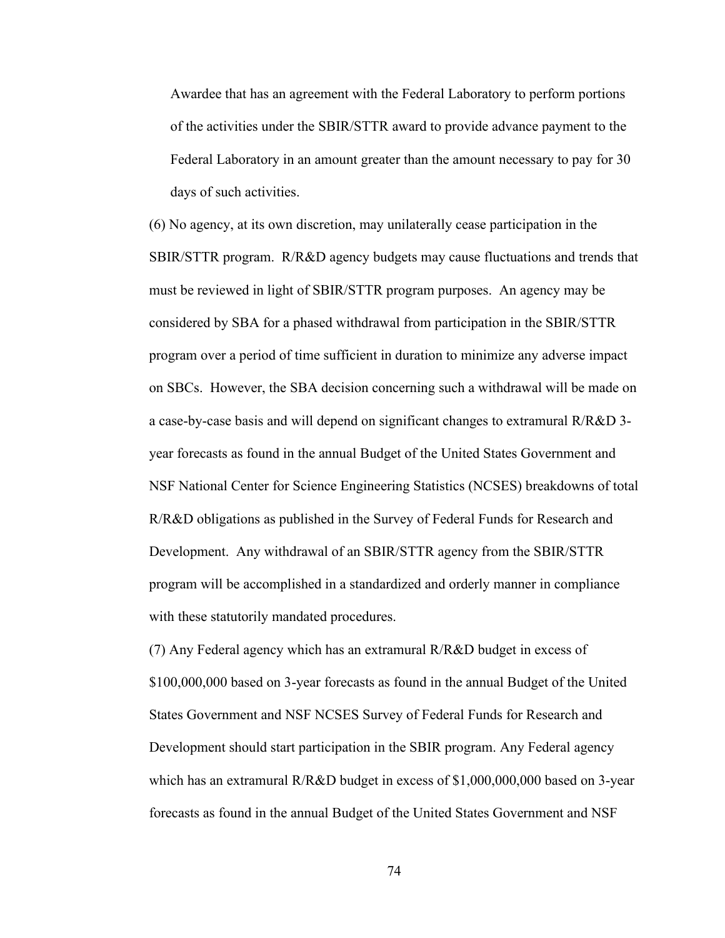Awardee that has an agreement with the Federal Laboratory to perform portions of the activities under the SBIR/STTR award to provide advance payment to the Federal Laboratory in an amount greater than the amount necessary to pay for 30 days of such activities.

(6) No agency, at its own discretion, may unilaterally cease participation in the SBIR/STTR program. R/R&D agency budgets may cause fluctuations and trends that must be reviewed in light of SBIR/STTR program purposes. An agency may be considered by SBA for a phased withdrawal from participation in the SBIR/STTR program over a period of time sufficient in duration to minimize any adverse impact on SBCs. However, the SBA decision concerning such a withdrawal will be made on a case-by-case basis and will depend on significant changes to extramural R/R&D 3 year forecasts as found in the annual Budget of the United States Government and NSF National Center for Science Engineering Statistics (NCSES) breakdowns of total R/R&D obligations as published in the Survey of Federal Funds for Research and Development. Any withdrawal of an SBIR/STTR agency from the SBIR/STTR program will be accomplished in a standardized and orderly manner in compliance with these statutorily mandated procedures.

(7) Any Federal agency which has an extramural R/R&D budget in excess of \$100,000,000 based on 3-year forecasts as found in the annual Budget of the United States Government and NSF NCSES Survey of Federal Funds for Research and Development should start participation in the SBIR program. Any Federal agency which has an extramural R/R&D budget in excess of \$1,000,000,000 based on 3-year forecasts as found in the annual Budget of the United States Government and NSF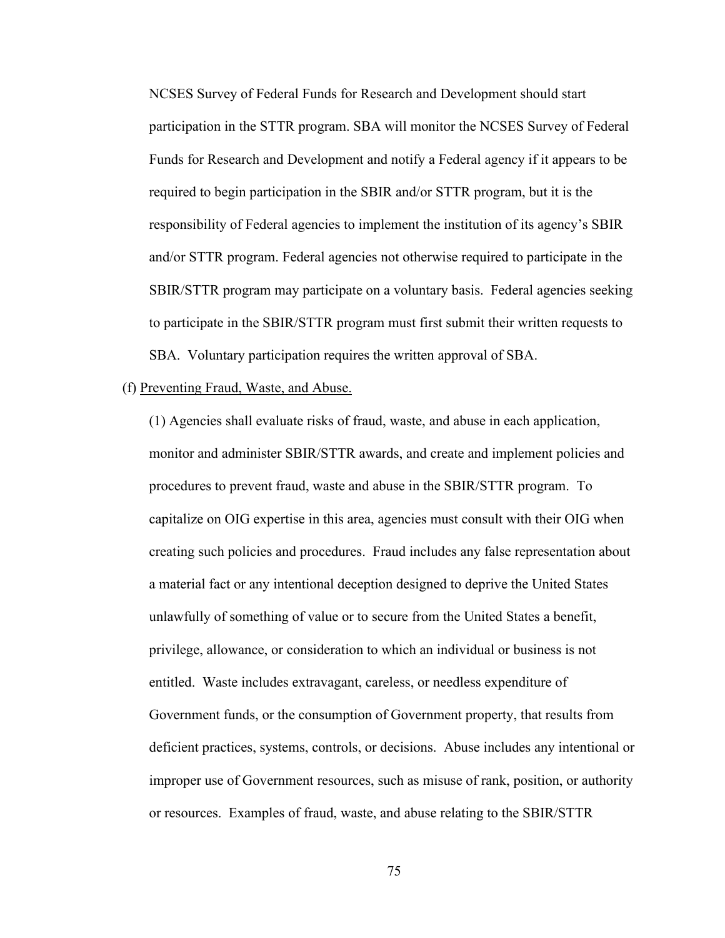NCSES Survey of Federal Funds for Research and Development should start participation in the STTR program. SBA will monitor the NCSES Survey of Federal Funds for Research and Development and notify a Federal agency if it appears to be required to begin participation in the SBIR and/or STTR program, but it is the responsibility of Federal agencies to implement the institution of its agency's SBIR and/or STTR program. Federal agencies not otherwise required to participate in the SBIR/STTR program may participate on a voluntary basis. Federal agencies seeking to participate in the SBIR/STTR program must first submit their written requests to SBA. Voluntary participation requires the written approval of SBA.

#### (f) Preventing Fraud, Waste, and Abuse.

(1) Agencies shall evaluate risks of fraud, waste, and abuse in each application, monitor and administer SBIR/STTR awards, and create and implement policies and procedures to prevent fraud, waste and abuse in the SBIR/STTR program. To capitalize on OIG expertise in this area, agencies must consult with their OIG when creating such policies and procedures. Fraud includes any false representation about a material fact or any intentional deception designed to deprive the United States unlawfully of something of value or to secure from the United States a benefit, privilege, allowance, or consideration to which an individual or business is not entitled. Waste includes extravagant, careless, or needless expenditure of Government funds, or the consumption of Government property, that results from deficient practices, systems, controls, or decisions. Abuse includes any intentional or improper use of Government resources, such as misuse of rank, position, or authority or resources. Examples of fraud, waste, and abuse relating to the SBIR/STTR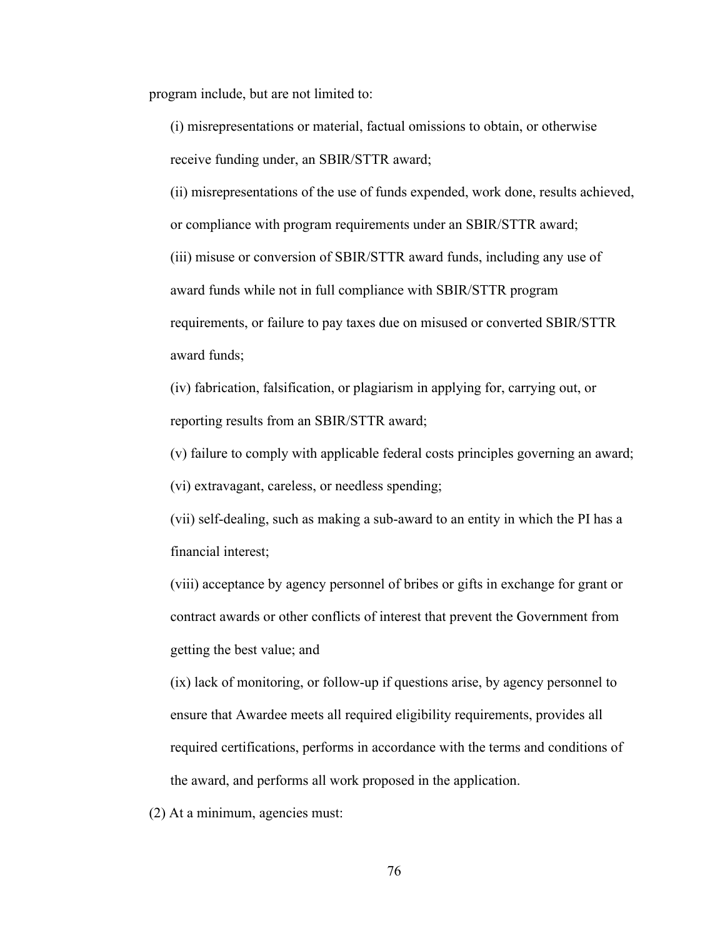program include, but are not limited to:

(i) misrepresentations or material, factual omissions to obtain, or otherwise receive funding under, an SBIR/STTR award;

(ii) misrepresentations of the use of funds expended, work done, results achieved, or compliance with program requirements under an SBIR/STTR award; (iii) misuse or conversion of SBIR/STTR award funds, including any use of award funds while not in full compliance with SBIR/STTR program requirements, or failure to pay taxes due on misused or converted SBIR/STTR award funds;

(iv) fabrication, falsification, or plagiarism in applying for, carrying out, or reporting results from an SBIR/STTR award;

(v) failure to comply with applicable federal costs principles governing an award;

(vi) extravagant, careless, or needless spending;

(vii) self-dealing, such as making a sub-award to an entity in which the PI has a financial interest;

(viii) acceptance by agency personnel of bribes or gifts in exchange for grant or contract awards or other conflicts of interest that prevent the Government from getting the best value; and

(ix) lack of monitoring, or follow-up if questions arise, by agency personnel to ensure that Awardee meets all required eligibility requirements, provides all required certifications, performs in accordance with the terms and conditions of the award, and performs all work proposed in the application.

(2) At a minimum, agencies must: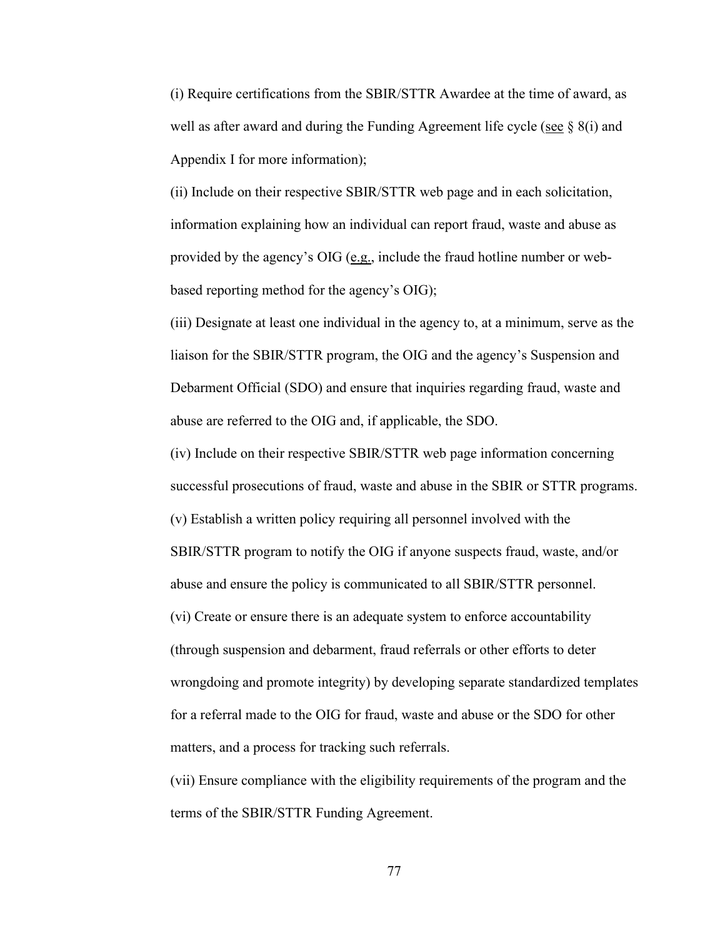(i) Require certifications from the SBIR/STTR Awardee at the time of award, as well as after award and during the Funding Agreement life cycle (see  $\S$  8(i) and Appendix I for more information);

(ii) Include on their respective SBIR/STTR web page and in each solicitation, information explaining how an individual can report fraud, waste and abuse as provided by the agency's OIG ( $e.g.,$  include the fraud hotline number or webbased reporting method for the agency's OIG);

(iii) Designate at least one individual in the agency to, at a minimum, serve as the liaison for the SBIR/STTR program, the OIG and the agency's Suspension and Debarment Official (SDO) and ensure that inquiries regarding fraud, waste and abuse are referred to the OIG and, if applicable, the SDO.

(iv) Include on their respective SBIR/STTR web page information concerning successful prosecutions of fraud, waste and abuse in the SBIR or STTR programs. (v) Establish a written policy requiring all personnel involved with the SBIR/STTR program to notify the OIG if anyone suspects fraud, waste, and/or abuse and ensure the policy is communicated to all SBIR/STTR personnel. (vi) Create or ensure there is an adequate system to enforce accountability (through suspension and debarment, fraud referrals or other efforts to deter wrongdoing and promote integrity) by developing separate standardized templates for a referral made to the OIG for fraud, waste and abuse or the SDO for other matters, and a process for tracking such referrals.

(vii) Ensure compliance with the eligibility requirements of the program and the terms of the SBIR/STTR Funding Agreement.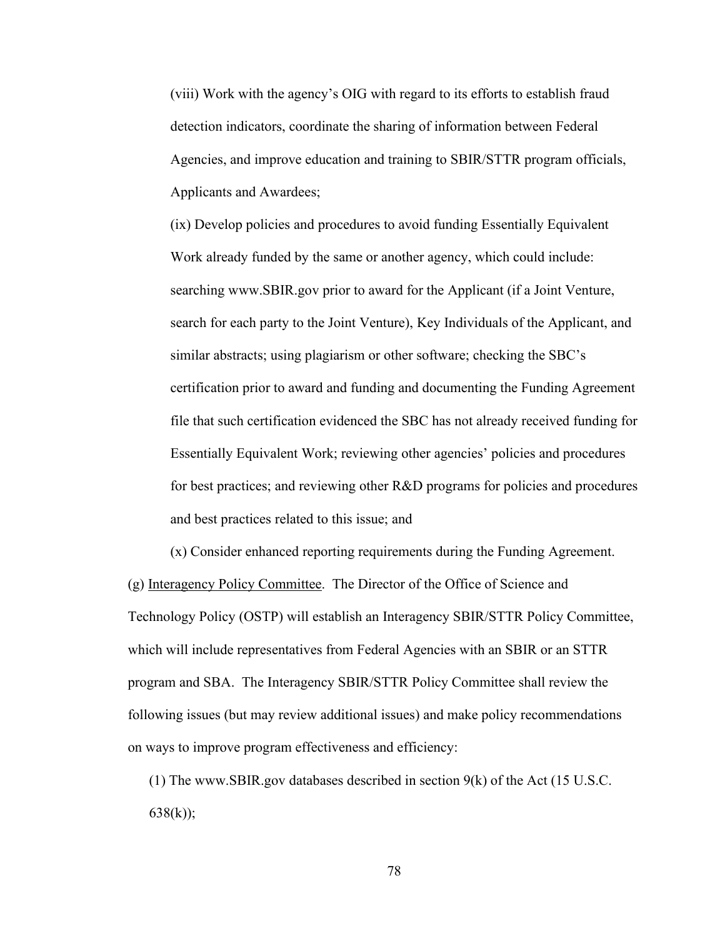(viii) Work with the agency's OIG with regard to its efforts to establish fraud detection indicators, coordinate the sharing of information between Federal Agencies, and improve education and training to SBIR/STTR program officials, Applicants and Awardees;

(ix) Develop policies and procedures to avoid funding Essentially Equivalent Work already funded by the same or another agency, which could include: searching www.SBIR.gov prior to award for the Applicant (if a Joint Venture, search for each party to the Joint Venture), Key Individuals of the Applicant, and similar abstracts; using plagiarism or other software; checking the SBC's certification prior to award and funding and documenting the Funding Agreement file that such certification evidenced the SBC has not already received funding for Essentially Equivalent Work; reviewing other agencies' policies and procedures for best practices; and reviewing other R&D programs for policies and procedures and best practices related to this issue; and

(x) Consider enhanced reporting requirements during the Funding Agreement. (g) Interagency Policy Committee. The Director of the Office of Science and Technology Policy (OSTP) will establish an Interagency SBIR/STTR Policy Committee, which will include representatives from Federal Agencies with an SBIR or an STTR program and SBA. The Interagency SBIR/STTR Policy Committee shall review the following issues (but may review additional issues) and make policy recommendations on ways to improve program effectiveness and efficiency:

(1) The www.SBIR.gov databases described in section 9(k) of the Act (15 U.S.C.  $638(k)$ ;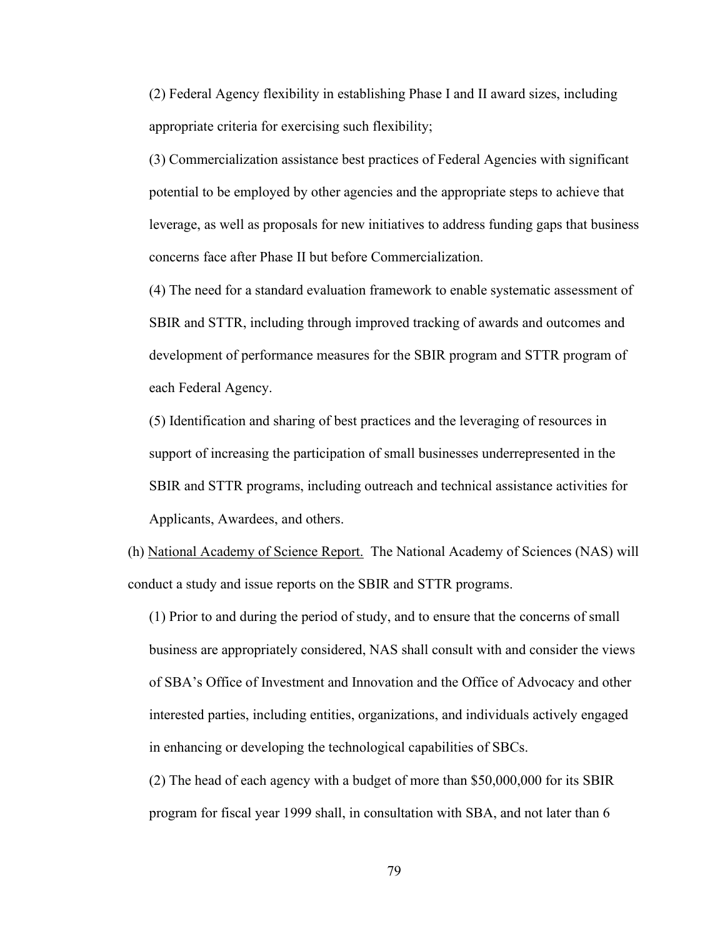(2) Federal Agency flexibility in establishing Phase I and II award sizes, including appropriate criteria for exercising such flexibility;

(3) Commercialization assistance best practices of Federal Agencies with significant potential to be employed by other agencies and the appropriate steps to achieve that leverage, as well as proposals for new initiatives to address funding gaps that business concerns face after Phase II but before Commercialization.

(4) The need for a standard evaluation framework to enable systematic assessment of SBIR and STTR, including through improved tracking of awards and outcomes and development of performance measures for the SBIR program and STTR program of each Federal Agency.

(5) Identification and sharing of best practices and the leveraging of resources in support of increasing the participation of small businesses underrepresented in the SBIR and STTR programs, including outreach and technical assistance activities for Applicants, Awardees, and others.

(h) National Academy of Science Report. The National Academy of Sciences (NAS) will conduct a study and issue reports on the SBIR and STTR programs.

(1) Prior to and during the period of study, and to ensure that the concerns of small business are appropriately considered, NAS shall consult with and consider the views of SBA's Office of Investment and Innovation and the Office of Advocacy and other interested parties, including entities, organizations, and individuals actively engaged in enhancing or developing the technological capabilities of SBCs.

(2) The head of each agency with a budget of more than \$50,000,000 for its SBIR program for fiscal year 1999 shall, in consultation with SBA, and not later than 6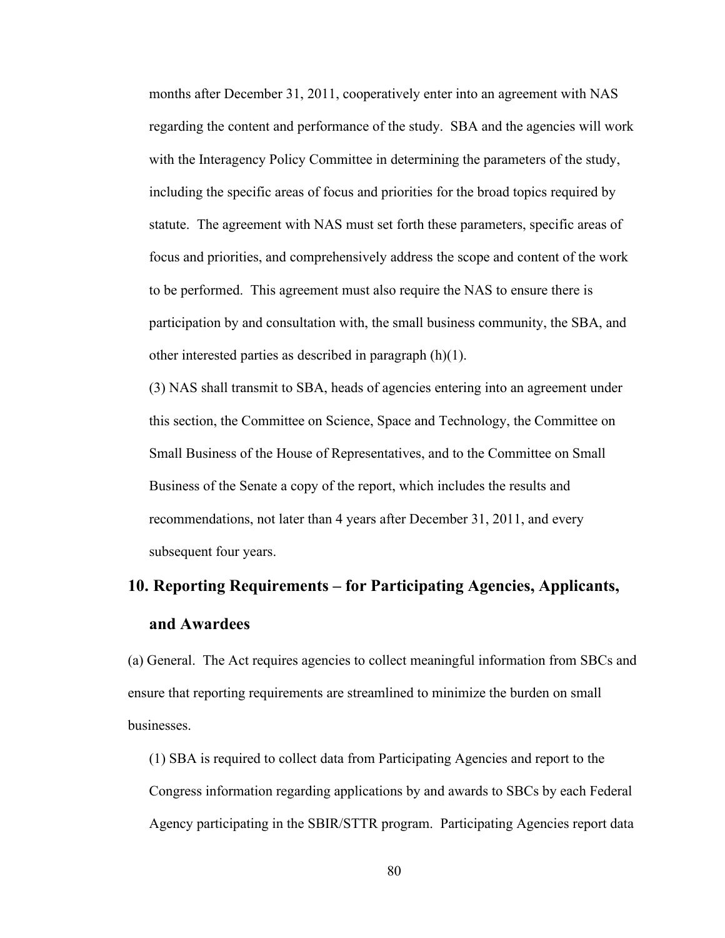months after December 31, 2011, cooperatively enter into an agreement with NAS regarding the content and performance of the study. SBA and the agencies will work with the Interagency Policy Committee in determining the parameters of the study, including the specific areas of focus and priorities for the broad topics required by statute. The agreement with NAS must set forth these parameters, specific areas of focus and priorities, and comprehensively address the scope and content of the work to be performed. This agreement must also require the NAS to ensure there is participation by and consultation with, the small business community, the SBA, and other interested parties as described in paragraph (h)(1).

(3) NAS shall transmit to SBA, heads of agencies entering into an agreement under this section, the Committee on Science, Space and Technology, the Committee on Small Business of the House of Representatives, and to the Committee on Small Business of the Senate a copy of the report, which includes the results and recommendations, not later than 4 years after December 31, 2011, and every subsequent four years.

# **10. Reporting Requirements – for Participating Agencies, Applicants, and Awardees**

(a) General. The Act requires agencies to collect meaningful information from SBCs and ensure that reporting requirements are streamlined to minimize the burden on small businesses.

(1) SBA is required to collect data from Participating Agencies and report to the Congress information regarding applications by and awards to SBCs by each Federal Agency participating in the SBIR/STTR program. Participating Agencies report data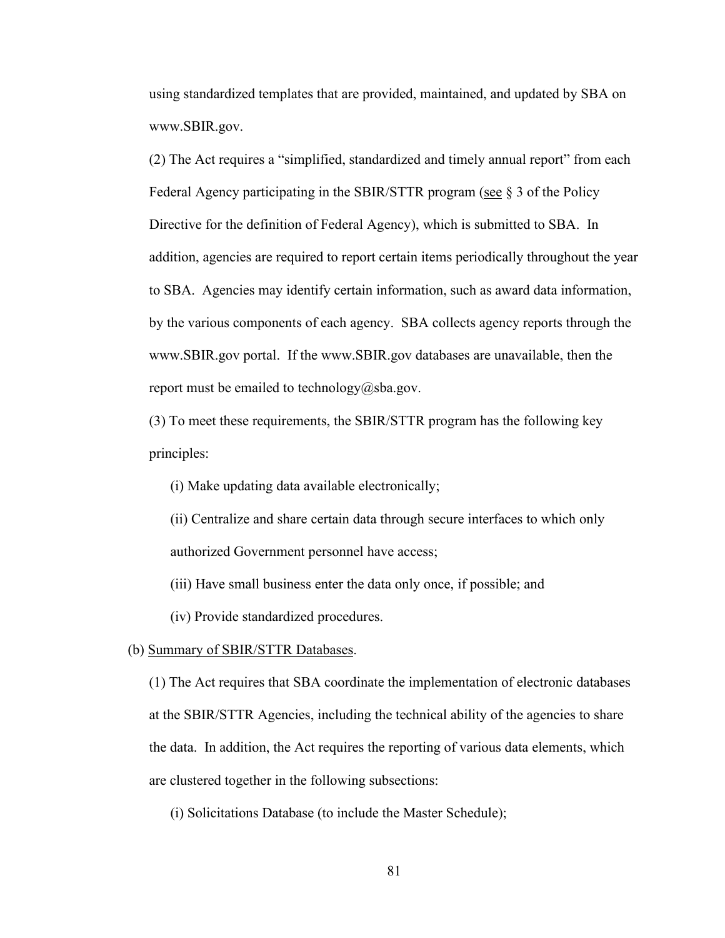using standardized templates that are provided, maintained, and updated by SBA on www.SBIR.gov.

(2) The Act requires a "simplified, standardized and timely annual report" from each Federal Agency participating in the SBIR/STTR program (see § 3 of the Policy Directive for the definition of Federal Agency), which is submitted to SBA. In addition, agencies are required to report certain items periodically throughout the year to SBA. Agencies may identify certain information, such as award data information, by the various components of each agency. SBA collects agency reports through the www.SBIR.gov portal. If the www.SBIR.gov databases are unavailable, then the report must be emailed to technology@sba.gov.

(3) To meet these requirements, the SBIR/STTR program has the following key principles:

(i) Make updating data available electronically;

(ii) Centralize and share certain data through secure interfaces to which only authorized Government personnel have access;

(iii) Have small business enter the data only once, if possible; and

(iv) Provide standardized procedures.

(b) Summary of SBIR/STTR Databases.

(1) The Act requires that SBA coordinate the implementation of electronic databases at the SBIR/STTR Agencies, including the technical ability of the agencies to share the data. In addition, the Act requires the reporting of various data elements, which are clustered together in the following subsections:

(i) Solicitations Database (to include the Master Schedule);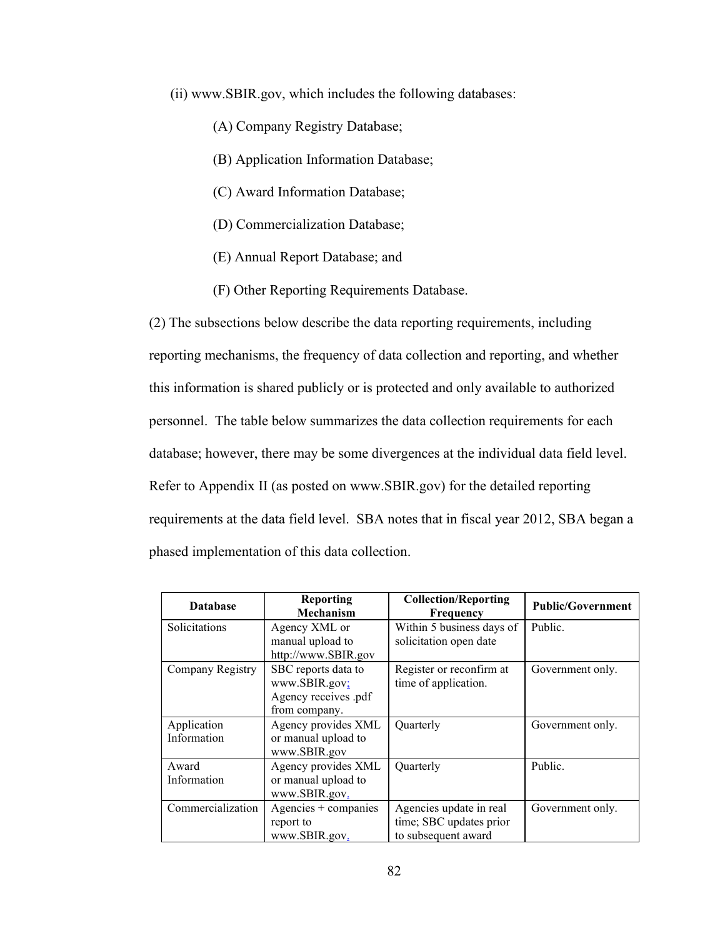(ii) www.SBIR.gov, which includes the following databases:

- (A) Company Registry Database;
- (B) Application Information Database;
- (C) Award Information Database;
- (D) Commercialization Database;
- (E) Annual Report Database; and
- (F) Other Reporting Requirements Database.

(2) The subsections below describe the data reporting requirements, including reporting mechanisms, the frequency of data collection and reporting, and whether this information is shared publicly or is protected and only available to authorized personnel. The table below summarizes the data collection requirements for each database; however, there may be some divergences at the individual data field level. Refer to Appendix II (as posted on www.SBIR.gov) for the detailed reporting requirements at the data field level. SBA notes that in fiscal year 2012, SBA began a phased implementation of this data collection.

| <b>Database</b>            | <b>Reporting</b><br><b>Mechanism</b>                                          | <b>Collection/Reporting</b><br>Frequency                                  | <b>Public/Government</b> |
|----------------------------|-------------------------------------------------------------------------------|---------------------------------------------------------------------------|--------------------------|
| Solicitations              | Agency XML or<br>manual upload to<br>http://www.SBIR.gov                      | Within 5 business days of<br>solicitation open date                       | Public.                  |
| Company Registry           | SBC reports data to<br>www.SBIR.gov;<br>Agency receives .pdf<br>from company. | Register or reconfirm at<br>time of application.                          | Government only.         |
| Application<br>Information | Agency provides XML<br>or manual upload to<br>www.SBIR.gov                    | Quarterly                                                                 | Government only.         |
| Award<br>Information       | Agency provides XML<br>or manual upload to<br>www.SBIR.gov.                   | Quarterly                                                                 | Public.                  |
| Commercialization          | Agencies + companies<br>report to<br>www.SBIR.gov.                            | Agencies update in real<br>time; SBC updates prior<br>to subsequent award | Government only.         |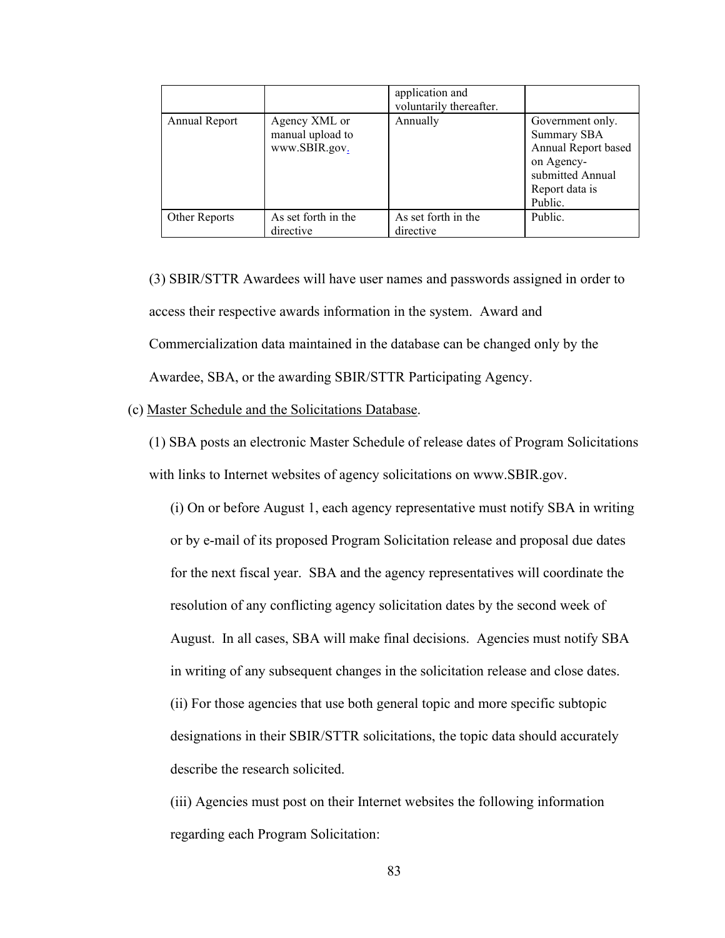|               |                                                    | application and<br>voluntarily thereafter. |                                                                                                                       |
|---------------|----------------------------------------------------|--------------------------------------------|-----------------------------------------------------------------------------------------------------------------------|
| Annual Report | Agency XML or<br>manual upload to<br>www.SBIR.gov. | Annually                                   | Government only.<br>Summary SBA<br>Annual Report based<br>on Agency-<br>submitted Annual<br>Report data is<br>Public. |
| Other Reports | As set forth in the<br>directive                   | As set forth in the<br>directive           | Public.                                                                                                               |

(3) SBIR/STTR Awardees will have user names and passwords assigned in order to access their respective awards information in the system.Award and Commercialization data maintained in the database can be changed only by the Awardee, SBA, or the awarding SBIR/STTR Participating Agency.

(c) Master Schedule and the Solicitations Database.

(1) SBA posts an electronic Master Schedule of release dates of Program Solicitations with links to Internet websites of agency solicitations on www.SBIR.gov.

(i) On or before August 1, each agency representative must notify SBA in writing or by e-mail of its proposed Program Solicitation release and proposal due dates for the next fiscal year. SBA and the agency representatives will coordinate the resolution of any conflicting agency solicitation dates by the second week of August. In all cases, SBA will make final decisions. Agencies must notify SBA in writing of any subsequent changes in the solicitation release and close dates. (ii) For those agencies that use both general topic and more specific subtopic designations in their SBIR/STTR solicitations, the topic data should accurately describe the research solicited.

(iii) Agencies must post on their Internet websites the following information regarding each Program Solicitation: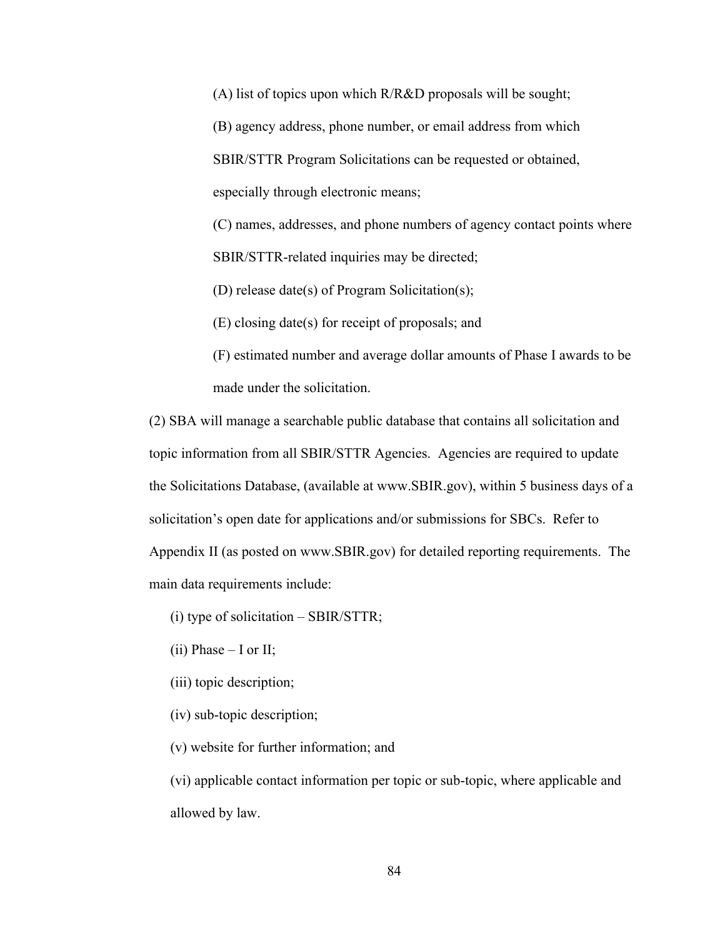(A) list of topics upon which R/R&D proposals will be sought;

(B) agency address, phone number, or email address from which SBIR/STTR Program Solicitations can be requested or obtained, especially through electronic means;

(C) names, addresses, and phone numbers of agency contact points where SBIR/STTR-related inquiries may be directed;

(D) release date(s) of Program Solicitation(s);

(E) closing date(s) for receipt of proposals; and

(F) estimated number and average dollar amounts of Phase I awards to be made under the solicitation.

(2) SBA will manage a searchable public database that contains all solicitation and topic information from all SBIR/STTR Agencies. Agencies are required to update the Solicitations Database, (available at www.SBIR.gov), within 5 business days of a solicitation's open date for applications and/or submissions for SBCs. Refer to Appendix II (as posted on www.SBIR.gov) for detailed reporting requirements. The main data requirements include:

(i) type of solicitation – SBIR/STTR;

- (ii) Phase  $-$  I or II;
- (iii) topic description;
- (iv) sub-topic description;
- (v) website for further information; and

(vi) applicable contact information per topic or sub-topic, where applicable and allowed by law.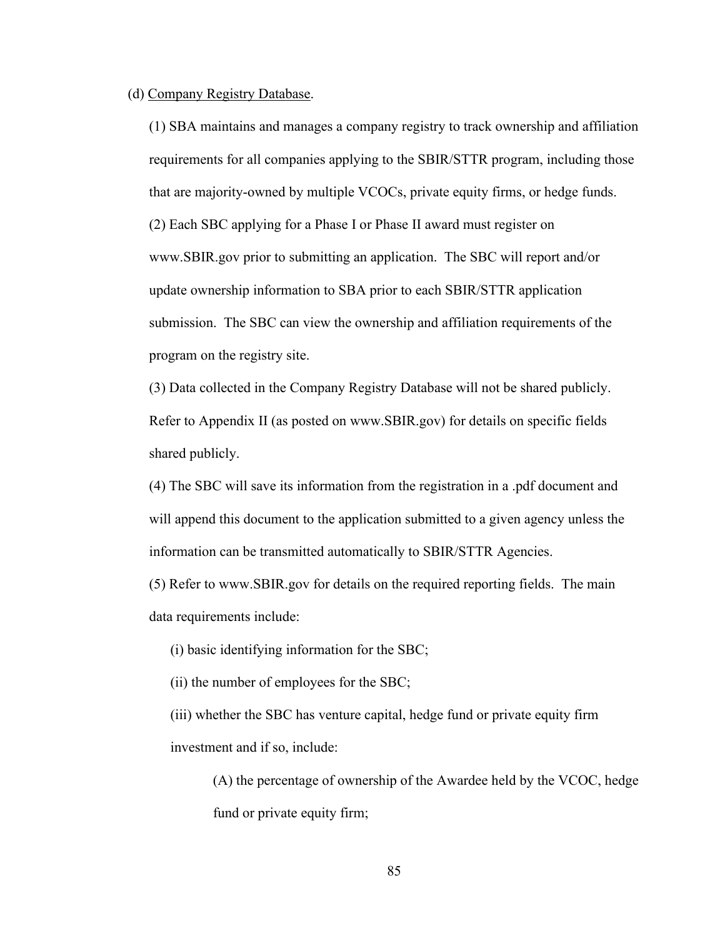#### (d) Company Registry Database.

(1) SBA maintains and manages a company registry to track ownership and affiliation requirements for all companies applying to the SBIR/STTR program, including those that are majority-owned by multiple VCOCs, private equity firms, or hedge funds. (2) Each SBC applying for a Phase I or Phase II award must register on www.SBIR.gov prior to submitting an application. The SBC will report and/or update ownership information to SBA prior to each SBIR/STTR application submission. The SBC can view the ownership and affiliation requirements of the program on the registry site.

(3) Data collected in the Company Registry Database will not be shared publicly. Refer to Appendix II (as posted on www.SBIR.gov) for details on specific fields shared publicly.

(4) The SBC will save its information from the registration in a .pdf document and will append this document to the application submitted to a given agency unless the information can be transmitted automatically to SBIR/STTR Agencies.

(5) Refer to www.SBIR.gov for details on the required reporting fields. The main data requirements include:

(i) basic identifying information for the SBC;

(ii) the number of employees for the SBC;

(iii) whether the SBC has venture capital, hedge fund or private equity firm investment and if so, include:

(A) the percentage of ownership of the Awardee held by the VCOC, hedge fund or private equity firm;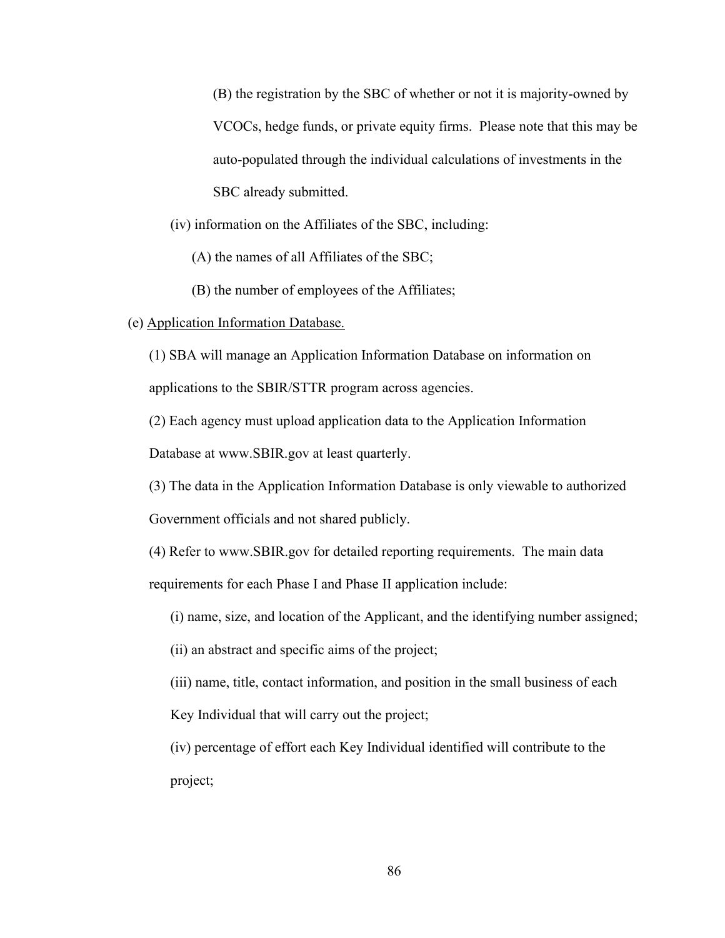(B) the registration by the SBC of whether or not it is majority-owned by VCOCs, hedge funds, or private equity firms. Please note that this may be auto-populated through the individual calculations of investments in the SBC already submitted.

(iv) information on the Affiliates of the SBC, including:

(A) the names of all Affiliates of the SBC;

(B) the number of employees of the Affiliates;

#### (e) Application Information Database.

(1) SBA will manage an Application Information Database on information on applications to the SBIR/STTR program across agencies.

(2) Each agency must upload application data to the Application Information

Database at www.SBIR.gov at least quarterly.

(3) The data in the Application Information Database is only viewable to authorized Government officials and not shared publicly.

(4) Refer to www.SBIR.gov for detailed reporting requirements. The main data requirements for each Phase I and Phase II application include:

(i) name, size, and location of the Applicant, and the identifying number assigned;

(ii) an abstract and specific aims of the project;

(iii) name, title, contact information, and position in the small business of each Key Individual that will carry out the project;

(iv) percentage of effort each Key Individual identified will contribute to the project;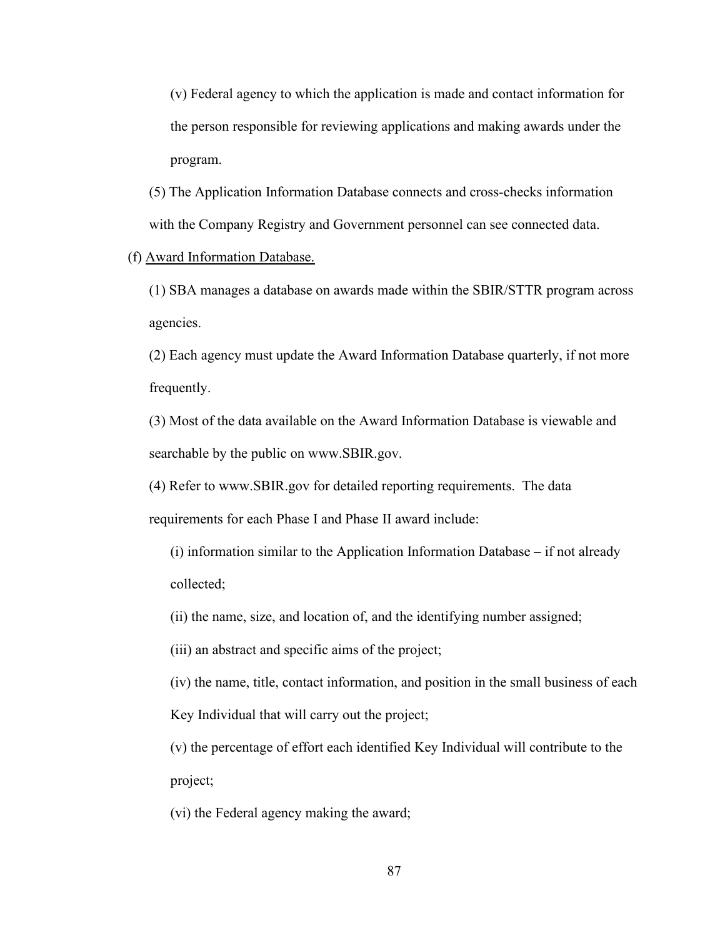(v) Federal agency to which the application is made and contact information for the person responsible for reviewing applications and making awards under the program.

(5) The Application Information Database connects and cross-checks information with the Company Registry and Government personnel can see connected data.

## (f) Award Information Database.

(1) SBA manages a database on awards made within the SBIR/STTR program across agencies.

(2) Each agency must update the Award Information Database quarterly, if not more frequently.

(3) Most of the data available on the Award Information Database is viewable and searchable by the public on www.SBIR.gov.

(4) Refer to www.SBIR.gov for detailed reporting requirements. The data requirements for each Phase I and Phase II award include:

(i) information similar to the Application Information Database – if not already collected;

(ii) the name, size, and location of, and the identifying number assigned;

(iii) an abstract and specific aims of the project;

(iv) the name, title, contact information, and position in the small business of each Key Individual that will carry out the project;

(v) the percentage of effort each identified Key Individual will contribute to the project;

(vi) the Federal agency making the award;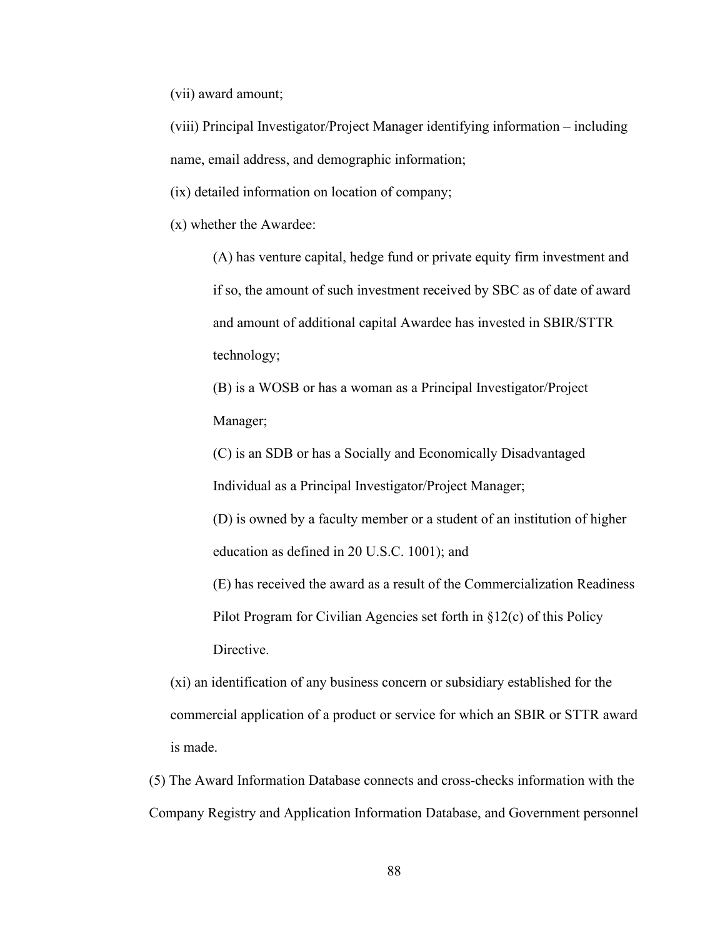(vii) award amount;

(viii) Principal Investigator/Project Manager identifying information – including name, email address, and demographic information;

(ix) detailed information on location of company;

(x) whether the Awardee:

(A) has venture capital, hedge fund or private equity firm investment and if so, the amount of such investment received by SBC as of date of award and amount of additional capital Awardee has invested in SBIR/STTR technology;

(B) is a WOSB or has a woman as a Principal Investigator/Project Manager;

(C) is an SDB or has a Socially and Economically Disadvantaged Individual as a Principal Investigator/Project Manager;

(D) is owned by a faculty member or a student of an institution of higher education as defined in 20 U.S.C. 1001); and

(E) has received the award as a result of the Commercialization Readiness Pilot Program for Civilian Agencies set forth in §12(c) of this Policy Directive.

(xi) an identification of any business concern or subsidiary established for the commercial application of a product or service for which an SBIR or STTR award is made.

(5) The Award Information Database connects and cross-checks information with the Company Registry and Application Information Database, and Government personnel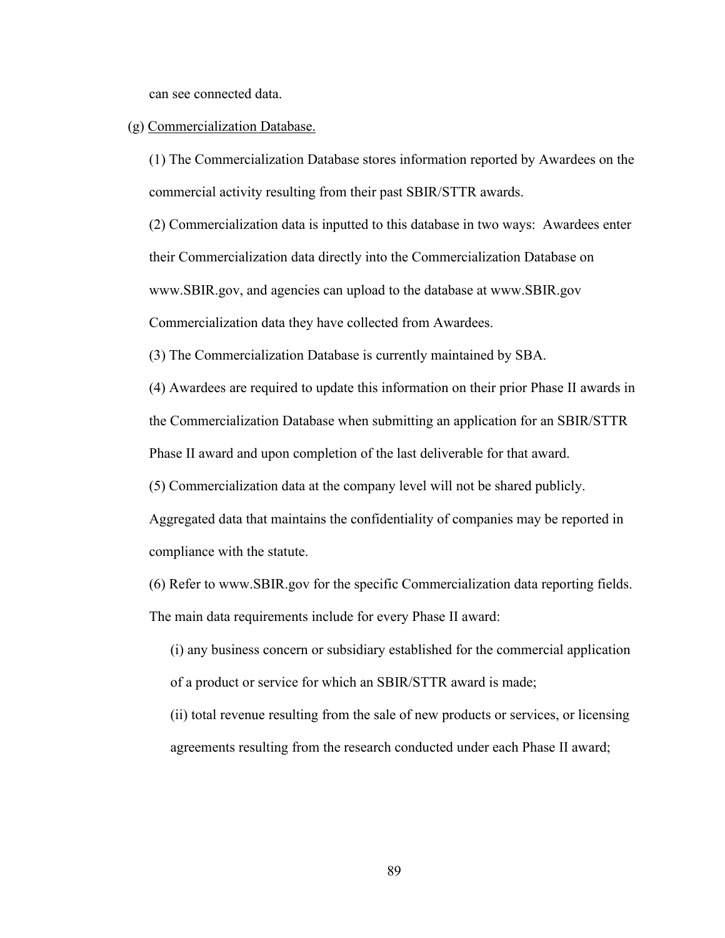can see connected data.

### (g) Commercialization Database.

(1) The Commercialization Database stores information reported by Awardees on the commercial activity resulting from their past SBIR/STTR awards.

(2) Commercialization data is inputted to this database in two ways: Awardees enter their Commercialization data directly into the Commercialization Database on www.SBIR.gov, and agencies can upload to the database at www.SBIR.gov Commercialization data they have collected from Awardees.

(3) The Commercialization Database is currently maintained by SBA.

(4) Awardees are required to update this information on their prior Phase II awards in

the Commercialization Database when submitting an application for an SBIR/STTR

Phase II award and upon completion of the last deliverable for that award.

(5) Commercialization data at the company level will not be shared publicly.

Aggregated data that maintains the confidentiality of companies may be reported in compliance with the statute.

(6) Refer to www.SBIR.gov for the specific Commercialization data reporting fields. The main data requirements include for every Phase II award:

- (i) any business concern or subsidiary established for the commercial application of a product or service for which an SBIR/STTR award is made;
- (ii) total revenue resulting from the sale of new products or services, or licensing agreements resulting from the research conducted under each Phase II award;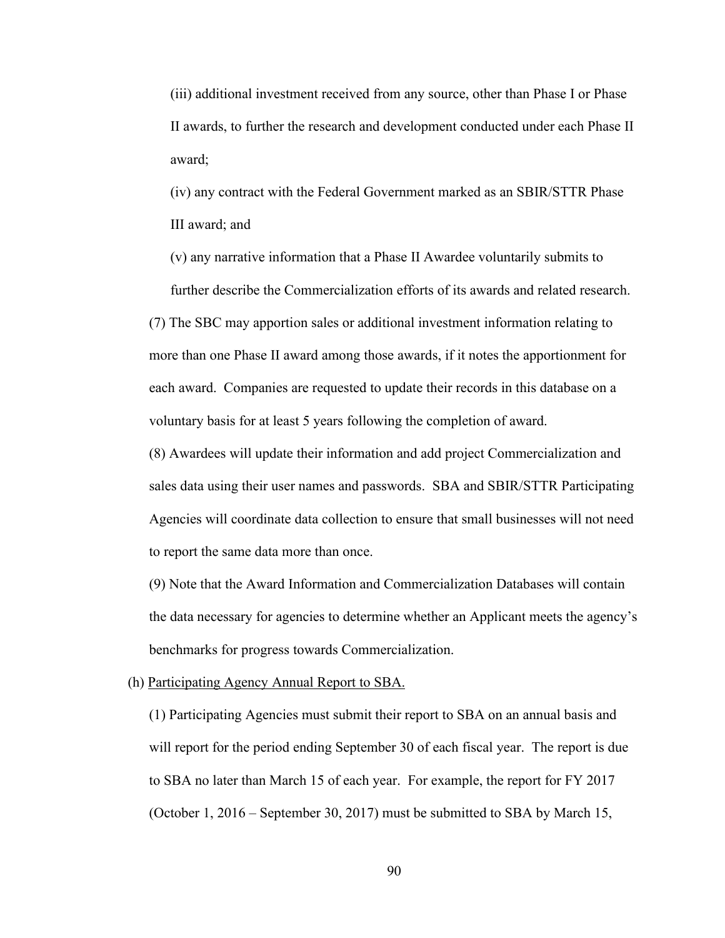(iii) additional investment received from any source, other than Phase I or Phase II awards, to further the research and development conducted under each Phase II award;

(iv) any contract with the Federal Government marked as an SBIR/STTR Phase III award; and

(v) any narrative information that a Phase II Awardee voluntarily submits to further describe the Commercialization efforts of its awards and related research. (7) The SBC may apportion sales or additional investment information relating to more than one Phase II award among those awards, if it notes the apportionment for each award. Companies are requested to update their records in this database on a voluntary basis for at least 5 years following the completion of award.

(8) Awardees will update their information and add project Commercialization and sales data using their user names and passwords. SBA and SBIR/STTR Participating Agencies will coordinate data collection to ensure that small businesses will not need to report the same data more than once.

(9) Note that the Award Information and Commercialization Databases will contain the data necessary for agencies to determine whether an Applicant meets the agency's benchmarks for progress towards Commercialization.

(h) Participating Agency Annual Report to SBA.

(1) Participating Agencies must submit their report to SBA on an annual basis and will report for the period ending September 30 of each fiscal year. The report is due to SBA no later than March 15 of each year. For example, the report for FY 2017 (October 1, 2016 – September 30, 2017) must be submitted to SBA by March 15,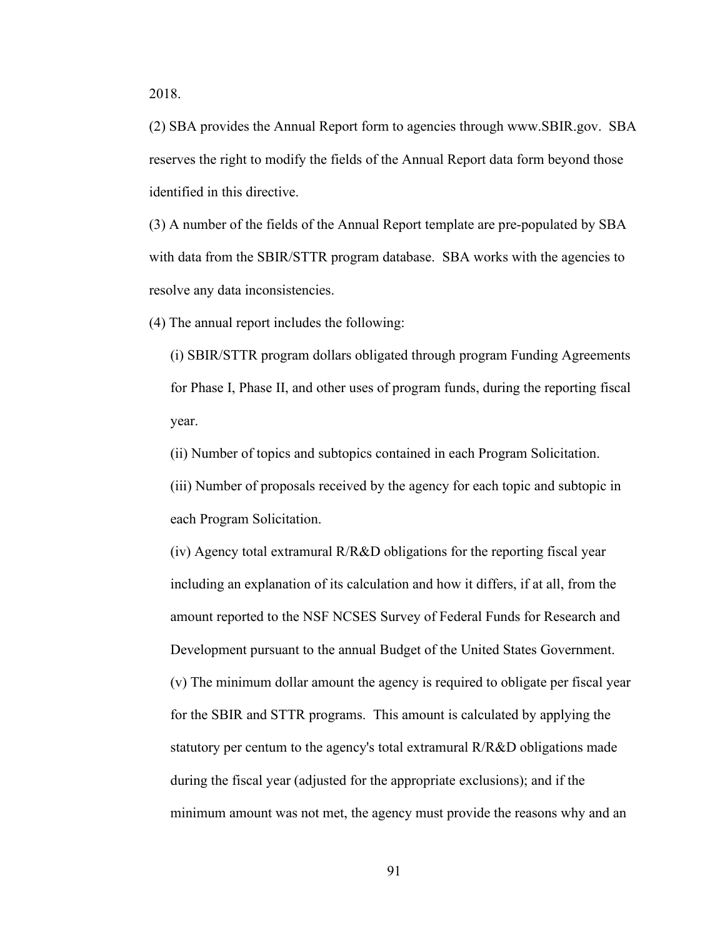2018.

(2) SBA provides the Annual Report form to agencies through www.SBIR.gov. SBA reserves the right to modify the fields of the Annual Report data form beyond those identified in this directive.

(3) A number of the fields of the Annual Report template are pre-populated by SBA with data from the SBIR/STTR program database. SBA works with the agencies to resolve any data inconsistencies.

(4) The annual report includes the following:

(i) SBIR/STTR program dollars obligated through program Funding Agreements for Phase I, Phase II, and other uses of program funds, during the reporting fiscal year.

(ii) Number of topics and subtopics contained in each Program Solicitation.

(iii) Number of proposals received by the agency for each topic and subtopic in each Program Solicitation.

(iv) Agency total extramural R/R&D obligations for the reporting fiscal year including an explanation of its calculation and how it differs, if at all, from the amount reported to the NSF NCSES Survey of Federal Funds for Research and Development pursuant to the annual Budget of the United States Government. (v) The minimum dollar amount the agency is required to obligate per fiscal year for the SBIR and STTR programs. This amount is calculated by applying the statutory per centum to the agency's total extramural R/R&D obligations made during the fiscal year (adjusted for the appropriate exclusions); and if the minimum amount was not met, the agency must provide the reasons why and an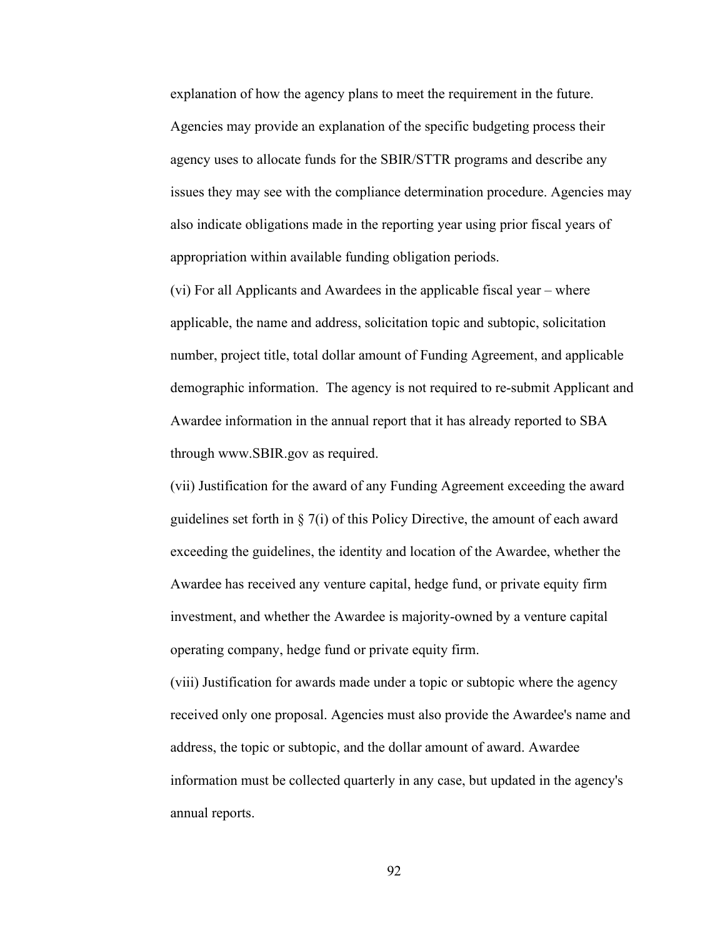explanation of how the agency plans to meet the requirement in the future. Agencies may provide an explanation of the specific budgeting process their agency uses to allocate funds for the SBIR/STTR programs and describe any issues they may see with the compliance determination procedure. Agencies may also indicate obligations made in the reporting year using prior fiscal years of appropriation within available funding obligation periods.

(vi) For all Applicants and Awardees in the applicable fiscal year – where applicable, the name and address, solicitation topic and subtopic, solicitation number, project title, total dollar amount of Funding Agreement, and applicable demographic information. The agency is not required to re-submit Applicant and Awardee information in the annual report that it has already reported to SBA through www.SBIR.gov as required.

(vii) Justification for the award of any Funding Agreement exceeding the award guidelines set forth in  $\S 7(i)$  of this Policy Directive, the amount of each award exceeding the guidelines, the identity and location of the Awardee, whether the Awardee has received any venture capital, hedge fund, or private equity firm investment, and whether the Awardee is majority-owned by a venture capital operating company, hedge fund or private equity firm.

(viii) Justification for awards made under a topic or subtopic where the agency received only one proposal. Agencies must also provide the Awardee's name and address, the topic or subtopic, and the dollar amount of award. Awardee information must be collected quarterly in any case, but updated in the agency's annual reports.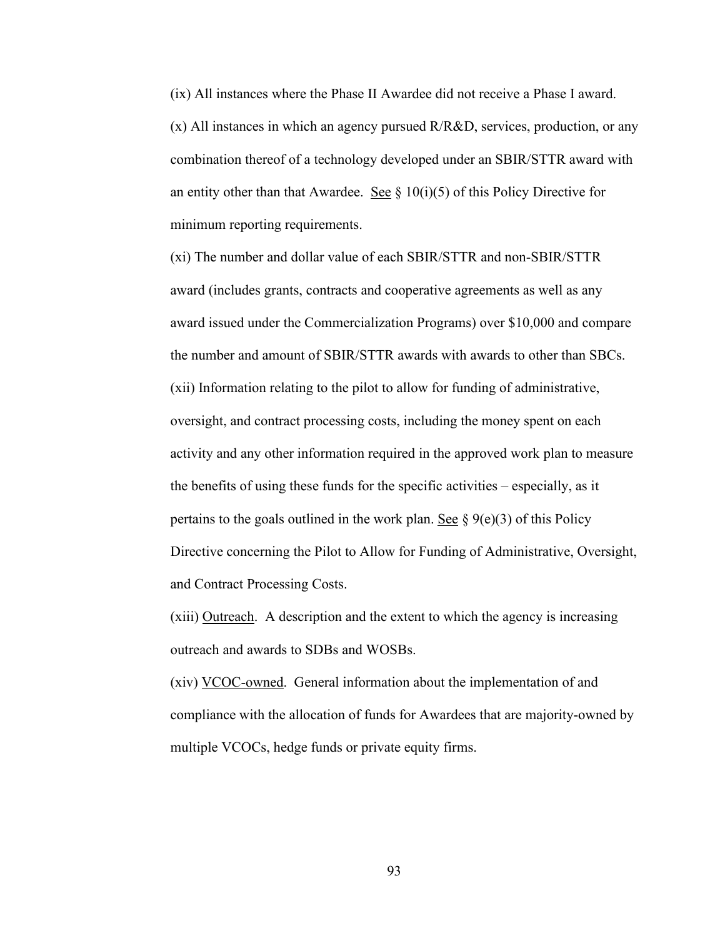(ix) All instances where the Phase II Awardee did not receive a Phase I award. (x) All instances in which an agency pursued R/R&D, services, production, or any combination thereof of a technology developed under an SBIR/STTR award with an entity other than that Awardee. See  $\S$  10(i)(5) of this Policy Directive for minimum reporting requirements.

(xi) The number and dollar value of each SBIR/STTR and non-SBIR/STTR award (includes grants, contracts and cooperative agreements as well as any award issued under the Commercialization Programs) over \$10,000 and compare the number and amount of SBIR/STTR awards with awards to other than SBCs. (xii) Information relating to the pilot to allow for funding of administrative, oversight, and contract processing costs, including the money spent on each activity and any other information required in the approved work plan to measure the benefits of using these funds for the specific activities – especially, as it pertains to the goals outlined in the work plan. See  $\S$  9(e)(3) of this Policy Directive concerning the Pilot to Allow for Funding of Administrative, Oversight, and Contract Processing Costs.

(xiii) Outreach. A description and the extent to which the agency is increasing outreach and awards to SDBs and WOSBs.

(xiv) VCOC-owned. General information about the implementation of and compliance with the allocation of funds for Awardees that are majority-owned by multiple VCOCs, hedge funds or private equity firms.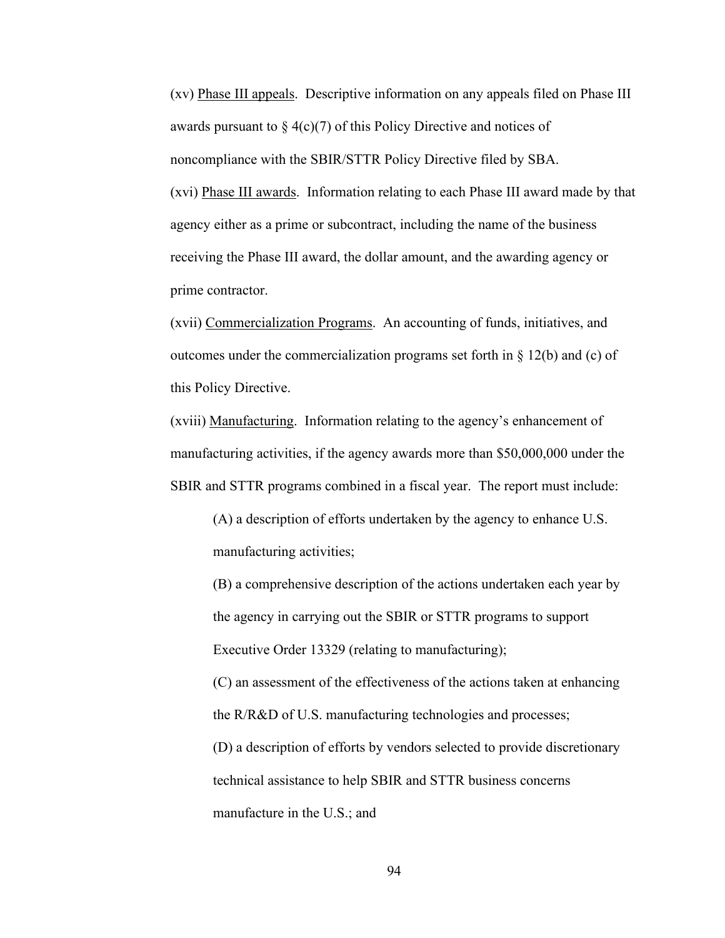(xv) Phase III appeals. Descriptive information on any appeals filed on Phase III awards pursuant to  $\S_4(c)(7)$  of this Policy Directive and notices of noncompliance with the SBIR/STTR Policy Directive filed by SBA. (xvi) Phase III awards. Information relating to each Phase III award made by that agency either as a prime or subcontract, including the name of the business receiving the Phase III award, the dollar amount, and the awarding agency or prime contractor.

(xvii) Commercialization Programs. An accounting of funds, initiatives, and outcomes under the commercialization programs set forth in  $\S$  12(b) and (c) of this Policy Directive.

(xviii) Manufacturing. Information relating to the agency's enhancement of manufacturing activities, if the agency awards more than \$50,000,000 under the SBIR and STTR programs combined in a fiscal year. The report must include:

(A) a description of efforts undertaken by the agency to enhance U.S. manufacturing activities;

(B) a comprehensive description of the actions undertaken each year by the agency in carrying out the SBIR or STTR programs to support Executive Order 13329 (relating to manufacturing);

(C) an assessment of the effectiveness of the actions taken at enhancing the R/R&D of U.S. manufacturing technologies and processes;

(D) a description of efforts by vendors selected to provide discretionary technical assistance to help SBIR and STTR business concerns manufacture in the U.S.; and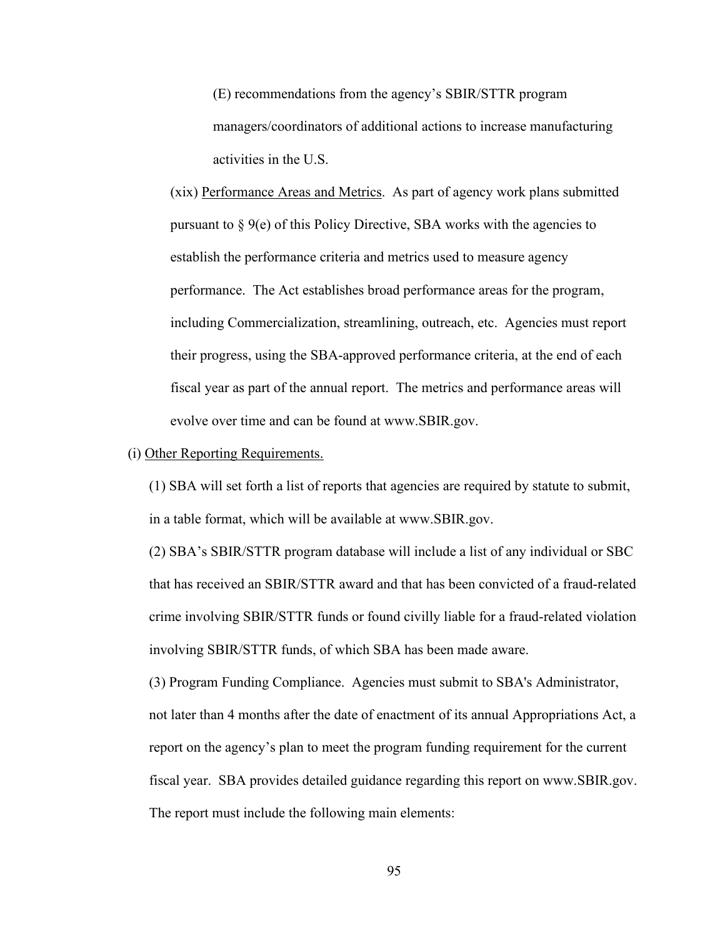(E) recommendations from the agency's SBIR/STTR program managers/coordinators of additional actions to increase manufacturing activities in the U.S.

(xix) Performance Areas and Metrics. As part of agency work plans submitted pursuant to  $\S$  9(e) of this Policy Directive, SBA works with the agencies to establish the performance criteria and metrics used to measure agency performance. The Act establishes broad performance areas for the program, including Commercialization, streamlining, outreach, etc. Agencies must report their progress, using the SBA-approved performance criteria, at the end of each fiscal year as part of the annual report. The metrics and performance areas will evolve over time and can be found at www.SBIR.gov.

#### (i) Other Reporting Requirements.

(1) SBA will set forth a list of reports that agencies are required by statute to submit, in a table format, which will be available at www.SBIR.gov.

(2) SBA's SBIR/STTR program database will include a list of any individual or SBC that has received an SBIR/STTR award and that has been convicted of a fraud-related crime involving SBIR/STTR funds or found civilly liable for a fraud-related violation involving SBIR/STTR funds, of which SBA has been made aware.

(3) Program Funding Compliance. Agencies must submit to SBA's Administrator, not later than 4 months after the date of enactment of its annual Appropriations Act, a report on the agency's plan to meet the program funding requirement for the current fiscal year. SBA provides detailed guidance regarding this report on www.SBIR.gov. The report must include the following main elements: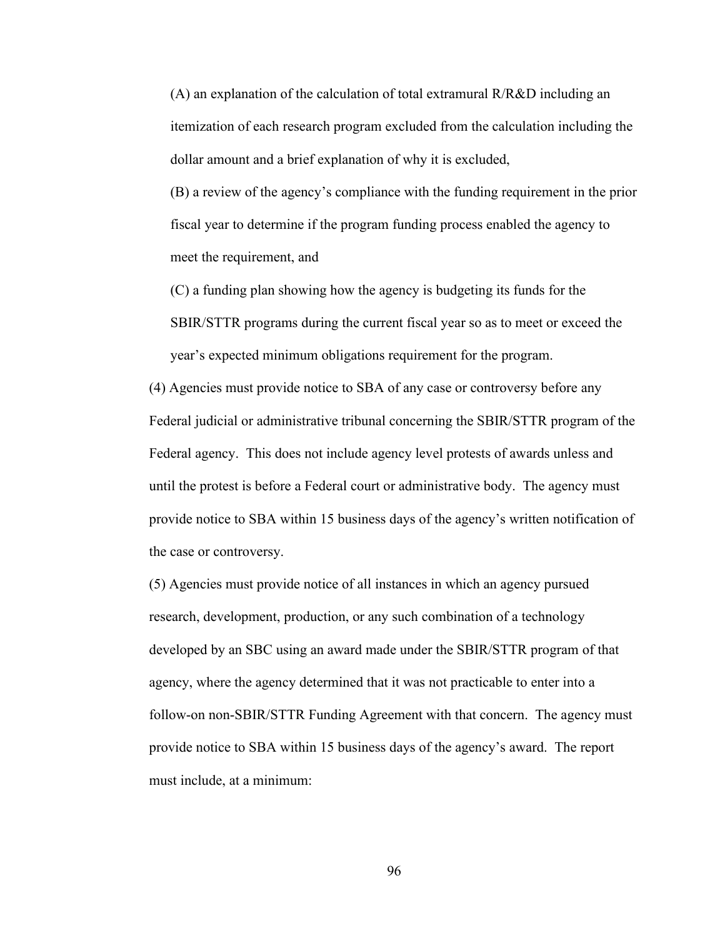(A) an explanation of the calculation of total extramural R/R&D including an itemization of each research program excluded from the calculation including the dollar amount and a brief explanation of why it is excluded,

(B) a review of the agency's compliance with the funding requirement in the prior fiscal year to determine if the program funding process enabled the agency to meet the requirement, and

(C) a funding plan showing how the agency is budgeting its funds for the SBIR/STTR programs during the current fiscal year so as to meet or exceed the year's expected minimum obligations requirement for the program.

(4) Agencies must provide notice to SBA of any case or controversy before any Federal judicial or administrative tribunal concerning the SBIR/STTR program of the Federal agency. This does not include agency level protests of awards unless and until the protest is before a Federal court or administrative body. The agency must provide notice to SBA within 15 business days of the agency's written notification of the case or controversy.

(5) Agencies must provide notice of all instances in which an agency pursued research, development, production, or any such combination of a technology developed by an SBC using an award made under the SBIR/STTR program of that agency, where the agency determined that it was not practicable to enter into a follow-on non-SBIR/STTR Funding Agreement with that concern. The agency must provide notice to SBA within 15 business days of the agency's award. The report must include, at a minimum: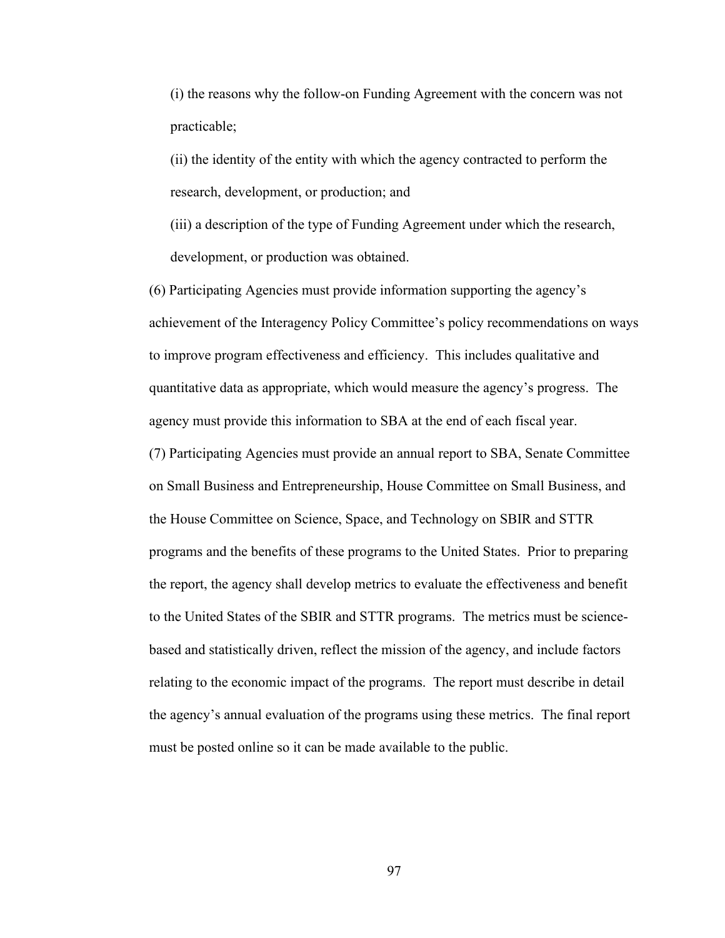(i) the reasons why the follow-on Funding Agreement with the concern was not practicable;

(ii) the identity of the entity with which the agency contracted to perform the research, development, or production; and

(iii) a description of the type of Funding Agreement under which the research, development, or production was obtained.

(6) Participating Agencies must provide information supporting the agency's achievement of the Interagency Policy Committee's policy recommendations on ways to improve program effectiveness and efficiency. This includes qualitative and quantitative data as appropriate, which would measure the agency's progress. The agency must provide this information to SBA at the end of each fiscal year. (7) Participating Agencies must provide an annual report to SBA, Senate Committee on Small Business and Entrepreneurship, House Committee on Small Business, and the House Committee on Science, Space, and Technology on SBIR and STTR programs and the benefits of these programs to the United States. Prior to preparing the report, the agency shall develop metrics to evaluate the effectiveness and benefit to the United States of the SBIR and STTR programs. The metrics must be sciencebased and statistically driven, reflect the mission of the agency, and include factors relating to the economic impact of the programs. The report must describe in detail the agency's annual evaluation of the programs using these metrics. The final report must be posted online so it can be made available to the public.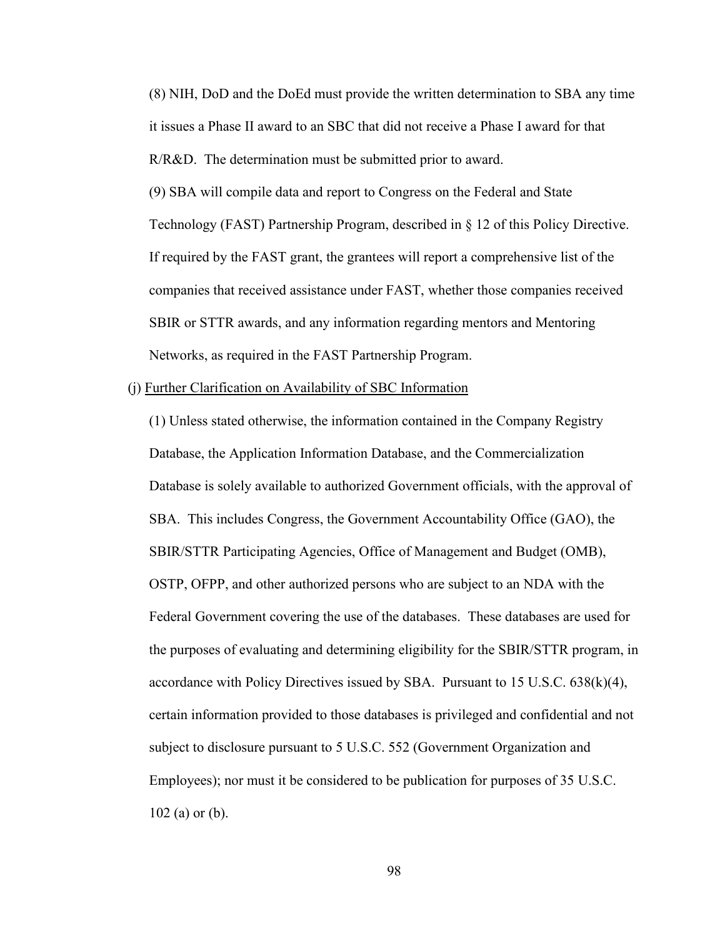(8) NIH, DoD and the DoEd must provide the written determination to SBA any time it issues a Phase II award to an SBC that did not receive a Phase I award for that R/R&D. The determination must be submitted prior to award.

(9) SBA will compile data and report to Congress on the Federal and State Technology (FAST) Partnership Program, described in § 12 of this Policy Directive. If required by the FAST grant, the grantees will report a comprehensive list of the companies that received assistance under FAST, whether those companies received SBIR or STTR awards, and any information regarding mentors and Mentoring Networks, as required in the FAST Partnership Program.

#### (j) Further Clarification on Availability of SBC Information

(1) Unless stated otherwise, the information contained in the Company Registry Database, the Application Information Database, and the Commercialization Database is solely available to authorized Government officials, with the approval of SBA. This includes Congress, the Government Accountability Office (GAO), the SBIR/STTR Participating Agencies, Office of Management and Budget (OMB), OSTP, OFPP, and other authorized persons who are subject to an NDA with the Federal Government covering the use of the databases. These databases are used for the purposes of evaluating and determining eligibility for the SBIR/STTR program, in accordance with Policy Directives issued by SBA. Pursuant to  $15 \text{ U.S.C. } 638 \text{(k)} \text{(4)}$ , certain information provided to those databases is privileged and confidential and not subject to disclosure pursuant to 5 U.S.C. 552 (Government Organization and Employees); nor must it be considered to be publication for purposes of 35 U.S.C. 102 (a) or (b).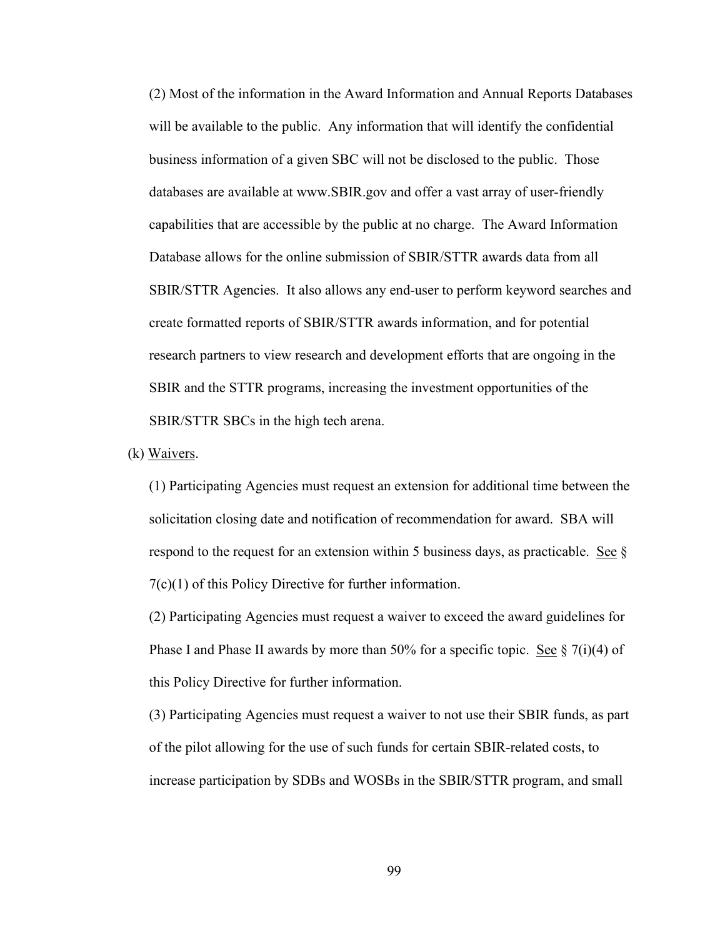(2) Most of the information in the Award Information and Annual Reports Databases will be available to the public. Any information that will identify the confidential business information of a given SBC will not be disclosed to the public. Those databases are available at www.SBIR.gov and offer a vast array of user-friendly capabilities that are accessible by the public at no charge. The Award Information Database allows for the online submission of SBIR/STTR awards data from all SBIR/STTR Agencies. It also allows any end-user to perform keyword searches and create formatted reports of SBIR/STTR awards information, and for potential research partners to view research and development efforts that are ongoing in the SBIR and the STTR programs, increasing the investment opportunities of the SBIR/STTR SBCs in the high tech arena.

(k) Waivers.

(1) Participating Agencies must request an extension for additional time between the solicitation closing date and notification of recommendation for award. SBA will respond to the request for an extension within 5 business days, as practicable. See  $\S$ 7(c)(1) of this Policy Directive for further information.

(2) Participating Agencies must request a waiver to exceed the award guidelines for Phase I and Phase II awards by more than 50% for a specific topic. See  $\S 7(i)(4)$  of this Policy Directive for further information.

(3) Participating Agencies must request a waiver to not use their SBIR funds, as part of the pilot allowing for the use of such funds for certain SBIR-related costs, to increase participation by SDBs and WOSBs in the SBIR/STTR program, and small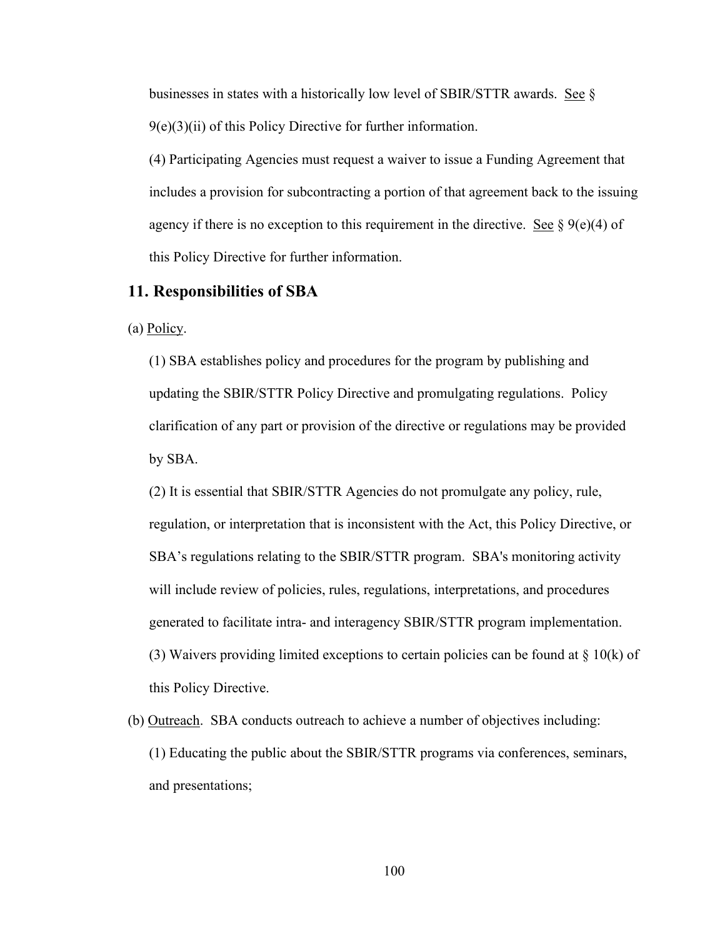businesses in states with a historically low level of SBIR/STTR awards. See §  $9(e)(3)(ii)$  of this Policy Directive for further information.

(4) Participating Agencies must request a waiver to issue a Funding Agreement that includes a provision for subcontracting a portion of that agreement back to the issuing agency if there is no exception to this requirement in the directive. See  $\S$  9(e)(4) of this Policy Directive for further information.

## **11. Responsibilities of SBA**

(a)  $Policy.$ 

(1) SBA establishes policy and procedures for the program by publishing and updating the SBIR/STTR Policy Directive and promulgating regulations. Policy clarification of any part or provision of the directive or regulations may be provided by SBA.

(2) It is essential that SBIR/STTR Agencies do not promulgate any policy, rule, regulation, or interpretation that is inconsistent with the Act, this Policy Directive, or SBA's regulations relating to the SBIR/STTR program. SBA's monitoring activity will include review of policies, rules, regulations, interpretations, and procedures generated to facilitate intra- and interagency SBIR/STTR program implementation. (3) Waivers providing limited exceptions to certain policies can be found at  $\S 10(k)$  of this Policy Directive.

(b) Outreach. SBA conducts outreach to achieve a number of objectives including: (1) Educating the public about the SBIR/STTR programs via conferences, seminars, and presentations;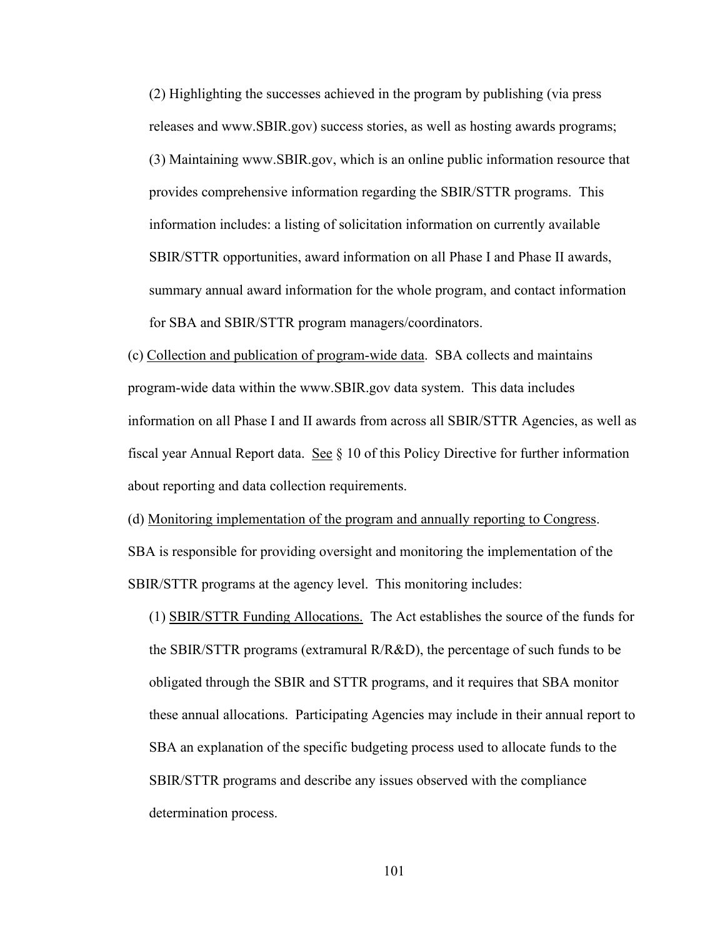(2) Highlighting the successes achieved in the program by publishing (via press releases and www.SBIR.gov) success stories, as well as hosting awards programs; (3) Maintaining www.SBIR.gov, which is an online public information resource that provides comprehensive information regarding the SBIR/STTR programs. This information includes: a listing of solicitation information on currently available SBIR/STTR opportunities, award information on all Phase I and Phase II awards, summary annual award information for the whole program, and contact information for SBA and SBIR/STTR program managers/coordinators.

(c) Collection and publication of program-wide data. SBA collects and maintains program-wide data within the www.SBIR.gov data system. This data includes information on all Phase I and II awards from across all SBIR/STTR Agencies, as well as fiscal year Annual Report data. See  $\S$  10 of this Policy Directive for further information about reporting and data collection requirements.

(d) Monitoring implementation of the program and annually reporting to Congress. SBA is responsible for providing oversight and monitoring the implementation of the SBIR/STTR programs at the agency level. This monitoring includes:

(1) SBIR/STTR Funding Allocations. The Act establishes the source of the funds for the SBIR/STTR programs (extramural R/R&D), the percentage of such funds to be obligated through the SBIR and STTR programs, and it requires that SBA monitor these annual allocations. Participating Agencies may include in their annual report to SBA an explanation of the specific budgeting process used to allocate funds to the SBIR/STTR programs and describe any issues observed with the compliance determination process.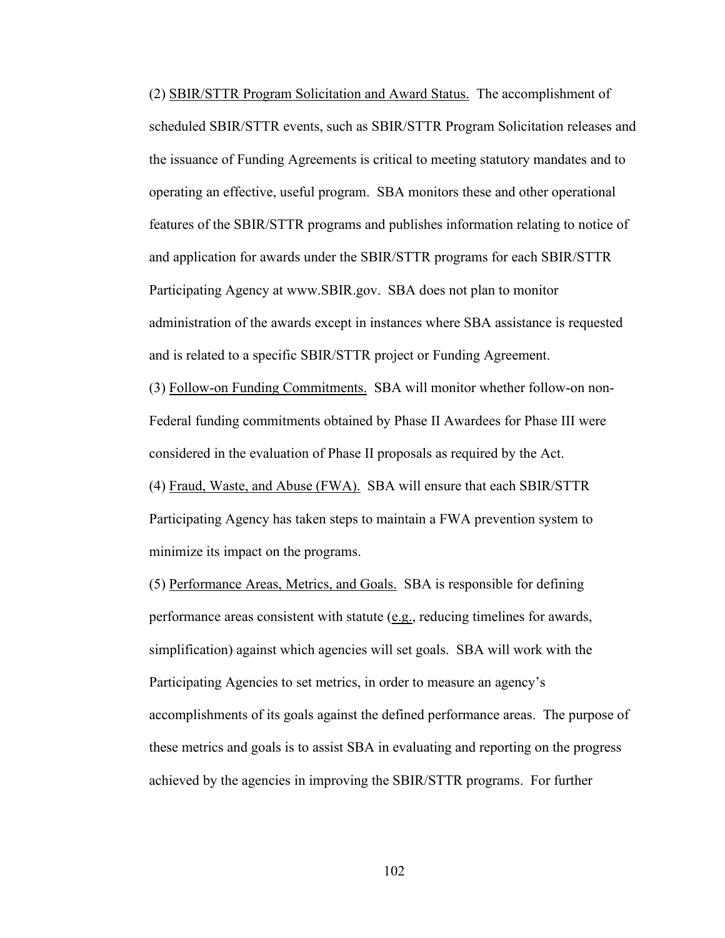(2) SBIR/STTR Program Solicitation and Award Status. The accomplishment of scheduled SBIR/STTR events, such as SBIR/STTR Program Solicitation releases and the issuance of Funding Agreements is critical to meeting statutory mandates and to operating an effective, useful program. SBA monitors these and other operational features of the SBIR/STTR programs and publishes information relating to notice of and application for awards under the SBIR/STTR programs for each SBIR/STTR Participating Agency at www.SBIR.gov. SBA does not plan to monitor administration of the awards except in instances where SBA assistance is requested and is related to a specific SBIR/STTR project or Funding Agreement. (3) Follow-on Funding Commitments. SBA will monitor whether follow-on non-Federal funding commitments obtained by Phase II Awardees for Phase III were

considered in the evaluation of Phase II proposals as required by the Act.

(4) Fraud, Waste, and Abuse (FWA). SBA will ensure that each SBIR/STTR Participating Agency has taken steps to maintain a FWA prevention system to minimize its impact on the programs.

(5) Performance Areas, Metrics, and Goals. SBA is responsible for defining performance areas consistent with statute (e.g., reducing timelines for awards, simplification) against which agencies will set goals. SBA will work with the Participating Agencies to set metrics, in order to measure an agency's accomplishments of its goals against the defined performance areas. The purpose of these metrics and goals is to assist SBA in evaluating and reporting on the progress achieved by the agencies in improving the SBIR/STTR programs. For further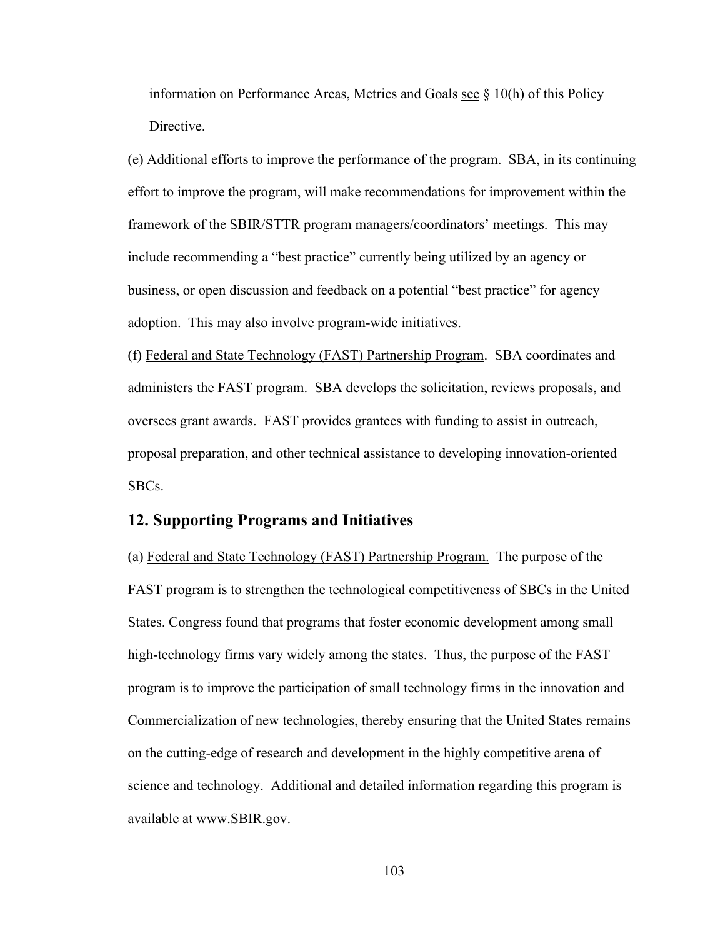information on Performance Areas, Metrics and Goals see  $\S$  10(h) of this Policy Directive.

(e) Additional efforts to improve the performance of the program. SBA, in its continuing effort to improve the program, will make recommendations for improvement within the framework of the SBIR/STTR program managers/coordinators' meetings. This may include recommending a "best practice" currently being utilized by an agency or business, or open discussion and feedback on a potential "best practice" for agency adoption. This may also involve program-wide initiatives.

(f) Federal and State Technology (FAST) Partnership Program. SBA coordinates and administers the FAST program. SBA develops the solicitation, reviews proposals, and oversees grant awards. FAST provides grantees with funding to assist in outreach, proposal preparation, and other technical assistance to developing innovation-oriented SBCs.

## **12. Supporting Programs and Initiatives**

(a) Federal and State Technology (FAST) Partnership Program. The purpose of the FAST program is to strengthen the technological competitiveness of SBCs in the United States. Congress found that programs that foster economic development among small high-technology firms vary widely among the states. Thus, the purpose of the FAST program is to improve the participation of small technology firms in the innovation and Commercialization of new technologies, thereby ensuring that the United States remains on the cutting-edge of research and development in the highly competitive arena of science and technology. Additional and detailed information regarding this program is available at www.SBIR.gov.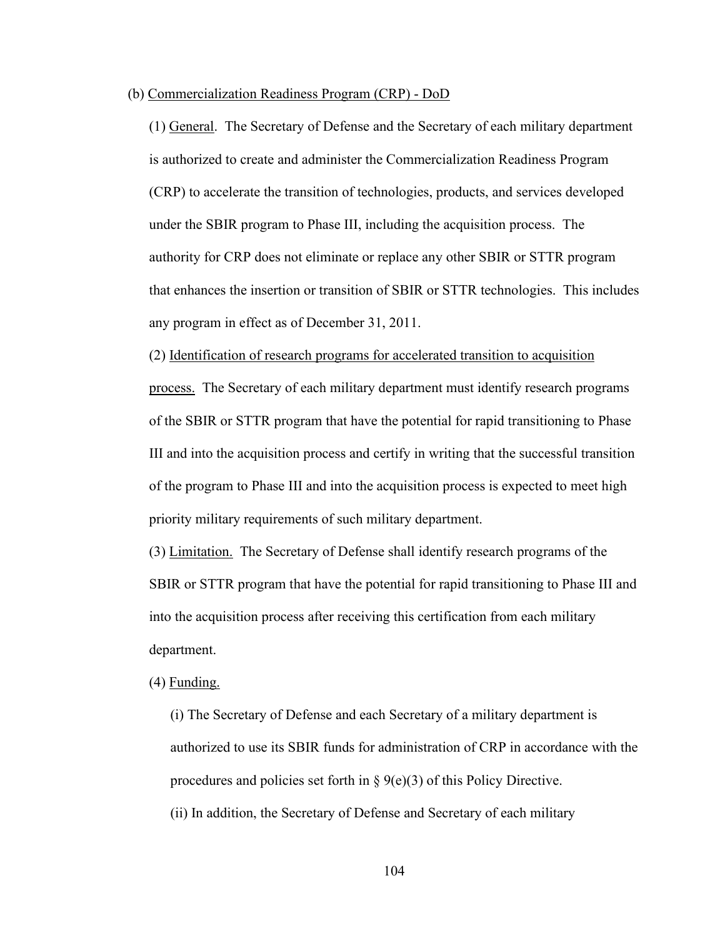#### (b) Commercialization Readiness Program (CRP) - DoD

(1) General. The Secretary of Defense and the Secretary of each military department is authorized to create and administer the Commercialization Readiness Program (CRP) to accelerate the transition of technologies, products, and services developed under the SBIR program to Phase III, including the acquisition process. The authority for CRP does not eliminate or replace any other SBIR or STTR program that enhances the insertion or transition of SBIR or STTR technologies. This includes any program in effect as of December 31, 2011.

(2) Identification of research programs for accelerated transition to acquisition

process. The Secretary of each military department must identify research programs of the SBIR or STTR program that have the potential for rapid transitioning to Phase III and into the acquisition process and certify in writing that the successful transition of the program to Phase III and into the acquisition process is expected to meet high priority military requirements of such military department.

(3) Limitation. The Secretary of Defense shall identify research programs of the SBIR or STTR program that have the potential for rapid transitioning to Phase III and into the acquisition process after receiving this certification from each military department.

(4) Funding.

(i) The Secretary of Defense and each Secretary of a military department is authorized to use its SBIR funds for administration of CRP in accordance with the procedures and policies set forth in  $\S$  9(e)(3) of this Policy Directive. (ii) In addition, the Secretary of Defense and Secretary of each military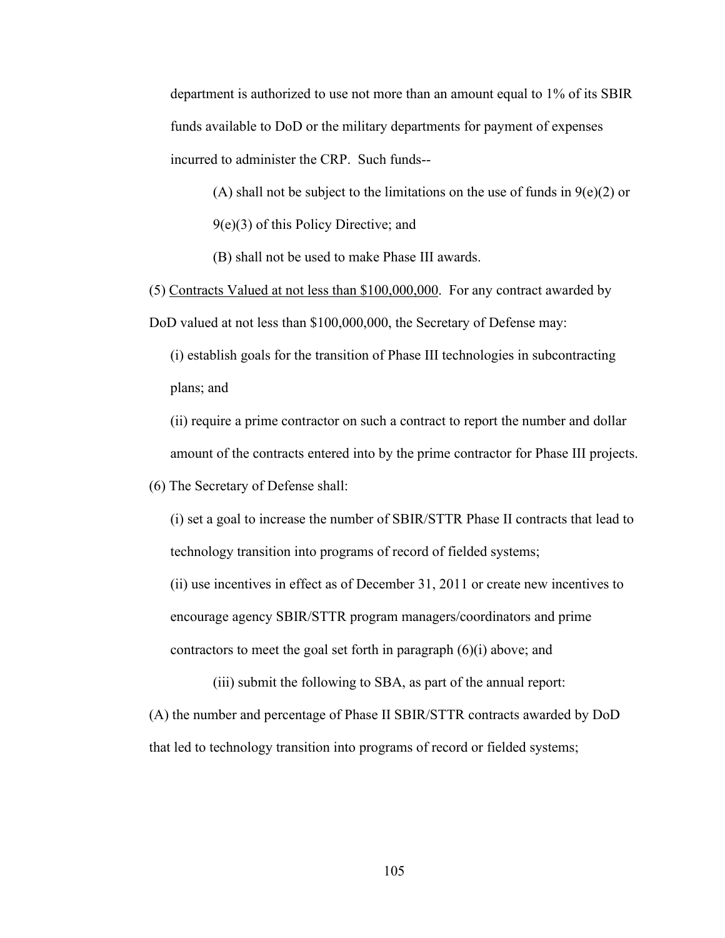department is authorized to use not more than an amount equal to 1% of its SBIR funds available to DoD or the military departments for payment of expenses incurred to administer the CRP. Such funds--

(A) shall not be subject to the limitations on the use of funds in  $9(e)(2)$  or

9(e)(3) of this Policy Directive; and

(B) shall not be used to make Phase III awards.

(5) Contracts Valued at not less than \$100,000,000. For any contract awarded by DoD valued at not less than \$100,000,000, the Secretary of Defense may:

(i) establish goals for the transition of Phase III technologies in subcontracting plans; and

(ii) require a prime contractor on such a contract to report the number and dollar amount of the contracts entered into by the prime contractor for Phase III projects.

(6) The Secretary of Defense shall:

(i) set a goal to increase the number of SBIR/STTR Phase II contracts that lead to technology transition into programs of record of fielded systems;

(ii) use incentives in effect as of December 31, 2011 or create new incentives to encourage agency SBIR/STTR program managers/coordinators and prime contractors to meet the goal set forth in paragraph (6)(i) above; and

(iii) submit the following to SBA, as part of the annual report: (A) the number and percentage of Phase II SBIR/STTR contracts awarded by DoD that led to technology transition into programs of record or fielded systems;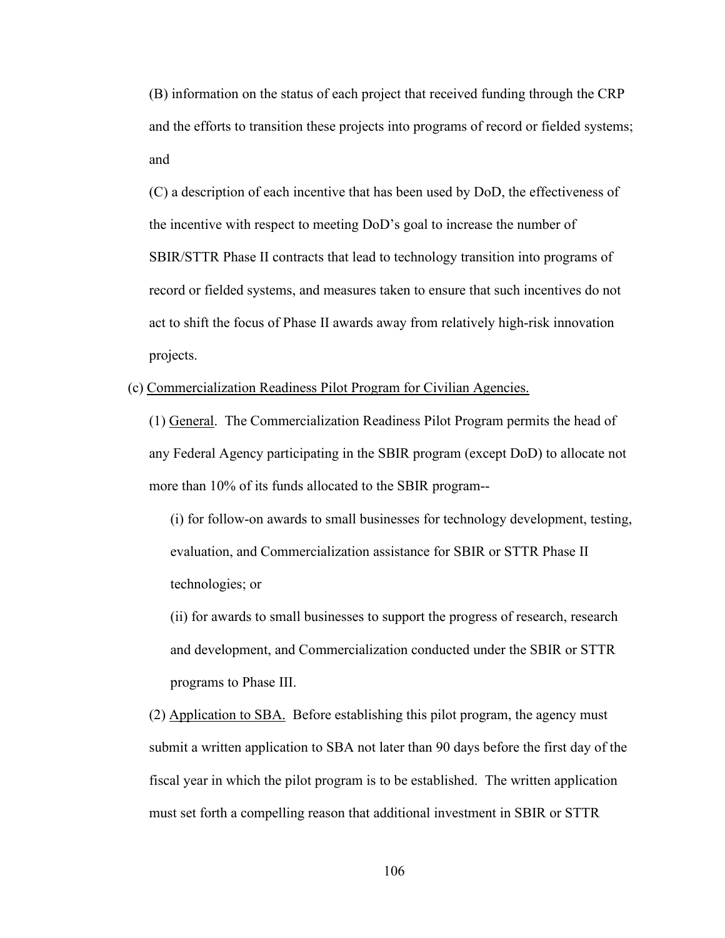(B) information on the status of each project that received funding through the CRP and the efforts to transition these projects into programs of record or fielded systems; and

(C) a description of each incentive that has been used by DoD, the effectiveness of the incentive with respect to meeting DoD's goal to increase the number of SBIR/STTR Phase II contracts that lead to technology transition into programs of record or fielded systems, and measures taken to ensure that such incentives do not act to shift the focus of Phase II awards away from relatively high-risk innovation projects.

(c) Commercialization Readiness Pilot Program for Civilian Agencies.

(1) General. The Commercialization Readiness Pilot Program permits the head of any Federal Agency participating in the SBIR program (except DoD) to allocate not more than 10% of its funds allocated to the SBIR program--

(i) for follow-on awards to small businesses for technology development, testing, evaluation, and Commercialization assistance for SBIR or STTR Phase II technologies; or

(ii) for awards to small businesses to support the progress of research, research and development, and Commercialization conducted under the SBIR or STTR programs to Phase III.

(2) Application to SBA. Before establishing this pilot program, the agency must submit a written application to SBA not later than 90 days before the first day of the fiscal year in which the pilot program is to be established. The written application must set forth a compelling reason that additional investment in SBIR or STTR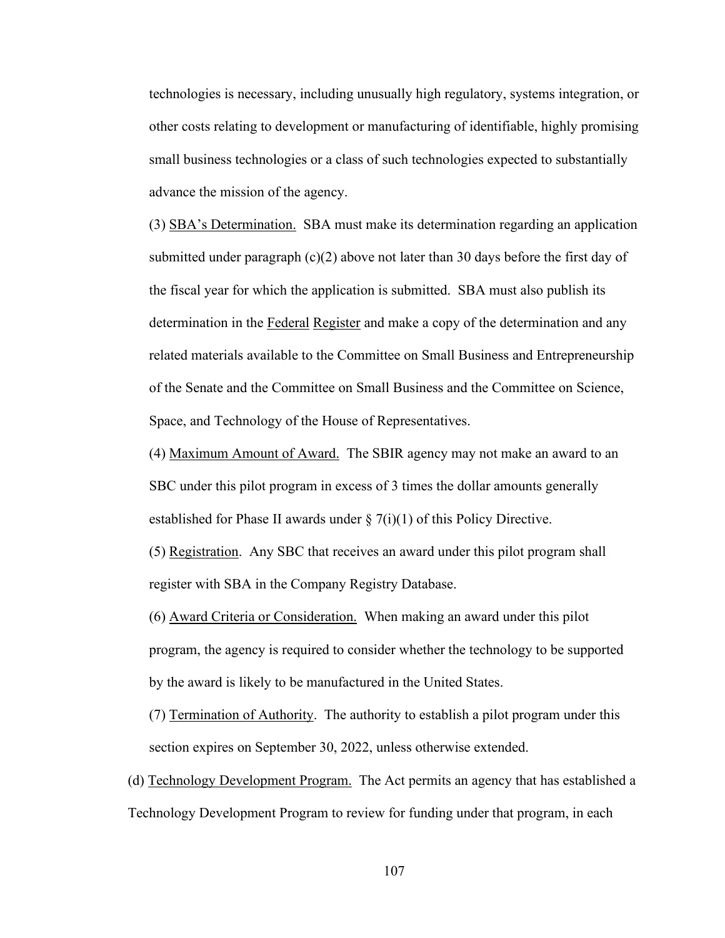technologies is necessary, including unusually high regulatory, systems integration, or other costs relating to development or manufacturing of identifiable, highly promising small business technologies or a class of such technologies expected to substantially advance the mission of the agency.

(3) SBA's Determination. SBA must make its determination regarding an application submitted under paragraph  $(c)(2)$  above not later than 30 days before the first day of the fiscal year for which the application is submitted. SBA must also publish its determination in the Federal Register and make a copy of the determination and any related materials available to the Committee on Small Business and Entrepreneurship of the Senate and the Committee on Small Business and the Committee on Science, Space, and Technology of the House of Representatives.

(4) Maximum Amount of Award. The SBIR agency may not make an award to an SBC under this pilot program in excess of 3 times the dollar amounts generally established for Phase II awards under  $\S 7(i)(1)$  of this Policy Directive.

(5) Registration. Any SBC that receives an award under this pilot program shall register with SBA in the Company Registry Database.

(6) Award Criteria or Consideration. When making an award under this pilot program, the agency is required to consider whether the technology to be supported by the award is likely to be manufactured in the United States.

(7) Termination of Authority. The authority to establish a pilot program under this section expires on September 30, 2022, unless otherwise extended.

(d) Technology Development Program. The Act permits an agency that has established a Technology Development Program to review for funding under that program, in each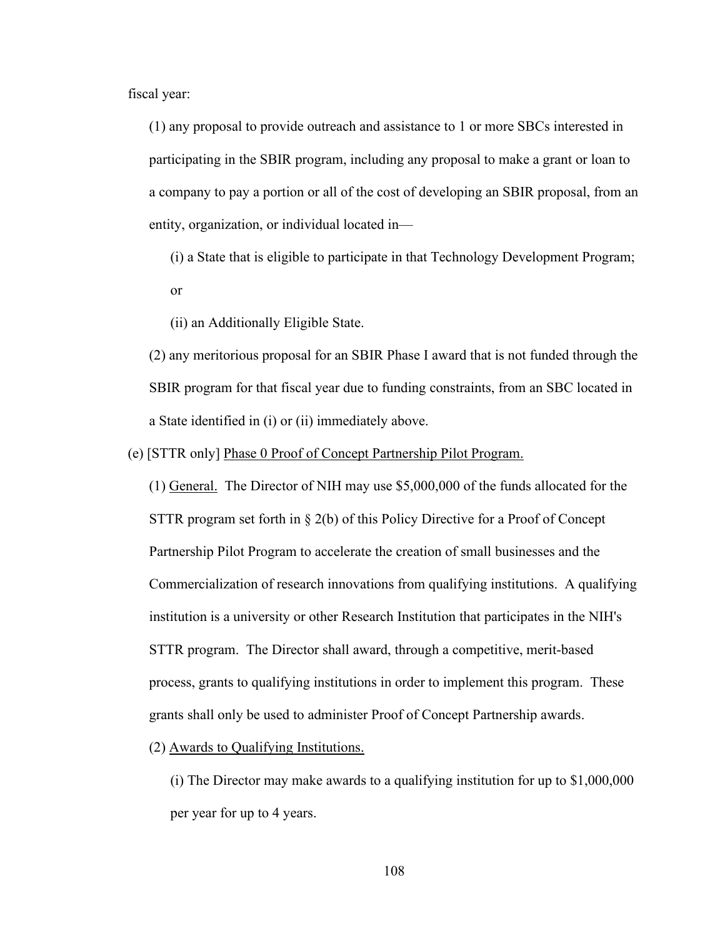fiscal year:

(1) any proposal to provide outreach and assistance to 1 or more SBCs interested in participating in the SBIR program, including any proposal to make a grant or loan to a company to pay a portion or all of the cost of developing an SBIR proposal, from an entity, organization, or individual located in—

(i) a State that is eligible to participate in that Technology Development Program; or

(ii) an Additionally Eligible State.

(2) any meritorious proposal for an SBIR Phase I award that is not funded through the SBIR program for that fiscal year due to funding constraints, from an SBC located in a State identified in (i) or (ii) immediately above.

(e) [STTR only] Phase 0 Proof of Concept Partnership Pilot Program.

(1) General. The Director of NIH may use \$5,000,000 of the funds allocated for the STTR program set forth in  $\S$  2(b) of this Policy Directive for a Proof of Concept Partnership Pilot Program to accelerate the creation of small businesses and the Commercialization of research innovations from qualifying institutions. A qualifying institution is a university or other Research Institution that participates in the NIH's STTR program. The Director shall award, through a competitive, merit-based process, grants to qualifying institutions in order to implement this program. These grants shall only be used to administer Proof of Concept Partnership awards.

(2) Awards to Qualifying Institutions.

(i) The Director may make awards to a qualifying institution for up to \$1,000,000 per year for up to 4 years.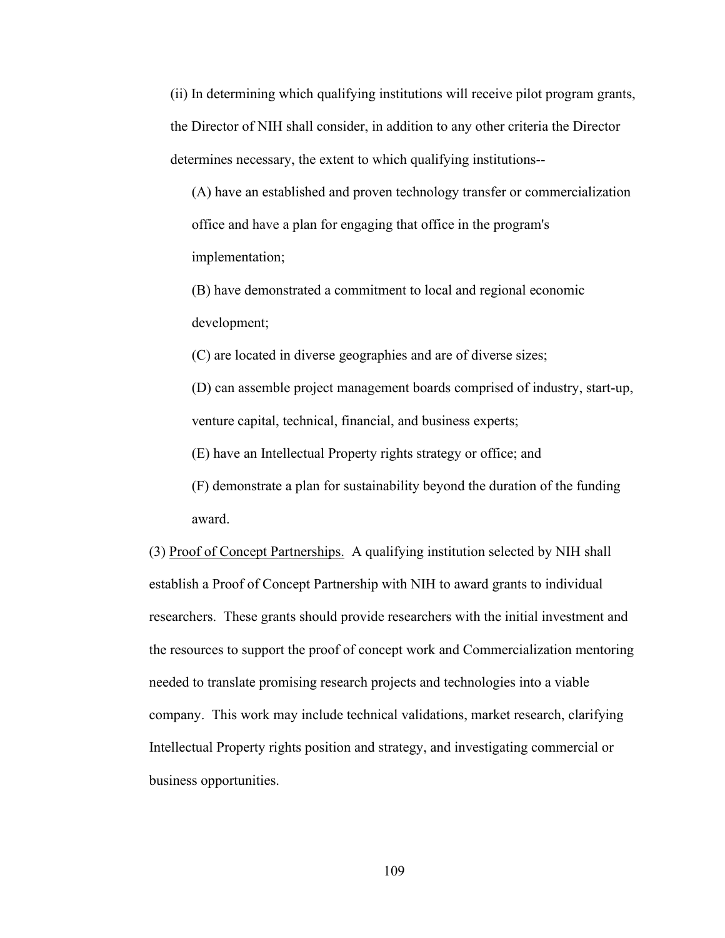(ii) In determining which qualifying institutions will receive pilot program grants, the Director of NIH shall consider, in addition to any other criteria the Director determines necessary, the extent to which qualifying institutions--

(A) have an established and proven technology transfer or commercialization office and have a plan for engaging that office in the program's implementation;

(B) have demonstrated a commitment to local and regional economic development;

(C) are located in diverse geographies and are of diverse sizes;

(D) can assemble project management boards comprised of industry, start-up, venture capital, technical, financial, and business experts;

(E) have an Intellectual Property rights strategy or office; and

(F) demonstrate a plan for sustainability beyond the duration of the funding award.

(3) Proof of Concept Partnerships. A qualifying institution selected by NIH shall establish a Proof of Concept Partnership with NIH to award grants to individual researchers. These grants should provide researchers with the initial investment and the resources to support the proof of concept work and Commercialization mentoring needed to translate promising research projects and technologies into a viable company. This work may include technical validations, market research, clarifying Intellectual Property rights position and strategy, and investigating commercial or business opportunities.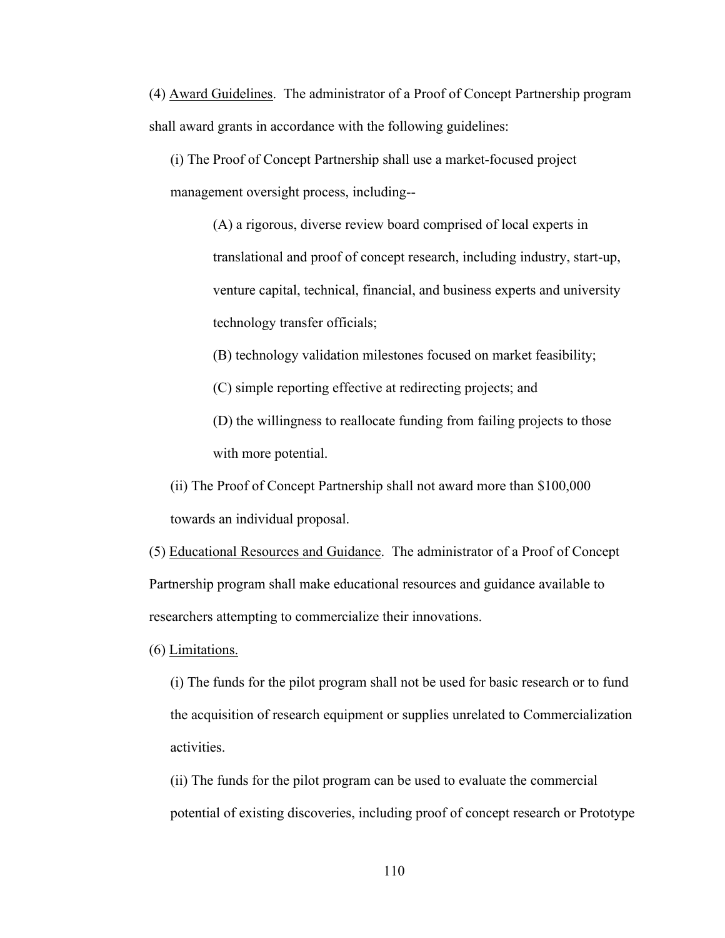(4) Award Guidelines. The administrator of a Proof of Concept Partnership program shall award grants in accordance with the following guidelines:

(i) The Proof of Concept Partnership shall use a market-focused project management oversight process, including--

> (A) a rigorous, diverse review board comprised of local experts in translational and proof of concept research, including industry, start-up, venture capital, technical, financial, and business experts and university technology transfer officials;

(B) technology validation milestones focused on market feasibility;

(C) simple reporting effective at redirecting projects; and

(D) the willingness to reallocate funding from failing projects to those with more potential.

(ii) The Proof of Concept Partnership shall not award more than \$100,000 towards an individual proposal.

(5) Educational Resources and Guidance. The administrator of a Proof of Concept Partnership program shall make educational resources and guidance available to researchers attempting to commercialize their innovations.

(6) Limitations.

(i) The funds for the pilot program shall not be used for basic research or to fund the acquisition of research equipment or supplies unrelated to Commercialization activities.

(ii) The funds for the pilot program can be used to evaluate the commercial potential of existing discoveries, including proof of concept research or Prototype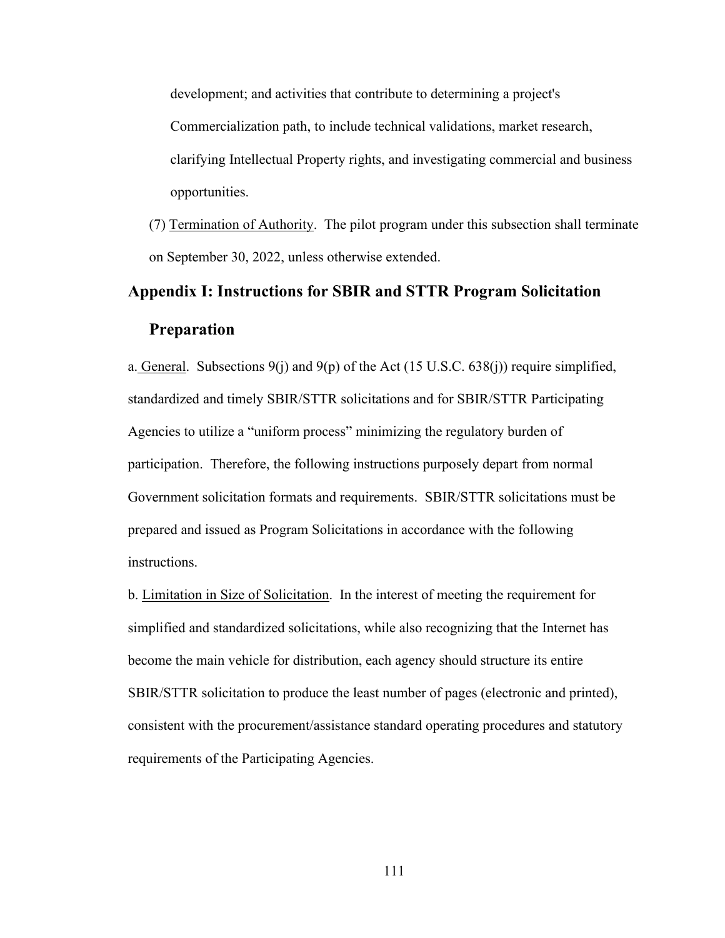development; and activities that contribute to determining a project's Commercialization path, to include technical validations, market research, clarifying Intellectual Property rights, and investigating commercial and business opportunities.

(7) Termination of Authority. The pilot program under this subsection shall terminate on September 30, 2022, unless otherwise extended.

# **Appendix I: Instructions for SBIR and STTR Program Solicitation Preparation**

a. General. Subsections  $9(j)$  and  $9(p)$  of the Act (15 U.S.C. 638 $(j)$ ) require simplified, standardized and timely SBIR/STTR solicitations and for SBIR/STTR Participating Agencies to utilize a "uniform process" minimizing the regulatory burden of participation. Therefore, the following instructions purposely depart from normal Government solicitation formats and requirements. SBIR/STTR solicitations must be prepared and issued as Program Solicitations in accordance with the following instructions.

b. Limitation in Size of Solicitation. In the interest of meeting the requirement for simplified and standardized solicitations, while also recognizing that the Internet has become the main vehicle for distribution, each agency should structure its entire SBIR/STTR solicitation to produce the least number of pages (electronic and printed), consistent with the procurement/assistance standard operating procedures and statutory requirements of the Participating Agencies.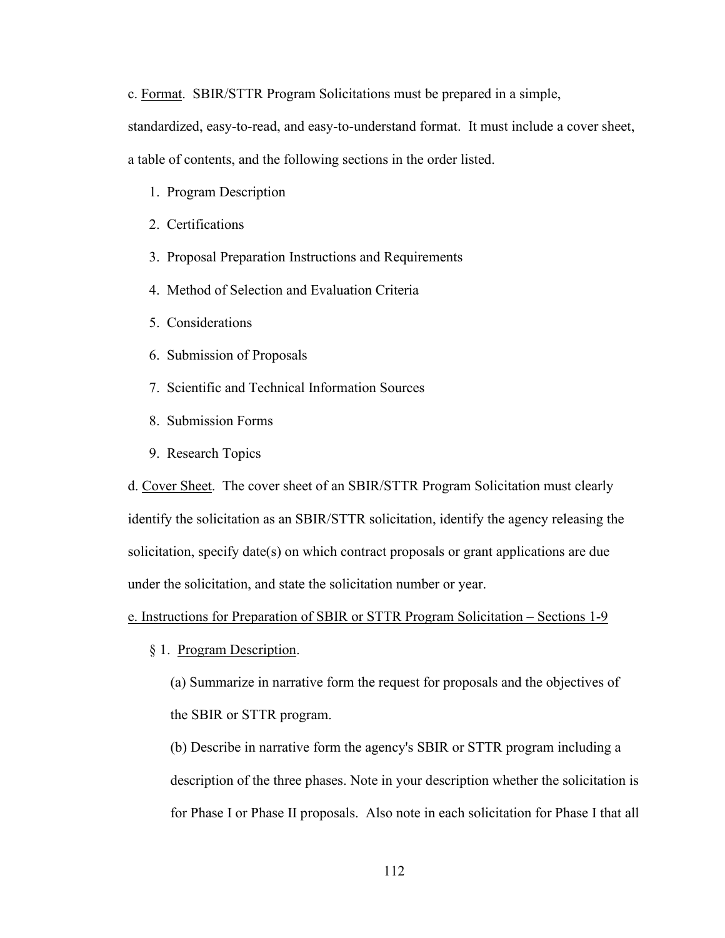c. Format. SBIR/STTR Program Solicitations must be prepared in a simple,

standardized, easy-to-read, and easy-to-understand format. It must include a cover sheet,

a table of contents, and the following sections in the order listed.

- 1. Program Description
- 2. Certifications
- 3. Proposal Preparation Instructions and Requirements
- 4. Method of Selection and Evaluation Criteria
- 5. Considerations
- 6. Submission of Proposals
- 7. Scientific and Technical Information Sources
- 8. Submission Forms
- 9. Research Topics

d. Cover Sheet. The cover sheet of an SBIR/STTR Program Solicitation must clearly identify the solicitation as an SBIR/STTR solicitation, identify the agency releasing the solicitation, specify date(s) on which contract proposals or grant applications are due under the solicitation, and state the solicitation number or year.

e. Instructions for Preparation of SBIR or STTR Program Solicitation – Sections 1-9

§ 1. Program Description.

(a) Summarize in narrative form the request for proposals and the objectives of the SBIR or STTR program.

(b) Describe in narrative form the agency's SBIR or STTR program including a description of the three phases. Note in your description whether the solicitation is for Phase I or Phase II proposals. Also note in each solicitation for Phase I that all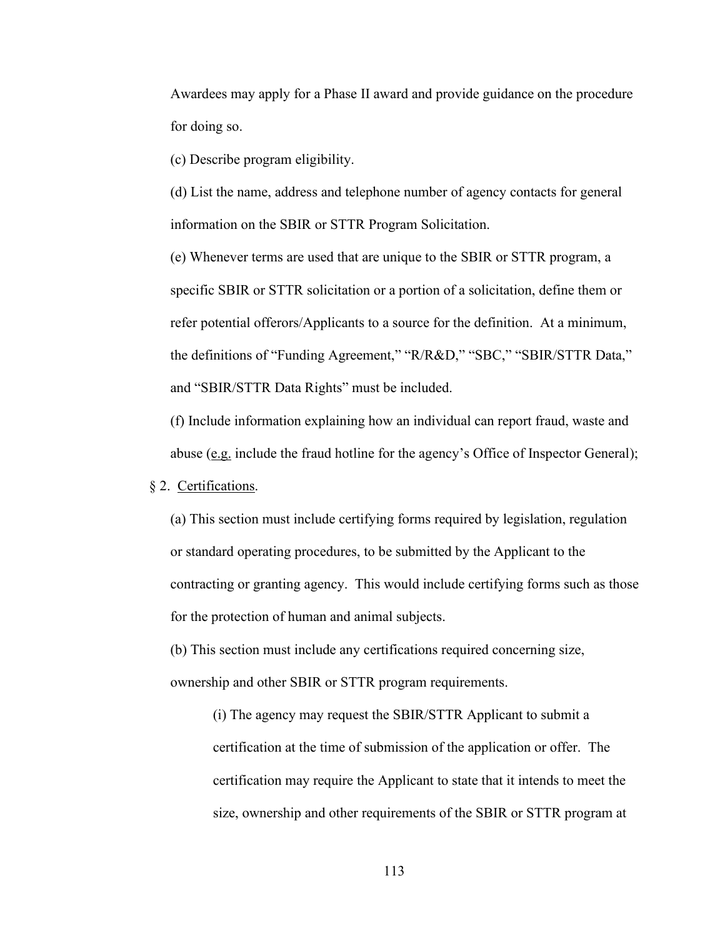Awardees may apply for a Phase II award and provide guidance on the procedure for doing so.

(c) Describe program eligibility.

(d) List the name, address and telephone number of agency contacts for general information on the SBIR or STTR Program Solicitation.

(e) Whenever terms are used that are unique to the SBIR or STTR program, a specific SBIR or STTR solicitation or a portion of a solicitation, define them or refer potential offerors/Applicants to a source for the definition. At a minimum, the definitions of "Funding Agreement," "R/R&D," "SBC," "SBIR/STTR Data," and "SBIR/STTR Data Rights" must be included.

(f) Include information explaining how an individual can report fraud, waste and abuse (e.g. include the fraud hotline for the agency's Office of Inspector General);

## § 2. Certifications.

(a) This section must include certifying forms required by legislation, regulation or standard operating procedures, to be submitted by the Applicant to the contracting or granting agency. This would include certifying forms such as those for the protection of human and animal subjects.

(b) This section must include any certifications required concerning size, ownership and other SBIR or STTR program requirements.

(i) The agency may request the SBIR/STTR Applicant to submit a certification at the time of submission of the application or offer. The certification may require the Applicant to state that it intends to meet the size, ownership and other requirements of the SBIR or STTR program at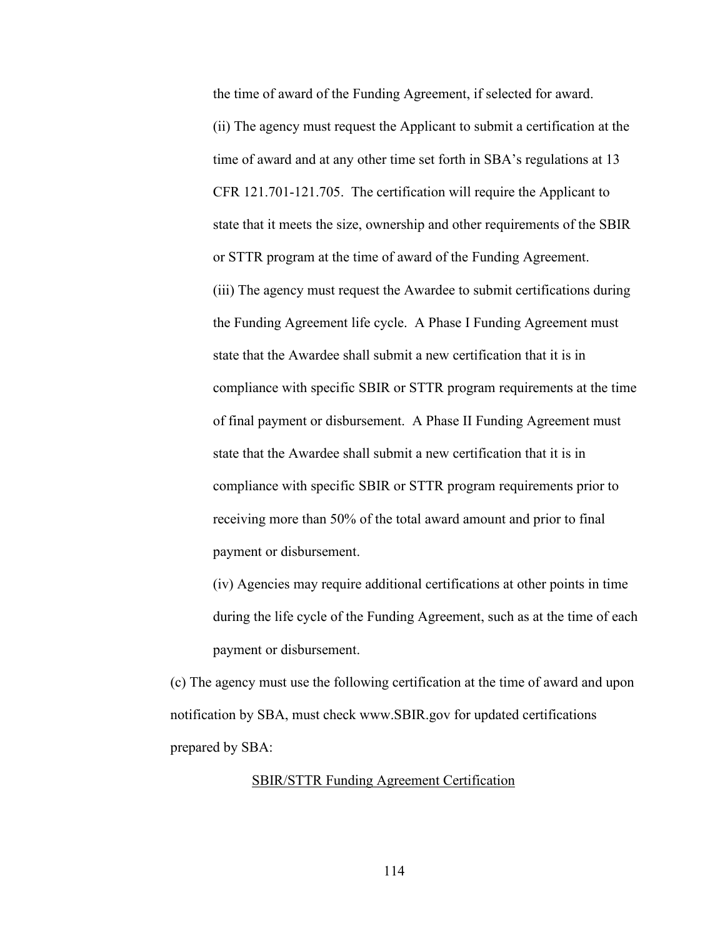the time of award of the Funding Agreement, if selected for award. (ii) The agency must request the Applicant to submit a certification at the time of award and at any other time set forth in SBA's regulations at 13 CFR 121.701-121.705. The certification will require the Applicant to state that it meets the size, ownership and other requirements of the SBIR or STTR program at the time of award of the Funding Agreement. (iii) The agency must request the Awardee to submit certifications during the Funding Agreement life cycle. A Phase I Funding Agreement must state that the Awardee shall submit a new certification that it is in compliance with specific SBIR or STTR program requirements at the time of final payment or disbursement. A Phase II Funding Agreement must state that the Awardee shall submit a new certification that it is in compliance with specific SBIR or STTR program requirements prior to receiving more than 50% of the total award amount and prior to final payment or disbursement.

(iv) Agencies may require additional certifications at other points in time during the life cycle of the Funding Agreement, such as at the time of each payment or disbursement.

(c) The agency must use the following certification at the time of award and upon notification by SBA, must check www.SBIR.gov for updated certifications prepared by SBA:

# SBIR/STTR Funding Agreement Certification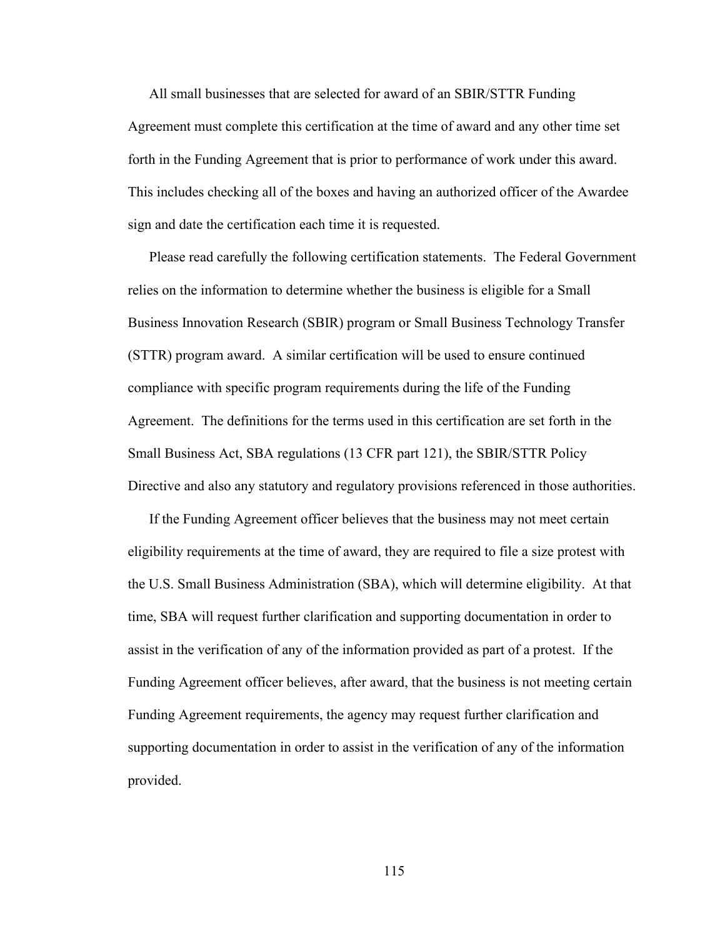All small businesses that are selected for award of an SBIR/STTR Funding Agreement must complete this certification at the time of award and any other time set forth in the Funding Agreement that is prior to performance of work under this award. This includes checking all of the boxes and having an authorized officer of the Awardee sign and date the certification each time it is requested.

Please read carefully the following certification statements. The Federal Government relies on the information to determine whether the business is eligible for a Small Business Innovation Research (SBIR) program or Small Business Technology Transfer (STTR) program award. A similar certification will be used to ensure continued compliance with specific program requirements during the life of the Funding Agreement. The definitions for the terms used in this certification are set forth in the Small Business Act, SBA regulations (13 CFR part 121), the SBIR/STTR Policy Directive and also any statutory and regulatory provisions referenced in those authorities.

If the Funding Agreement officer believes that the business may not meet certain eligibility requirements at the time of award, they are required to file a size protest with the U.S. Small Business Administration (SBA), which will determine eligibility. At that time, SBA will request further clarification and supporting documentation in order to assist in the verification of any of the information provided as part of a protest. If the Funding Agreement officer believes, after award, that the business is not meeting certain Funding Agreement requirements, the agency may request further clarification and supporting documentation in order to assist in the verification of any of the information provided.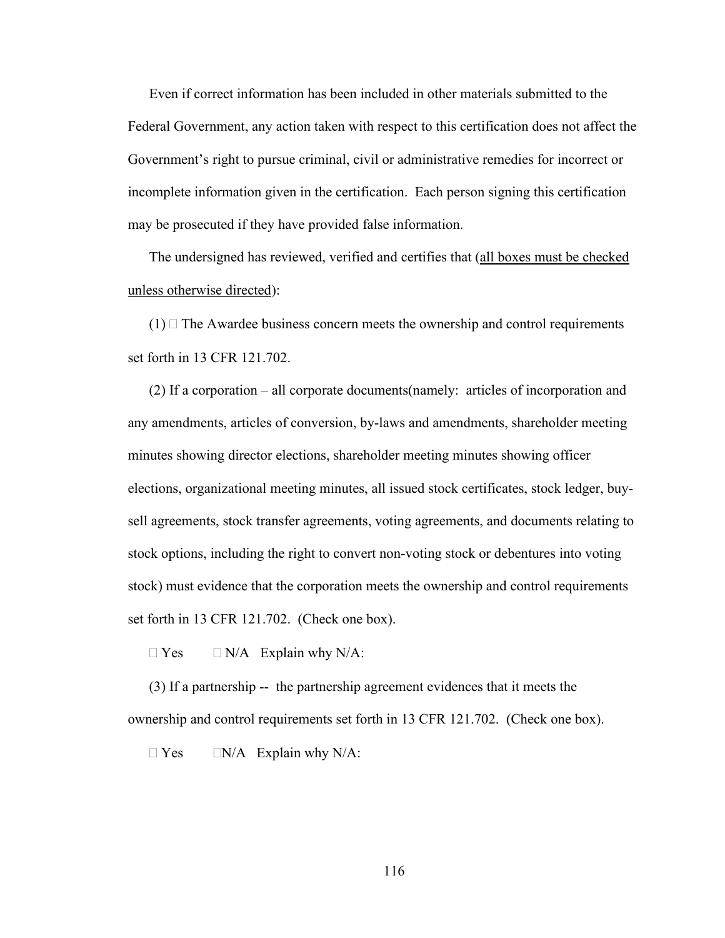Even if correct information has been included in other materials submitted to the Federal Government, any action taken with respect to this certification does not affect the Government's right to pursue criminal, civil or administrative remedies for incorrect or incomplete information given in the certification. Each person signing this certification may be prosecuted if they have provided false information.

The undersigned has reviewed, verified and certifies that (all boxes must be checked unless otherwise directed):

 $(1)$  The Awardee business concern meets the ownership and control requirements set forth in 13 CFR 121.702.

(2) If a corporation – all corporate documents(namely: articles of incorporation and any amendments, articles of conversion, by-laws and amendments, shareholder meeting minutes showing director elections, shareholder meeting minutes showing officer elections, organizational meeting minutes, all issued stock certificates, stock ledger, buysell agreements, stock transfer agreements, voting agreements, and documents relating to stock options, including the right to convert non-voting stock or debentures into voting stock) must evidence that the corporation meets the ownership and control requirements set forth in 13 CFR 121.702. (Check one box).

 $\Box$  Yes  $\Box$  N/A Explain why N/A:

(3) If a partnership -- the partnership agreement evidences that it meets the ownership and control requirements set forth in 13 CFR 121.702. (Check one box).

 $\Box$  Yes  $\Box$  N/A Explain why N/A: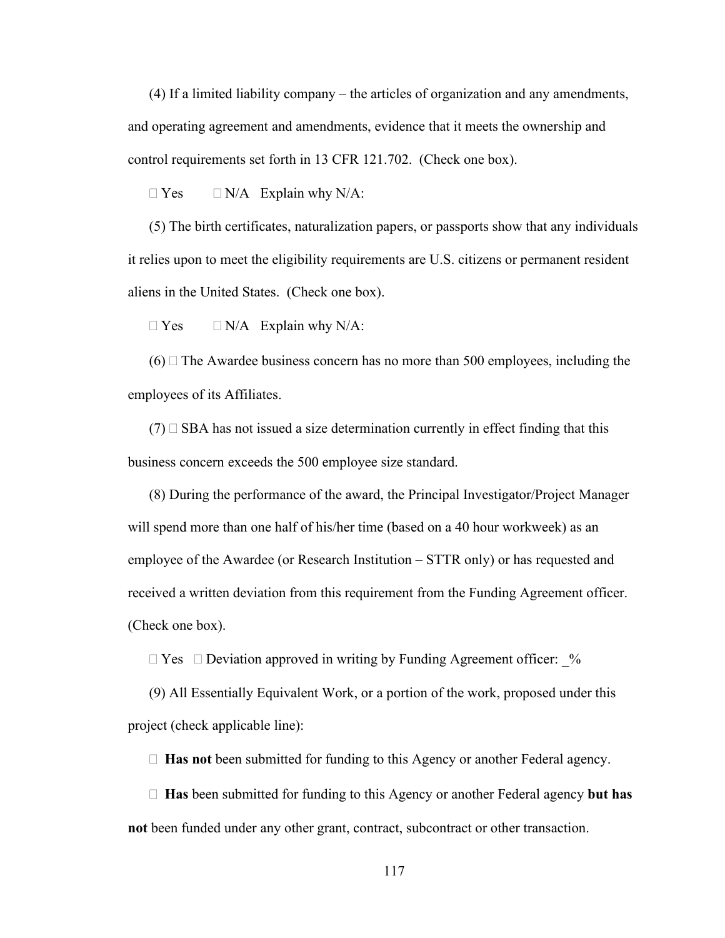(4) If a limited liability company – the articles of organization and any amendments, and operating agreement and amendments, evidence that it meets the ownership and control requirements set forth in 13 CFR 121.702. (Check one box).

 $\Box$  Yes  $\Box$  N/A Explain why N/A:

(5) The birth certificates, naturalization papers, or passports show that any individuals it relies upon to meet the eligibility requirements are U.S. citizens or permanent resident aliens in the United States. (Check one box).

 $\Box$  Yes  $\Box$  N/A Explain why N/A:

 $(6)$  The Awardee business concern has no more than 500 employees, including the employees of its Affiliates.

 $(7)$   $\Box$  SBA has not issued a size determination currently in effect finding that this business concern exceeds the 500 employee size standard.

(8) During the performance of the award, the Principal Investigator/Project Manager will spend more than one half of his/her time (based on a 40 hour workweek) as an employee of the Awardee (or Research Institution – STTR only) or has requested and received a written deviation from this requirement from the Funding Agreement officer. (Check one box).

 $\Box$  Yes  $\Box$  Deviation approved in writing by Funding Agreement officer: %

(9) All Essentially Equivalent Work, or a portion of the work, proposed under this project (check applicable line):

**Has not** been submitted for funding to this Agency or another Federal agency.

 **Has** been submitted for funding to this Agency or another Federal agency **but has not** been funded under any other grant, contract, subcontract or other transaction.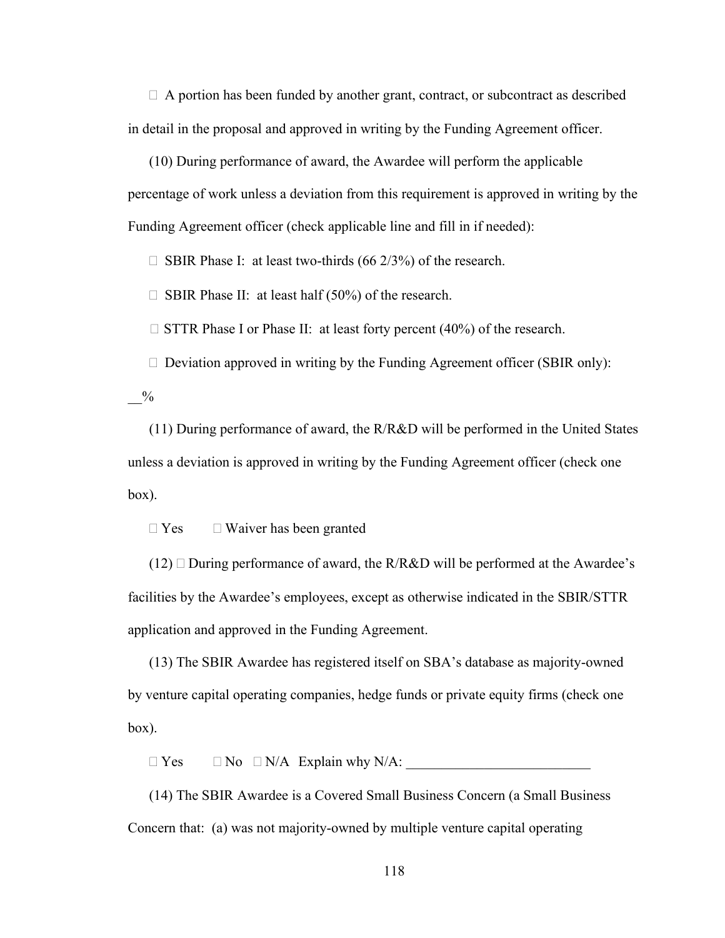$\Box$  A portion has been funded by another grant, contract, or subcontract as described in detail in the proposal and approved in writing by the Funding Agreement officer.

(10) During performance of award, the Awardee will perform the applicable percentage of work unless a deviation from this requirement is approved in writing by the Funding Agreement officer (check applicable line and fill in if needed):

 $\Box$  SBIR Phase I: at least two-thirds (66 2/3%) of the research.

 $\Box$  SBIR Phase II: at least half (50%) of the research.

 $\Box$  STTR Phase I or Phase II: at least forty percent (40%) of the research.

 $\Box$  Deviation approved in writing by the Funding Agreement officer (SBIR only):

 $\frac{0}{0}$ 

(11) During performance of award, the R/R&D will be performed in the United States unless a deviation is approved in writing by the Funding Agreement officer (check one box).

 $\Box$  Yes  $\Box$  Waiver has been granted

 $(12)$   $\Box$  During performance of award, the R/R&D will be performed at the Awardee's facilities by the Awardee's employees, except as otherwise indicated in the SBIR/STTR application and approved in the Funding Agreement.

(13) The SBIR Awardee has registered itself on SBA's database as majority-owned by venture capital operating companies, hedge funds or private equity firms (check one box).

 $\Box$  Yes  $\Box$  No  $\Box$  N/A Explain why N/A:

(14) The SBIR Awardee is a Covered Small Business Concern (a Small Business Concern that: (a) was not majority-owned by multiple venture capital operating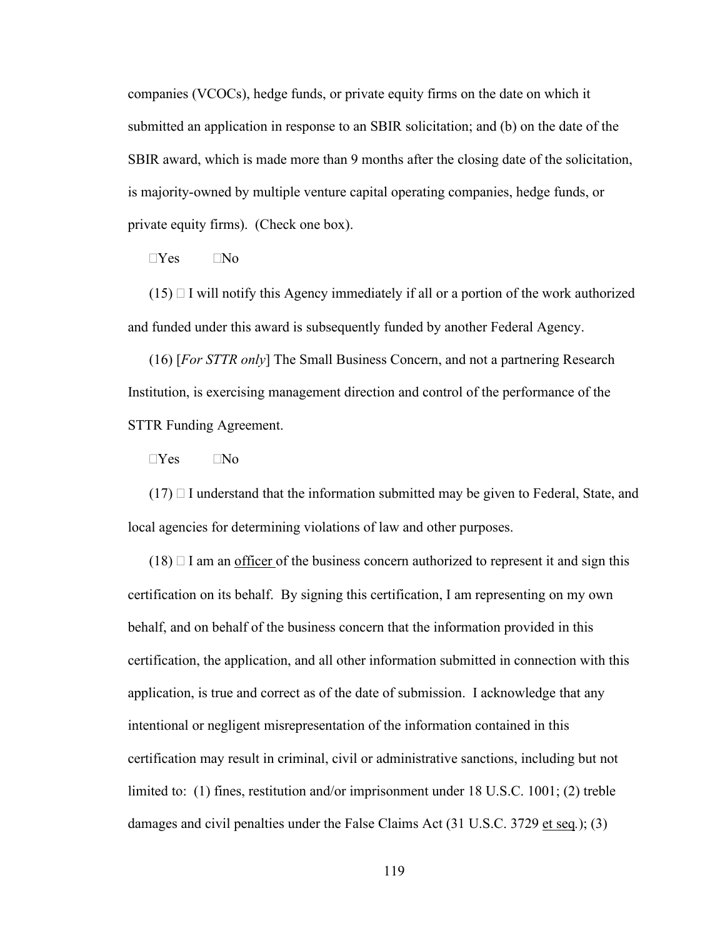companies (VCOCs), hedge funds, or private equity firms on the date on which it submitted an application in response to an SBIR solicitation; and (b) on the date of the SBIR award, which is made more than 9 months after the closing date of the solicitation, is majority-owned by multiple venture capital operating companies, hedge funds, or private equity firms). (Check one box).

 $\Box$ Yes  $\Box$ No

 $(15)$  I will notify this Agency immediately if all or a portion of the work authorized and funded under this award is subsequently funded by another Federal Agency.

(16) [*For STTR only*] The Small Business Concern, and not a partnering Research Institution, is exercising management direction and control of the performance of the STTR Funding Agreement.

 $\neg$ Yes  $\neg$ No

 $(17)$  I understand that the information submitted may be given to Federal, State, and local agencies for determining violations of law and other purposes.

 $(18)$   $\Box$  I am an officer of the business concern authorized to represent it and sign this certification on its behalf. By signing this certification, I am representing on my own behalf, and on behalf of the business concern that the information provided in this certification, the application, and all other information submitted in connection with this application, is true and correct as of the date of submission. I acknowledge that any intentional or negligent misrepresentation of the information contained in this certification may result in criminal, civil or administrative sanctions, including but not limited to: (1) fines, restitution and/or imprisonment under 18 U.S.C. 1001; (2) treble damages and civil penalties under the False Claims Act (31 U.S.C. 3729 et seq*.*); (3)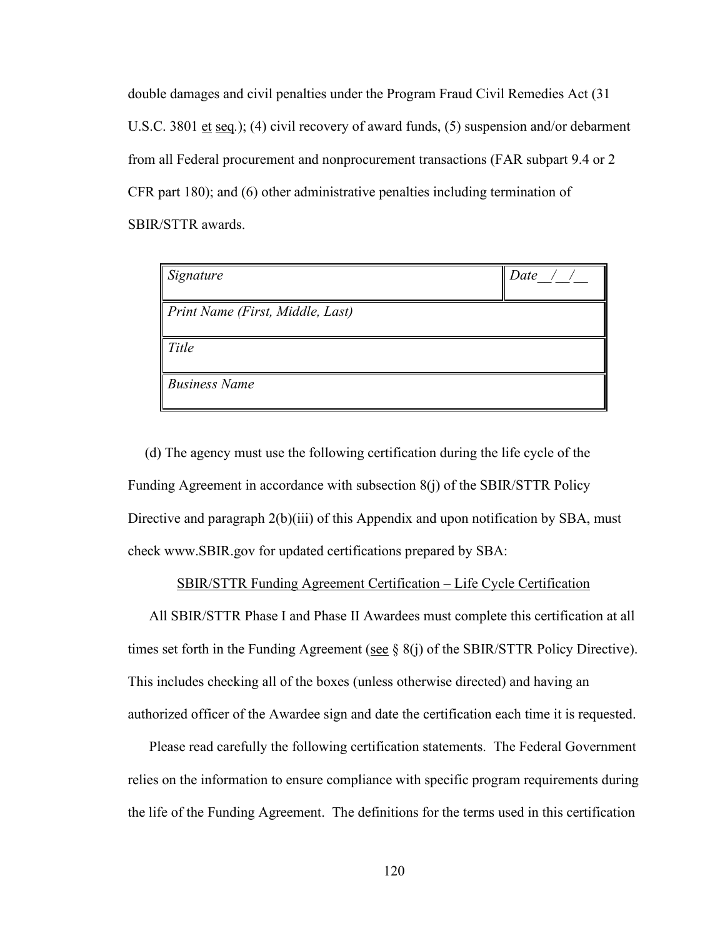double damages and civil penalties under the Program Fraud Civil Remedies Act (31 U.S.C. 3801 et seq*.*); (4) civil recovery of award funds, (5) suspension and/or debarment from all Federal procurement and nonprocurement transactions (FAR subpart 9.4 or 2 CFR part 180); and (6) other administrative penalties including termination of SBIR/STTR awards.

| Signature                        | Date |
|----------------------------------|------|
| Print Name (First, Middle, Last) |      |
| Title                            |      |
| <b>Business Name</b>             |      |

(d) The agency must use the following certification during the life cycle of the Funding Agreement in accordance with subsection 8(j) of the SBIR/STTR Policy Directive and paragraph 2(b)(iii) of this Appendix and upon notification by SBA, must check www.SBIR.gov for updated certifications prepared by SBA:

### SBIR/STTR Funding Agreement Certification – Life Cycle Certification

All SBIR/STTR Phase I and Phase II Awardees must complete this certification at all times set forth in the Funding Agreement (see  $\S 8(i)$  of the SBIR/STTR Policy Directive). This includes checking all of the boxes (unless otherwise directed) and having an authorized officer of the Awardee sign and date the certification each time it is requested.

Please read carefully the following certification statements. The Federal Government relies on the information to ensure compliance with specific program requirements during the life of the Funding Agreement. The definitions for the terms used in this certification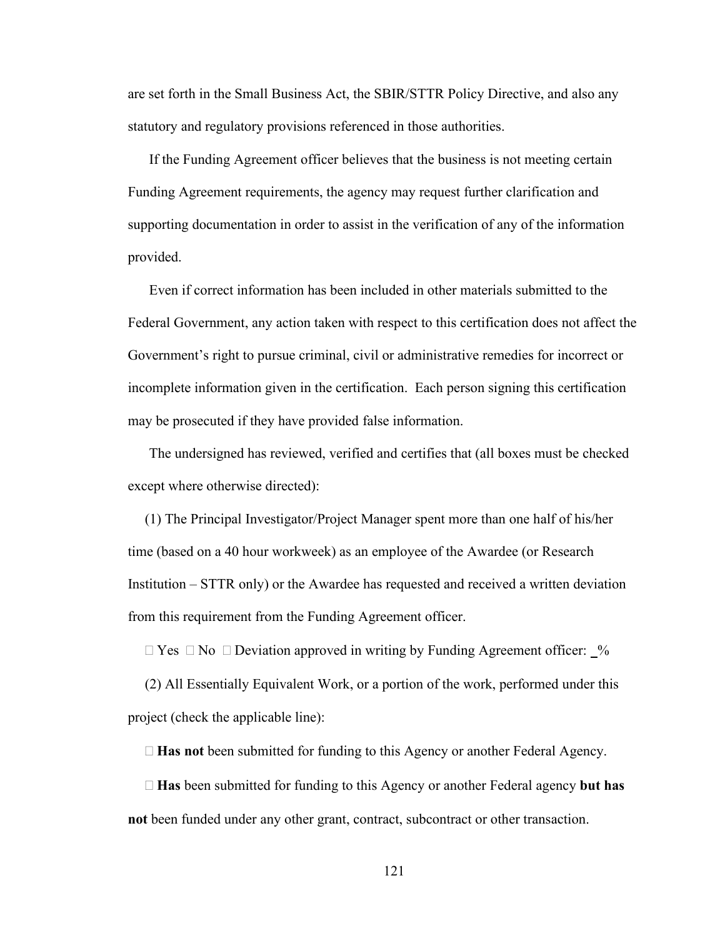are set forth in the Small Business Act, the SBIR/STTR Policy Directive, and also any statutory and regulatory provisions referenced in those authorities.

If the Funding Agreement officer believes that the business is not meeting certain Funding Agreement requirements, the agency may request further clarification and supporting documentation in order to assist in the verification of any of the information provided.

Even if correct information has been included in other materials submitted to the Federal Government, any action taken with respect to this certification does not affect the Government's right to pursue criminal, civil or administrative remedies for incorrect or incomplete information given in the certification. Each person signing this certification may be prosecuted if they have provided false information.

The undersigned has reviewed, verified and certifies that (all boxes must be checked except where otherwise directed):

(1) The Principal Investigator/Project Manager spent more than one half of his/her time (based on a 40 hour workweek) as an employee of the Awardee (or Research Institution – STTR only) or the Awardee has requested and received a written deviation from this requirement from the Funding Agreement officer.

 $\Box$  Yes  $\Box$  No  $\Box$  Deviation approved in writing by Funding Agreement officer:  $\Box$ %

(2) All Essentially Equivalent Work, or a portion of the work, performed under this project (check the applicable line):

**Has not** been submitted for funding to this Agency or another Federal Agency.

 **Has** been submitted for funding to this Agency or another Federal agency **but has not** been funded under any other grant, contract, subcontract or other transaction.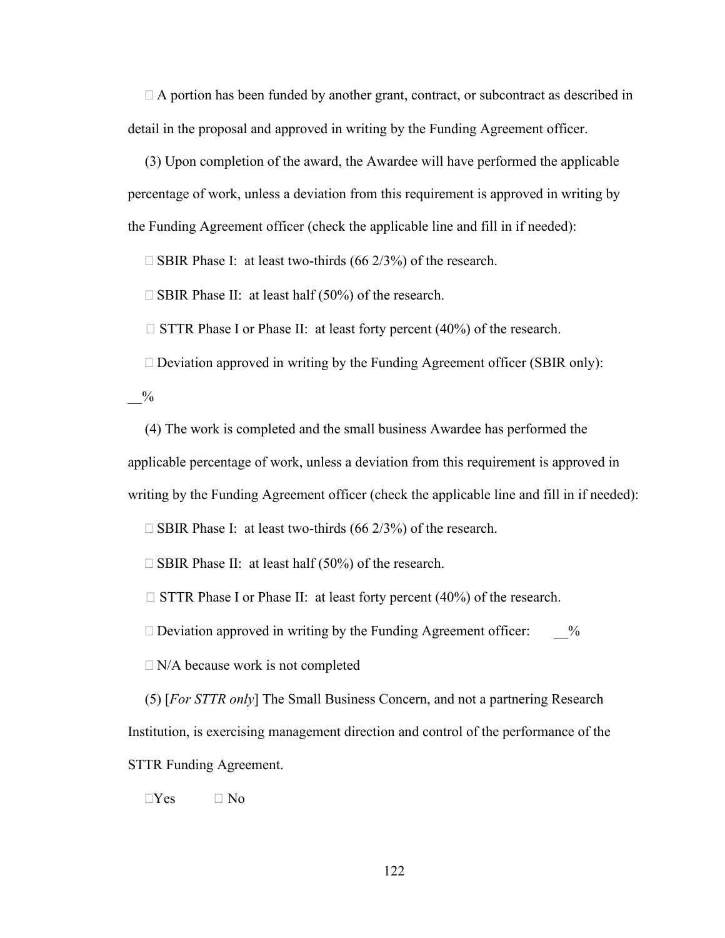$\Box$  A portion has been funded by another grant, contract, or subcontract as described in detail in the proposal and approved in writing by the Funding Agreement officer.

(3) Upon completion of the award, the Awardee will have performed the applicable percentage of work, unless a deviation from this requirement is approved in writing by the Funding Agreement officer (check the applicable line and fill in if needed):

 $\Box$  SBIR Phase I: at least two-thirds (66 2/3%) of the research.

 $\square$  SBIR Phase II: at least half (50%) of the research.

 $\Box$  STTR Phase I or Phase II: at least forty percent (40%) of the research.

 $\Box$  Deviation approved in writing by the Funding Agreement officer (SBIR only):

 $_{0/2}$ 

(4) The work is completed and the small business Awardee has performed the applicable percentage of work, unless a deviation from this requirement is approved in writing by the Funding Agreement officer (check the applicable line and fill in if needed):

 $\Box$  SBIR Phase I: at least two-thirds (66 2/3%) of the research.

 $\Box$  SBIR Phase II: at least half (50%) of the research.

 $\Box$  STTR Phase I or Phase II: at least forty percent (40%) of the research.

 $\Box$  Deviation approved in writing by the Funding Agreement officer:  $\%$ 

 $\Box$  N/A because work is not completed

(5) [*For STTR only*] The Small Business Concern, and not a partnering Research Institution, is exercising management direction and control of the performance of the STTR Funding Agreement.

 $\neg$ Yes  $\neg$  No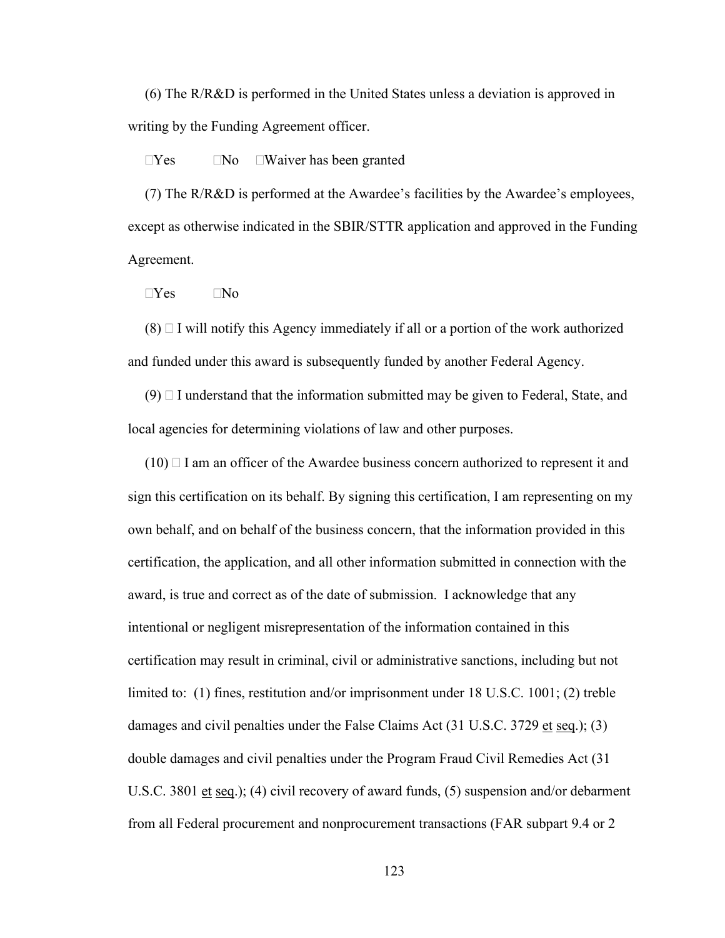(6) The R/R&D is performed in the United States unless a deviation is approved in writing by the Funding Agreement officer.

 $\Box$ Yes  $\Box$ No  $\Box$ Waiver has been granted

(7) The R/R&D is performed at the Awardee's facilities by the Awardee's employees, except as otherwise indicated in the SBIR/STTR application and approved in the Funding Agreement.

 $\neg$ Yes  $\neg$ No

 $(8)$   $\Box$  I will notify this Agency immediately if all or a portion of the work authorized and funded under this award is subsequently funded by another Federal Agency.

 $(9)$   $\Box$  I understand that the information submitted may be given to Federal, State, and local agencies for determining violations of law and other purposes.

 $(10)$   $\Box$  I am an officer of the Awardee business concern authorized to represent it and sign this certification on its behalf. By signing this certification, I am representing on my own behalf, and on behalf of the business concern, that the information provided in this certification, the application, and all other information submitted in connection with the award, is true and correct as of the date of submission. I acknowledge that any intentional or negligent misrepresentation of the information contained in this certification may result in criminal, civil or administrative sanctions, including but not limited to: (1) fines, restitution and/or imprisonment under 18 U.S.C. 1001; (2) treble damages and civil penalties under the False Claims Act  $(31 \text{ U.S.C. } 3729 \text{ et seq.}); (3)$ double damages and civil penalties under the Program Fraud Civil Remedies Act (31 U.S.C. 3801 et seq.); (4) civil recovery of award funds, (5) suspension and/or debarment from all Federal procurement and nonprocurement transactions (FAR subpart 9.4 or 2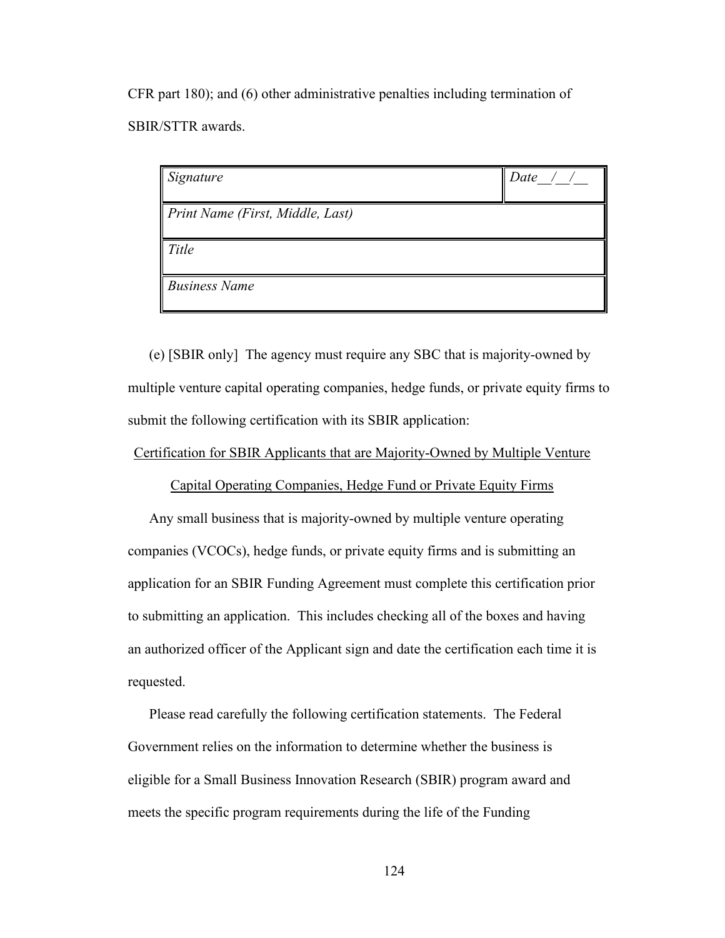CFR part 180); and (6) other administrative penalties including termination of SBIR/STTR awards.

| Signature                        | Date |
|----------------------------------|------|
| Print Name (First, Middle, Last) |      |
| Title                            |      |
| <b>Business Name</b>             |      |

(e) [SBIR only] The agency must require any SBC that is majority-owned by multiple venture capital operating companies, hedge funds, or private equity firms to submit the following certification with its SBIR application:

## Certification for SBIR Applicants that are Majority-Owned by Multiple Venture

Capital Operating Companies, Hedge Fund or Private Equity Firms

Any small business that is majority-owned by multiple venture operating companies (VCOCs), hedge funds, or private equity firms and is submitting an application for an SBIR Funding Agreement must complete this certification prior to submitting an application. This includes checking all of the boxes and having an authorized officer of the Applicant sign and date the certification each time it is requested.

Please read carefully the following certification statements. The Federal Government relies on the information to determine whether the business is eligible for a Small Business Innovation Research (SBIR) program award and meets the specific program requirements during the life of the Funding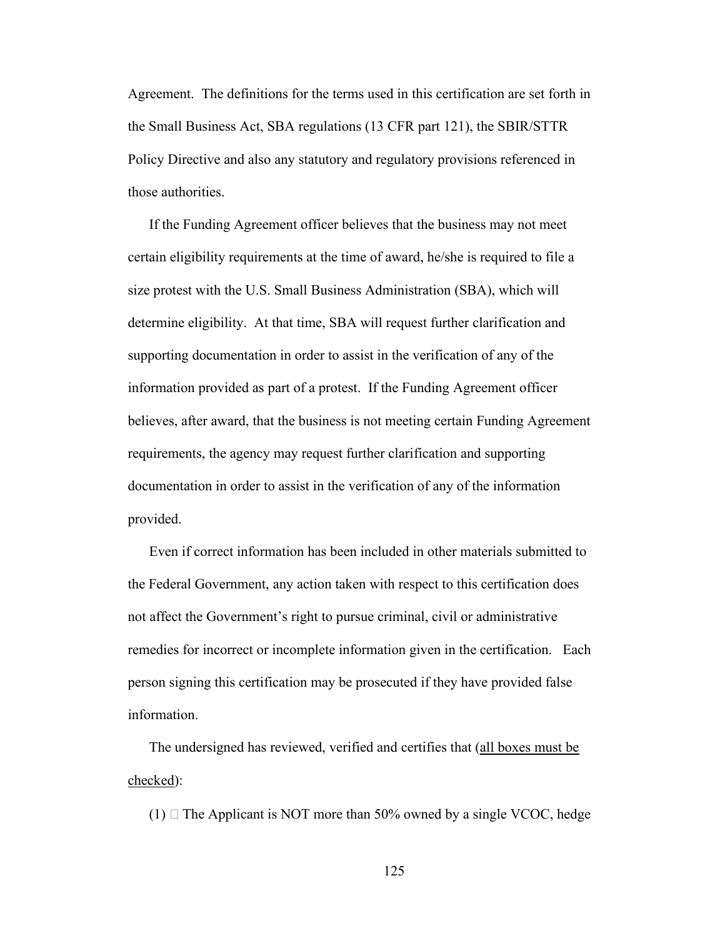Agreement. The definitions for the terms used in this certification are set forth in the Small Business Act, SBA regulations (13 CFR part 121), the SBIR/STTR Policy Directive and also any statutory and regulatory provisions referenced in those authorities.

If the Funding Agreement officer believes that the business may not meet certain eligibility requirements at the time of award, he/she is required to file a size protest with the U.S. Small Business Administration (SBA), which will determine eligibility. At that time, SBA will request further clarification and supporting documentation in order to assist in the verification of any of the information provided as part of a protest. If the Funding Agreement officer believes, after award, that the business is not meeting certain Funding Agreement requirements, the agency may request further clarification and supporting documentation in order to assist in the verification of any of the information provided.

Even if correct information has been included in other materials submitted to the Federal Government, any action taken with respect to this certification does not affect the Government's right to pursue criminal, civil or administrative remedies for incorrect or incomplete information given in the certification. Each person signing this certification may be prosecuted if they have provided false information.

The undersigned has reviewed, verified and certifies that (all boxes must be checked):

(1)  $\Box$  The Applicant is NOT more than 50% owned by a single VCOC, hedge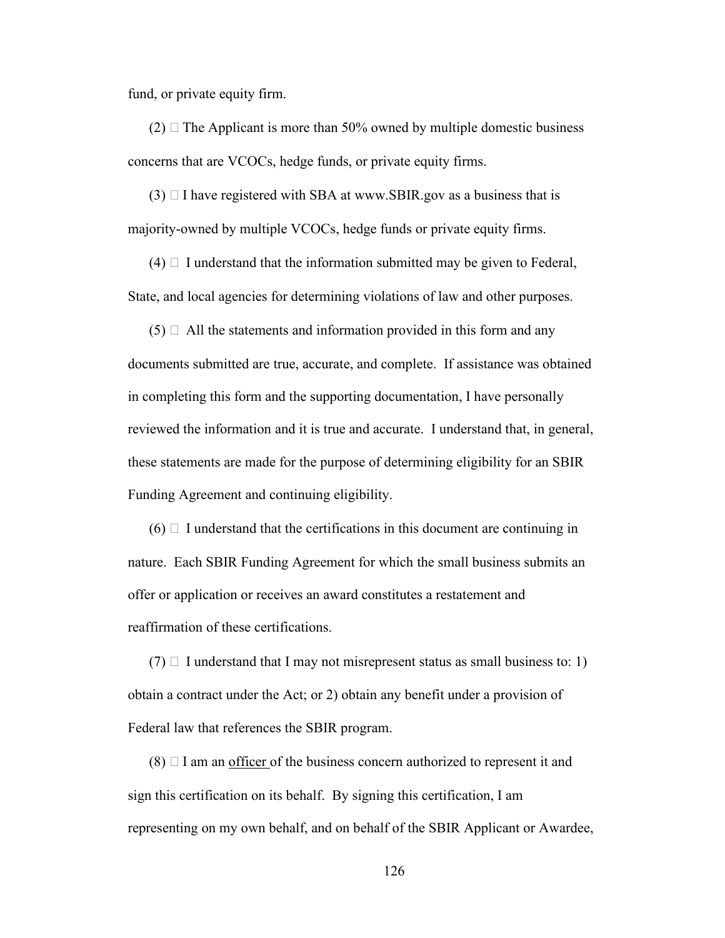fund, or private equity firm.

 $(2)$   $\Box$  The Applicant is more than 50% owned by multiple domestic business concerns that are VCOCs, hedge funds, or private equity firms.

 $(3)$   $\Box$  I have registered with SBA at www.SBIR.gov as a business that is majority-owned by multiple VCOCs, hedge funds or private equity firms.

 $(4)$   $\Box$  I understand that the information submitted may be given to Federal, State, and local agencies for determining violations of law and other purposes.

 $(5)$   $\Box$  All the statements and information provided in this form and any documents submitted are true, accurate, and complete. If assistance was obtained in completing this form and the supporting documentation, I have personally reviewed the information and it is true and accurate. I understand that, in general, these statements are made for the purpose of determining eligibility for an SBIR Funding Agreement and continuing eligibility.

 $(6)$  I understand that the certifications in this document are continuing in nature. Each SBIR Funding Agreement for which the small business submits an offer or application or receives an award constitutes a restatement and reaffirmation of these certifications.

 $(7)$   $\Box$  I understand that I may not misrepresent status as small business to: 1) obtain a contract under the Act; or 2) obtain any benefit under a provision of Federal law that references the SBIR program.

 $(8)$   $\Box$  I am an <u>officer</u> of the business concern authorized to represent it and sign this certification on its behalf. By signing this certification, I am representing on my own behalf, and on behalf of the SBIR Applicant or Awardee,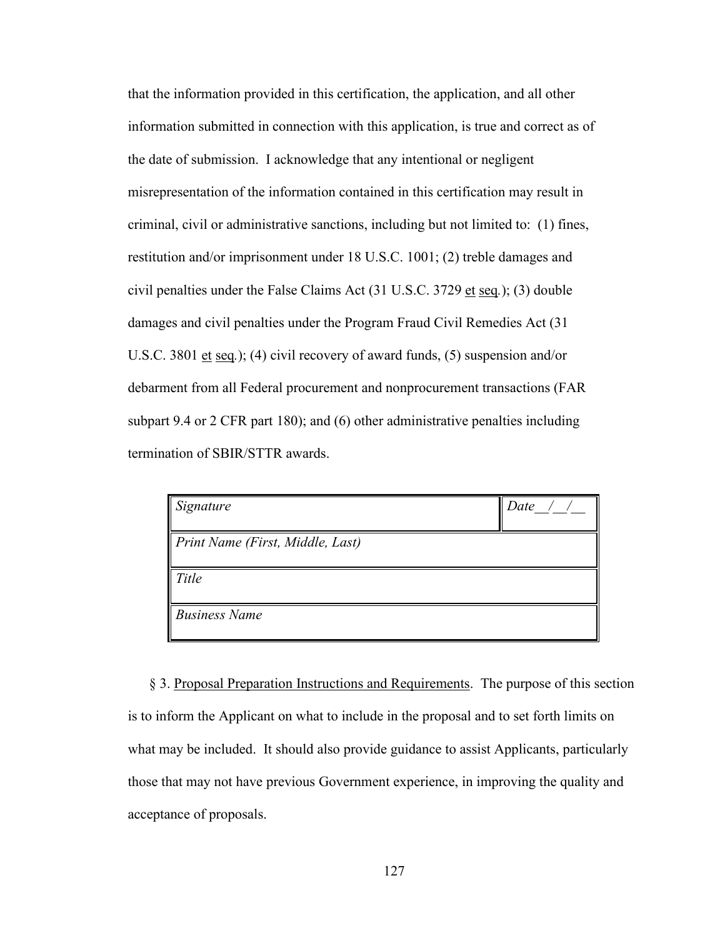that the information provided in this certification, the application, and all other information submitted in connection with this application, is true and correct as of the date of submission. I acknowledge that any intentional or negligent misrepresentation of the information contained in this certification may result in criminal, civil or administrative sanctions, including but not limited to: (1) fines, restitution and/or imprisonment under 18 U.S.C. 1001; (2) treble damages and civil penalties under the False Claims Act (31 U.S.C. 3729 et seq*.*); (3) double damages and civil penalties under the Program Fraud Civil Remedies Act (31 U.S.C. 3801 et seq.); (4) civil recovery of award funds, (5) suspension and/or debarment from all Federal procurement and nonprocurement transactions (FAR subpart 9.4 or 2 CFR part 180); and (6) other administrative penalties including termination of SBIR/STTR awards.

| $\vert$ Signature                | Data |
|----------------------------------|------|
| Print Name (First, Middle, Last) |      |
| <b>Title</b>                     |      |
| <b>Business Name</b>             |      |

§ 3. Proposal Preparation Instructions and Requirements. The purpose of this section is to inform the Applicant on what to include in the proposal and to set forth limits on what may be included. It should also provide guidance to assist Applicants, particularly those that may not have previous Government experience, in improving the quality and acceptance of proposals.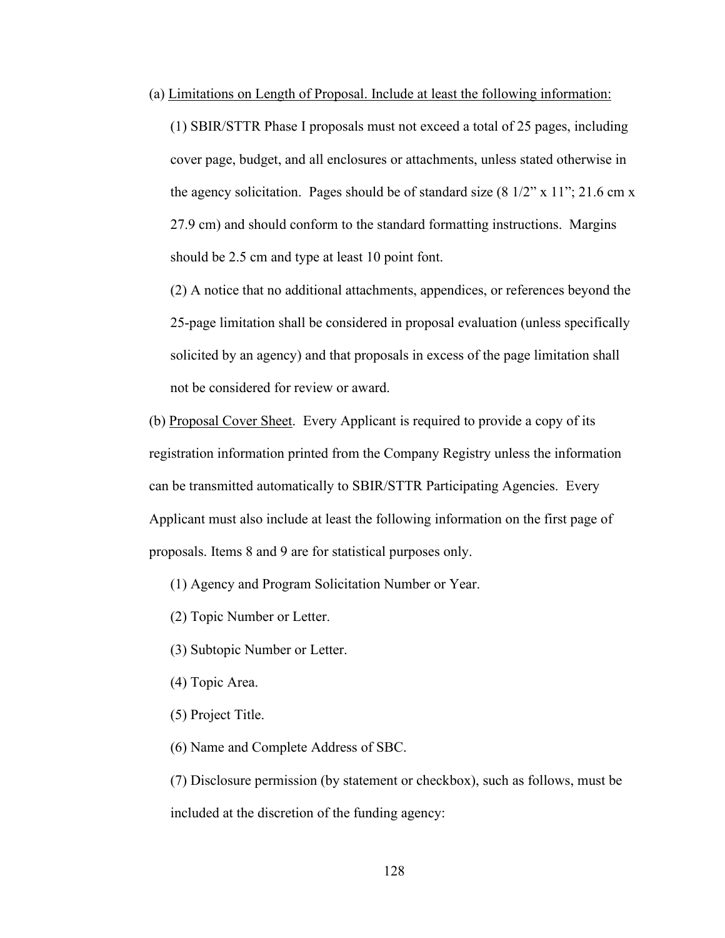(a) Limitations on Length of Proposal. Include at least the following information:

(1) SBIR/STTR Phase I proposals must not exceed a total of 25 pages, including cover page, budget, and all enclosures or attachments, unless stated otherwise in the agency solicitation. Pages should be of standard size  $(8\frac{1}{2}$ " x  $11$ "; 21.6 cm x 27.9 cm) and should conform to the standard formatting instructions. Margins should be 2.5 cm and type at least 10 point font.

(2) A notice that no additional attachments, appendices, or references beyond the 25-page limitation shall be considered in proposal evaluation (unless specifically solicited by an agency) and that proposals in excess of the page limitation shall not be considered for review or award.

(b) Proposal Cover Sheet. Every Applicant is required to provide a copy of its registration information printed from the Company Registry unless the information can be transmitted automatically to SBIR/STTR Participating Agencies. Every Applicant must also include at least the following information on the first page of proposals. Items 8 and 9 are for statistical purposes only.

(1) Agency and Program Solicitation Number or Year.

(2) Topic Number or Letter.

- (3) Subtopic Number or Letter.
- (4) Topic Area.
- (5) Project Title.

(6) Name and Complete Address of SBC.

(7) Disclosure permission (by statement or checkbox), such as follows, must be included at the discretion of the funding agency: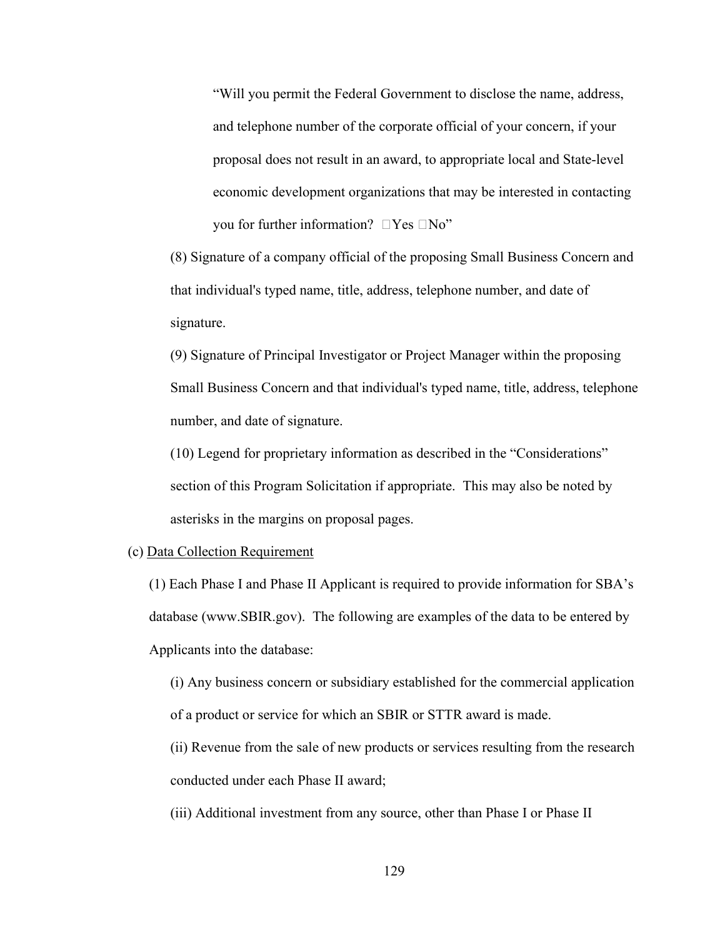"Will you permit the Federal Government to disclose the name, address, and telephone number of the corporate official of your concern, if your proposal does not result in an award, to appropriate local and State-level economic development organizations that may be interested in contacting you for further information?  $\Box$  Yes  $\Box$  No"

(8) Signature of a company official of the proposing Small Business Concern and that individual's typed name, title, address, telephone number, and date of signature.

(9) Signature of Principal Investigator or Project Manager within the proposing Small Business Concern and that individual's typed name, title, address, telephone number, and date of signature.

(10) Legend for proprietary information as described in the "Considerations" section of this Program Solicitation if appropriate. This may also be noted by asterisks in the margins on proposal pages.

#### (c) Data Collection Requirement

(1) Each Phase I and Phase II Applicant is required to provide information for SBA's database (www.SBIR.gov). The following are examples of the data to be entered by Applicants into the database:

(i) Any business concern or subsidiary established for the commercial application of a product or service for which an SBIR or STTR award is made.

(ii) Revenue from the sale of new products or services resulting from the research conducted under each Phase II award;

(iii) Additional investment from any source, other than Phase I or Phase II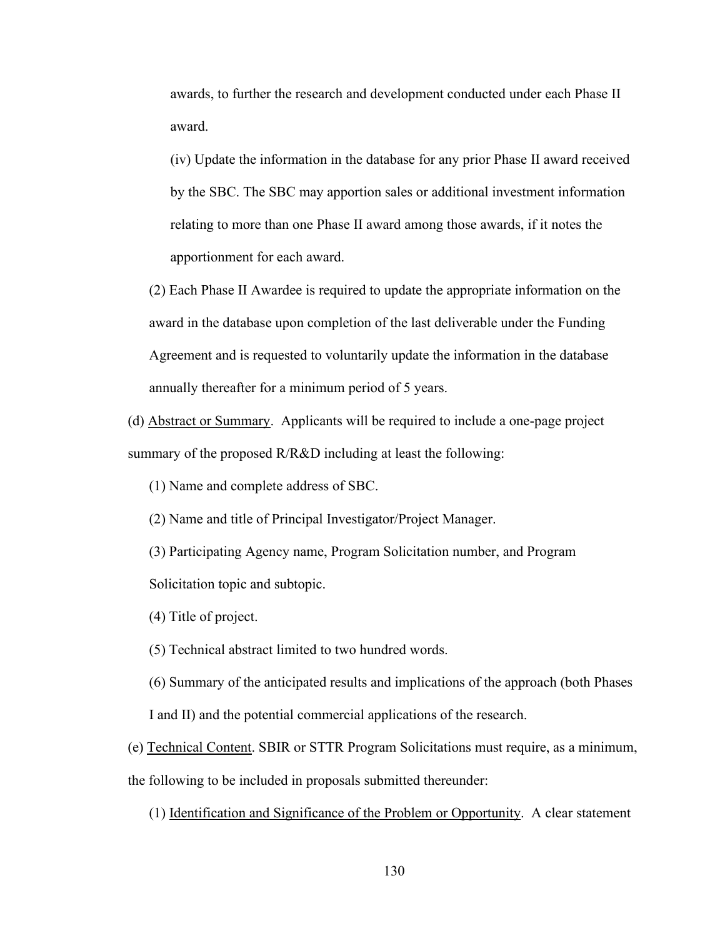awards, to further the research and development conducted under each Phase II award.

(iv) Update the information in the database for any prior Phase II award received by the SBC. The SBC may apportion sales or additional investment information relating to more than one Phase II award among those awards, if it notes the apportionment for each award.

(2) Each Phase II Awardee is required to update the appropriate information on the award in the database upon completion of the last deliverable under the Funding Agreement and is requested to voluntarily update the information in the database annually thereafter for a minimum period of 5 years.

(d) Abstract or Summary. Applicants will be required to include a one-page project summary of the proposed R/R&D including at least the following:

(1) Name and complete address of SBC.

(2) Name and title of Principal Investigator/Project Manager.

(3) Participating Agency name, Program Solicitation number, and Program Solicitation topic and subtopic.

(4) Title of project.

(5) Technical abstract limited to two hundred words.

(6) Summary of the anticipated results and implications of the approach (both Phases

I and II) and the potential commercial applications of the research.

(e) Technical Content. SBIR or STTR Program Solicitations must require, as a minimum, the following to be included in proposals submitted thereunder:

(1) Identification and Significance of the Problem or Opportunity. A clear statement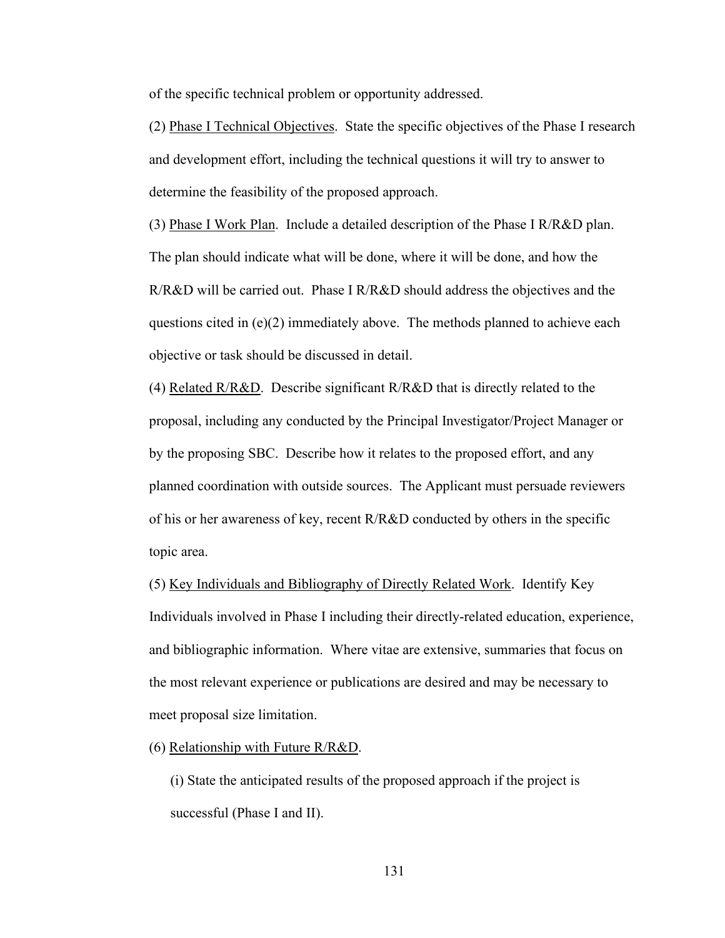of the specific technical problem or opportunity addressed.

(2) Phase I Technical Objectives. State the specific objectives of the Phase I research and development effort, including the technical questions it will try to answer to determine the feasibility of the proposed approach.

(3) Phase I Work Plan. Include a detailed description of the Phase I R/R&D plan. The plan should indicate what will be done, where it will be done, and how the R/R&D will be carried out. Phase I R/R&D should address the objectives and the questions cited in  $(e)(2)$  immediately above. The methods planned to achieve each objective or task should be discussed in detail.

(4) Related  $R/R&D$ . Describe significant  $R/R&D$  that is directly related to the proposal, including any conducted by the Principal Investigator/Project Manager or by the proposing SBC. Describe how it relates to the proposed effort, and any planned coordination with outside sources. The Applicant must persuade reviewers of his or her awareness of key, recent  $R/R&D$  conducted by others in the specific topic area.

(5) Key Individuals and Bibliography of Directly Related Work. Identify Key Individuals involved in Phase I including their directly-related education, experience, and bibliographic information. Where vitae are extensive, summaries that focus on the most relevant experience or publications are desired and may be necessary to meet proposal size limitation.

(6) Relationship with Future  $R/R&D$ .

(i) State the anticipated results of the proposed approach if the project is successful (Phase I and II).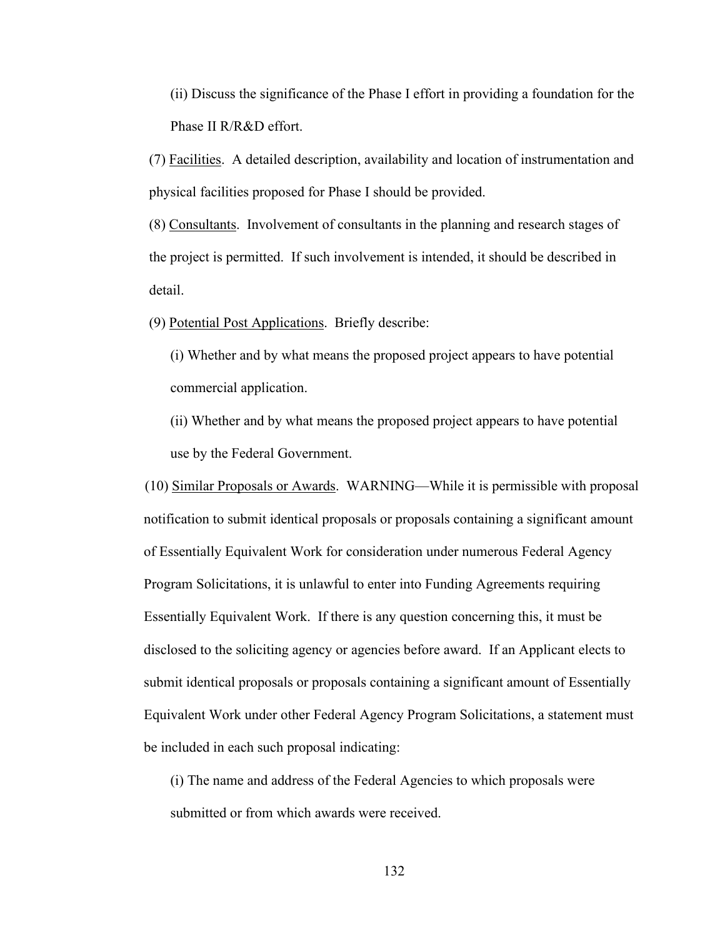(ii) Discuss the significance of the Phase I effort in providing a foundation for the Phase II R/R&D effort.

(7) Facilities. A detailed description, availability and location of instrumentation and physical facilities proposed for Phase I should be provided.

(8) Consultants. Involvement of consultants in the planning and research stages of the project is permitted. If such involvement is intended, it should be described in detail.

(9) Potential Post Applications. Briefly describe:

(i) Whether and by what means the proposed project appears to have potential commercial application.

(ii) Whether and by what means the proposed project appears to have potential use by the Federal Government.

(10) Similar Proposals or Awards. WARNING—While it is permissible with proposal notification to submit identical proposals or proposals containing a significant amount of Essentially Equivalent Work for consideration under numerous Federal Agency Program Solicitations, it is unlawful to enter into Funding Agreements requiring Essentially Equivalent Work. If there is any question concerning this, it must be disclosed to the soliciting agency or agencies before award. If an Applicant elects to submit identical proposals or proposals containing a significant amount of Essentially Equivalent Work under other Federal Agency Program Solicitations, a statement must be included in each such proposal indicating:

(i) The name and address of the Federal Agencies to which proposals were submitted or from which awards were received.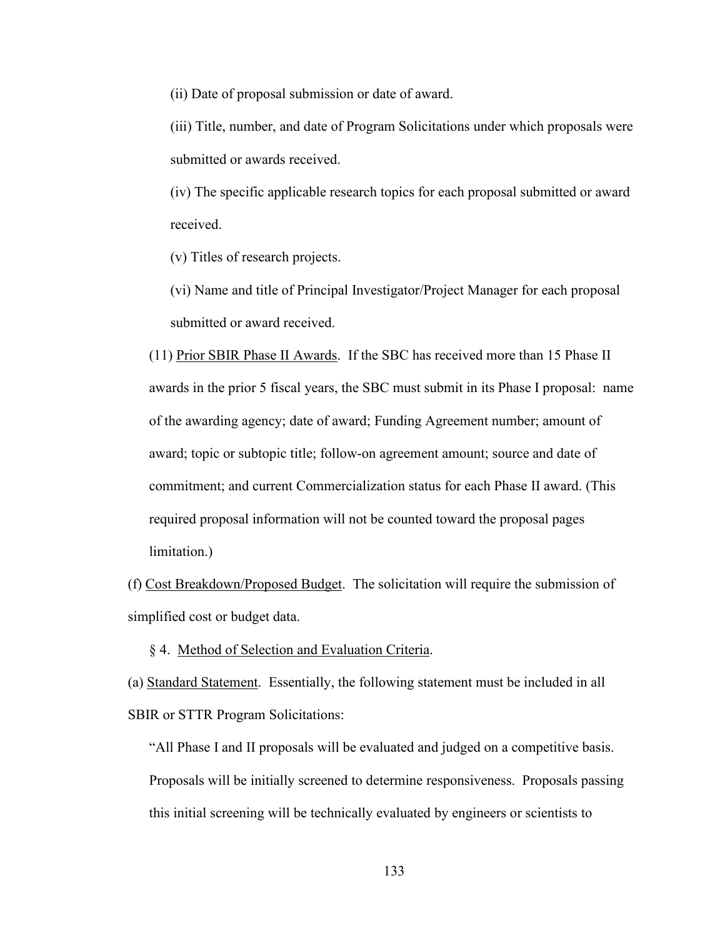(ii) Date of proposal submission or date of award.

(iii) Title, number, and date of Program Solicitations under which proposals were submitted or awards received.

(iv) The specific applicable research topics for each proposal submitted or award received.

(v) Titles of research projects.

(vi) Name and title of Principal Investigator/Project Manager for each proposal submitted or award received.

(11) Prior SBIR Phase II Awards. If the SBC has received more than 15 Phase II awards in the prior 5 fiscal years, the SBC must submit in its Phase I proposal: name of the awarding agency; date of award; Funding Agreement number; amount of award; topic or subtopic title; follow-on agreement amount; source and date of commitment; and current Commercialization status for each Phase II award. (This required proposal information will not be counted toward the proposal pages limitation.)

(f) Cost Breakdown/Proposed Budget. The solicitation will require the submission of simplified cost or budget data.

§ 4. Method of Selection and Evaluation Criteria.

(a) Standard Statement. Essentially, the following statement must be included in all SBIR or STTR Program Solicitations:

"All Phase I and II proposals will be evaluated and judged on a competitive basis. Proposals will be initially screened to determine responsiveness. Proposals passing this initial screening will be technically evaluated by engineers or scientists to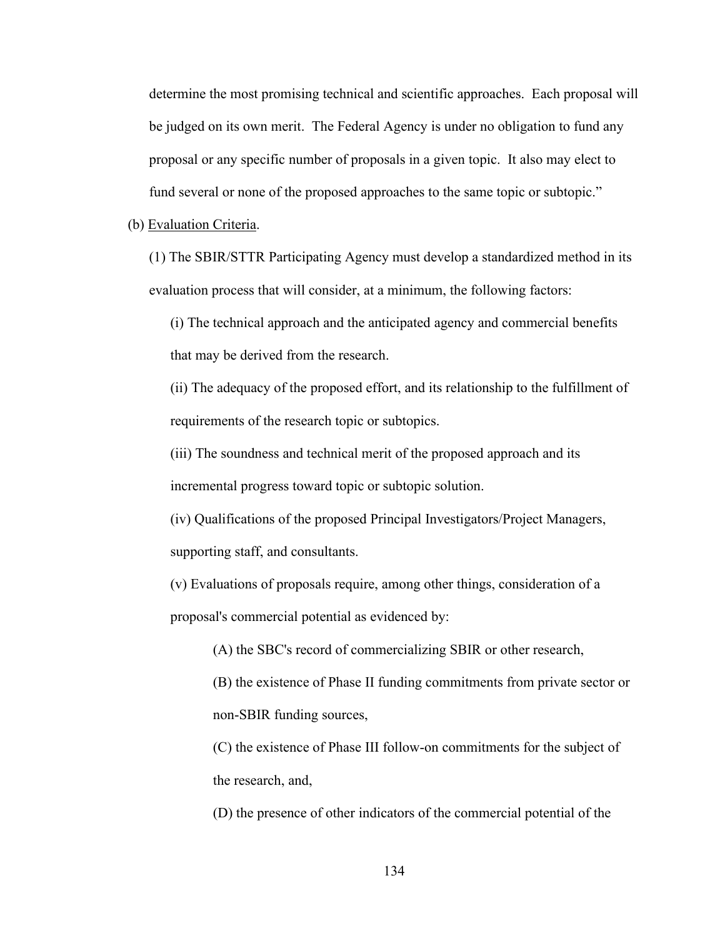determine the most promising technical and scientific approaches. Each proposal will be judged on its own merit. The Federal Agency is under no obligation to fund any proposal or any specific number of proposals in a given topic. It also may elect to fund several or none of the proposed approaches to the same topic or subtopic."

#### (b) Evaluation Criteria.

(1) The SBIR/STTR Participating Agency must develop a standardized method in its evaluation process that will consider, at a minimum, the following factors:

(i) The technical approach and the anticipated agency and commercial benefits that may be derived from the research.

(ii) The adequacy of the proposed effort, and its relationship to the fulfillment of requirements of the research topic or subtopics.

(iii) The soundness and technical merit of the proposed approach and its incremental progress toward topic or subtopic solution.

(iv) Qualifications of the proposed Principal Investigators/Project Managers, supporting staff, and consultants.

(v) Evaluations of proposals require, among other things, consideration of a proposal's commercial potential as evidenced by:

(A) the SBC's record of commercializing SBIR or other research,

(B) the existence of Phase II funding commitments from private sector or non-SBIR funding sources,

(C) the existence of Phase III follow-on commitments for the subject of the research, and,

(D) the presence of other indicators of the commercial potential of the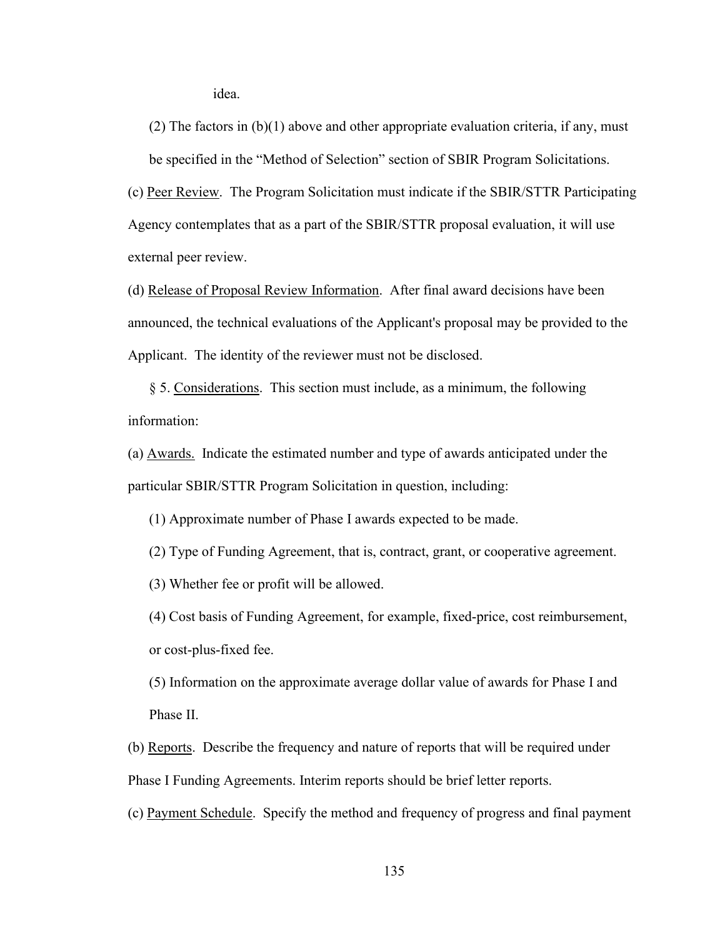idea.

(2) The factors in  $(b)(1)$  above and other appropriate evaluation criteria, if any, must be specified in the "Method of Selection" section of SBIR Program Solicitations.

(c) Peer Review. The Program Solicitation must indicate if the SBIR/STTR Participating Agency contemplates that as a part of the SBIR/STTR proposal evaluation, it will use external peer review.

(d) Release of Proposal Review Information. After final award decisions have been announced, the technical evaluations of the Applicant's proposal may be provided to the Applicant. The identity of the reviewer must not be disclosed.

§ 5. Considerations. This section must include, as a minimum, the following information:

(a) Awards. Indicate the estimated number and type of awards anticipated under the particular SBIR/STTR Program Solicitation in question, including:

(1) Approximate number of Phase I awards expected to be made.

(2) Type of Funding Agreement, that is, contract, grant, or cooperative agreement.

(3) Whether fee or profit will be allowed.

(4) Cost basis of Funding Agreement, for example, fixed-price, cost reimbursement, or cost-plus-fixed fee.

(5) Information on the approximate average dollar value of awards for Phase I and Phase II.

(b) Reports. Describe the frequency and nature of reports that will be required under Phase I Funding Agreements. Interim reports should be brief letter reports.

(c) Payment Schedule. Specify the method and frequency of progress and final payment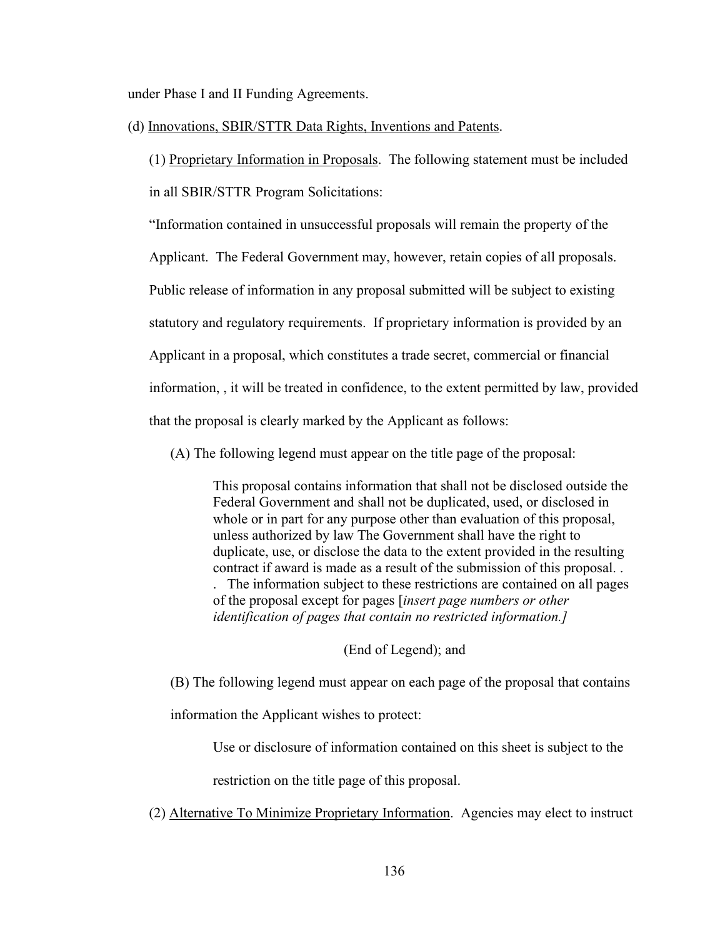under Phase I and II Funding Agreements.

(d) Innovations, SBIR/STTR Data Rights, Inventions and Patents.

(1) Proprietary Information in Proposals. The following statement must be included in all SBIR/STTR Program Solicitations:

"Information contained in unsuccessful proposals will remain the property of the

Applicant. The Federal Government may, however, retain copies of all proposals.

Public release of information in any proposal submitted will be subject to existing

statutory and regulatory requirements. If proprietary information is provided by an

Applicant in a proposal, which constitutes a trade secret, commercial or financial

information, , it will be treated in confidence, to the extent permitted by law, provided

that the proposal is clearly marked by the Applicant as follows:

(A) The following legend must appear on the title page of the proposal:

This proposal contains information that shall not be disclosed outside the Federal Government and shall not be duplicated, used, or disclosed in whole or in part for any purpose other than evaluation of this proposal, unless authorized by law The Government shall have the right to duplicate, use, or disclose the data to the extent provided in the resulting contract if award is made as a result of the submission of this proposal. . . The information subject to these restrictions are contained on all pages of the proposal except for pages [*insert page numbers or other identification of pages that contain no restricted information.]*

(End of Legend); and

(B) The following legend must appear on each page of the proposal that contains

information the Applicant wishes to protect:

Use or disclosure of information contained on this sheet is subject to the

restriction on the title page of this proposal.

(2) Alternative To Minimize Proprietary Information. Agencies may elect to instruct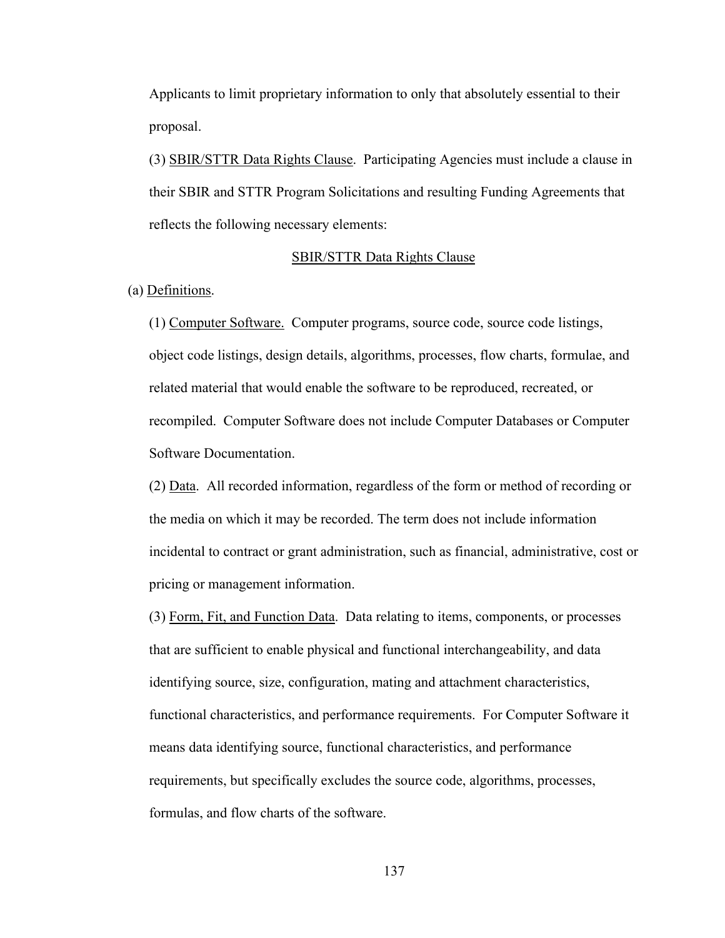Applicants to limit proprietary information to only that absolutely essential to their proposal.

(3) SBIR/STTR Data Rights Clause. Participating Agencies must include a clause in their SBIR and STTR Program Solicitations and resulting Funding Agreements that reflects the following necessary elements:

#### SBIR/STTR Data Rights Clause

(a) Definitions.

(1) Computer Software. Computer programs, source code, source code listings, object code listings, design details, algorithms, processes, flow charts, formulae, and related material that would enable the software to be reproduced, recreated, or recompiled. Computer Software does not include Computer Databases or Computer Software Documentation.

(2) Data. All recorded information, regardless of the form or method of recording or the media on which it may be recorded. The term does not include information incidental to contract or grant administration, such as financial, administrative, cost or pricing or management information.

(3) Form, Fit, and Function Data. Data relating to items, components, or processes that are sufficient to enable physical and functional interchangeability, and data identifying source, size, configuration, mating and attachment characteristics, functional characteristics, and performance requirements. For Computer Software it means data identifying source, functional characteristics, and performance requirements, but specifically excludes the source code, algorithms, processes, formulas, and flow charts of the software.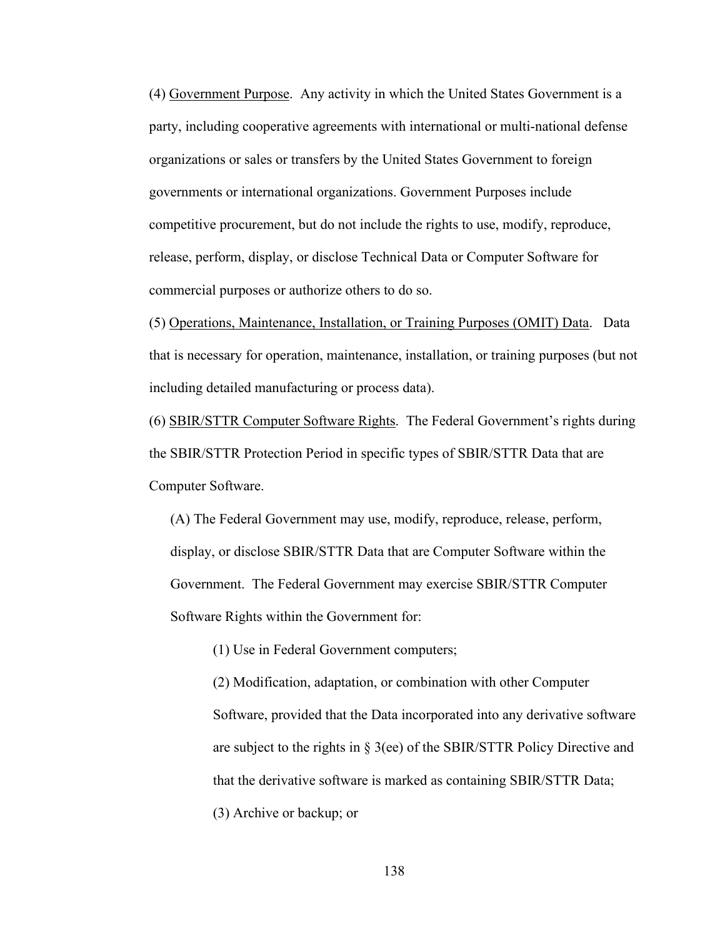(4) Government Purpose. Any activity in which the United States Government is a party, including cooperative agreements with international or multi-national defense organizations or sales or transfers by the United States Government to foreign governments or international organizations. Government Purposes include competitive procurement, but do not include the rights to use, modify, reproduce, release, perform, display, or disclose Technical Data or Computer Software for commercial purposes or authorize others to do so.

(5) Operations, Maintenance, Installation, or Training Purposes (OMIT) Data. Data that is necessary for operation, maintenance, installation, or training purposes (but not including detailed manufacturing or process data).

(6) SBIR/STTR Computer Software Rights. The Federal Government's rights during the SBIR/STTR Protection Period in specific types of SBIR/STTR Data that are Computer Software.

(A) The Federal Government may use, modify, reproduce, release, perform, display, or disclose SBIR/STTR Data that are Computer Software within the Government. The Federal Government may exercise SBIR/STTR Computer Software Rights within the Government for:

(1) Use in Federal Government computers;

(2) Modification, adaptation, or combination with other Computer Software, provided that the Data incorporated into any derivative software are subject to the rights in § 3(ee) of the SBIR/STTR Policy Directive and that the derivative software is marked as containing SBIR/STTR Data; (3) Archive or backup; or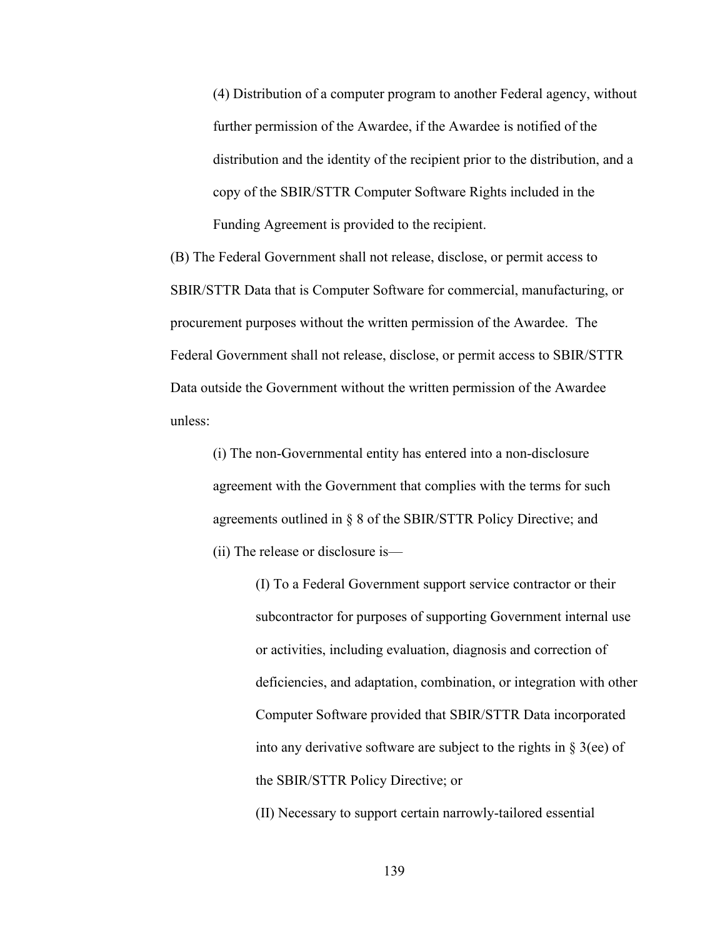(4) Distribution of a computer program to another Federal agency, without further permission of the Awardee, if the Awardee is notified of the distribution and the identity of the recipient prior to the distribution, and a copy of the SBIR/STTR Computer Software Rights included in the Funding Agreement is provided to the recipient.

(B) The Federal Government shall not release, disclose, or permit access to SBIR/STTR Data that is Computer Software for commercial, manufacturing, or procurement purposes without the written permission of the Awardee. The Federal Government shall not release, disclose, or permit access to SBIR/STTR Data outside the Government without the written permission of the Awardee unless:

(i) The non-Governmental entity has entered into a non-disclosure agreement with the Government that complies with the terms for such agreements outlined in § 8 of the SBIR/STTR Policy Directive; and (ii) The release or disclosure is—

> (I) To a Federal Government support service contractor or their subcontractor for purposes of supporting Government internal use or activities, including evaluation, diagnosis and correction of deficiencies, and adaptation, combination, or integration with other Computer Software provided that SBIR/STTR Data incorporated into any derivative software are subject to the rights in  $\S 3$ (ee) of the SBIR/STTR Policy Directive; or

(II) Necessary to support certain narrowly-tailored essential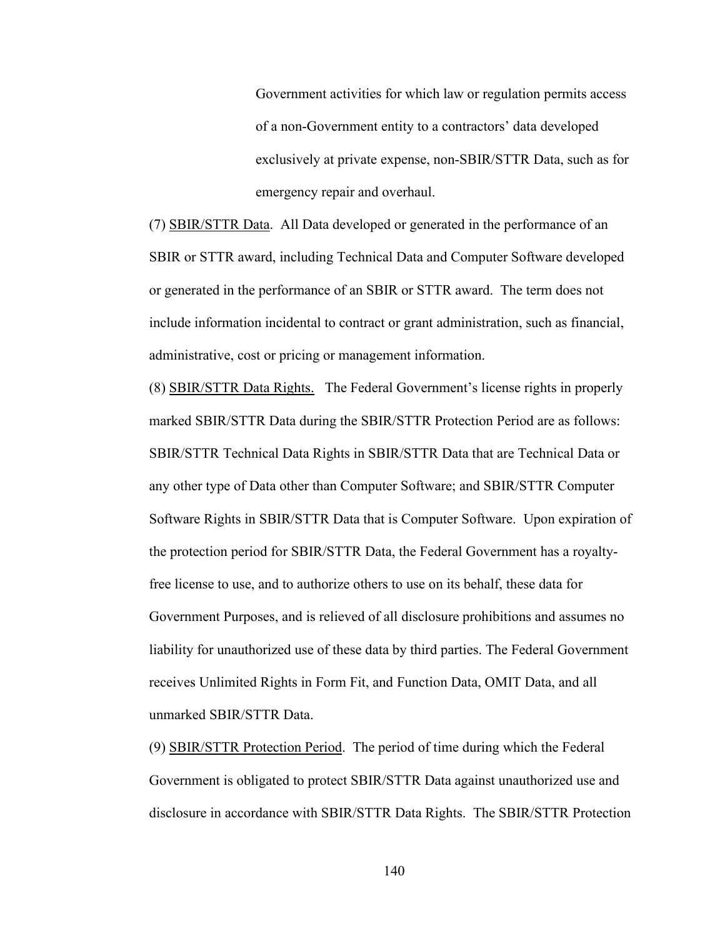Government activities for which law or regulation permits access of a non-Government entity to a contractors' data developed exclusively at private expense, non-SBIR/STTR Data, such as for emergency repair and overhaul.

(7) SBIR/STTR Data. All Data developed or generated in the performance of an SBIR or STTR award, including Technical Data and Computer Software developed or generated in the performance of an SBIR or STTR award. The term does not include information incidental to contract or grant administration, such as financial, administrative, cost or pricing or management information.

(8) SBIR/STTR Data Rights. The Federal Government's license rights in properly marked SBIR/STTR Data during the SBIR/STTR Protection Period are as follows: SBIR/STTR Technical Data Rights in SBIR/STTR Data that are Technical Data or any other type of Data other than Computer Software; and SBIR/STTR Computer Software Rights in SBIR/STTR Data that is Computer Software. Upon expiration of the protection period for SBIR/STTR Data, the Federal Government has a royaltyfree license to use, and to authorize others to use on its behalf, these data for Government Purposes, and is relieved of all disclosure prohibitions and assumes no liability for unauthorized use of these data by third parties. The Federal Government receives Unlimited Rights in Form Fit, and Function Data, OMIT Data, and all unmarked SBIR/STTR Data.

(9) SBIR/STTR Protection Period. The period of time during which the Federal Government is obligated to protect SBIR/STTR Data against unauthorized use and disclosure in accordance with SBIR/STTR Data Rights. The SBIR/STTR Protection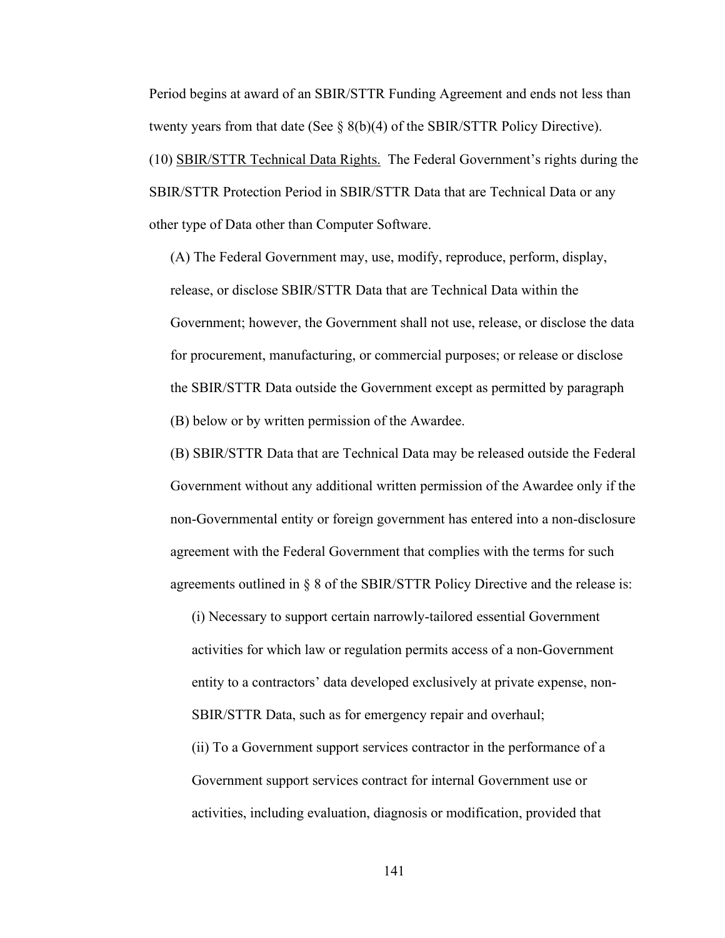Period begins at award of an SBIR/STTR Funding Agreement and ends not less than twenty years from that date (See  $\S$  8(b)(4) of the SBIR/STTR Policy Directive). (10) SBIR/STTR Technical Data Rights. The Federal Government's rights during the SBIR/STTR Protection Period in SBIR/STTR Data that are Technical Data or any other type of Data other than Computer Software.

(A) The Federal Government may, use, modify, reproduce, perform, display, release, or disclose SBIR/STTR Data that are Technical Data within the Government; however, the Government shall not use, release, or disclose the data for procurement, manufacturing, or commercial purposes; or release or disclose the SBIR/STTR Data outside the Government except as permitted by paragraph (B) below or by written permission of the Awardee.

(B) SBIR/STTR Data that are Technical Data may be released outside the Federal Government without any additional written permission of the Awardee only if the non-Governmental entity or foreign government has entered into a non-disclosure agreement with the Federal Government that complies with the terms for such agreements outlined in § 8 of the SBIR/STTR Policy Directive and the release is:

(i) Necessary to support certain narrowly-tailored essential Government activities for which law or regulation permits access of a non-Government entity to a contractors' data developed exclusively at private expense, non-SBIR/STTR Data, such as for emergency repair and overhaul;

(ii) To a Government support services contractor in the performance of a Government support services contract for internal Government use or activities, including evaluation, diagnosis or modification, provided that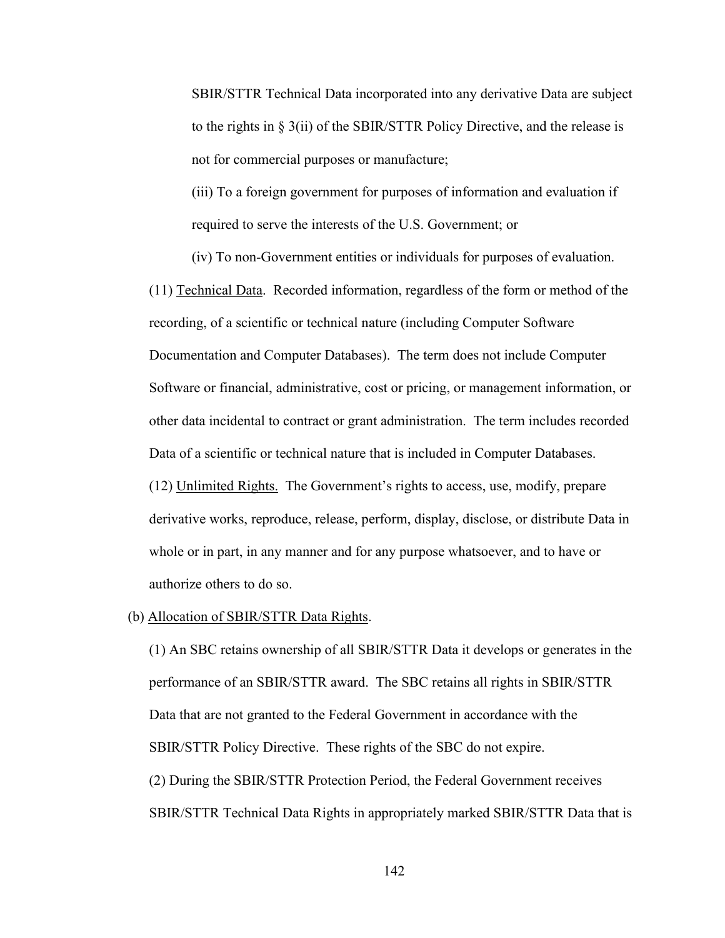SBIR/STTR Technical Data incorporated into any derivative Data are subject to the rights in § 3(ii) of the SBIR/STTR Policy Directive, and the release is not for commercial purposes or manufacture;

(iii) To a foreign government for purposes of information and evaluation if required to serve the interests of the U.S. Government; or

(iv) To non-Government entities or individuals for purposes of evaluation.

(11) Technical Data. Recorded information, regardless of the form or method of the recording, of a scientific or technical nature (including Computer Software Documentation and Computer Databases). The term does not include Computer Software or financial, administrative, cost or pricing, or management information, or other data incidental to contract or grant administration. The term includes recorded Data of a scientific or technical nature that is included in Computer Databases. (12) Unlimited Rights. The Government's rights to access, use, modify, prepare derivative works, reproduce, release, perform, display, disclose, or distribute Data in whole or in part, in any manner and for any purpose whatsoever, and to have or authorize others to do so.

#### (b) Allocation of SBIR/STTR Data Rights.

(1) An SBC retains ownership of all SBIR/STTR Data it develops or generates in the performance of an SBIR/STTR award. The SBC retains all rights in SBIR/STTR Data that are not granted to the Federal Government in accordance with the SBIR/STTR Policy Directive. These rights of the SBC do not expire. (2) During the SBIR/STTR Protection Period, the Federal Government receives SBIR/STTR Technical Data Rights in appropriately marked SBIR/STTR Data that is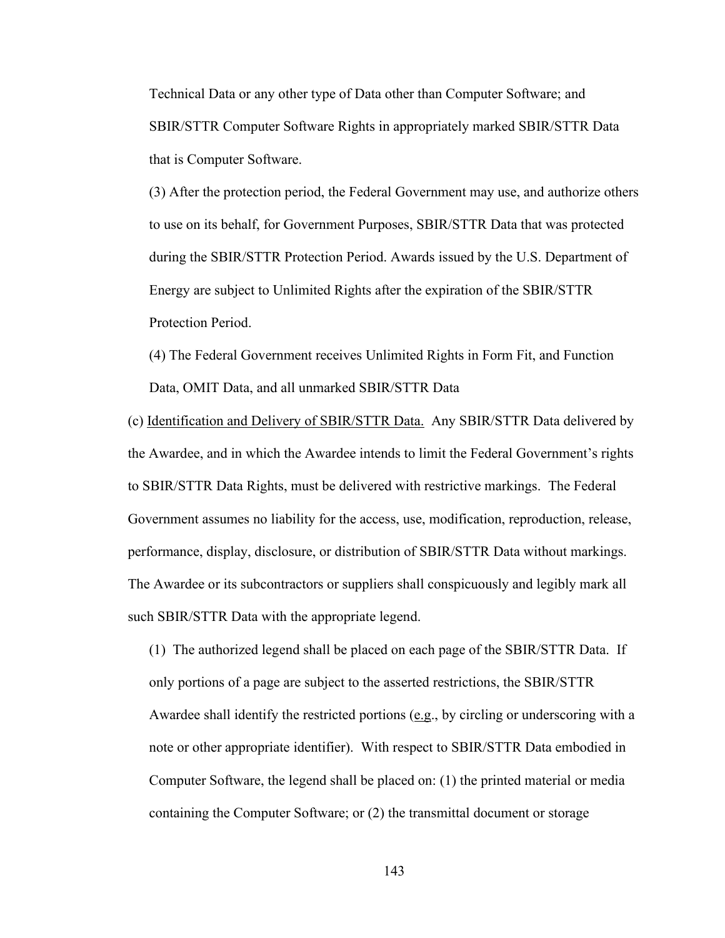Technical Data or any other type of Data other than Computer Software; and SBIR/STTR Computer Software Rights in appropriately marked SBIR/STTR Data that is Computer Software.

(3) After the protection period, the Federal Government may use, and authorize others to use on its behalf, for Government Purposes, SBIR/STTR Data that was protected during the SBIR/STTR Protection Period. Awards issued by the U.S. Department of Energy are subject to Unlimited Rights after the expiration of the SBIR/STTR Protection Period.

(4) The Federal Government receives Unlimited Rights in Form Fit, and Function Data, OMIT Data, and all unmarked SBIR/STTR Data

(c) Identification and Delivery of SBIR/STTR Data. Any SBIR/STTR Data delivered by the Awardee, and in which the Awardee intends to limit the Federal Government's rights to SBIR/STTR Data Rights, must be delivered with restrictive markings. The Federal Government assumes no liability for the access, use, modification, reproduction, release, performance, display, disclosure, or distribution of SBIR/STTR Data without markings. The Awardee or its subcontractors or suppliers shall conspicuously and legibly mark all such SBIR/STTR Data with the appropriate legend.

(1) The authorized legend shall be placed on each page of the SBIR/STTR Data. If only portions of a page are subject to the asserted restrictions, the SBIR/STTR Awardee shall identify the restricted portions (e.g., by circling or underscoring with a note or other appropriate identifier). With respect to SBIR/STTR Data embodied in Computer Software, the legend shall be placed on: (1) the printed material or media containing the Computer Software; or (2) the transmittal document or storage

143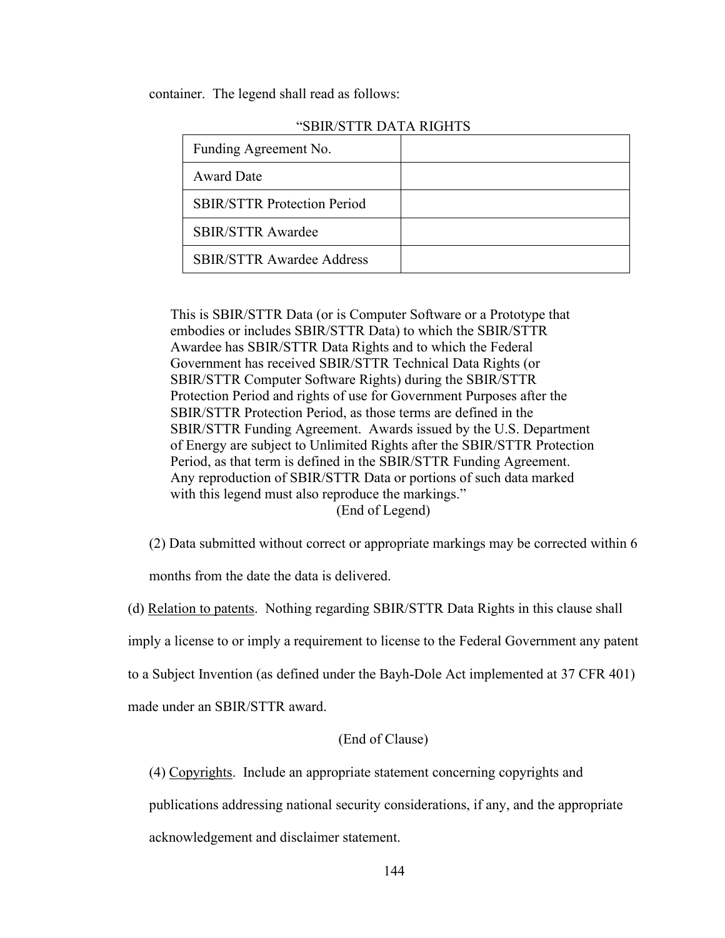container. The legend shall read as follows:

| Funding Agreement No.              |  |
|------------------------------------|--|
| <b>Award Date</b>                  |  |
| <b>SBIR/STTR Protection Period</b> |  |
| <b>SBIR/STTR Awardee</b>           |  |
| <b>SBIR/STTR Awardee Address</b>   |  |

## "SBIR/STTR DATA RIGHTS

This is SBIR/STTR Data (or is Computer Software or a Prototype that embodies or includes SBIR/STTR Data) to which the SBIR/STTR Awardee has SBIR/STTR Data Rights and to which the Federal Government has received SBIR/STTR Technical Data Rights (or SBIR/STTR Computer Software Rights) during the SBIR/STTR Protection Period and rights of use for Government Purposes after the SBIR/STTR Protection Period, as those terms are defined in the SBIR/STTR Funding Agreement. Awards issued by the U.S. Department of Energy are subject to Unlimited Rights after the SBIR/STTR Protection Period, as that term is defined in the SBIR/STTR Funding Agreement. Any reproduction of SBIR/STTR Data or portions of such data marked with this legend must also reproduce the markings." (End of Legend)

(2) Data submitted without correct or appropriate markings may be corrected within 6

months from the date the data is delivered.

(d) Relation to patents. Nothing regarding SBIR/STTR Data Rights in this clause shall

imply a license to or imply a requirement to license to the Federal Government any patent

to a Subject Invention (as defined under the Bayh-Dole Act implemented at 37 CFR 401)

made under an SBIR/STTR award.

## (End of Clause)

(4) Copyrights. Include an appropriate statement concerning copyrights and

publications addressing national security considerations, if any, and the appropriate

acknowledgement and disclaimer statement.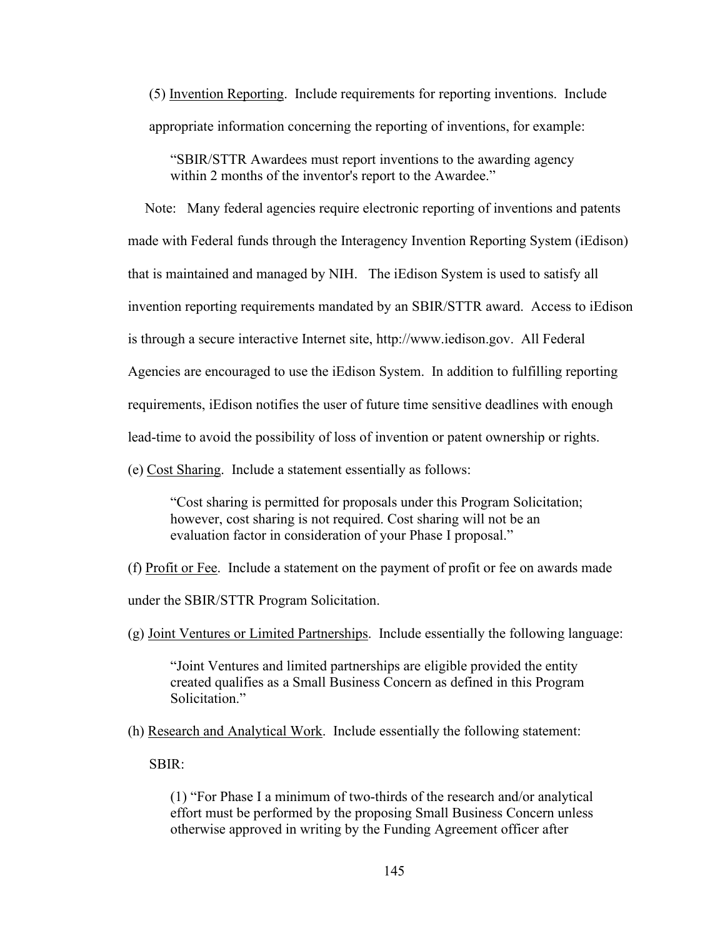(5) Invention Reporting. Include requirements for reporting inventions. Include appropriate information concerning the reporting of inventions, for example:

"SBIR/STTR Awardees must report inventions to the awarding agency within 2 months of the inventor's report to the Awardee."

Note: Many federal agencies require electronic reporting of inventions and patents made with Federal funds through the Interagency Invention Reporting System (iEdison) that is maintained and managed by NIH. The iEdison System is used to satisfy all invention reporting requirements mandated by an SBIR/STTR award. Access to iEdison is through a secure interactive Internet site, http://www.iedison.gov. All Federal Agencies are encouraged to use the iEdison System. In addition to fulfilling reporting requirements, iEdison notifies the user of future time sensitive deadlines with enough lead-time to avoid the possibility of loss of invention or patent ownership or rights.

(e) Cost Sharing. Include a statement essentially as follows:

"Cost sharing is permitted for proposals under this Program Solicitation; however, cost sharing is not required. Cost sharing will not be an evaluation factor in consideration of your Phase I proposal."

(f) Profit or Fee. Include a statement on the payment of profit or fee on awards made

under the SBIR/STTR Program Solicitation.

(g) Joint Ventures or Limited Partnerships. Include essentially the following language:

"Joint Ventures and limited partnerships are eligible provided the entity created qualifies as a Small Business Concern as defined in this Program Solicitation."

(h) Research and Analytical Work. Include essentially the following statement:

SBIR:

(1) "For Phase I a minimum of two-thirds of the research and/or analytical effort must be performed by the proposing Small Business Concern unless otherwise approved in writing by the Funding Agreement officer after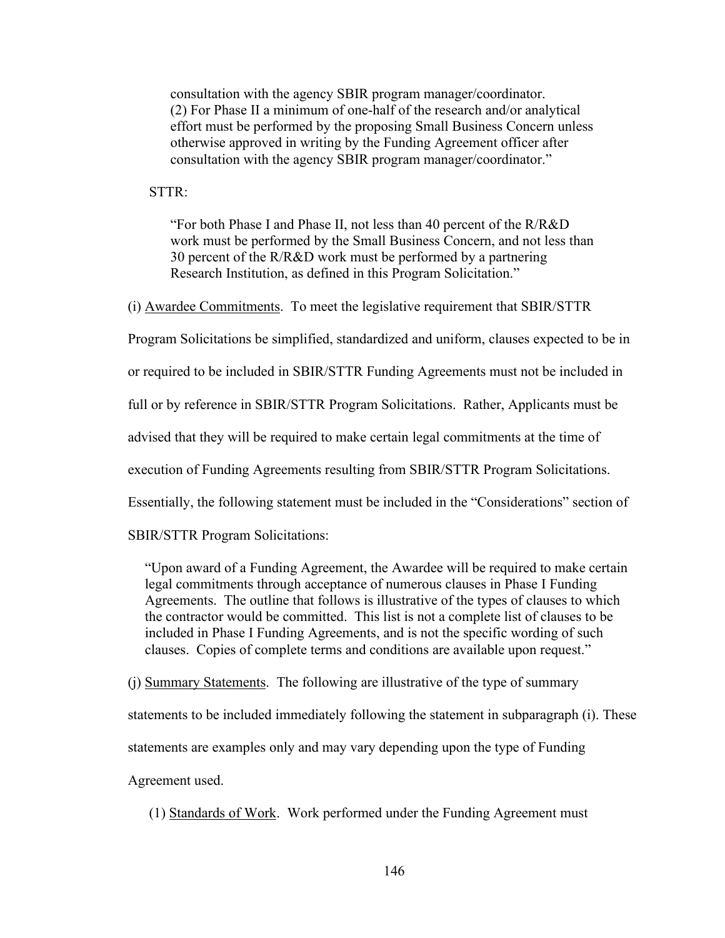consultation with the agency SBIR program manager/coordinator. (2) For Phase II a minimum of one-half of the research and/or analytical effort must be performed by the proposing Small Business Concern unless otherwise approved in writing by the Funding Agreement officer after consultation with the agency SBIR program manager/coordinator."

STTR:

"For both Phase I and Phase II, not less than 40 percent of the R/R&D work must be performed by the Small Business Concern, and not less than 30 percent of the R/R&D work must be performed by a partnering Research Institution, as defined in this Program Solicitation."

(i) Awardee Commitments. To meet the legislative requirement that SBIR/STTR

Program Solicitations be simplified, standardized and uniform, clauses expected to be in

or required to be included in SBIR/STTR Funding Agreements must not be included in

full or by reference in SBIR/STTR Program Solicitations. Rather, Applicants must be

advised that they will be required to make certain legal commitments at the time of

execution of Funding Agreements resulting from SBIR/STTR Program Solicitations.

Essentially, the following statement must be included in the "Considerations" section of

SBIR/STTR Program Solicitations:

"Upon award of a Funding Agreement, the Awardee will be required to make certain legal commitments through acceptance of numerous clauses in Phase I Funding Agreements. The outline that follows is illustrative of the types of clauses to which the contractor would be committed. This list is not a complete list of clauses to be included in Phase I Funding Agreements, and is not the specific wording of such clauses. Copies of complete terms and conditions are available upon request."

(j) Summary Statements. The following are illustrative of the type of summary

statements to be included immediately following the statement in subparagraph (i). These

statements are examples only and may vary depending upon the type of Funding

Agreement used.

(1) Standards of Work. Work performed under the Funding Agreement must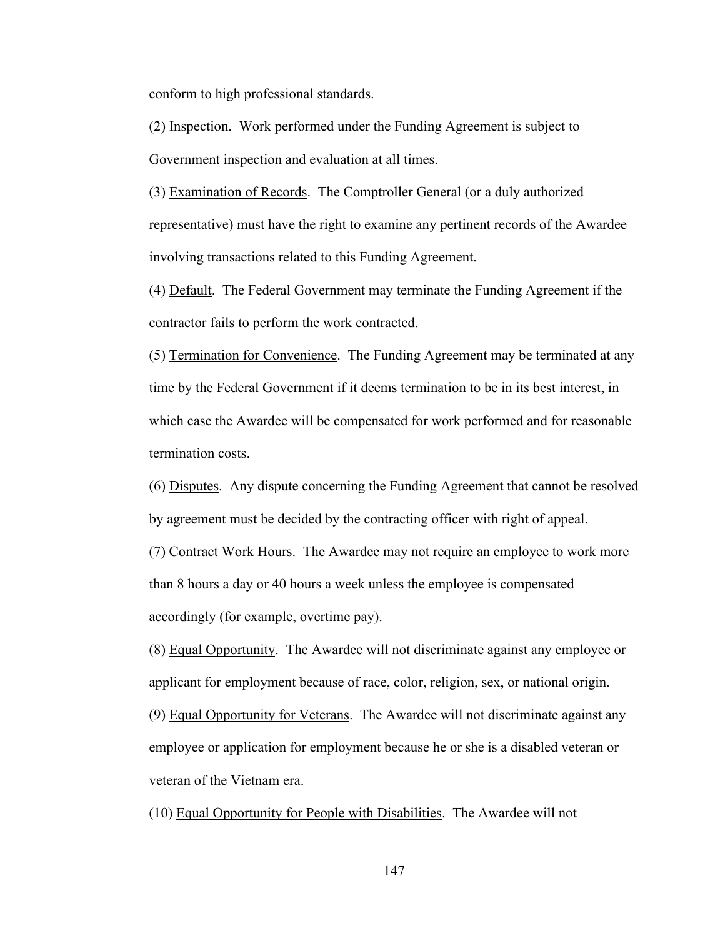conform to high professional standards.

(2) Inspection. Work performed under the Funding Agreement is subject to Government inspection and evaluation at all times.

(3) Examination of Records. The Comptroller General (or a duly authorized representative) must have the right to examine any pertinent records of the Awardee involving transactions related to this Funding Agreement.

(4) Default. The Federal Government may terminate the Funding Agreement if the contractor fails to perform the work contracted.

(5) Termination for Convenience. The Funding Agreement may be terminated at any time by the Federal Government if it deems termination to be in its best interest, in which case the Awardee will be compensated for work performed and for reasonable termination costs.

(6) Disputes. Any dispute concerning the Funding Agreement that cannot be resolved by agreement must be decided by the contracting officer with right of appeal.

(7) Contract Work Hours. The Awardee may not require an employee to work more than 8 hours a day or 40 hours a week unless the employee is compensated accordingly (for example, overtime pay).

(8) Equal Opportunity. The Awardee will not discriminate against any employee or applicant for employment because of race, color, religion, sex, or national origin.

(9) Equal Opportunity for Veterans. The Awardee will not discriminate against any employee or application for employment because he or she is a disabled veteran or veteran of the Vietnam era.

(10) Equal Opportunity for People with Disabilities. The Awardee will not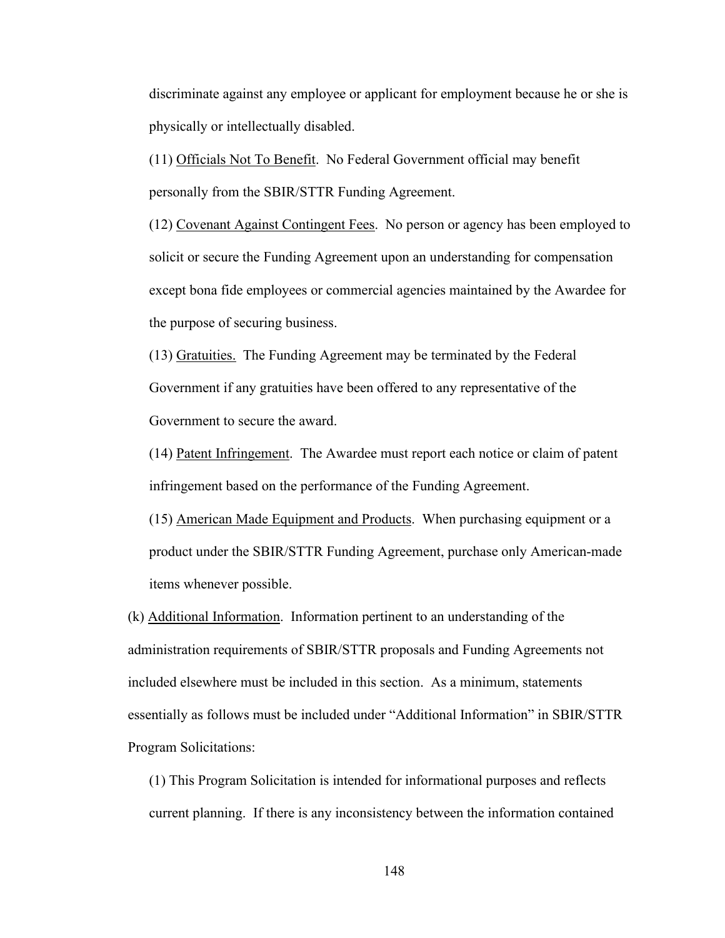discriminate against any employee or applicant for employment because he or she is physically or intellectually disabled.

(11) Officials Not To Benefit. No Federal Government official may benefit personally from the SBIR/STTR Funding Agreement.

(12) Covenant Against Contingent Fees. No person or agency has been employed to solicit or secure the Funding Agreement upon an understanding for compensation except bona fide employees or commercial agencies maintained by the Awardee for the purpose of securing business.

(13) Gratuities. The Funding Agreement may be terminated by the Federal Government if any gratuities have been offered to any representative of the Government to secure the award.

(14) Patent Infringement. The Awardee must report each notice or claim of patent infringement based on the performance of the Funding Agreement.

(15) American Made Equipment and Products. When purchasing equipment or a product under the SBIR/STTR Funding Agreement, purchase only American-made items whenever possible.

(k) Additional Information. Information pertinent to an understanding of the administration requirements of SBIR/STTR proposals and Funding Agreements not included elsewhere must be included in this section. As a minimum, statements essentially as follows must be included under "Additional Information" in SBIR/STTR Program Solicitations:

(1) This Program Solicitation is intended for informational purposes and reflects current planning. If there is any inconsistency between the information contained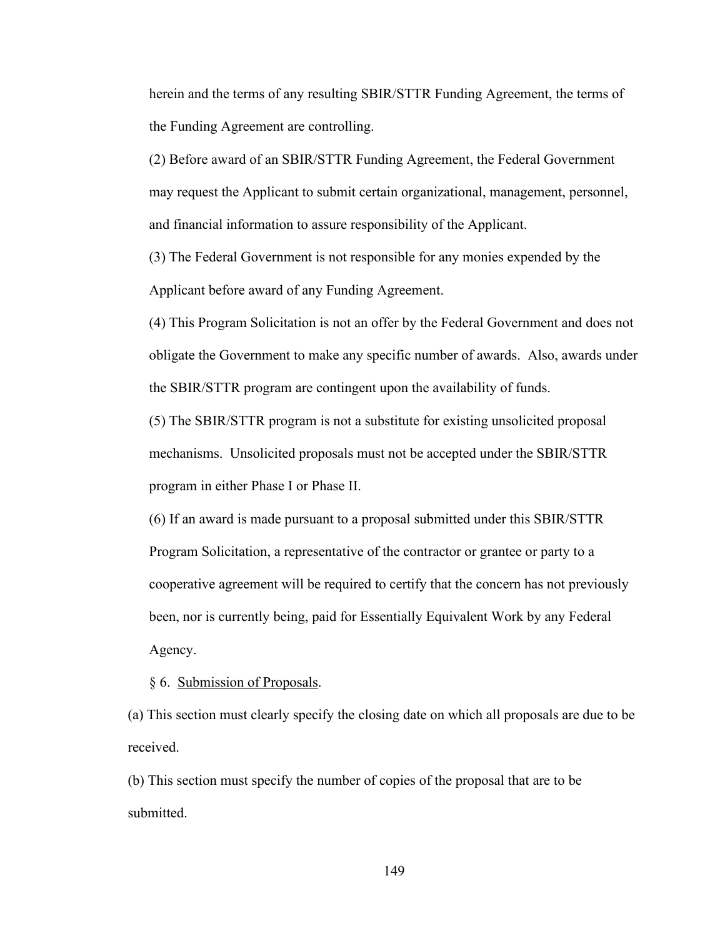herein and the terms of any resulting SBIR/STTR Funding Agreement, the terms of the Funding Agreement are controlling.

(2) Before award of an SBIR/STTR Funding Agreement, the Federal Government may request the Applicant to submit certain organizational, management, personnel, and financial information to assure responsibility of the Applicant.

(3) The Federal Government is not responsible for any monies expended by the Applicant before award of any Funding Agreement.

(4) This Program Solicitation is not an offer by the Federal Government and does not obligate the Government to make any specific number of awards. Also, awards under the SBIR/STTR program are contingent upon the availability of funds.

(5) The SBIR/STTR program is not a substitute for existing unsolicited proposal mechanisms. Unsolicited proposals must not be accepted under the SBIR/STTR program in either Phase I or Phase II.

(6) If an award is made pursuant to a proposal submitted under this SBIR/STTR Program Solicitation, a representative of the contractor or grantee or party to a cooperative agreement will be required to certify that the concern has not previously been, nor is currently being, paid for Essentially Equivalent Work by any Federal Agency.

§ 6. Submission of Proposals.

(a) This section must clearly specify the closing date on which all proposals are due to be received.

(b) This section must specify the number of copies of the proposal that are to be submitted.

149